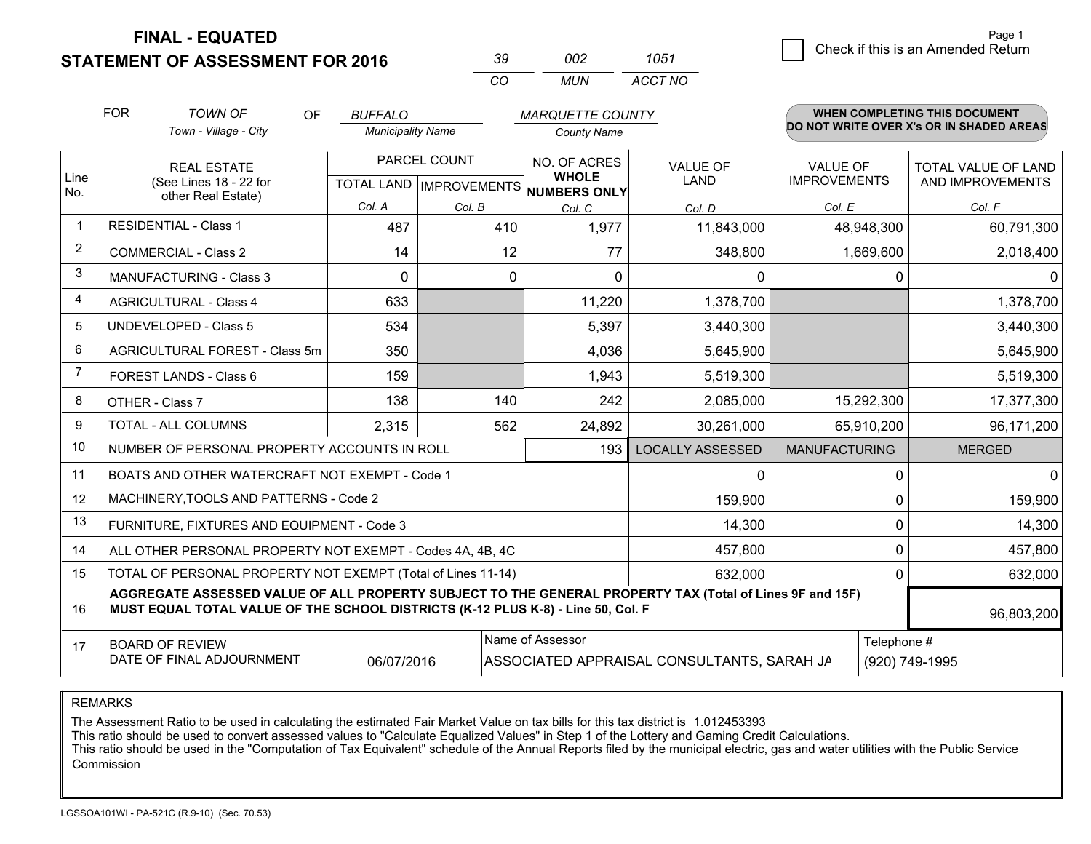**STATEMENT OF ASSESSMENT FOR 2016** 

| -30      | nn2   | 1051    |
|----------|-------|---------|
| $\alpha$ | MI IN | ACCT NO |

|                | <b>FOR</b>                                                                                                                                                                                   | <b>TOWN OF</b><br><b>OF</b>                               | <b>BUFFALO</b>           |              | <b>MARQUETTE COUNTY</b>                                              |                                            |                                        |             | WHEN COMPLETING THIS DOCUMENT            |
|----------------|----------------------------------------------------------------------------------------------------------------------------------------------------------------------------------------------|-----------------------------------------------------------|--------------------------|--------------|----------------------------------------------------------------------|--------------------------------------------|----------------------------------------|-------------|------------------------------------------|
|                |                                                                                                                                                                                              | Town - Village - City                                     | <b>Municipality Name</b> |              | <b>County Name</b>                                                   |                                            |                                        |             | DO NOT WRITE OVER X's OR IN SHADED AREAS |
| Line<br>No.    |                                                                                                                                                                                              | <b>REAL ESTATE</b><br>(See Lines 18 - 22 for              |                          | PARCEL COUNT | NO. OF ACRES<br><b>WHOLE</b><br>TOTAL LAND IMPROVEMENTS NUMBERS ONLY | <b>VALUE OF</b><br><b>LAND</b>             | <b>VALUE OF</b><br><b>IMPROVEMENTS</b> |             | TOTAL VALUE OF LAND<br>AND IMPROVEMENTS  |
|                |                                                                                                                                                                                              | other Real Estate)                                        | Col. A                   | Col. B       | Col. C                                                               | Col. D                                     | Col. E                                 |             | Col. F                                   |
| 1              |                                                                                                                                                                                              | <b>RESIDENTIAL - Class 1</b>                              | 487                      | 410          | 1,977                                                                | 11,843,000                                 |                                        | 48,948,300  | 60,791,300                               |
| 2              |                                                                                                                                                                                              | <b>COMMERCIAL - Class 2</b>                               | 14                       | 12           | 77                                                                   | 348,800                                    |                                        | 1,669,600   | 2,018,400                                |
| 3              |                                                                                                                                                                                              | <b>MANUFACTURING - Class 3</b>                            | $\Omega$                 | $\Omega$     | $\Omega$                                                             | 0                                          |                                        | 0           | $\Omega$                                 |
| $\overline{4}$ |                                                                                                                                                                                              | <b>AGRICULTURAL - Class 4</b>                             | 633                      |              | 11,220                                                               | 1,378,700                                  |                                        |             | 1,378,700                                |
| 5              |                                                                                                                                                                                              | <b>UNDEVELOPED - Class 5</b>                              | 534                      |              | 5,397                                                                | 3,440,300                                  |                                        |             | 3,440,300                                |
| 6              |                                                                                                                                                                                              | AGRICULTURAL FOREST - Class 5m                            | 350                      |              | 4,036                                                                | 5,645,900                                  |                                        |             | 5,645,900                                |
| 7              |                                                                                                                                                                                              | <b>FOREST LANDS - Class 6</b>                             | 159                      |              | 1,943                                                                | 5,519,300                                  |                                        |             | 5,519,300                                |
| 8              |                                                                                                                                                                                              | OTHER - Class 7                                           | 138                      | 140          | 242                                                                  | 2,085,000                                  | 15,292,300                             |             | 17,377,300                               |
| 9              |                                                                                                                                                                                              | TOTAL - ALL COLUMNS<br>2,315                              |                          | 562          | 24,892                                                               | 30,261,000                                 |                                        | 65,910,200  | 96,171,200                               |
| 10             |                                                                                                                                                                                              | NUMBER OF PERSONAL PROPERTY ACCOUNTS IN ROLL              |                          |              | 193                                                                  | <b>LOCALLY ASSESSED</b>                    | <b>MANUFACTURING</b>                   |             | <b>MERGED</b>                            |
| 11             |                                                                                                                                                                                              | BOATS AND OTHER WATERCRAFT NOT EXEMPT - Code 1            |                          |              |                                                                      | 0                                          |                                        | 0           | $\mathbf{0}$                             |
| 12             |                                                                                                                                                                                              | MACHINERY, TOOLS AND PATTERNS - Code 2                    |                          |              |                                                                      | 159,900                                    |                                        | $\Omega$    | 159,900                                  |
| 13             |                                                                                                                                                                                              | FURNITURE, FIXTURES AND EQUIPMENT - Code 3                |                          |              |                                                                      | 14,300                                     |                                        | 0           | 14,300                                   |
| 14             |                                                                                                                                                                                              | ALL OTHER PERSONAL PROPERTY NOT EXEMPT - Codes 4A, 4B, 4C |                          |              |                                                                      | 457,800                                    |                                        | 0           | 457,800                                  |
| 15             | TOTAL OF PERSONAL PROPERTY NOT EXEMPT (Total of Lines 11-14)                                                                                                                                 |                                                           |                          |              |                                                                      |                                            |                                        | 0           | 632,000                                  |
| 16             | AGGREGATE ASSESSED VALUE OF ALL PROPERTY SUBJECT TO THE GENERAL PROPERTY TAX (Total of Lines 9F and 15F)<br>MUST EQUAL TOTAL VALUE OF THE SCHOOL DISTRICTS (K-12 PLUS K-8) - Line 50, Col. F |                                                           |                          |              |                                                                      |                                            |                                        |             | 96,803,200                               |
| 17             |                                                                                                                                                                                              | <b>BOARD OF REVIEW</b>                                    |                          |              | Name of Assessor                                                     |                                            |                                        | Telephone # |                                          |
|                |                                                                                                                                                                                              | DATE OF FINAL ADJOURNMENT                                 | 06/07/2016               |              |                                                                      | ASSOCIATED APPRAISAL CONSULTANTS, SARAH JA |                                        |             | (920) 749-1995                           |

REMARKS

The Assessment Ratio to be used in calculating the estimated Fair Market Value on tax bills for this tax district is 1.012453393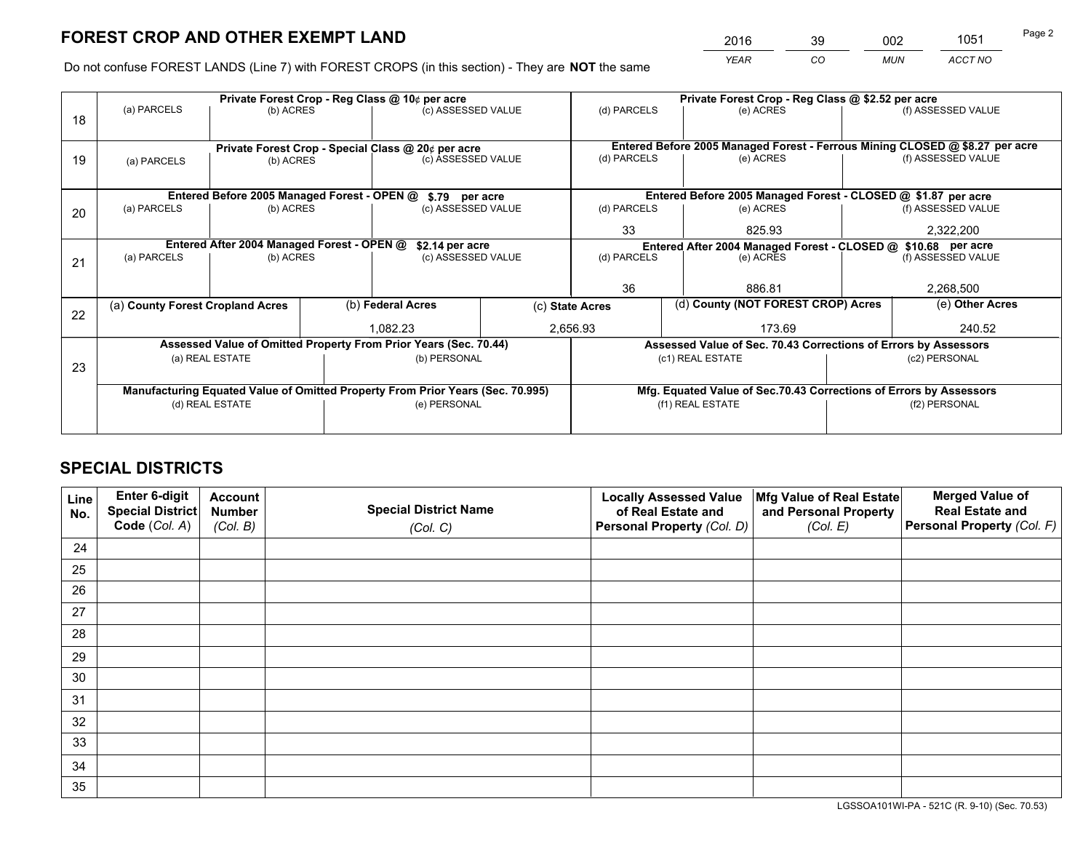*YEAR CO MUN ACCT NO* <sup>2016</sup> <sup>39</sup> <sup>002</sup> <sup>1051</sup>

Do not confuse FOREST LANDS (Line 7) with FOREST CROPS (in this section) - They are **NOT** the same

|    |                                                               |                                                    |  | Private Forest Crop - Reg Class @ 10¢ per acre                                 |                                                                              | Private Forest Crop - Reg Class @ \$2.52 per acre                                   |                                                                    |               |                    |
|----|---------------------------------------------------------------|----------------------------------------------------|--|--------------------------------------------------------------------------------|------------------------------------------------------------------------------|-------------------------------------------------------------------------------------|--------------------------------------------------------------------|---------------|--------------------|
| 18 | (a) PARCELS                                                   | (b) ACRES                                          |  | (c) ASSESSED VALUE                                                             |                                                                              | (d) PARCELS                                                                         | (e) ACRES                                                          |               | (f) ASSESSED VALUE |
|    |                                                               |                                                    |  |                                                                                |                                                                              |                                                                                     |                                                                    |               |                    |
|    |                                                               | Private Forest Crop - Special Class @ 20¢ per acre |  |                                                                                | Entered Before 2005 Managed Forest - Ferrous Mining CLOSED @ \$8.27 per acre |                                                                                     |                                                                    |               |                    |
| 19 | (a) PARCELS                                                   | (b) ACRES                                          |  | (c) ASSESSED VALUE                                                             |                                                                              | (d) PARCELS                                                                         | (e) ACRES                                                          |               | (f) ASSESSED VALUE |
|    |                                                               |                                                    |  |                                                                                |                                                                              |                                                                                     |                                                                    |               |                    |
|    |                                                               | Entered Before 2005 Managed Forest - OPEN @        |  | \$.79 per acre                                                                 |                                                                              |                                                                                     | Entered Before 2005 Managed Forest - CLOSED @ \$1.87 per acre      |               |                    |
| 20 | (a) PARCELS                                                   | (b) ACRES                                          |  | (c) ASSESSED VALUE                                                             |                                                                              | (d) PARCELS                                                                         | (e) ACRES                                                          |               | (f) ASSESSED VALUE |
|    |                                                               |                                                    |  |                                                                                | 33                                                                           | 825.93                                                                              |                                                                    | 2,322,200     |                    |
|    | Entered After 2004 Managed Forest - OPEN @<br>\$2.14 per acre |                                                    |  |                                                                                |                                                                              | Entered After 2004 Managed Forest - CLOSED @ \$10.68 per acre<br>(f) ASSESSED VALUE |                                                                    |               |                    |
| 21 | (a) PARCELS<br>(b) ACRES                                      |                                                    |  | (c) ASSESSED VALUE                                                             |                                                                              | (d) PARCELS                                                                         | (e) ACRES                                                          |               |                    |
|    |                                                               |                                                    |  |                                                                                |                                                                              |                                                                                     |                                                                    |               |                    |
|    |                                                               |                                                    |  |                                                                                |                                                                              | 36                                                                                  | 886.81                                                             |               | 2,268,500          |
| 22 | (a) County Forest Cropland Acres                              |                                                    |  | (b) Federal Acres                                                              |                                                                              | (d) County (NOT FOREST CROP) Acres<br>(c) State Acres                               |                                                                    |               | (e) Other Acres    |
|    |                                                               |                                                    |  | 1,082.23                                                                       |                                                                              | 2,656.93<br>173.69                                                                  |                                                                    |               | 240.52             |
|    |                                                               |                                                    |  | Assessed Value of Omitted Property From Prior Years (Sec. 70.44)               |                                                                              |                                                                                     | Assessed Value of Sec. 70.43 Corrections of Errors by Assessors    |               |                    |
|    | (a) REAL ESTATE                                               |                                                    |  | (b) PERSONAL                                                                   |                                                                              |                                                                                     | (c1) REAL ESTATE                                                   | (c2) PERSONAL |                    |
| 23 |                                                               |                                                    |  |                                                                                |                                                                              |                                                                                     |                                                                    |               |                    |
|    |                                                               |                                                    |  | Manufacturing Equated Value of Omitted Property From Prior Years (Sec. 70.995) |                                                                              |                                                                                     | Mfg. Equated Value of Sec.70.43 Corrections of Errors by Assessors |               |                    |
|    |                                                               | (d) REAL ESTATE                                    |  | (e) PERSONAL                                                                   |                                                                              |                                                                                     | (f1) REAL ESTATE                                                   |               | (f2) PERSONAL      |
|    |                                                               |                                                    |  |                                                                                |                                                                              |                                                                                     |                                                                    |               |                    |

# **SPECIAL DISTRICTS**

| Line<br>No. | Enter 6-digit<br>Special District<br>Code (Col. A) | <b>Account</b><br><b>Number</b><br>(Col. B) | <b>Special District Name</b><br>(Col. C) | <b>Locally Assessed Value</b><br>of Real Estate and<br>Personal Property (Col. D) | Mfg Value of Real Estate<br>and Personal Property<br>(Col. E) | <b>Merged Value of</b><br><b>Real Estate and</b><br>Personal Property (Col. F) |
|-------------|----------------------------------------------------|---------------------------------------------|------------------------------------------|-----------------------------------------------------------------------------------|---------------------------------------------------------------|--------------------------------------------------------------------------------|
| 24          |                                                    |                                             |                                          |                                                                                   |                                                               |                                                                                |
| 25          |                                                    |                                             |                                          |                                                                                   |                                                               |                                                                                |
| 26          |                                                    |                                             |                                          |                                                                                   |                                                               |                                                                                |
| 27          |                                                    |                                             |                                          |                                                                                   |                                                               |                                                                                |
| 28          |                                                    |                                             |                                          |                                                                                   |                                                               |                                                                                |
| 29          |                                                    |                                             |                                          |                                                                                   |                                                               |                                                                                |
| 30          |                                                    |                                             |                                          |                                                                                   |                                                               |                                                                                |
| 31          |                                                    |                                             |                                          |                                                                                   |                                                               |                                                                                |
| 32          |                                                    |                                             |                                          |                                                                                   |                                                               |                                                                                |
| 33          |                                                    |                                             |                                          |                                                                                   |                                                               |                                                                                |
| 34          |                                                    |                                             |                                          |                                                                                   |                                                               |                                                                                |
| 35          |                                                    |                                             |                                          |                                                                                   |                                                               |                                                                                |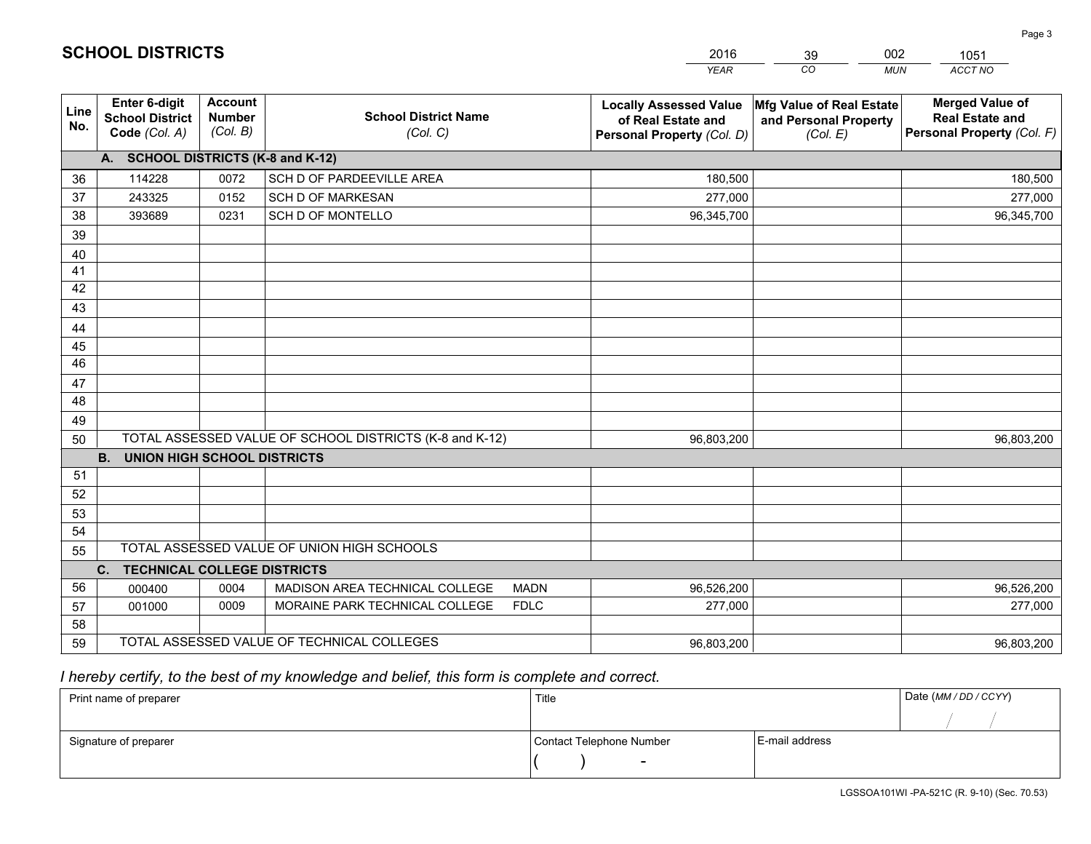|             |                                                          |                                             |                                                         | <b>YEAR</b>                                                                       | CO<br><b>MUN</b>                                              | <b>ACCT NO</b>                                                                 |
|-------------|----------------------------------------------------------|---------------------------------------------|---------------------------------------------------------|-----------------------------------------------------------------------------------|---------------------------------------------------------------|--------------------------------------------------------------------------------|
| Line<br>No. | Enter 6-digit<br><b>School District</b><br>Code (Col. A) | <b>Account</b><br><b>Number</b><br>(Col. B) | <b>School District Name</b><br>(Col. C)                 | <b>Locally Assessed Value</b><br>of Real Estate and<br>Personal Property (Col. D) | Mfg Value of Real Estate<br>and Personal Property<br>(Col. E) | <b>Merged Value of</b><br><b>Real Estate and</b><br>Personal Property (Col. F) |
|             | A. SCHOOL DISTRICTS (K-8 and K-12)                       |                                             |                                                         |                                                                                   |                                                               |                                                                                |
| 36          | 114228                                                   | 0072                                        | SCH D OF PARDEEVILLE AREA                               | 180,500                                                                           |                                                               | 180,500                                                                        |
| 37          | 243325                                                   | 0152                                        | <b>SCH D OF MARKESAN</b>                                | 277,000                                                                           |                                                               | 277,000                                                                        |
| 38          | 393689                                                   | 0231                                        | <b>SCH D OF MONTELLO</b>                                | 96,345,700                                                                        |                                                               | 96,345,700                                                                     |
| 39          |                                                          |                                             |                                                         |                                                                                   |                                                               |                                                                                |
| 40          |                                                          |                                             |                                                         |                                                                                   |                                                               |                                                                                |
| 41          |                                                          |                                             |                                                         |                                                                                   |                                                               |                                                                                |
| 42          |                                                          |                                             |                                                         |                                                                                   |                                                               |                                                                                |
| 43          |                                                          |                                             |                                                         |                                                                                   |                                                               |                                                                                |
| 44          |                                                          |                                             |                                                         |                                                                                   |                                                               |                                                                                |
| 45          |                                                          |                                             |                                                         |                                                                                   |                                                               |                                                                                |
| 46          |                                                          |                                             |                                                         |                                                                                   |                                                               |                                                                                |
| 47          |                                                          |                                             |                                                         |                                                                                   |                                                               |                                                                                |
| 48          |                                                          |                                             |                                                         |                                                                                   |                                                               |                                                                                |
| 49          |                                                          |                                             |                                                         |                                                                                   |                                                               |                                                                                |
| 50          |                                                          |                                             | TOTAL ASSESSED VALUE OF SCHOOL DISTRICTS (K-8 and K-12) | 96,803,200                                                                        |                                                               | 96,803,200                                                                     |
|             | <b>B.</b><br><b>UNION HIGH SCHOOL DISTRICTS</b>          |                                             |                                                         |                                                                                   |                                                               |                                                                                |
| 51          |                                                          |                                             |                                                         |                                                                                   |                                                               |                                                                                |
| 52          |                                                          |                                             |                                                         |                                                                                   |                                                               |                                                                                |
| 53          |                                                          |                                             |                                                         |                                                                                   |                                                               |                                                                                |
| 54          |                                                          |                                             |                                                         |                                                                                   |                                                               |                                                                                |
| 55          |                                                          |                                             | TOTAL ASSESSED VALUE OF UNION HIGH SCHOOLS              |                                                                                   |                                                               |                                                                                |
|             | <b>TECHNICAL COLLEGE DISTRICTS</b><br>$C_{1}$            |                                             |                                                         |                                                                                   |                                                               |                                                                                |
| 56          | 000400                                                   | 0004                                        | MADISON AREA TECHNICAL COLLEGE<br><b>MADN</b>           | 96,526,200                                                                        |                                                               | 96,526,200                                                                     |
| 57          | 001000                                                   | 0009                                        | MORAINE PARK TECHNICAL COLLEGE<br><b>FDLC</b>           | 277,000                                                                           |                                                               | 277,000                                                                        |
| 58          |                                                          |                                             |                                                         |                                                                                   |                                                               |                                                                                |
| 59          |                                                          |                                             | TOTAL ASSESSED VALUE OF TECHNICAL COLLEGES              | 96,803,200                                                                        |                                                               | 96,803,200                                                                     |

39

002

# *I hereby certify, to the best of my knowledge and belief, this form is complete and correct.*

**SCHOOL DISTRICTS**

| Print name of preparer | Title                    |                | Date (MM / DD / CCYY) |
|------------------------|--------------------------|----------------|-----------------------|
|                        |                          |                |                       |
| Signature of preparer  | Contact Telephone Number | E-mail address |                       |
|                        | $\overline{\phantom{0}}$ |                |                       |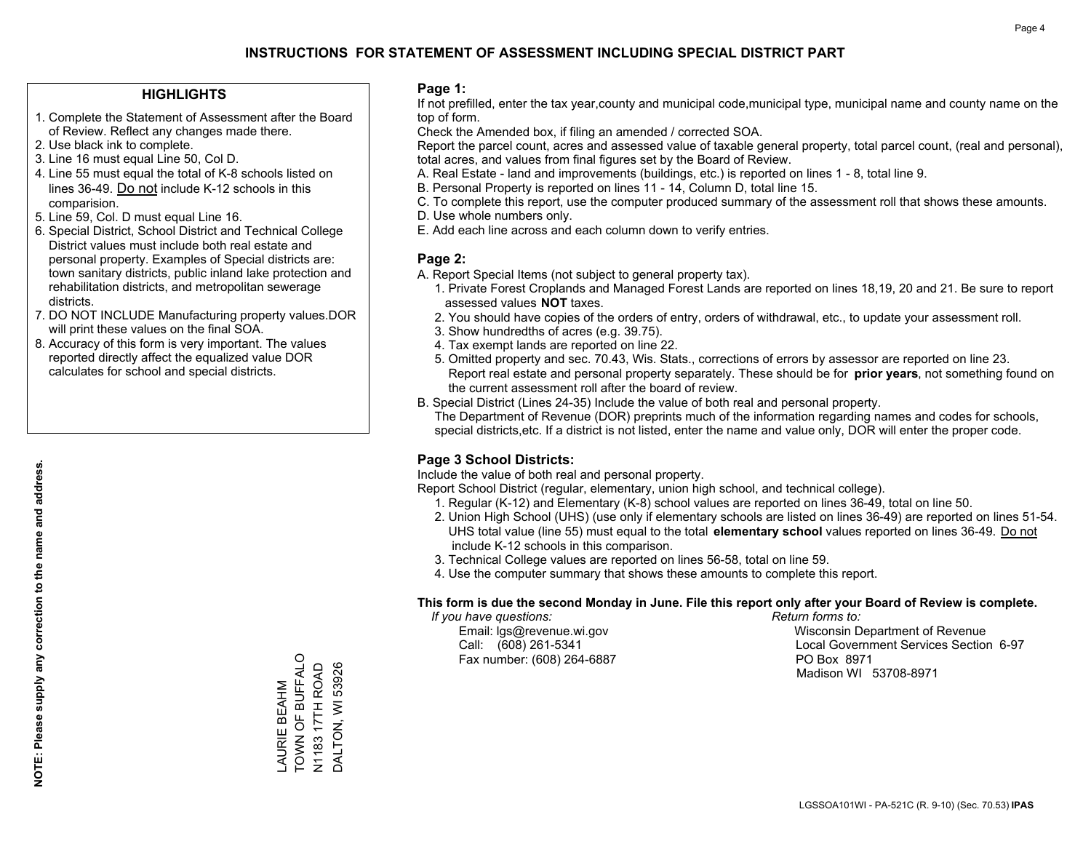### **HIGHLIGHTS**

- 1. Complete the Statement of Assessment after the Board of Review. Reflect any changes made there.
- 2. Use black ink to complete.
- 3. Line 16 must equal Line 50, Col D.
- 4. Line 55 must equal the total of K-8 schools listed on lines 36-49. Do not include K-12 schools in this comparision.
- 5. Line 59, Col. D must equal Line 16.
- 6. Special District, School District and Technical College District values must include both real estate and personal property. Examples of Special districts are: town sanitary districts, public inland lake protection and rehabilitation districts, and metropolitan sewerage districts.
- 7. DO NOT INCLUDE Manufacturing property values.DOR will print these values on the final SOA.
- 8. Accuracy of this form is very important. The values reported directly affect the equalized value DOR calculates for school and special districts.

### **Page 1:**

 If not prefilled, enter the tax year,county and municipal code,municipal type, municipal name and county name on the top of form.

Check the Amended box, if filing an amended / corrected SOA.

 Report the parcel count, acres and assessed value of taxable general property, total parcel count, (real and personal), total acres, and values from final figures set by the Board of Review.

- A. Real Estate land and improvements (buildings, etc.) is reported on lines 1 8, total line 9.
- B. Personal Property is reported on lines 11 14, Column D, total line 15.
- C. To complete this report, use the computer produced summary of the assessment roll that shows these amounts.
- D. Use whole numbers only.
- E. Add each line across and each column down to verify entries.

### **Page 2:**

- A. Report Special Items (not subject to general property tax).
- 1. Private Forest Croplands and Managed Forest Lands are reported on lines 18,19, 20 and 21. Be sure to report assessed values **NOT** taxes.
- 2. You should have copies of the orders of entry, orders of withdrawal, etc., to update your assessment roll.
	- 3. Show hundredths of acres (e.g. 39.75).
- 4. Tax exempt lands are reported on line 22.
- 5. Omitted property and sec. 70.43, Wis. Stats., corrections of errors by assessor are reported on line 23. Report real estate and personal property separately. These should be for **prior years**, not something found on the current assessment roll after the board of review.
- B. Special District (Lines 24-35) Include the value of both real and personal property.
- The Department of Revenue (DOR) preprints much of the information regarding names and codes for schools, special districts,etc. If a district is not listed, enter the name and value only, DOR will enter the proper code.

### **Page 3 School Districts:**

Include the value of both real and personal property.

Report School District (regular, elementary, union high school, and technical college).

- 1. Regular (K-12) and Elementary (K-8) school values are reported on lines 36-49, total on line 50.
- 2. Union High School (UHS) (use only if elementary schools are listed on lines 36-49) are reported on lines 51-54. UHS total value (line 55) must equal to the total **elementary school** values reported on lines 36-49. Do notinclude K-12 schools in this comparison.
- 3. Technical College values are reported on lines 56-58, total on line 59.
- 4. Use the computer summary that shows these amounts to complete this report.

#### **This form is due the second Monday in June. File this report only after your Board of Review is complete.**

 *If you have questions: Return forms to:*

Fax number: (608) 264-6887 PO Box 8971

 Email: lgs@revenue.wi.gov Wisconsin Department of Revenue Call: (608) 261-5341 Local Government Services Section 6-97Madison WI 53708-8971

TOWN OF BUFFALO TOWN OF BUFFALO N1183 17TH ROAD N1183 17TH ROAD AURIE BEAHM LAURIE BEAHM

DALTON, WI 53926

DALTON, WI 53926

**NOTE: Please supply any correction to the name and address.**

NOTE: Please supply any correction to the name and address.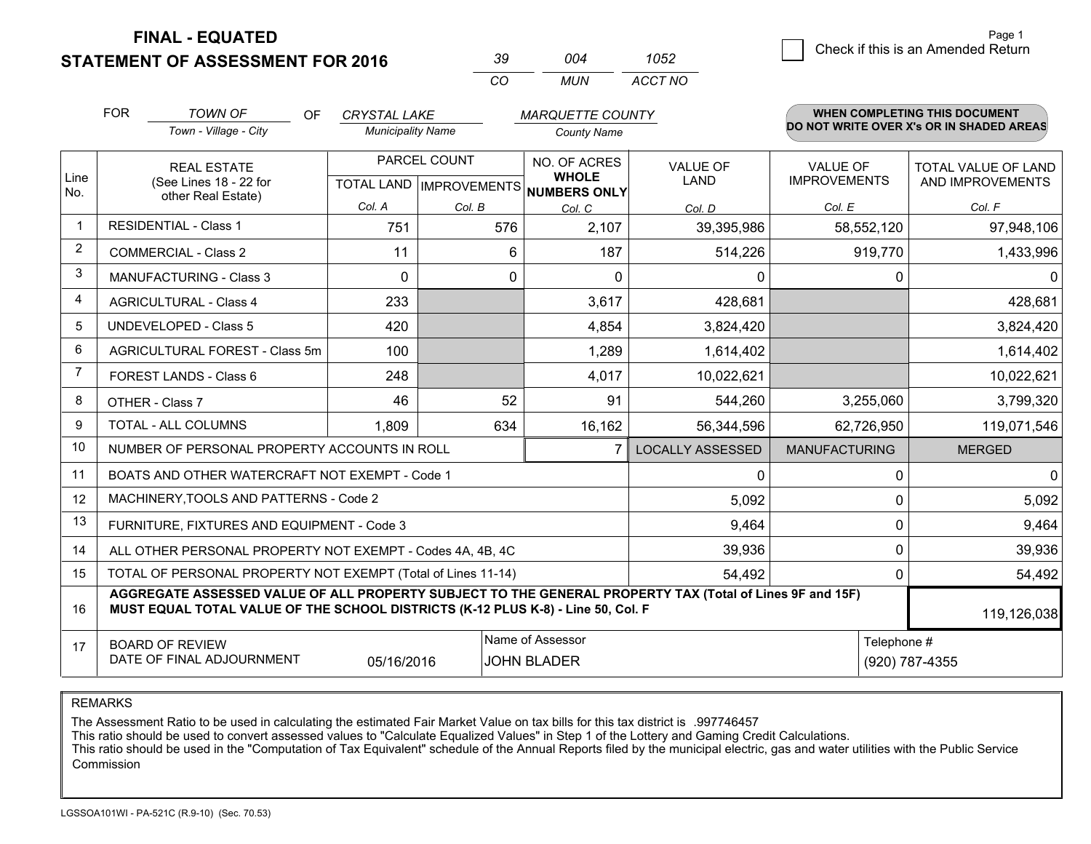**STATEMENT OF ASSESSMENT FOR 2016** 

| -39. | በበ4  | 1052    |
|------|------|---------|
| CO.  | MUN. | ACCT NO |

|                | <b>FOR</b>                                                                                                                                                                                   | <b>TOWN OF</b><br>OF.                          | <b>CRYSTAL LAKE</b>                                  |        | <b>MARQUETTE COUNTY</b>      |                                |                                        | <b>WHEN COMPLETING THIS DOCUMENT</b>           |
|----------------|----------------------------------------------------------------------------------------------------------------------------------------------------------------------------------------------|------------------------------------------------|------------------------------------------------------|--------|------------------------------|--------------------------------|----------------------------------------|------------------------------------------------|
|                |                                                                                                                                                                                              | Town - Village - City                          | <b>Municipality Name</b>                             |        | <b>County Name</b>           |                                |                                        | DO NOT WRITE OVER X's OR IN SHADED AREAS       |
| Line           | <b>REAL ESTATE</b><br>(See Lines 18 - 22 for                                                                                                                                                 |                                                | PARCEL COUNT<br>TOTAL LAND IMPROVEMENTS NUMBERS ONLY |        | NO. OF ACRES<br><b>WHOLE</b> | <b>VALUE OF</b><br><b>LAND</b> | <b>VALUE OF</b><br><b>IMPROVEMENTS</b> | <b>TOTAL VALUE OF LAND</b><br>AND IMPROVEMENTS |
| No.            |                                                                                                                                                                                              | other Real Estate)                             | Col. A                                               | Col. B | Col. C                       | Col. D                         | Col. E                                 | Col. F                                         |
| $\overline{1}$ |                                                                                                                                                                                              | <b>RESIDENTIAL - Class 1</b>                   | 751                                                  | 576    | 2,107                        | 39,395,986                     | 58,552,120                             | 97,948,106                                     |
| 2              |                                                                                                                                                                                              | <b>COMMERCIAL - Class 2</b>                    | 11                                                   | 6      | 187                          | 514,226                        | 919,770                                | 1,433,996                                      |
| 3              |                                                                                                                                                                                              | MANUFACTURING - Class 3                        | $\mathbf{0}$                                         | 0      | $\Omega$                     | 0                              | 0                                      | $\mathbf 0$                                    |
| 4              |                                                                                                                                                                                              | <b>AGRICULTURAL - Class 4</b>                  | 233                                                  |        | 3,617                        | 428,681                        |                                        | 428,681                                        |
| 5              |                                                                                                                                                                                              | <b>UNDEVELOPED - Class 5</b>                   | 420                                                  |        | 4,854                        | 3,824,420                      |                                        | 3,824,420                                      |
| 6              |                                                                                                                                                                                              | AGRICULTURAL FOREST - Class 5m                 | 100                                                  |        | 1,289                        | 1,614,402                      |                                        | 1,614,402                                      |
| $\overline{7}$ |                                                                                                                                                                                              | FOREST LANDS - Class 6                         | 248                                                  |        | 4,017                        | 10,022,621                     |                                        | 10,022,621                                     |
| 8              |                                                                                                                                                                                              | OTHER - Class 7                                |                                                      | 52     | 91                           | 544,260                        | 3,255,060                              | 3,799,320                                      |
| 9              |                                                                                                                                                                                              | TOTAL - ALL COLUMNS                            | 1,809                                                | 634    | 16,162                       | 56,344,596                     | 62,726,950                             | 119,071,546                                    |
| 10             |                                                                                                                                                                                              | NUMBER OF PERSONAL PROPERTY ACCOUNTS IN ROLL   |                                                      |        | $\overline{7}$               | <b>LOCALLY ASSESSED</b>        | <b>MANUFACTURING</b>                   | <b>MERGED</b>                                  |
| 11             |                                                                                                                                                                                              | BOATS AND OTHER WATERCRAFT NOT EXEMPT - Code 1 |                                                      |        |                              | 0                              | 0                                      | $\mathbf 0$                                    |
| 12             |                                                                                                                                                                                              | MACHINERY, TOOLS AND PATTERNS - Code 2         |                                                      |        |                              | 5,092                          | $\Omega$                               | 5,092                                          |
| 13             |                                                                                                                                                                                              | FURNITURE, FIXTURES AND EQUIPMENT - Code 3     |                                                      |        |                              | 9,464                          | $\mathbf 0$                            | 9,464                                          |
| 14             | 39,936<br>ALL OTHER PERSONAL PROPERTY NOT EXEMPT - Codes 4A, 4B, 4C                                                                                                                          |                                                |                                                      |        |                              |                                |                                        | $\mathbf 0$<br>39,936                          |
| 15             | TOTAL OF PERSONAL PROPERTY NOT EXEMPT (Total of Lines 11-14)<br>54,492                                                                                                                       |                                                |                                                      |        |                              |                                |                                        | 54,492<br>$\Omega$                             |
| 16             | AGGREGATE ASSESSED VALUE OF ALL PROPERTY SUBJECT TO THE GENERAL PROPERTY TAX (Total of Lines 9F and 15F)<br>MUST EQUAL TOTAL VALUE OF THE SCHOOL DISTRICTS (K-12 PLUS K-8) - Line 50, Col. F |                                                |                                                      |        |                              |                                |                                        | 119,126,038                                    |
| 17             | Name of Assessor<br>Telephone #<br><b>BOARD OF REVIEW</b><br>DATE OF FINAL ADJOURNMENT<br>05/16/2016<br><b>JOHN BLADER</b>                                                                   |                                                |                                                      |        |                              |                                | (920) 787-4355                         |                                                |

REMARKS

The Assessment Ratio to be used in calculating the estimated Fair Market Value on tax bills for this tax district is .997746457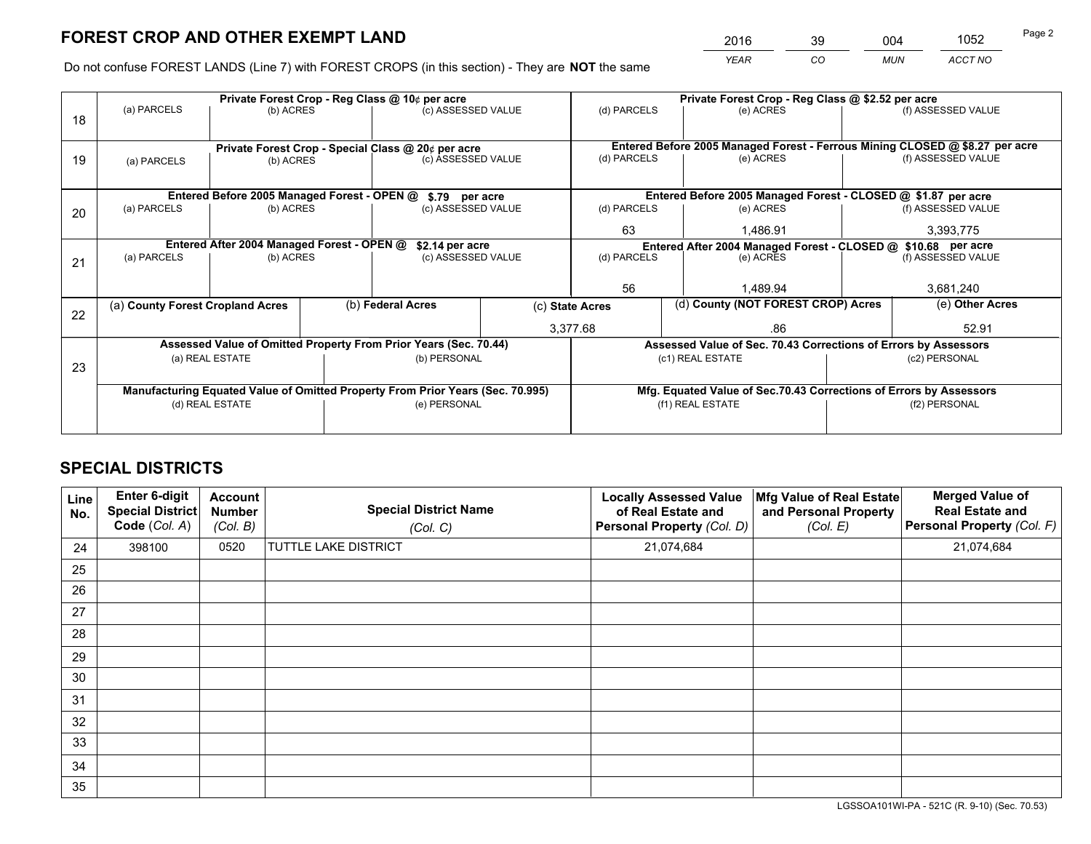*YEAR CO MUN ACCT NO* <sup>2016</sup> <sup>39</sup> <sup>004</sup> <sup>1052</sup>

Do not confuse FOREST LANDS (Line 7) with FOREST CROPS (in this section) - They are **NOT** the same

|    |                                                               |                                             |  | Private Forest Crop - Reg Class @ 10¢ per acre                                 |                                                               | Private Forest Crop - Reg Class @ \$2.52 per acre |                                                                    |                    |                    |
|----|---------------------------------------------------------------|---------------------------------------------|--|--------------------------------------------------------------------------------|---------------------------------------------------------------|---------------------------------------------------|--------------------------------------------------------------------|--------------------|--------------------|
| 18 | (a) PARCELS                                                   | (b) ACRES                                   |  | (c) ASSESSED VALUE                                                             |                                                               | (d) PARCELS                                       | (e) ACRES                                                          |                    | (f) ASSESSED VALUE |
|    |                                                               |                                             |  |                                                                                |                                                               |                                                   |                                                                    |                    |                    |
|    | Private Forest Crop - Special Class @ 20¢ per acre            |                                             |  | Entered Before 2005 Managed Forest - Ferrous Mining CLOSED @ \$8.27 per acre   |                                                               |                                                   |                                                                    |                    |                    |
| 19 | (a) PARCELS                                                   | (b) ACRES                                   |  | (c) ASSESSED VALUE                                                             |                                                               | (d) PARCELS                                       | (e) ACRES                                                          |                    | (f) ASSESSED VALUE |
|    |                                                               |                                             |  |                                                                                |                                                               |                                                   |                                                                    |                    |                    |
|    |                                                               | Entered Before 2005 Managed Forest - OPEN @ |  | \$.79 per acre                                                                 |                                                               |                                                   | Entered Before 2005 Managed Forest - CLOSED @ \$1.87 per acre      |                    |                    |
| 20 | (a) PARCELS                                                   | (b) ACRES                                   |  | (c) ASSESSED VALUE                                                             |                                                               | (d) PARCELS                                       | (e) ACRES                                                          |                    | (f) ASSESSED VALUE |
|    |                                                               |                                             |  |                                                                                | 63                                                            | 1.486.91                                          |                                                                    | 3,393,775          |                    |
|    | Entered After 2004 Managed Forest - OPEN @<br>\$2.14 per acre |                                             |  |                                                                                | Entered After 2004 Managed Forest - CLOSED @ \$10.68 per acre |                                                   |                                                                    |                    |                    |
| 21 | (a) PARCELS<br>(b) ACRES                                      |                                             |  | (c) ASSESSED VALUE                                                             |                                                               | (d) PARCELS                                       | (e) ACRES                                                          | (f) ASSESSED VALUE |                    |
|    |                                                               |                                             |  |                                                                                |                                                               |                                                   |                                                                    |                    |                    |
|    |                                                               |                                             |  |                                                                                |                                                               | 56                                                | 1.489.94                                                           |                    | 3,681,240          |
| 22 | (a) County Forest Cropland Acres                              |                                             |  | (b) Federal Acres                                                              |                                                               | (c) State Acres                                   | (d) County (NOT FOREST CROP) Acres                                 |                    | (e) Other Acres    |
|    |                                                               |                                             |  |                                                                                |                                                               | 3,377.68<br>.86                                   |                                                                    |                    | 52.91              |
|    |                                                               |                                             |  | Assessed Value of Omitted Property From Prior Years (Sec. 70.44)               |                                                               |                                                   | Assessed Value of Sec. 70.43 Corrections of Errors by Assessors    |                    |                    |
|    | (a) REAL ESTATE                                               |                                             |  | (b) PERSONAL                                                                   |                                                               |                                                   | (c1) REAL ESTATE                                                   | (c2) PERSONAL      |                    |
| 23 |                                                               |                                             |  |                                                                                |                                                               |                                                   |                                                                    |                    |                    |
|    |                                                               |                                             |  | Manufacturing Equated Value of Omitted Property From Prior Years (Sec. 70.995) |                                                               |                                                   | Mfg. Equated Value of Sec.70.43 Corrections of Errors by Assessors |                    |                    |
|    |                                                               | (d) REAL ESTATE                             |  | (e) PERSONAL                                                                   |                                                               |                                                   | (f1) REAL ESTATE                                                   |                    | (f2) PERSONAL      |
|    |                                                               |                                             |  |                                                                                |                                                               |                                                   |                                                                    |                    |                    |

# **SPECIAL DISTRICTS**

| Line<br>No. | Enter 6-digit<br><b>Special District</b><br>Code (Col. A) | <b>Account</b><br><b>Number</b><br>(Col. B) | <b>Special District Name</b><br>(Col. C) | <b>Locally Assessed Value</b><br>of Real Estate and<br>Personal Property (Col. D) | Mfg Value of Real Estate<br>and Personal Property<br>(Col. E) | <b>Merged Value of</b><br><b>Real Estate and</b><br>Personal Property (Col. F) |
|-------------|-----------------------------------------------------------|---------------------------------------------|------------------------------------------|-----------------------------------------------------------------------------------|---------------------------------------------------------------|--------------------------------------------------------------------------------|
| 24          | 398100                                                    | 0520                                        | TUTTLE LAKE DISTRICT                     | 21,074,684                                                                        |                                                               | 21,074,684                                                                     |
| 25          |                                                           |                                             |                                          |                                                                                   |                                                               |                                                                                |
| 26          |                                                           |                                             |                                          |                                                                                   |                                                               |                                                                                |
| 27          |                                                           |                                             |                                          |                                                                                   |                                                               |                                                                                |
| 28          |                                                           |                                             |                                          |                                                                                   |                                                               |                                                                                |
| 29          |                                                           |                                             |                                          |                                                                                   |                                                               |                                                                                |
| 30          |                                                           |                                             |                                          |                                                                                   |                                                               |                                                                                |
| 31          |                                                           |                                             |                                          |                                                                                   |                                                               |                                                                                |
| 32          |                                                           |                                             |                                          |                                                                                   |                                                               |                                                                                |
| 33          |                                                           |                                             |                                          |                                                                                   |                                                               |                                                                                |
| 34          |                                                           |                                             |                                          |                                                                                   |                                                               |                                                                                |
| 35          |                                                           |                                             |                                          |                                                                                   |                                                               |                                                                                |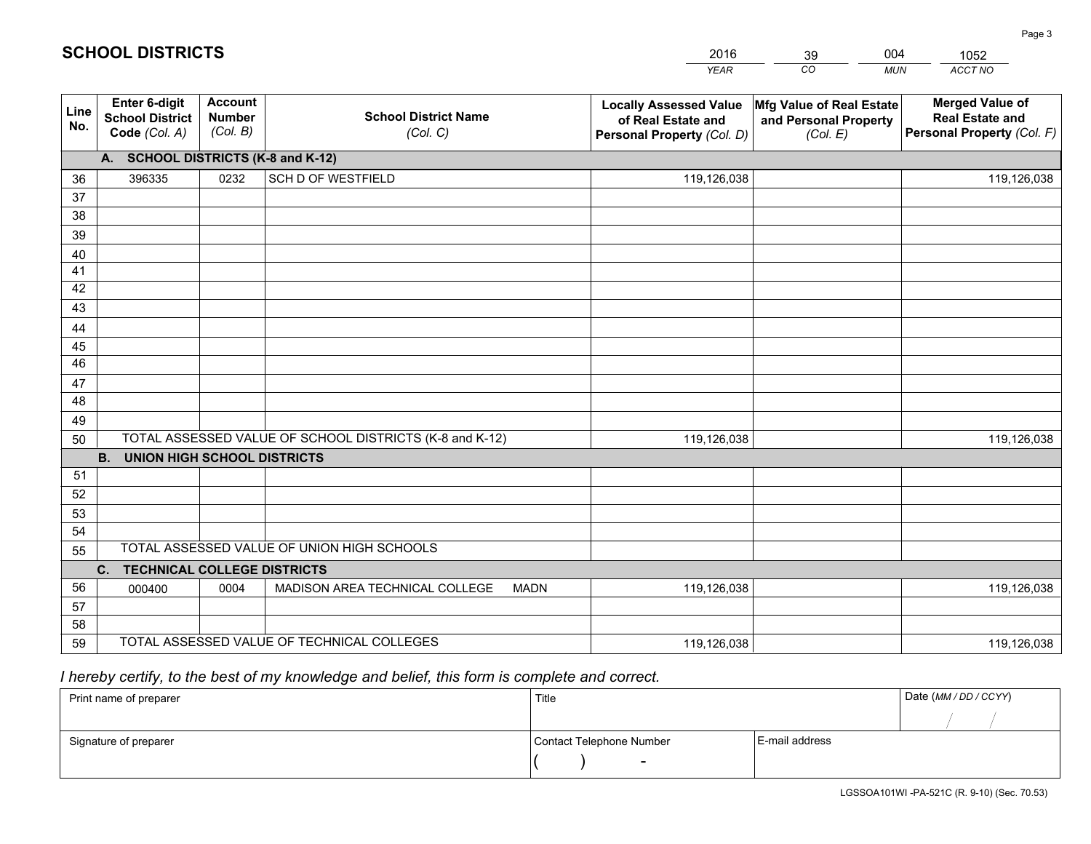| <b>Account</b><br><b>Merged Value of</b><br>Enter 6-digit<br>Mfg Value of Real Estate<br><b>Locally Assessed Value</b><br>Line<br><b>School District Name</b><br><b>Number</b><br><b>School District</b><br><b>Real Estate and</b><br>of Real Estate and<br>and Personal Property<br>No.<br>(Col. B)<br>Personal Property (Col. F)<br>Code (Col. A)<br>(Col. C)<br>Personal Property (Col. D)<br>(Col. E)<br>A. SCHOOL DISTRICTS (K-8 and K-12)<br>0232<br>SCH D OF WESTFIELD<br>396335<br>119,126,038<br>36<br>119,126,038<br>37<br>38<br>39<br>40<br>41<br>42<br>43<br>44<br>45<br>46 |
|-----------------------------------------------------------------------------------------------------------------------------------------------------------------------------------------------------------------------------------------------------------------------------------------------------------------------------------------------------------------------------------------------------------------------------------------------------------------------------------------------------------------------------------------------------------------------------------------|
|                                                                                                                                                                                                                                                                                                                                                                                                                                                                                                                                                                                         |
|                                                                                                                                                                                                                                                                                                                                                                                                                                                                                                                                                                                         |
|                                                                                                                                                                                                                                                                                                                                                                                                                                                                                                                                                                                         |
|                                                                                                                                                                                                                                                                                                                                                                                                                                                                                                                                                                                         |
|                                                                                                                                                                                                                                                                                                                                                                                                                                                                                                                                                                                         |
|                                                                                                                                                                                                                                                                                                                                                                                                                                                                                                                                                                                         |
|                                                                                                                                                                                                                                                                                                                                                                                                                                                                                                                                                                                         |
|                                                                                                                                                                                                                                                                                                                                                                                                                                                                                                                                                                                         |
|                                                                                                                                                                                                                                                                                                                                                                                                                                                                                                                                                                                         |
|                                                                                                                                                                                                                                                                                                                                                                                                                                                                                                                                                                                         |
|                                                                                                                                                                                                                                                                                                                                                                                                                                                                                                                                                                                         |
|                                                                                                                                                                                                                                                                                                                                                                                                                                                                                                                                                                                         |
| 47                                                                                                                                                                                                                                                                                                                                                                                                                                                                                                                                                                                      |
| 48                                                                                                                                                                                                                                                                                                                                                                                                                                                                                                                                                                                      |
| 49                                                                                                                                                                                                                                                                                                                                                                                                                                                                                                                                                                                      |
| TOTAL ASSESSED VALUE OF SCHOOL DISTRICTS (K-8 and K-12)<br>50<br>119,126,038<br>119,126,038                                                                                                                                                                                                                                                                                                                                                                                                                                                                                             |
| <b>B.</b><br><b>UNION HIGH SCHOOL DISTRICTS</b>                                                                                                                                                                                                                                                                                                                                                                                                                                                                                                                                         |
| 51                                                                                                                                                                                                                                                                                                                                                                                                                                                                                                                                                                                      |
| 52                                                                                                                                                                                                                                                                                                                                                                                                                                                                                                                                                                                      |
| 53                                                                                                                                                                                                                                                                                                                                                                                                                                                                                                                                                                                      |
| 54<br>TOTAL ASSESSED VALUE OF UNION HIGH SCHOOLS                                                                                                                                                                                                                                                                                                                                                                                                                                                                                                                                        |
| 55                                                                                                                                                                                                                                                                                                                                                                                                                                                                                                                                                                                      |
| C.<br><b>TECHNICAL COLLEGE DISTRICTS</b>                                                                                                                                                                                                                                                                                                                                                                                                                                                                                                                                                |
| 56<br>MADISON AREA TECHNICAL COLLEGE<br>0004<br><b>MADN</b><br>119,126,038<br>119,126,038<br>000400<br>57                                                                                                                                                                                                                                                                                                                                                                                                                                                                               |
| 58                                                                                                                                                                                                                                                                                                                                                                                                                                                                                                                                                                                      |
| TOTAL ASSESSED VALUE OF TECHNICAL COLLEGES<br>59<br>119,126,038<br>119,126,038                                                                                                                                                                                                                                                                                                                                                                                                                                                                                                          |

39

004

 *I hereby certify, to the best of my knowledge and belief, this form is complete and correct.*

**SCHOOL DISTRICTS**

| Print name of preparer | Title                    |                | Date (MM / DD / CCYY) |
|------------------------|--------------------------|----------------|-----------------------|
|                        |                          |                |                       |
| Signature of preparer  | Contact Telephone Number | E-mail address |                       |
|                        | $\sim$                   |                |                       |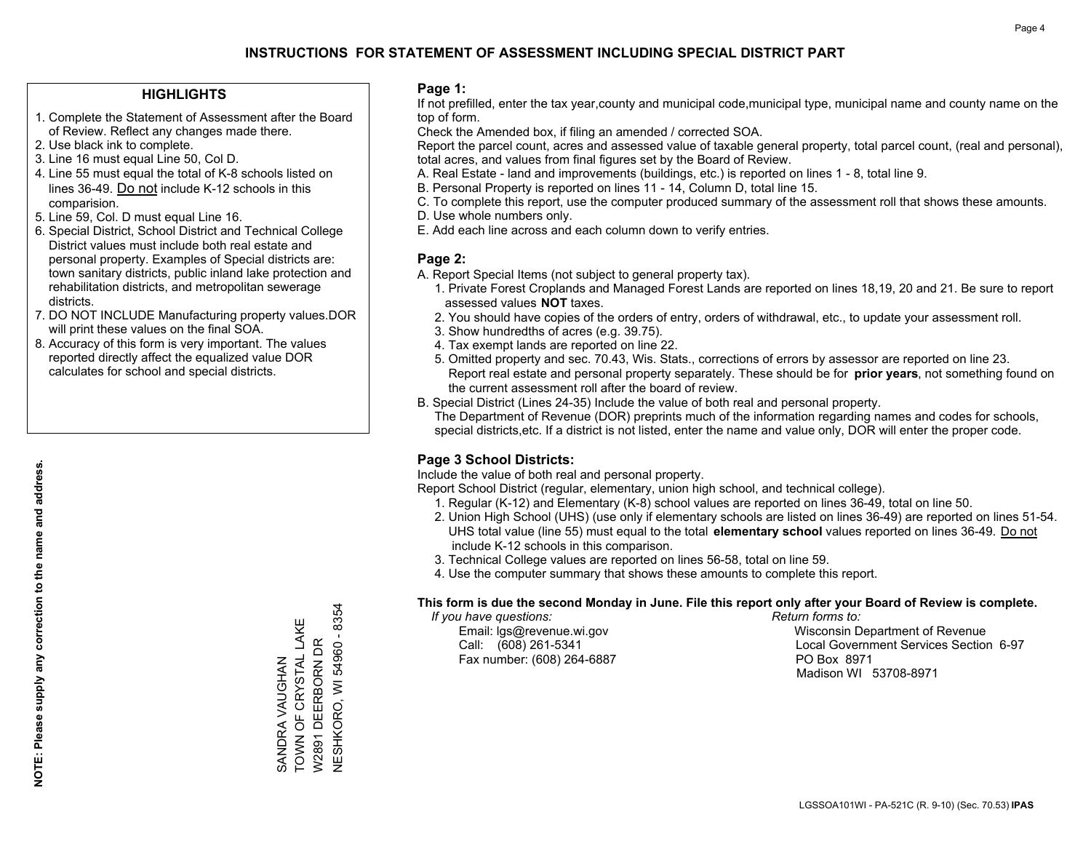### **HIGHLIGHTS**

- 1. Complete the Statement of Assessment after the Board of Review. Reflect any changes made there.
- 2. Use black ink to complete.
- 3. Line 16 must equal Line 50, Col D.
- 4. Line 55 must equal the total of K-8 schools listed on lines 36-49. Do not include K-12 schools in this comparision.
- 5. Line 59, Col. D must equal Line 16.
- 6. Special District, School District and Technical College District values must include both real estate and personal property. Examples of Special districts are: town sanitary districts, public inland lake protection and rehabilitation districts, and metropolitan sewerage districts.
- 7. DO NOT INCLUDE Manufacturing property values.DOR will print these values on the final SOA.

SANDRA VAUGHAN

TOWN OF CRYSTAL LAKE W2891 DEERBORN DR NESHKORO, WI 54960 - 8354

SANDRA VAUGHAN<br>TOWN OF CRYSTAL LAKE W2891 DEERBORN DR

**NESHKORO, WI 54960 - 8354** 

 8. Accuracy of this form is very important. The values reported directly affect the equalized value DOR calculates for school and special districts.

### **Page 1:**

 If not prefilled, enter the tax year,county and municipal code,municipal type, municipal name and county name on the top of form.

Check the Amended box, if filing an amended / corrected SOA.

 Report the parcel count, acres and assessed value of taxable general property, total parcel count, (real and personal), total acres, and values from final figures set by the Board of Review.

- A. Real Estate land and improvements (buildings, etc.) is reported on lines 1 8, total line 9.
- B. Personal Property is reported on lines 11 14, Column D, total line 15.
- C. To complete this report, use the computer produced summary of the assessment roll that shows these amounts.
- D. Use whole numbers only.
- E. Add each line across and each column down to verify entries.

### **Page 2:**

- A. Report Special Items (not subject to general property tax).
- 1. Private Forest Croplands and Managed Forest Lands are reported on lines 18,19, 20 and 21. Be sure to report assessed values **NOT** taxes.
- 2. You should have copies of the orders of entry, orders of withdrawal, etc., to update your assessment roll.
	- 3. Show hundredths of acres (e.g. 39.75).
- 4. Tax exempt lands are reported on line 22.
- 5. Omitted property and sec. 70.43, Wis. Stats., corrections of errors by assessor are reported on line 23. Report real estate and personal property separately. These should be for **prior years**, not something found on the current assessment roll after the board of review.
- B. Special District (Lines 24-35) Include the value of both real and personal property.
- The Department of Revenue (DOR) preprints much of the information regarding names and codes for schools, special districts,etc. If a district is not listed, enter the name and value only, DOR will enter the proper code.

### **Page 3 School Districts:**

Include the value of both real and personal property.

Report School District (regular, elementary, union high school, and technical college).

- 1. Regular (K-12) and Elementary (K-8) school values are reported on lines 36-49, total on line 50.
- 2. Union High School (UHS) (use only if elementary schools are listed on lines 36-49) are reported on lines 51-54. UHS total value (line 55) must equal to the total **elementary school** values reported on lines 36-49. Do notinclude K-12 schools in this comparison.
- 3. Technical College values are reported on lines 56-58, total on line 59.
- 4. Use the computer summary that shows these amounts to complete this report.

#### **This form is due the second Monday in June. File this report only after your Board of Review is complete.**

 *If you have questions: Return forms to:*

Fax number: (608) 264-6887 PO Box 8971

 Email: lgs@revenue.wi.gov Wisconsin Department of Revenue Call: (608) 261-5341 Local Government Services Section 6-97Madison WI 53708-8971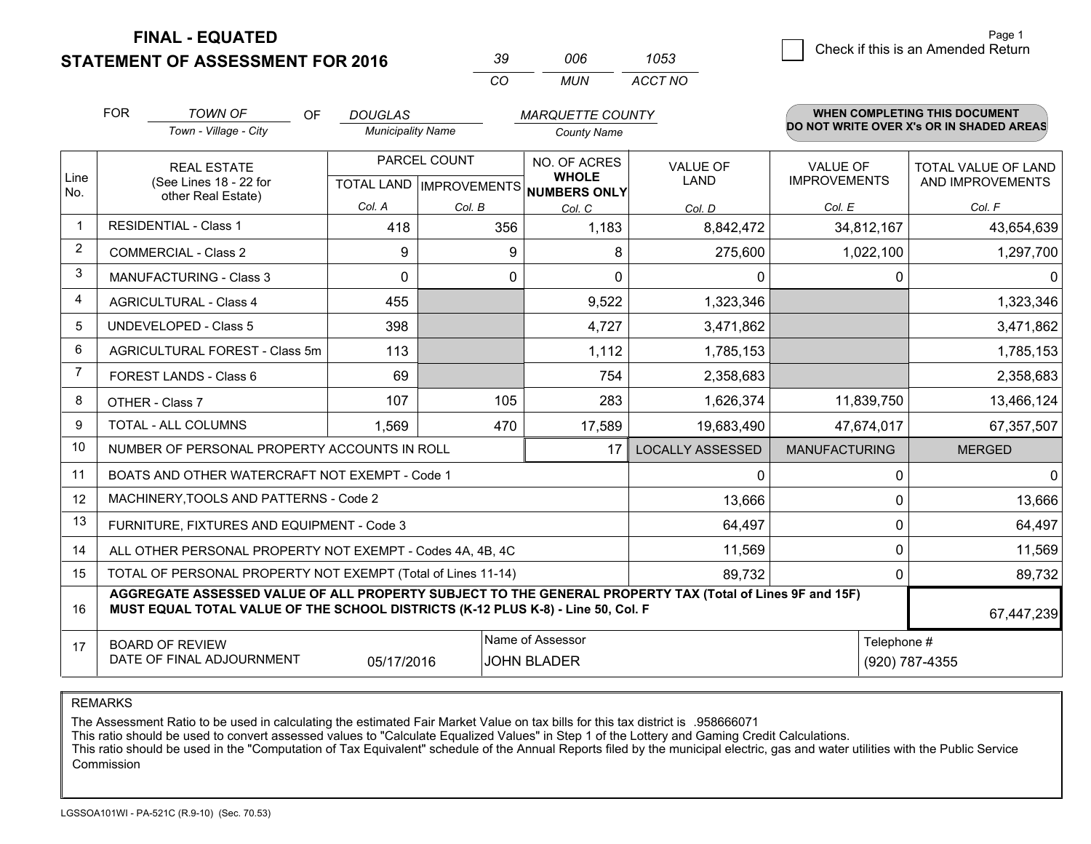**STATEMENT OF ASSESSMENT FOR 2016** 

| -30        | nnr | 1053    |
|------------|-----|---------|
| $\sqrt{2}$ | MUN | ACCT NO |

|                | <b>FOR</b>                                                                                                                 | <b>TOWN OF</b><br>OF                                                                                                                                                                         | <b>DOUGLAS</b>                                       |          | <b>MARQUETTE COUNTY</b>      |                                |                                        | <b>WHEN COMPLETING THIS DOCUMENT</b>     |
|----------------|----------------------------------------------------------------------------------------------------------------------------|----------------------------------------------------------------------------------------------------------------------------------------------------------------------------------------------|------------------------------------------------------|----------|------------------------------|--------------------------------|----------------------------------------|------------------------------------------|
|                |                                                                                                                            | Town - Village - City                                                                                                                                                                        | <b>Municipality Name</b>                             |          | <b>County Name</b>           |                                |                                        | DO NOT WRITE OVER X's OR IN SHADED AREAS |
| Line<br>No.    | <b>REAL ESTATE</b><br>(See Lines 18 - 22 for                                                                               |                                                                                                                                                                                              | PARCEL COUNT<br>TOTAL LAND IMPROVEMENTS NUMBERS ONLY |          | NO. OF ACRES<br><b>WHOLE</b> | <b>VALUE OF</b><br><b>LAND</b> | <b>VALUE OF</b><br><b>IMPROVEMENTS</b> | TOTAL VALUE OF LAND<br>AND IMPROVEMENTS  |
|                |                                                                                                                            | other Real Estate)                                                                                                                                                                           | Col. A                                               | Col. B   | Col. C                       | Col. D                         | Col. E                                 | Col. F                                   |
| $\mathbf 1$    |                                                                                                                            | <b>RESIDENTIAL - Class 1</b>                                                                                                                                                                 | 418                                                  | 356      | 1,183                        | 8,842,472                      | 34,812,167                             | 43,654,639                               |
| $\overline{2}$ |                                                                                                                            | <b>COMMERCIAL - Class 2</b>                                                                                                                                                                  | 9                                                    | 9        | 8                            | 275,600                        | 1,022,100                              | 1,297,700                                |
| 3              |                                                                                                                            | <b>MANUFACTURING - Class 3</b>                                                                                                                                                               | $\Omega$                                             | $\Omega$ | $\Omega$                     | 0                              | 0                                      | $\overline{0}$                           |
| 4              |                                                                                                                            | <b>AGRICULTURAL - Class 4</b>                                                                                                                                                                | 455                                                  |          | 9,522                        | 1,323,346                      |                                        | 1,323,346                                |
| 5              | <b>UNDEVELOPED - Class 5</b>                                                                                               |                                                                                                                                                                                              | 398                                                  |          | 4,727                        | 3,471,862                      |                                        | 3,471,862                                |
| 6              | AGRICULTURAL FOREST - Class 5m                                                                                             |                                                                                                                                                                                              | 113                                                  |          | 1,112                        | 1,785,153                      |                                        | 1,785,153                                |
| 7              | FOREST LANDS - Class 6                                                                                                     |                                                                                                                                                                                              | 69                                                   |          | 754                          | 2,358,683                      |                                        | 2,358,683                                |
| 8              |                                                                                                                            | OTHER - Class 7                                                                                                                                                                              | 107                                                  | 105      | 283                          | 1,626,374                      | 11,839,750                             | 13,466,124                               |
| 9              |                                                                                                                            | TOTAL - ALL COLUMNS                                                                                                                                                                          | 1,569                                                | 470      | 17,589                       | 19,683,490                     | 47,674,017                             | 67,357,507                               |
| 10             |                                                                                                                            | NUMBER OF PERSONAL PROPERTY ACCOUNTS IN ROLL                                                                                                                                                 |                                                      |          | 17                           | <b>LOCALLY ASSESSED</b>        | <b>MANUFACTURING</b>                   | <b>MERGED</b>                            |
| 11             |                                                                                                                            | BOATS AND OTHER WATERCRAFT NOT EXEMPT - Code 1                                                                                                                                               |                                                      |          |                              | 0                              | 0                                      | $\overline{0}$                           |
| 12             |                                                                                                                            | MACHINERY, TOOLS AND PATTERNS - Code 2                                                                                                                                                       |                                                      |          |                              | 13,666                         | $\Omega$                               | 13,666                                   |
| 13             |                                                                                                                            | FURNITURE, FIXTURES AND EQUIPMENT - Code 3                                                                                                                                                   |                                                      |          |                              | 64,497                         | 0                                      | 64,497                                   |
| 14             |                                                                                                                            | ALL OTHER PERSONAL PROPERTY NOT EXEMPT - Codes 4A, 4B, 4C                                                                                                                                    |                                                      |          |                              | 11,569                         | 0                                      | 11,569                                   |
| 15             |                                                                                                                            | TOTAL OF PERSONAL PROPERTY NOT EXEMPT (Total of Lines 11-14)                                                                                                                                 |                                                      |          |                              | 89,732                         | 0                                      | 89,732                                   |
| 16             |                                                                                                                            | AGGREGATE ASSESSED VALUE OF ALL PROPERTY SUBJECT TO THE GENERAL PROPERTY TAX (Total of Lines 9F and 15F)<br>MUST EQUAL TOTAL VALUE OF THE SCHOOL DISTRICTS (K-12 PLUS K-8) - Line 50, Col. F |                                                      |          |                              |                                |                                        | 67,447,239                               |
| 17             | Name of Assessor<br>Telephone #<br><b>BOARD OF REVIEW</b><br>DATE OF FINAL ADJOURNMENT<br>05/17/2016<br><b>JOHN BLADER</b> |                                                                                                                                                                                              |                                                      |          |                              |                                | (920) 787-4355                         |                                          |

REMARKS

The Assessment Ratio to be used in calculating the estimated Fair Market Value on tax bills for this tax district is .958666071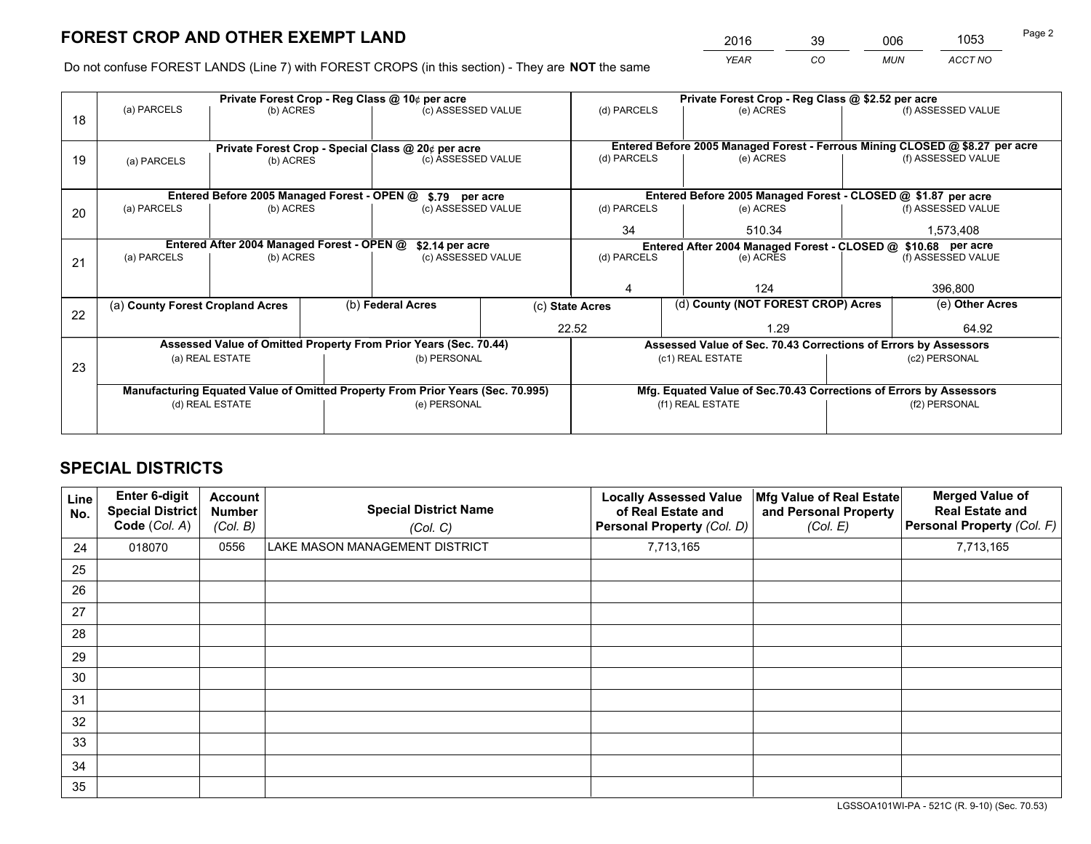*YEAR CO MUN ACCT NO* <sup>2016</sup> <sup>39</sup> <sup>006</sup> <sup>1053</sup>

Do not confuse FOREST LANDS (Line 7) with FOREST CROPS (in this section) - They are **NOT** the same

|    |                                                                                |                                             |  | Private Forest Crop - Reg Class @ 10¢ per acre                                 | Private Forest Crop - Reg Class @ \$2.52 per acre |                                                       |                                                                    |        |               |                                                                              |  |
|----|--------------------------------------------------------------------------------|---------------------------------------------|--|--------------------------------------------------------------------------------|---------------------------------------------------|-------------------------------------------------------|--------------------------------------------------------------------|--------|---------------|------------------------------------------------------------------------------|--|
| 18 | (a) PARCELS                                                                    | (b) ACRES                                   |  | (c) ASSESSED VALUE                                                             |                                                   | (d) PARCELS                                           | (e) ACRES                                                          |        |               | (f) ASSESSED VALUE                                                           |  |
|    |                                                                                |                                             |  |                                                                                |                                                   |                                                       |                                                                    |        |               | Entered Before 2005 Managed Forest - Ferrous Mining CLOSED @ \$8.27 per acre |  |
| 19 | Private Forest Crop - Special Class @ 20¢ per acre<br>(b) ACRES<br>(a) PARCELS |                                             |  | (c) ASSESSED VALUE                                                             |                                                   | (d) PARCELS                                           | (e) ACRES                                                          |        |               | (f) ASSESSED VALUE                                                           |  |
|    |                                                                                |                                             |  |                                                                                |                                                   |                                                       |                                                                    |        |               |                                                                              |  |
|    |                                                                                |                                             |  |                                                                                |                                                   |                                                       |                                                                    |        |               |                                                                              |  |
|    |                                                                                | Entered Before 2005 Managed Forest - OPEN @ |  | \$.79 per acre                                                                 |                                                   |                                                       | Entered Before 2005 Managed Forest - CLOSED @ \$1.87 per acre      |        |               |                                                                              |  |
| 20 | (a) PARCELS                                                                    | (b) ACRES                                   |  | (c) ASSESSED VALUE                                                             |                                                   | (d) PARCELS                                           | (e) ACRES                                                          |        |               | (f) ASSESSED VALUE                                                           |  |
|    |                                                                                |                                             |  |                                                                                |                                                   | 34                                                    |                                                                    | 510.34 |               | 1,573,408                                                                    |  |
|    | Entered After 2004 Managed Forest - OPEN @<br>\$2.14 per acre                  |                                             |  |                                                                                |                                                   |                                                       | Entered After 2004 Managed Forest - CLOSED @ \$10.68 per acre      |        |               |                                                                              |  |
| 21 | (a) PARCELS                                                                    | (b) ACRES                                   |  | (c) ASSESSED VALUE                                                             |                                                   | (d) PARCELS<br>(e) ACRES                              |                                                                    |        |               | (f) ASSESSED VALUE                                                           |  |
|    |                                                                                |                                             |  |                                                                                |                                                   |                                                       |                                                                    |        |               |                                                                              |  |
|    |                                                                                |                                             |  |                                                                                |                                                   |                                                       |                                                                    | 124    |               | 396,800                                                                      |  |
|    | (a) County Forest Cropland Acres                                               |                                             |  | (b) Federal Acres                                                              |                                                   | (d) County (NOT FOREST CROP) Acres<br>(c) State Acres |                                                                    |        |               | (e) Other Acres                                                              |  |
| 22 |                                                                                |                                             |  |                                                                                |                                                   |                                                       |                                                                    |        |               |                                                                              |  |
|    |                                                                                |                                             |  |                                                                                |                                                   | 22.52                                                 |                                                                    | 1.29   |               | 64.92                                                                        |  |
|    |                                                                                |                                             |  | Assessed Value of Omitted Property From Prior Years (Sec. 70.44)               |                                                   |                                                       | Assessed Value of Sec. 70.43 Corrections of Errors by Assessors    |        |               |                                                                              |  |
| 23 |                                                                                | (a) REAL ESTATE                             |  | (b) PERSONAL                                                                   |                                                   |                                                       | (c1) REAL ESTATE                                                   |        |               | (c2) PERSONAL                                                                |  |
|    |                                                                                |                                             |  |                                                                                |                                                   |                                                       |                                                                    |        |               |                                                                              |  |
|    |                                                                                |                                             |  | Manufacturing Equated Value of Omitted Property From Prior Years (Sec. 70.995) |                                                   |                                                       | Mfg. Equated Value of Sec.70.43 Corrections of Errors by Assessors |        |               |                                                                              |  |
|    |                                                                                | (d) REAL ESTATE                             |  | (e) PERSONAL                                                                   |                                                   | (f1) REAL ESTATE                                      |                                                                    |        | (f2) PERSONAL |                                                                              |  |
|    |                                                                                |                                             |  |                                                                                |                                                   |                                                       |                                                                    |        |               |                                                                              |  |
|    |                                                                                |                                             |  |                                                                                |                                                   |                                                       |                                                                    |        |               |                                                                              |  |

# **SPECIAL DISTRICTS**

| Line<br>No. | Enter 6-digit<br><b>Special District</b><br>Code (Col. A) | <b>Account</b><br><b>Number</b><br>(Col. B) | <b>Special District Name</b><br>(Col. C) | <b>Locally Assessed Value</b><br>of Real Estate and<br>Personal Property (Col. D) | Mfg Value of Real Estate<br>and Personal Property<br>(Col. E) | <b>Merged Value of</b><br><b>Real Estate and</b><br>Personal Property (Col. F) |
|-------------|-----------------------------------------------------------|---------------------------------------------|------------------------------------------|-----------------------------------------------------------------------------------|---------------------------------------------------------------|--------------------------------------------------------------------------------|
| 24          | 018070                                                    | 0556                                        | LAKE MASON MANAGEMENT DISTRICT           | 7,713,165                                                                         |                                                               | 7,713,165                                                                      |
| 25          |                                                           |                                             |                                          |                                                                                   |                                                               |                                                                                |
| 26          |                                                           |                                             |                                          |                                                                                   |                                                               |                                                                                |
| 27          |                                                           |                                             |                                          |                                                                                   |                                                               |                                                                                |
| 28          |                                                           |                                             |                                          |                                                                                   |                                                               |                                                                                |
| 29          |                                                           |                                             |                                          |                                                                                   |                                                               |                                                                                |
| 30          |                                                           |                                             |                                          |                                                                                   |                                                               |                                                                                |
| 31          |                                                           |                                             |                                          |                                                                                   |                                                               |                                                                                |
| 32          |                                                           |                                             |                                          |                                                                                   |                                                               |                                                                                |
| 33          |                                                           |                                             |                                          |                                                                                   |                                                               |                                                                                |
| 34          |                                                           |                                             |                                          |                                                                                   |                                                               |                                                                                |
| 35          |                                                           |                                             |                                          |                                                                                   |                                                               |                                                                                |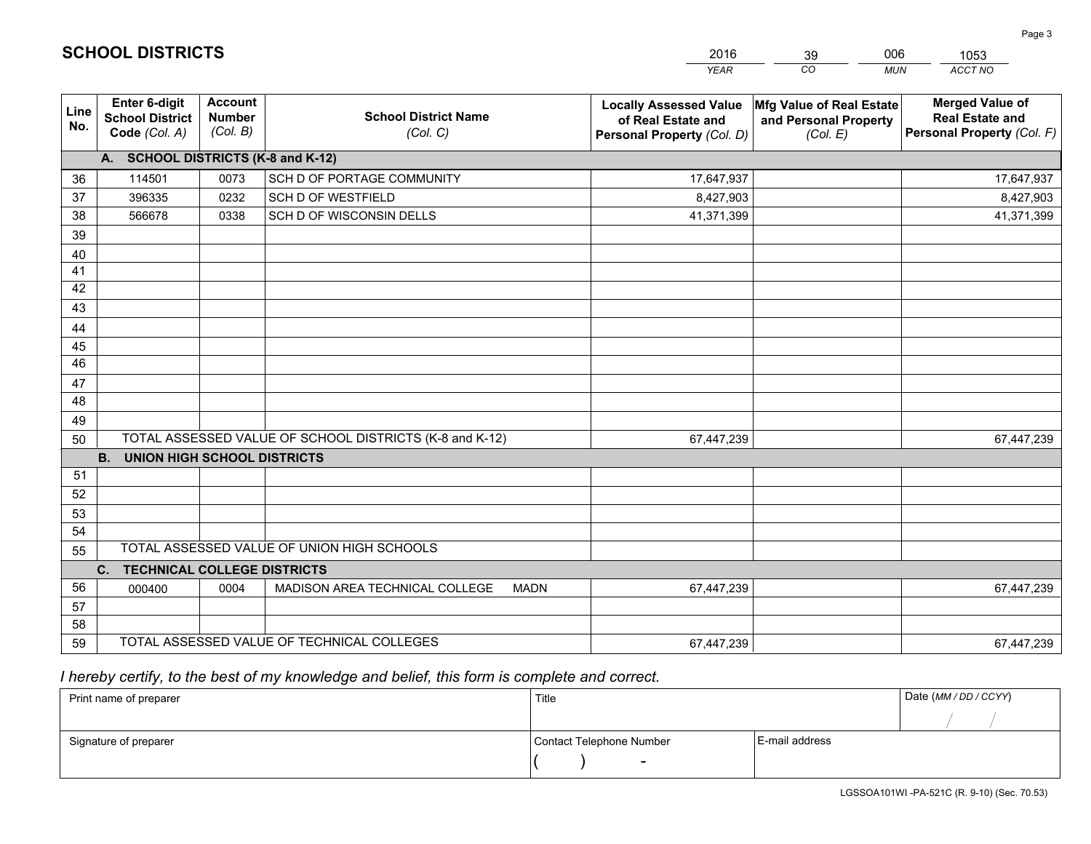|             |                                                          |                                             |                                                         | <b>YEAR</b>                                                                       | CO<br><b>MUN</b>                                              | <b>ACCT NO</b>                                                                 |
|-------------|----------------------------------------------------------|---------------------------------------------|---------------------------------------------------------|-----------------------------------------------------------------------------------|---------------------------------------------------------------|--------------------------------------------------------------------------------|
| Line<br>No. | Enter 6-digit<br><b>School District</b><br>Code (Col. A) | <b>Account</b><br><b>Number</b><br>(Col. B) | <b>School District Name</b><br>(Col. C)                 | <b>Locally Assessed Value</b><br>of Real Estate and<br>Personal Property (Col. D) | Mfg Value of Real Estate<br>and Personal Property<br>(Col. E) | <b>Merged Value of</b><br><b>Real Estate and</b><br>Personal Property (Col. F) |
|             | A. SCHOOL DISTRICTS (K-8 and K-12)                       |                                             |                                                         |                                                                                   |                                                               |                                                                                |
| 36          | 114501                                                   | 0073                                        | SCH D OF PORTAGE COMMUNITY                              | 17,647,937                                                                        |                                                               | 17,647,937                                                                     |
| 37          | 396335                                                   | 0232                                        | SCH D OF WESTFIELD                                      | 8,427,903                                                                         |                                                               | 8,427,903                                                                      |
| 38          | 566678                                                   | 0338                                        | SCH D OF WISCONSIN DELLS                                | 41,371,399                                                                        |                                                               | 41,371,399                                                                     |
| 39          |                                                          |                                             |                                                         |                                                                                   |                                                               |                                                                                |
| 40          |                                                          |                                             |                                                         |                                                                                   |                                                               |                                                                                |
| 41          |                                                          |                                             |                                                         |                                                                                   |                                                               |                                                                                |
| 42          |                                                          |                                             |                                                         |                                                                                   |                                                               |                                                                                |
| 43          |                                                          |                                             |                                                         |                                                                                   |                                                               |                                                                                |
| 44          |                                                          |                                             |                                                         |                                                                                   |                                                               |                                                                                |
| 45          |                                                          |                                             |                                                         |                                                                                   |                                                               |                                                                                |
| 46          |                                                          |                                             |                                                         |                                                                                   |                                                               |                                                                                |
| 47          |                                                          |                                             |                                                         |                                                                                   |                                                               |                                                                                |
| 48          |                                                          |                                             |                                                         |                                                                                   |                                                               |                                                                                |
| 49          |                                                          |                                             |                                                         |                                                                                   |                                                               |                                                                                |
| 50          |                                                          |                                             | TOTAL ASSESSED VALUE OF SCHOOL DISTRICTS (K-8 and K-12) | 67,447,239                                                                        |                                                               | 67,447,239                                                                     |
|             | <b>B.</b><br><b>UNION HIGH SCHOOL DISTRICTS</b>          |                                             |                                                         |                                                                                   |                                                               |                                                                                |
| 51          |                                                          |                                             |                                                         |                                                                                   |                                                               |                                                                                |
| 52          |                                                          |                                             |                                                         |                                                                                   |                                                               |                                                                                |
| 53          |                                                          |                                             |                                                         |                                                                                   |                                                               |                                                                                |
| 54          |                                                          |                                             |                                                         |                                                                                   |                                                               |                                                                                |
| 55          |                                                          |                                             | TOTAL ASSESSED VALUE OF UNION HIGH SCHOOLS              |                                                                                   |                                                               |                                                                                |
|             | C. TECHNICAL COLLEGE DISTRICTS                           |                                             |                                                         |                                                                                   |                                                               |                                                                                |
| 56          | 000400                                                   | 0004                                        | MADISON AREA TECHNICAL COLLEGE<br><b>MADN</b>           | 67,447,239                                                                        |                                                               | 67,447,239                                                                     |
| 57          |                                                          |                                             |                                                         |                                                                                   |                                                               |                                                                                |
| 58<br>59    |                                                          |                                             | TOTAL ASSESSED VALUE OF TECHNICAL COLLEGES              |                                                                                   |                                                               |                                                                                |
|             |                                                          |                                             |                                                         | 67,447,239                                                                        |                                                               | 67,447,239                                                                     |

39

006

1053

 *I hereby certify, to the best of my knowledge and belief, this form is complete and correct.*

**SCHOOL DISTRICTS**

| Print name of preparer | Title                    |                | Date (MM / DD / CCYY) |
|------------------------|--------------------------|----------------|-----------------------|
|                        |                          |                |                       |
| Signature of preparer  | Contact Telephone Number | E-mail address |                       |
|                        | $\sim$                   |                |                       |

Page 3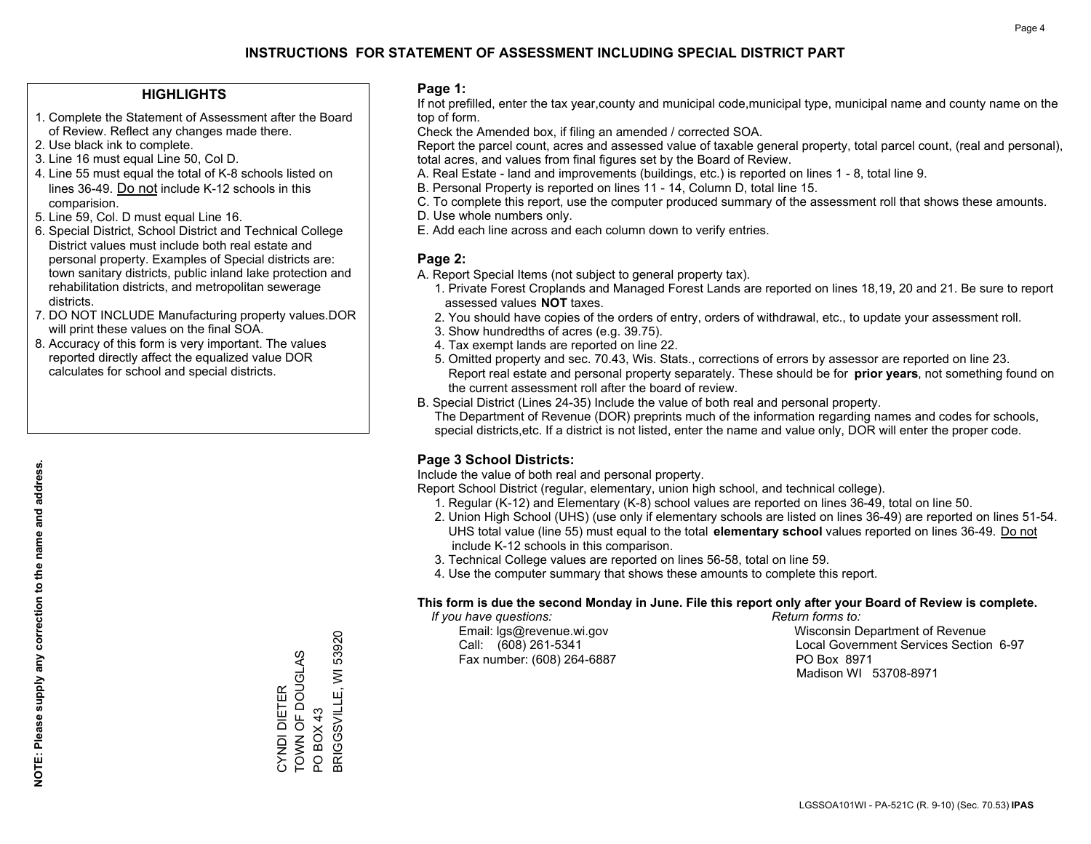### **HIGHLIGHTS**

- 1. Complete the Statement of Assessment after the Board of Review. Reflect any changes made there.
- 2. Use black ink to complete.
- 3. Line 16 must equal Line 50, Col D.
- 4. Line 55 must equal the total of K-8 schools listed on lines 36-49. Do not include K-12 schools in this comparision.
- 5. Line 59, Col. D must equal Line 16.
- 6. Special District, School District and Technical College District values must include both real estate and personal property. Examples of Special districts are: town sanitary districts, public inland lake protection and rehabilitation districts, and metropolitan sewerage districts.
- 7. DO NOT INCLUDE Manufacturing property values.DOR will print these values on the final SOA.

CYNDI DIETER TOWN OF DOUGLAS

CYNDI DIETER<br>TOWN OF DOUGLAS

PO BOX 43

POBOX43

BRIGGSVILLE, WI 53920

BRIGGSVILLE, WI

53920

 8. Accuracy of this form is very important. The values reported directly affect the equalized value DOR calculates for school and special districts.

### **Page 1:**

 If not prefilled, enter the tax year,county and municipal code,municipal type, municipal name and county name on the top of form.

Check the Amended box, if filing an amended / corrected SOA.

 Report the parcel count, acres and assessed value of taxable general property, total parcel count, (real and personal), total acres, and values from final figures set by the Board of Review.

- A. Real Estate land and improvements (buildings, etc.) is reported on lines 1 8, total line 9.
- B. Personal Property is reported on lines 11 14, Column D, total line 15.
- C. To complete this report, use the computer produced summary of the assessment roll that shows these amounts.
- D. Use whole numbers only.
- E. Add each line across and each column down to verify entries.

### **Page 2:**

- A. Report Special Items (not subject to general property tax).
- 1. Private Forest Croplands and Managed Forest Lands are reported on lines 18,19, 20 and 21. Be sure to report assessed values **NOT** taxes.
- 2. You should have copies of the orders of entry, orders of withdrawal, etc., to update your assessment roll.
	- 3. Show hundredths of acres (e.g. 39.75).
- 4. Tax exempt lands are reported on line 22.
- 5. Omitted property and sec. 70.43, Wis. Stats., corrections of errors by assessor are reported on line 23. Report real estate and personal property separately. These should be for **prior years**, not something found on the current assessment roll after the board of review.
- B. Special District (Lines 24-35) Include the value of both real and personal property.
- The Department of Revenue (DOR) preprints much of the information regarding names and codes for schools, special districts,etc. If a district is not listed, enter the name and value only, DOR will enter the proper code.

### **Page 3 School Districts:**

Include the value of both real and personal property.

Report School District (regular, elementary, union high school, and technical college).

- 1. Regular (K-12) and Elementary (K-8) school values are reported on lines 36-49, total on line 50.
- 2. Union High School (UHS) (use only if elementary schools are listed on lines 36-49) are reported on lines 51-54. UHS total value (line 55) must equal to the total **elementary school** values reported on lines 36-49. Do notinclude K-12 schools in this comparison.
- 3. Technical College values are reported on lines 56-58, total on line 59.
- 4. Use the computer summary that shows these amounts to complete this report.

#### **This form is due the second Monday in June. File this report only after your Board of Review is complete.**

 *If you have questions: Return forms to:*

Fax number: (608) 264-6887 PO Box 8971

 Email: lgs@revenue.wi.gov Wisconsin Department of Revenue Call: (608) 261-5341 Local Government Services Section 6-97Madison WI 53708-8971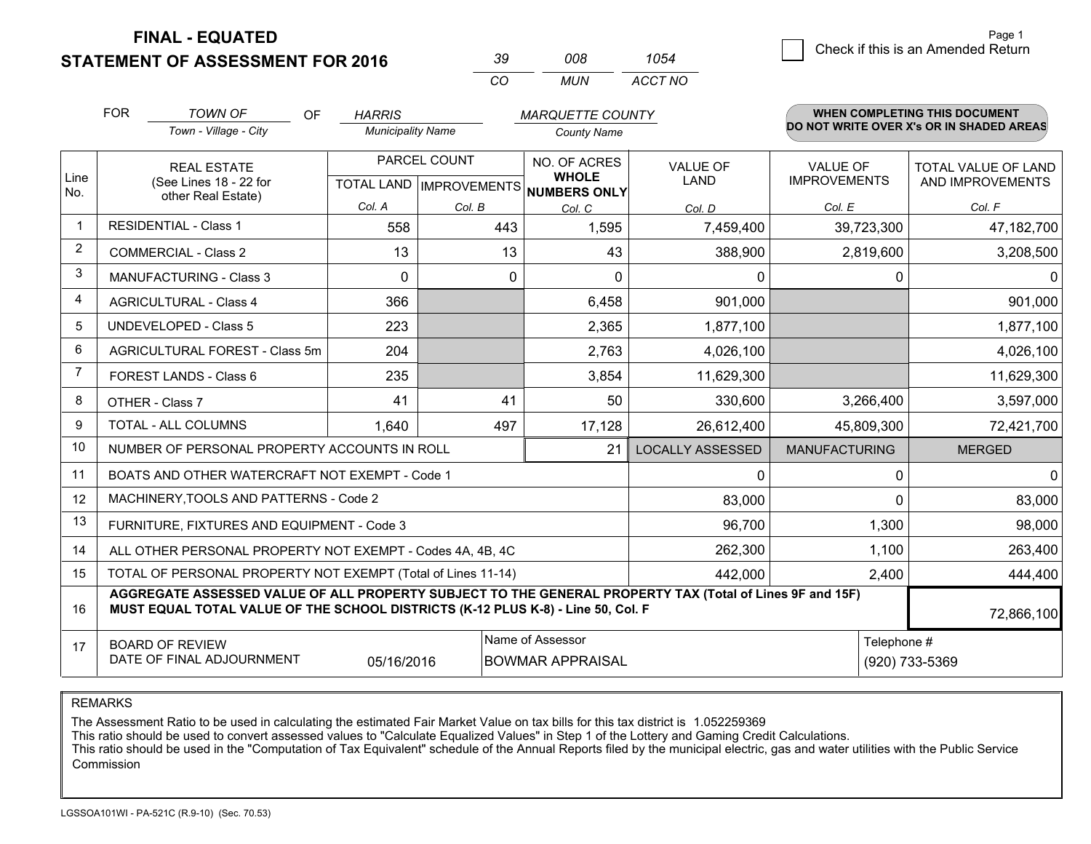**STATEMENT OF ASSESSMENT FOR 2016** 

| ₹u       | nnr   | 1054    |
|----------|-------|---------|
| $\cdots$ | MI IN | ACCT NO |

|                | <b>FOR</b>                                                                                                       | <b>TOWN OF</b><br>OF                                                                                                                                                                         | <b>HARRIS</b>            |              | <b>MARQUETTE COUNTY</b>                                              |                                |                                        | <b>WHEN COMPLETING THIS DOCUMENT</b>     |
|----------------|------------------------------------------------------------------------------------------------------------------|----------------------------------------------------------------------------------------------------------------------------------------------------------------------------------------------|--------------------------|--------------|----------------------------------------------------------------------|--------------------------------|----------------------------------------|------------------------------------------|
|                |                                                                                                                  | Town - Village - City                                                                                                                                                                        | <b>Municipality Name</b> |              | <b>County Name</b>                                                   |                                |                                        | DO NOT WRITE OVER X's OR IN SHADED AREAS |
| Line<br>No.    | <b>REAL ESTATE</b><br>(See Lines 18 - 22 for                                                                     |                                                                                                                                                                                              |                          | PARCEL COUNT | NO. OF ACRES<br><b>WHOLE</b><br>TOTAL LAND IMPROVEMENTS NUMBERS ONLY | <b>VALUE OF</b><br><b>LAND</b> | <b>VALUE OF</b><br><b>IMPROVEMENTS</b> | TOTAL VALUE OF LAND<br>AND IMPROVEMENTS  |
|                |                                                                                                                  | other Real Estate)                                                                                                                                                                           | Col. A                   | Col. B       | Col. C                                                               | Col. D                         | Col. E                                 | Col. F                                   |
| $\mathbf 1$    |                                                                                                                  | <b>RESIDENTIAL - Class 1</b>                                                                                                                                                                 | 558                      | 443          | 1,595                                                                | 7,459,400                      | 39,723,300                             | 47,182,700                               |
| $\overline{2}$ |                                                                                                                  | <b>COMMERCIAL - Class 2</b>                                                                                                                                                                  | 13                       | 13           | 43                                                                   | 388,900                        | 2,819,600                              | 3,208,500                                |
| 3              |                                                                                                                  | MANUFACTURING - Class 3                                                                                                                                                                      | $\Omega$                 | $\Omega$     | $\Omega$                                                             | 0                              | 0                                      | $\overline{0}$                           |
| 4              |                                                                                                                  | <b>AGRICULTURAL - Class 4</b>                                                                                                                                                                | 366                      |              | 6,458                                                                | 901,000                        |                                        | 901,000                                  |
| 5              |                                                                                                                  | <b>UNDEVELOPED - Class 5</b>                                                                                                                                                                 | 223                      |              | 2,365                                                                | 1,877,100                      |                                        | 1,877,100                                |
| 6              | AGRICULTURAL FOREST - Class 5m                                                                                   |                                                                                                                                                                                              | 204                      |              | 2,763                                                                | 4,026,100                      |                                        | 4,026,100                                |
| 7              | FOREST LANDS - Class 6                                                                                           |                                                                                                                                                                                              | 235                      |              | 3,854                                                                | 11,629,300                     |                                        | 11,629,300                               |
| 8              |                                                                                                                  | OTHER - Class 7                                                                                                                                                                              | 41                       | 41           | 50                                                                   | 330,600                        | 3,266,400                              | 3,597,000                                |
| 9              |                                                                                                                  | TOTAL - ALL COLUMNS                                                                                                                                                                          | 1,640                    | 497          | 17,128                                                               | 26,612,400                     | 45,809,300                             | 72,421,700                               |
| 10             |                                                                                                                  | NUMBER OF PERSONAL PROPERTY ACCOUNTS IN ROLL                                                                                                                                                 |                          |              | 21                                                                   | <b>LOCALLY ASSESSED</b>        | <b>MANUFACTURING</b>                   | <b>MERGED</b>                            |
| 11             |                                                                                                                  | BOATS AND OTHER WATERCRAFT NOT EXEMPT - Code 1                                                                                                                                               |                          |              |                                                                      | 0                              | 0                                      | $\overline{0}$                           |
| 12             |                                                                                                                  | MACHINERY, TOOLS AND PATTERNS - Code 2                                                                                                                                                       |                          |              |                                                                      | 83,000                         | $\Omega$                               | 83,000                                   |
| 13             |                                                                                                                  | FURNITURE, FIXTURES AND EQUIPMENT - Code 3                                                                                                                                                   |                          |              |                                                                      | 96,700                         | 1,300                                  | 98,000                                   |
| 14             |                                                                                                                  | ALL OTHER PERSONAL PROPERTY NOT EXEMPT - Codes 4A, 4B, 4C                                                                                                                                    |                          |              |                                                                      | 262,300                        | 1,100                                  | 263,400                                  |
| 15             |                                                                                                                  | TOTAL OF PERSONAL PROPERTY NOT EXEMPT (Total of Lines 11-14)                                                                                                                                 |                          |              |                                                                      | 442,000                        | 2,400                                  | 444,400                                  |
| 16             |                                                                                                                  | AGGREGATE ASSESSED VALUE OF ALL PROPERTY SUBJECT TO THE GENERAL PROPERTY TAX (Total of Lines 9F and 15F)<br>MUST EQUAL TOTAL VALUE OF THE SCHOOL DISTRICTS (K-12 PLUS K-8) - Line 50, Col. F |                          |              |                                                                      |                                |                                        | 72,866,100                               |
| 17             | Name of Assessor<br><b>BOARD OF REVIEW</b><br>DATE OF FINAL ADJOURNMENT<br>05/16/2016<br><b>BOWMAR APPRAISAL</b> |                                                                                                                                                                                              |                          |              |                                                                      |                                | Telephone #                            | (920) 733-5369                           |

REMARKS

The Assessment Ratio to be used in calculating the estimated Fair Market Value on tax bills for this tax district is 1.052259369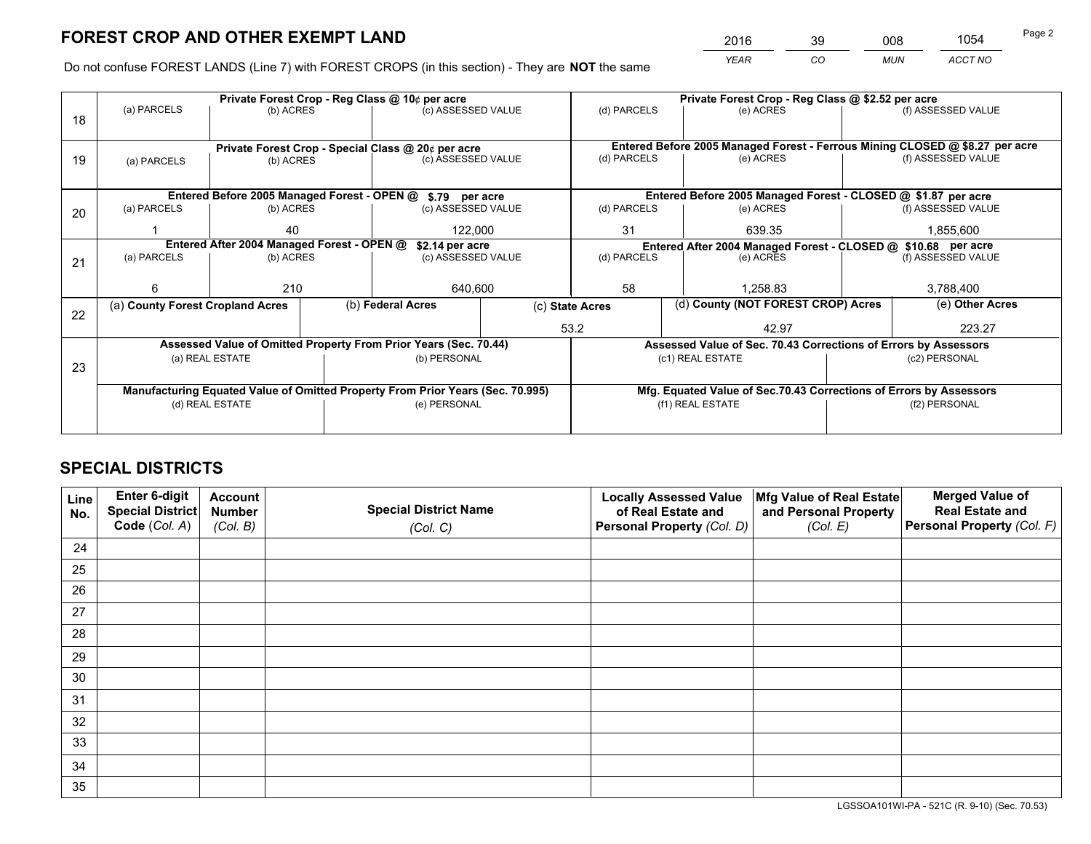*YEAR CO MUN ACCT NO* <sup>2016</sup> <sup>39</sup> <sup>008</sup> <sup>1054</sup>

Do not confuse FOREST LANDS (Line 7) with FOREST CROPS (in this section) - They are **NOT** the same

|    |                                                                                |                 |  | Private Forest Crop - Reg Class @ 10¢ per acre                   |             | Private Forest Crop - Reg Class @ \$2.52 per acre             |                  |                                                                 |                                                                    |                                                                              |
|----|--------------------------------------------------------------------------------|-----------------|--|------------------------------------------------------------------|-------------|---------------------------------------------------------------|------------------|-----------------------------------------------------------------|--------------------------------------------------------------------|------------------------------------------------------------------------------|
| 18 | (a) PARCELS                                                                    | (b) ACRES       |  | (c) ASSESSED VALUE                                               |             | (d) PARCELS                                                   |                  | (e) ACRES                                                       |                                                                    | (f) ASSESSED VALUE                                                           |
|    |                                                                                |                 |  | Private Forest Crop - Special Class @ 20¢ per acre               |             |                                                               |                  |                                                                 |                                                                    | Entered Before 2005 Managed Forest - Ferrous Mining CLOSED @ \$8.27 per acre |
| 19 | (a) PARCELS                                                                    | (b) ACRES       |  | (c) ASSESSED VALUE                                               |             | (d) PARCELS                                                   |                  | (e) ACRES                                                       |                                                                    | (f) ASSESSED VALUE                                                           |
|    |                                                                                |                 |  | Entered Before 2005 Managed Forest - OPEN @ \$.79 per acre       |             |                                                               |                  | Entered Before 2005 Managed Forest - CLOSED @ \$1.87 per acre   |                                                                    |                                                                              |
| 20 | (a) PARCELS                                                                    | (b) ACRES       |  | (c) ASSESSED VALUE                                               |             | (d) PARCELS                                                   |                  | (e) ACRES                                                       |                                                                    | (f) ASSESSED VALUE                                                           |
|    |                                                                                | 40<br>122,000   |  |                                                                  | 31          |                                                               | 639.35           |                                                                 | 1,855,600                                                          |                                                                              |
|    | Entered After 2004 Managed Forest - OPEN @<br>\$2.14 per acre                  |                 |  |                                                                  |             | Entered After 2004 Managed Forest - CLOSED @ \$10.68 per acre |                  |                                                                 |                                                                    |                                                                              |
| 21 | (a) PARCELS                                                                    | (b) ACRES       |  | (c) ASSESSED VALUE                                               | (d) PARCELS |                                                               |                  | (e) ACRES                                                       |                                                                    | (f) ASSESSED VALUE                                                           |
|    |                                                                                |                 |  |                                                                  |             |                                                               |                  |                                                                 |                                                                    |                                                                              |
|    | 6                                                                              | 210             |  | 58<br>640,600                                                    |             |                                                               | 1,258.83         |                                                                 | 3,788,400                                                          |                                                                              |
|    | (a) County Forest Cropland Acres                                               |                 |  | (b) Federal Acres                                                |             | (c) State Acres                                               |                  | (d) County (NOT FOREST CROP) Acres                              |                                                                    | (e) Other Acres                                                              |
| 22 |                                                                                |                 |  |                                                                  |             | 53.2                                                          | 42.97            |                                                                 |                                                                    | 223.27                                                                       |
|    |                                                                                |                 |  | Assessed Value of Omitted Property From Prior Years (Sec. 70.44) |             |                                                               |                  | Assessed Value of Sec. 70.43 Corrections of Errors by Assessors |                                                                    |                                                                              |
| 23 |                                                                                | (a) REAL ESTATE |  | (b) PERSONAL                                                     |             |                                                               | (c1) REAL ESTATE |                                                                 | (c2) PERSONAL                                                      |                                                                              |
|    | Manufacturing Equated Value of Omitted Property From Prior Years (Sec. 70.995) |                 |  |                                                                  |             |                                                               |                  |                                                                 |                                                                    |                                                                              |
|    |                                                                                | (d) REAL ESTATE |  | (e) PERSONAL                                                     |             |                                                               | (f1) REAL ESTATE |                                                                 | Mfg. Equated Value of Sec.70.43 Corrections of Errors by Assessors |                                                                              |
|    |                                                                                |                 |  |                                                                  |             |                                                               |                  |                                                                 | (f2) PERSONAL                                                      |                                                                              |
|    |                                                                                |                 |  |                                                                  |             |                                                               |                  |                                                                 |                                                                    |                                                                              |

# **SPECIAL DISTRICTS**

| Line<br>No. | Enter 6-digit<br><b>Special District</b> | <b>Account</b><br><b>Number</b> | <b>Special District Name</b> | <b>Locally Assessed Value</b><br>of Real Estate and | Mfg Value of Real Estate<br>and Personal Property | <b>Merged Value of</b><br><b>Real Estate and</b> |
|-------------|------------------------------------------|---------------------------------|------------------------------|-----------------------------------------------------|---------------------------------------------------|--------------------------------------------------|
|             | Code (Col. A)                            | (Col. B)                        | (Col. C)                     | Personal Property (Col. D)                          | (Col. E)                                          | Personal Property (Col. F)                       |
| 24          |                                          |                                 |                              |                                                     |                                                   |                                                  |
| 25          |                                          |                                 |                              |                                                     |                                                   |                                                  |
| 26          |                                          |                                 |                              |                                                     |                                                   |                                                  |
| 27          |                                          |                                 |                              |                                                     |                                                   |                                                  |
| 28          |                                          |                                 |                              |                                                     |                                                   |                                                  |
| 29          |                                          |                                 |                              |                                                     |                                                   |                                                  |
| 30          |                                          |                                 |                              |                                                     |                                                   |                                                  |
| 31          |                                          |                                 |                              |                                                     |                                                   |                                                  |
| 32          |                                          |                                 |                              |                                                     |                                                   |                                                  |
| 33          |                                          |                                 |                              |                                                     |                                                   |                                                  |
| 34          |                                          |                                 |                              |                                                     |                                                   |                                                  |
| 35          |                                          |                                 |                              |                                                     |                                                   |                                                  |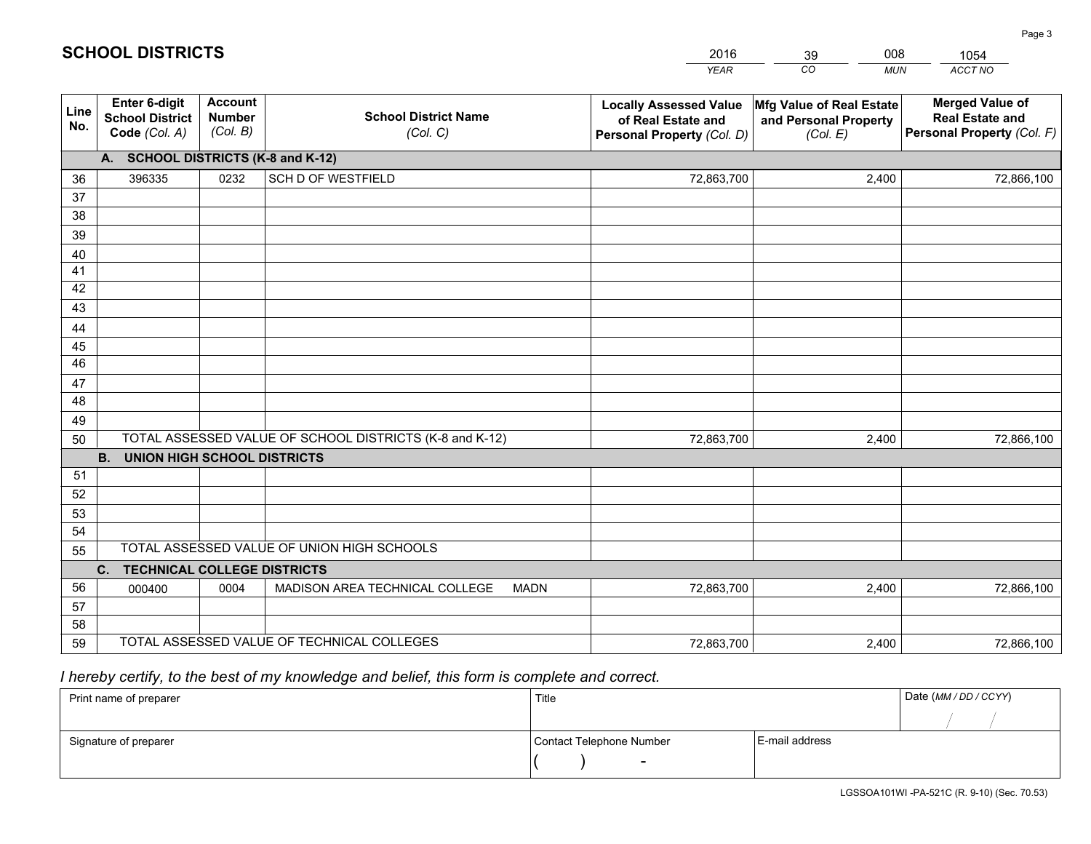|             |                                                                 |                                             |                                                         | <b>YEAR</b>                                                                       | CO<br><b>MUN</b>                                              | ACCT NO                                                                        |
|-------------|-----------------------------------------------------------------|---------------------------------------------|---------------------------------------------------------|-----------------------------------------------------------------------------------|---------------------------------------------------------------|--------------------------------------------------------------------------------|
| Line<br>No. | <b>Enter 6-digit</b><br><b>School District</b><br>Code (Col. A) | <b>Account</b><br><b>Number</b><br>(Col. B) | <b>School District Name</b><br>(Col. C)                 | <b>Locally Assessed Value</b><br>of Real Estate and<br>Personal Property (Col. D) | Mfg Value of Real Estate<br>and Personal Property<br>(Col. E) | <b>Merged Value of</b><br><b>Real Estate and</b><br>Personal Property (Col. F) |
|             | A. SCHOOL DISTRICTS (K-8 and K-12)                              |                                             |                                                         |                                                                                   |                                                               |                                                                                |
| 36          | 396335                                                          | 0232                                        | <b>SCH D OF WESTFIELD</b>                               | 72,863,700                                                                        | 2,400                                                         | 72,866,100                                                                     |
| 37          |                                                                 |                                             |                                                         |                                                                                   |                                                               |                                                                                |
| 38          |                                                                 |                                             |                                                         |                                                                                   |                                                               |                                                                                |
| 39          |                                                                 |                                             |                                                         |                                                                                   |                                                               |                                                                                |
| 40          |                                                                 |                                             |                                                         |                                                                                   |                                                               |                                                                                |
| 41<br>42    |                                                                 |                                             |                                                         |                                                                                   |                                                               |                                                                                |
| 43          |                                                                 |                                             |                                                         |                                                                                   |                                                               |                                                                                |
|             |                                                                 |                                             |                                                         |                                                                                   |                                                               |                                                                                |
| 44<br>45    |                                                                 |                                             |                                                         |                                                                                   |                                                               |                                                                                |
| 46          |                                                                 |                                             |                                                         |                                                                                   |                                                               |                                                                                |
| 47          |                                                                 |                                             |                                                         |                                                                                   |                                                               |                                                                                |
| 48          |                                                                 |                                             |                                                         |                                                                                   |                                                               |                                                                                |
| 49          |                                                                 |                                             |                                                         |                                                                                   |                                                               |                                                                                |
| 50          |                                                                 |                                             | TOTAL ASSESSED VALUE OF SCHOOL DISTRICTS (K-8 and K-12) | 72,863,700                                                                        | 2,400                                                         | 72,866,100                                                                     |
|             | <b>B.</b><br><b>UNION HIGH SCHOOL DISTRICTS</b>                 |                                             |                                                         |                                                                                   |                                                               |                                                                                |
| 51          |                                                                 |                                             |                                                         |                                                                                   |                                                               |                                                                                |
| 52          |                                                                 |                                             |                                                         |                                                                                   |                                                               |                                                                                |
| 53          |                                                                 |                                             |                                                         |                                                                                   |                                                               |                                                                                |
| 54          |                                                                 |                                             |                                                         |                                                                                   |                                                               |                                                                                |
| 55          |                                                                 |                                             | TOTAL ASSESSED VALUE OF UNION HIGH SCHOOLS              |                                                                                   |                                                               |                                                                                |
|             | C.<br><b>TECHNICAL COLLEGE DISTRICTS</b>                        |                                             |                                                         |                                                                                   |                                                               |                                                                                |
| 56          | 000400                                                          | 0004                                        | MADISON AREA TECHNICAL COLLEGE<br><b>MADN</b>           | 72,863,700                                                                        | 2,400                                                         | 72,866,100                                                                     |
| 57          |                                                                 |                                             |                                                         |                                                                                   |                                                               |                                                                                |
| 58          |                                                                 |                                             |                                                         |                                                                                   |                                                               |                                                                                |
| 59          |                                                                 |                                             | TOTAL ASSESSED VALUE OF TECHNICAL COLLEGES              | 72,863,700                                                                        | 2,400                                                         | 72,866,100                                                                     |

39

008

 *I hereby certify, to the best of my knowledge and belief, this form is complete and correct.*

**SCHOOL DISTRICTS**

| Print name of preparer | Title                    |                | Date (MM / DD / CCYY) |
|------------------------|--------------------------|----------------|-----------------------|
|                        |                          |                |                       |
| Signature of preparer  | Contact Telephone Number | E-mail address |                       |
|                        | $\overline{\phantom{0}}$ |                |                       |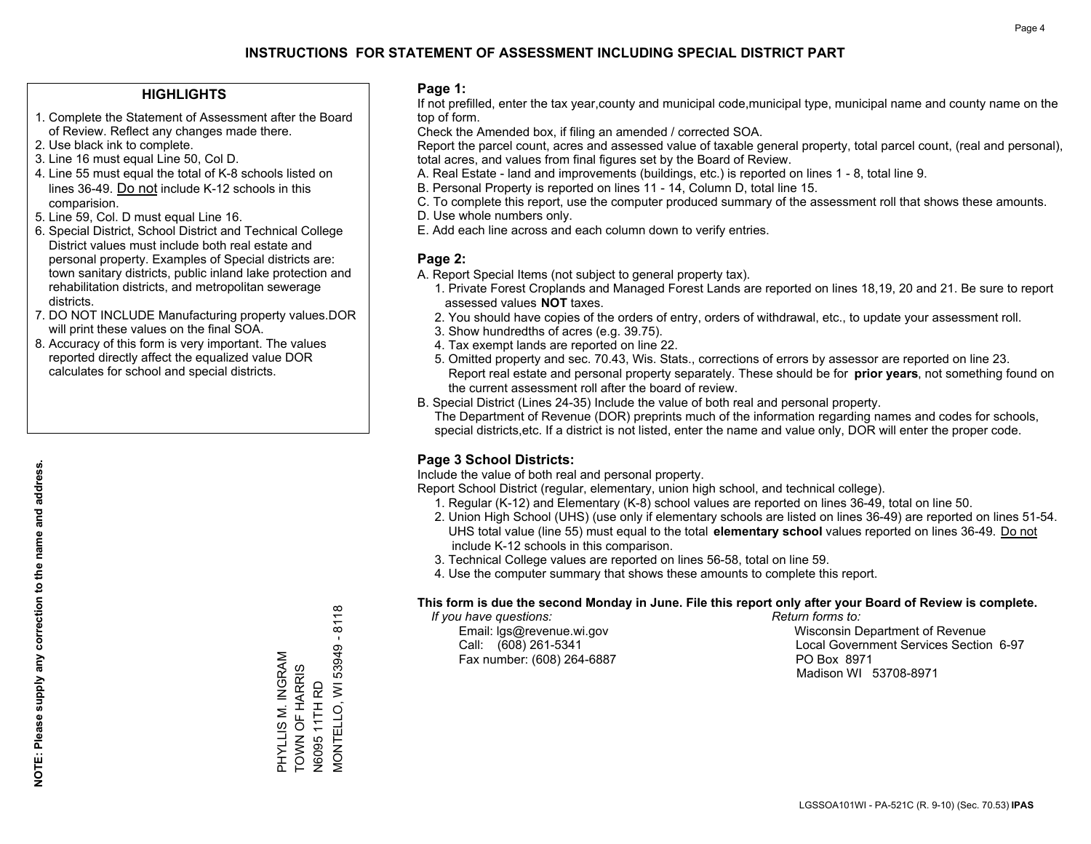### **HIGHLIGHTS**

- 1. Complete the Statement of Assessment after the Board of Review. Reflect any changes made there.
- 2. Use black ink to complete.
- 3. Line 16 must equal Line 50, Col D.
- 4. Line 55 must equal the total of K-8 schools listed on lines 36-49. Do not include K-12 schools in this comparision.
- 5. Line 59, Col. D must equal Line 16.
- 6. Special District, School District and Technical College District values must include both real estate and personal property. Examples of Special districts are: town sanitary districts, public inland lake protection and rehabilitation districts, and metropolitan sewerage districts.
- 7. DO NOT INCLUDE Manufacturing property values.DOR will print these values on the final SOA.
- 8. Accuracy of this form is very important. The values reported directly affect the equalized value DOR calculates for school and special districts.

### **Page 1:**

 If not prefilled, enter the tax year,county and municipal code,municipal type, municipal name and county name on the top of form.

Check the Amended box, if filing an amended / corrected SOA.

 Report the parcel count, acres and assessed value of taxable general property, total parcel count, (real and personal), total acres, and values from final figures set by the Board of Review.

- A. Real Estate land and improvements (buildings, etc.) is reported on lines 1 8, total line 9.
- B. Personal Property is reported on lines 11 14, Column D, total line 15.
- C. To complete this report, use the computer produced summary of the assessment roll that shows these amounts.
- D. Use whole numbers only.
- E. Add each line across and each column down to verify entries.

### **Page 2:**

- A. Report Special Items (not subject to general property tax).
- 1. Private Forest Croplands and Managed Forest Lands are reported on lines 18,19, 20 and 21. Be sure to report assessed values **NOT** taxes.
- 2. You should have copies of the orders of entry, orders of withdrawal, etc., to update your assessment roll.
	- 3. Show hundredths of acres (e.g. 39.75).
- 4. Tax exempt lands are reported on line 22.
- 5. Omitted property and sec. 70.43, Wis. Stats., corrections of errors by assessor are reported on line 23. Report real estate and personal property separately. These should be for **prior years**, not something found on the current assessment roll after the board of review.
- B. Special District (Lines 24-35) Include the value of both real and personal property.

 The Department of Revenue (DOR) preprints much of the information regarding names and codes for schools, special districts,etc. If a district is not listed, enter the name and value only, DOR will enter the proper code.

### **Page 3 School Districts:**

Include the value of both real and personal property.

Report School District (regular, elementary, union high school, and technical college).

- 1. Regular (K-12) and Elementary (K-8) school values are reported on lines 36-49, total on line 50.
- 2. Union High School (UHS) (use only if elementary schools are listed on lines 36-49) are reported on lines 51-54. UHS total value (line 55) must equal to the total **elementary school** values reported on lines 36-49. Do notinclude K-12 schools in this comparison.
- 3. Technical College values are reported on lines 56-58, total on line 59.
- 4. Use the computer summary that shows these amounts to complete this report.

#### **This form is due the second Monday in June. File this report only after your Board of Review is complete.**

 *If you have questions: Return forms to:*

Fax number: (608) 264-6887 PO Box 8971

 Email: lgs@revenue.wi.gov Wisconsin Department of Revenue Call: (608) 261-5341 Local Government Services Section 6-97Madison WI 53708-8971

MONTELLO, WI 53949 - 8118 N6095 11TH RD<br>MONTELLO, WI 53949 PHYLLIS M. INGRAM<br>TOWN OF HARRIS PHYLLIS M. INGRAM TOWN OF HARRIS N6095 11TH RD

 $-8118$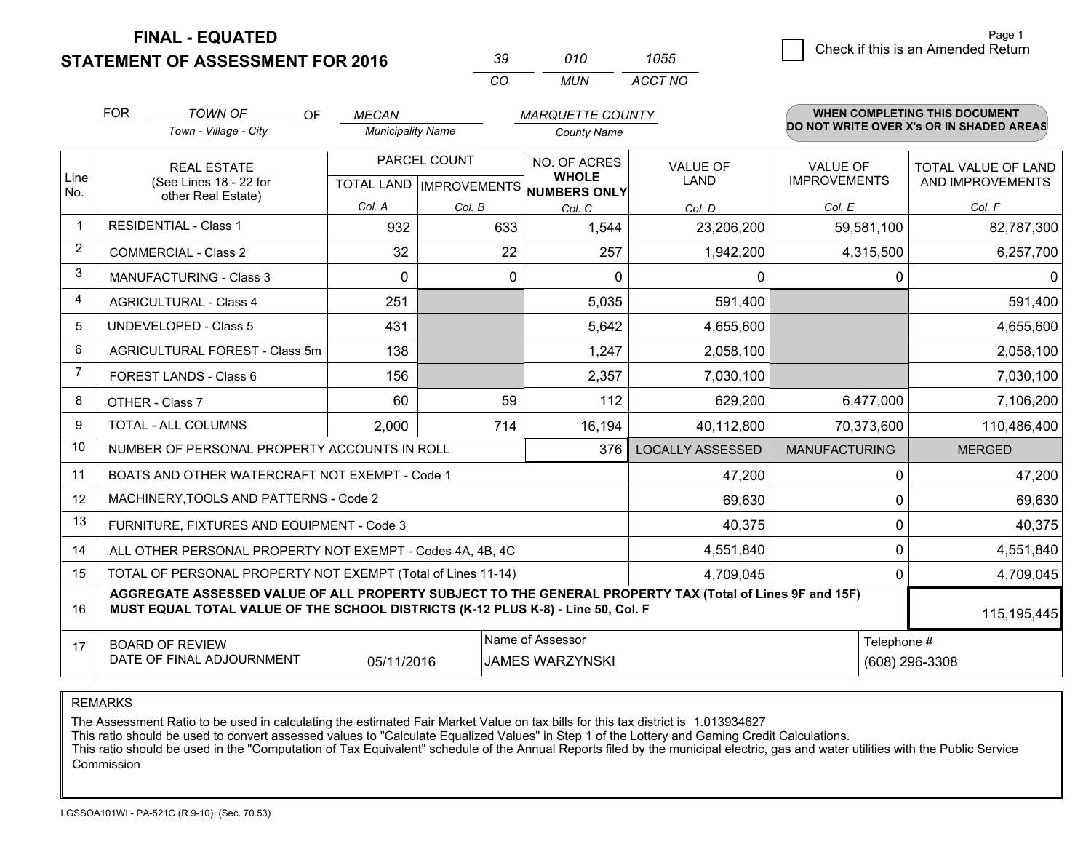**STATEMENT OF ASSESSMENT FOR 2016** 

| -39      | 010 | 1055    |
|----------|-----|---------|
| $\alpha$ | MUN | ACCT NO |

|                | <b>FOR</b>                                                                                                                                                                                   | <b>TOWN OF</b><br>OF                                         | <b>MECAN</b>                                        |        | <b>MARQUETTE COUNTY</b>      |                                |                                 | WHEN COMPLETING THIS DOCUMENT            |
|----------------|----------------------------------------------------------------------------------------------------------------------------------------------------------------------------------------------|--------------------------------------------------------------|-----------------------------------------------------|--------|------------------------------|--------------------------------|---------------------------------|------------------------------------------|
|                |                                                                                                                                                                                              | Town - Village - City                                        | <b>Municipality Name</b>                            |        | <b>County Name</b>           |                                |                                 | DO NOT WRITE OVER X's OR IN SHADED AREAS |
| Line<br>No.    | <b>REAL ESTATE</b><br>(See Lines 18 - 22 for                                                                                                                                                 |                                                              | PARCEL COUNT<br>TOTAL LAND MPROVEMENTS NUMBERS ONLY |        | NO. OF ACRES<br><b>WHOLE</b> | <b>VALUE OF</b><br><b>LAND</b> | VALUE OF<br><b>IMPROVEMENTS</b> | TOTAL VALUE OF LAND<br>AND IMPROVEMENTS  |
|                |                                                                                                                                                                                              | other Real Estate)                                           | Col. A                                              | Col. B | Col. C                       | Col. D                         | Col. E                          | Col. F                                   |
|                |                                                                                                                                                                                              | <b>RESIDENTIAL - Class 1</b>                                 | 932                                                 | 633    | 1,544                        | 23,206,200                     | 59,581,100                      | 82,787,300                               |
| $\overline{2}$ |                                                                                                                                                                                              | <b>COMMERCIAL - Class 2</b>                                  | 32                                                  | 22     | 257                          | 1,942,200                      | 4,315,500                       | 6,257,700                                |
| 3              |                                                                                                                                                                                              | MANUFACTURING - Class 3                                      | 0                                                   | 0      | $\Omega$                     | 0                              | 0                               | $\mathbf 0$                              |
| 4              |                                                                                                                                                                                              | <b>AGRICULTURAL - Class 4</b>                                | 251                                                 |        | 5,035                        | 591,400                        |                                 | 591,400                                  |
| 5              |                                                                                                                                                                                              | <b>UNDEVELOPED - Class 5</b>                                 | 431                                                 |        | 5,642                        | 4,655,600                      |                                 | 4,655,600                                |
| 6              | AGRICULTURAL FOREST - Class 5m                                                                                                                                                               |                                                              | 138                                                 |        | 1,247                        | 2,058,100                      |                                 | 2,058,100                                |
| 7              |                                                                                                                                                                                              | FOREST LANDS - Class 6                                       | 156                                                 |        | 2,357                        | 7,030,100                      |                                 | 7,030,100                                |
| 8              |                                                                                                                                                                                              | OTHER - Class 7                                              | 60                                                  | 59     | 112                          | 629,200                        | 6,477,000                       | 7,106,200                                |
| 9              |                                                                                                                                                                                              | TOTAL - ALL COLUMNS                                          | 2,000                                               | 714    | 16,194                       | 40,112,800                     | 70,373,600                      | 110,486,400                              |
| 10             |                                                                                                                                                                                              | NUMBER OF PERSONAL PROPERTY ACCOUNTS IN ROLL                 |                                                     |        | 376                          | <b>LOCALLY ASSESSED</b>        | <b>MANUFACTURING</b>            | <b>MERGED</b>                            |
| 11             |                                                                                                                                                                                              | BOATS AND OTHER WATERCRAFT NOT EXEMPT - Code 1               |                                                     |        |                              | 47,200                         | 0                               | 47,200                                   |
| 12             |                                                                                                                                                                                              | MACHINERY, TOOLS AND PATTERNS - Code 2                       |                                                     |        |                              | 69,630                         | $\mathbf 0$                     | 69,630                                   |
| 13             |                                                                                                                                                                                              | FURNITURE, FIXTURES AND EQUIPMENT - Code 3                   |                                                     |        |                              | 40,375                         | $\Omega$                        | 40,375                                   |
| 14             |                                                                                                                                                                                              | ALL OTHER PERSONAL PROPERTY NOT EXEMPT - Codes 4A, 4B, 4C    |                                                     |        |                              | 4,551,840                      | 0                               | 4,551,840                                |
| 15             |                                                                                                                                                                                              | TOTAL OF PERSONAL PROPERTY NOT EXEMPT (Total of Lines 11-14) |                                                     |        |                              | 4,709,045                      | 0                               | 4,709,045                                |
| 16             | AGGREGATE ASSESSED VALUE OF ALL PROPERTY SUBJECT TO THE GENERAL PROPERTY TAX (Total of Lines 9F and 15F)<br>MUST EQUAL TOTAL VALUE OF THE SCHOOL DISTRICTS (K-12 PLUS K-8) - Line 50, Col. F |                                                              |                                                     |        |                              |                                |                                 | 115, 195, 445                            |
| 17             | Name of Assessor<br>Telephone #<br><b>BOARD OF REVIEW</b><br>DATE OF FINAL ADJOURNMENT<br>05/11/2016<br><b>JAMES WARZYNSKI</b>                                                               |                                                              |                                                     |        |                              | (608) 296-3308                 |                                 |                                          |

REMARKS

The Assessment Ratio to be used in calculating the estimated Fair Market Value on tax bills for this tax district is 1.013934627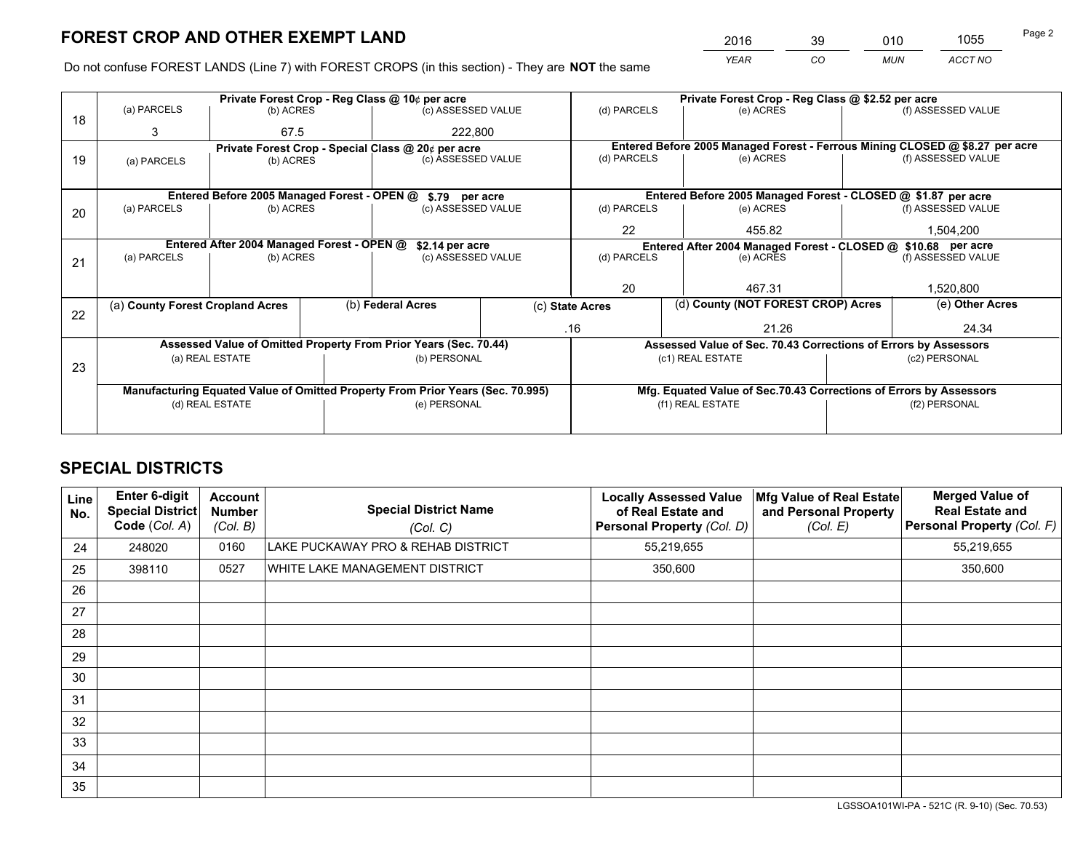*YEAR CO MUN ACCT NO* <sup>2016</sup> <sup>39</sup> <sup>010</sup> <sup>1055</sup>

Do not confuse FOREST LANDS (Line 7) with FOREST CROPS (in this section) - They are **NOT** the same

|    |                                                                                |                                                       |  | Private Forest Crop - Reg Class @ 10¢ per acre                   |                                   | Private Forest Crop - Reg Class @ \$2.52 per acre |                                                                              |                                                                                     |                    |
|----|--------------------------------------------------------------------------------|-------------------------------------------------------|--|------------------------------------------------------------------|-----------------------------------|---------------------------------------------------|------------------------------------------------------------------------------|-------------------------------------------------------------------------------------|--------------------|
| 18 | (a) PARCELS                                                                    | (b) ACRES                                             |  | (c) ASSESSED VALUE                                               |                                   | (d) PARCELS                                       | (e) ACRES                                                                    |                                                                                     | (f) ASSESSED VALUE |
|    | 3                                                                              | 67.5                                                  |  | 222,800                                                          |                                   |                                                   |                                                                              |                                                                                     |                    |
|    | Private Forest Crop - Special Class @ 20¢ per acre                             |                                                       |  |                                                                  |                                   |                                                   | Entered Before 2005 Managed Forest - Ferrous Mining CLOSED @ \$8.27 per acre |                                                                                     |                    |
| 19 | (a) PARCELS                                                                    | (b) ACRES                                             |  | (c) ASSESSED VALUE                                               |                                   | (d) PARCELS                                       | (e) ACRES                                                                    |                                                                                     | (f) ASSESSED VALUE |
|    |                                                                                |                                                       |  |                                                                  |                                   |                                                   |                                                                              |                                                                                     |                    |
|    |                                                                                |                                                       |  | Entered Before 2005 Managed Forest - OPEN @ \$.79 per acre       |                                   |                                                   | Entered Before 2005 Managed Forest - CLOSED @ \$1.87 per acre                |                                                                                     |                    |
| 20 | (a) PARCELS                                                                    | (b) ACRES                                             |  | (c) ASSESSED VALUE                                               |                                   | (d) PARCELS                                       | (e) ACRES                                                                    |                                                                                     | (f) ASSESSED VALUE |
|    |                                                                                |                                                       |  |                                                                  |                                   | 22                                                | 455.82                                                                       |                                                                                     | 1,504,200          |
|    | Entered After 2004 Managed Forest - OPEN @                                     |                                                       |  |                                                                  | \$2.14 per acre                   |                                                   |                                                                              | Entered After 2004 Managed Forest - CLOSED @ \$10.68 per acre<br>(f) ASSESSED VALUE |                    |
| 21 | (a) PARCELS                                                                    | (b) ACRES                                             |  |                                                                  | (d) PARCELS<br>(c) ASSESSED VALUE |                                                   | (e) ACRES                                                                    |                                                                                     |                    |
|    |                                                                                |                                                       |  |                                                                  |                                   |                                                   |                                                                              |                                                                                     |                    |
|    |                                                                                |                                                       |  |                                                                  |                                   | 20                                                | 467.31                                                                       |                                                                                     | 1,520,800          |
|    |                                                                                | (b) Federal Acres<br>(a) County Forest Cropland Acres |  |                                                                  | (c) State Acres                   |                                                   |                                                                              | (d) County (NOT FOREST CROP) Acres                                                  |                    |
| 22 |                                                                                |                                                       |  |                                                                  | .16                               |                                                   | 21.26                                                                        |                                                                                     | 24.34              |
|    |                                                                                |                                                       |  | Assessed Value of Omitted Property From Prior Years (Sec. 70.44) |                                   |                                                   | Assessed Value of Sec. 70.43 Corrections of Errors by Assessors              |                                                                                     |                    |
|    |                                                                                | (a) REAL ESTATE                                       |  | (b) PERSONAL                                                     |                                   |                                                   | (c1) REAL ESTATE                                                             |                                                                                     | (c2) PERSONAL      |
| 23 |                                                                                |                                                       |  |                                                                  |                                   |                                                   |                                                                              |                                                                                     |                    |
|    | Manufacturing Equated Value of Omitted Property From Prior Years (Sec. 70.995) |                                                       |  |                                                                  |                                   |                                                   | Mfg. Equated Value of Sec.70.43 Corrections of Errors by Assessors           |                                                                                     |                    |
|    |                                                                                | (d) REAL ESTATE                                       |  | (e) PERSONAL                                                     |                                   | (f1) REAL ESTATE                                  |                                                                              | (f2) PERSONAL                                                                       |                    |
|    |                                                                                |                                                       |  |                                                                  |                                   |                                                   |                                                                              |                                                                                     |                    |

# **SPECIAL DISTRICTS**

| Line<br>No. | <b>Enter 6-digit</b><br>Special District<br>Code (Col. A) | <b>Account</b><br><b>Number</b><br>(Col. B) | <b>Special District Name</b><br>(Col. C) | <b>Locally Assessed Value</b><br>of Real Estate and<br><b>Personal Property (Col. D)</b> | Mfg Value of Real Estate<br>and Personal Property<br>(Col. E) | <b>Merged Value of</b><br><b>Real Estate and</b><br>Personal Property (Col. F) |
|-------------|-----------------------------------------------------------|---------------------------------------------|------------------------------------------|------------------------------------------------------------------------------------------|---------------------------------------------------------------|--------------------------------------------------------------------------------|
| 24          | 248020                                                    | 0160                                        | LAKE PUCKAWAY PRO & REHAB DISTRICT       | 55,219,655                                                                               |                                                               | 55,219,655                                                                     |
| 25          | 398110                                                    | 0527                                        | WHITE LAKE MANAGEMENT DISTRICT           | 350,600                                                                                  |                                                               | 350,600                                                                        |
| 26          |                                                           |                                             |                                          |                                                                                          |                                                               |                                                                                |
| 27          |                                                           |                                             |                                          |                                                                                          |                                                               |                                                                                |
| 28          |                                                           |                                             |                                          |                                                                                          |                                                               |                                                                                |
| 29          |                                                           |                                             |                                          |                                                                                          |                                                               |                                                                                |
| 30          |                                                           |                                             |                                          |                                                                                          |                                                               |                                                                                |
| 31          |                                                           |                                             |                                          |                                                                                          |                                                               |                                                                                |
| 32          |                                                           |                                             |                                          |                                                                                          |                                                               |                                                                                |
| 33          |                                                           |                                             |                                          |                                                                                          |                                                               |                                                                                |
| 34          |                                                           |                                             |                                          |                                                                                          |                                                               |                                                                                |
| 35          |                                                           |                                             |                                          |                                                                                          |                                                               |                                                                                |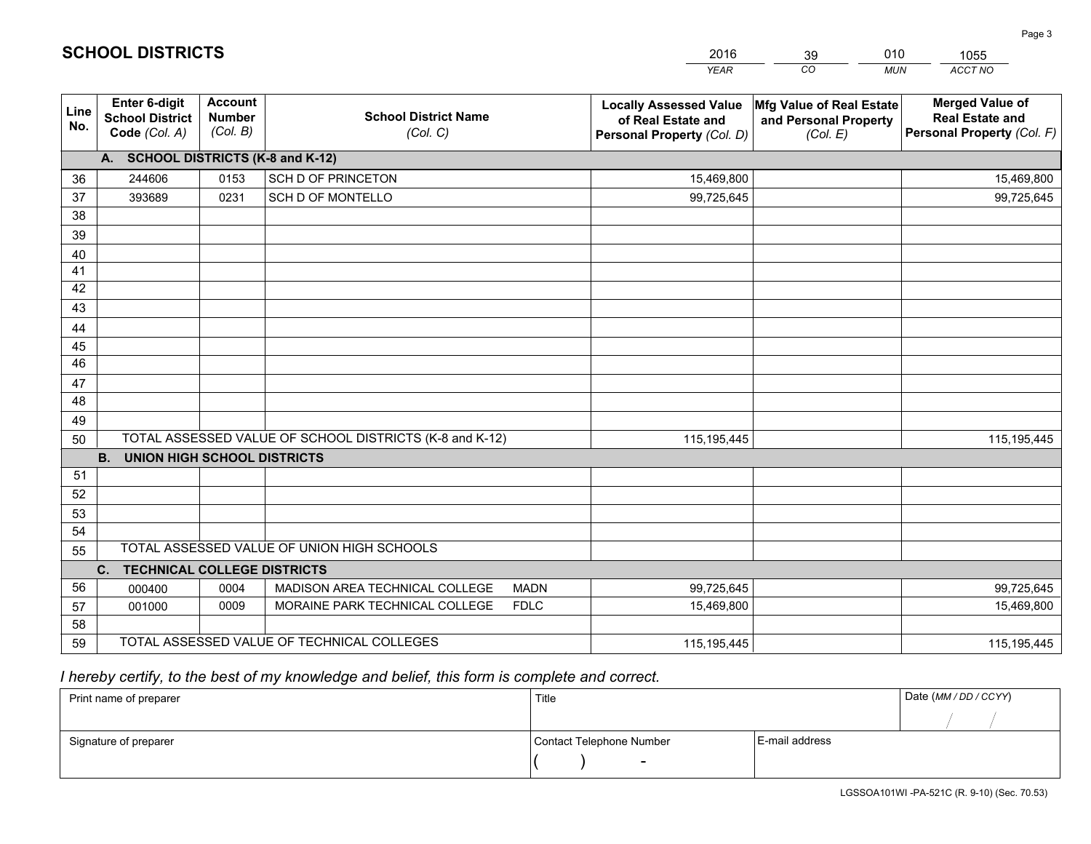|             |                                                          |                                             |                                                         | <b>YEAR</b>                                                                       | CO<br><b>MUN</b>                                              | ACCT NO                                                                        |
|-------------|----------------------------------------------------------|---------------------------------------------|---------------------------------------------------------|-----------------------------------------------------------------------------------|---------------------------------------------------------------|--------------------------------------------------------------------------------|
| Line<br>No. | Enter 6-digit<br><b>School District</b><br>Code (Col. A) | <b>Account</b><br><b>Number</b><br>(Col. B) | <b>School District Name</b><br>(Col. C)                 | <b>Locally Assessed Value</b><br>of Real Estate and<br>Personal Property (Col. D) | Mfg Value of Real Estate<br>and Personal Property<br>(Col. E) | <b>Merged Value of</b><br><b>Real Estate and</b><br>Personal Property (Col. F) |
|             | A. SCHOOL DISTRICTS (K-8 and K-12)                       |                                             |                                                         |                                                                                   |                                                               |                                                                                |
| 36          | 244606                                                   | 0153                                        | SCH D OF PRINCETON                                      | 15,469,800                                                                        |                                                               | 15,469,800                                                                     |
| 37          | 393689                                                   | 0231                                        | SCH D OF MONTELLO                                       | 99,725,645                                                                        |                                                               | 99,725,645                                                                     |
| 38          |                                                          |                                             |                                                         |                                                                                   |                                                               |                                                                                |
| 39          |                                                          |                                             |                                                         |                                                                                   |                                                               |                                                                                |
| 40          |                                                          |                                             |                                                         |                                                                                   |                                                               |                                                                                |
| 41          |                                                          |                                             |                                                         |                                                                                   |                                                               |                                                                                |
| 42          |                                                          |                                             |                                                         |                                                                                   |                                                               |                                                                                |
| 43          |                                                          |                                             |                                                         |                                                                                   |                                                               |                                                                                |
| 44          |                                                          |                                             |                                                         |                                                                                   |                                                               |                                                                                |
| 45          |                                                          |                                             |                                                         |                                                                                   |                                                               |                                                                                |
| 46          |                                                          |                                             |                                                         |                                                                                   |                                                               |                                                                                |
| 47          |                                                          |                                             |                                                         |                                                                                   |                                                               |                                                                                |
| 48          |                                                          |                                             |                                                         |                                                                                   |                                                               |                                                                                |
| 49          |                                                          |                                             |                                                         |                                                                                   |                                                               |                                                                                |
| 50          |                                                          |                                             | TOTAL ASSESSED VALUE OF SCHOOL DISTRICTS (K-8 and K-12) | 115,195,445                                                                       |                                                               | 115, 195, 445                                                                  |
|             | B <sub>1</sub><br><b>UNION HIGH SCHOOL DISTRICTS</b>     |                                             |                                                         |                                                                                   |                                                               |                                                                                |
| 51          |                                                          |                                             |                                                         |                                                                                   |                                                               |                                                                                |
| 52          |                                                          |                                             |                                                         |                                                                                   |                                                               |                                                                                |
| 53          |                                                          |                                             |                                                         |                                                                                   |                                                               |                                                                                |
| 54          |                                                          |                                             |                                                         |                                                                                   |                                                               |                                                                                |
| 55          |                                                          |                                             | TOTAL ASSESSED VALUE OF UNION HIGH SCHOOLS              |                                                                                   |                                                               |                                                                                |
|             | C. TECHNICAL COLLEGE DISTRICTS                           |                                             |                                                         |                                                                                   |                                                               |                                                                                |
| 56          | 000400                                                   | 0004                                        | MADISON AREA TECHNICAL COLLEGE<br><b>MADN</b>           | 99,725,645                                                                        |                                                               | 99,725,645                                                                     |
| 57          | 001000                                                   | 0009                                        | MORAINE PARK TECHNICAL COLLEGE<br><b>FDLC</b>           | 15,469,800                                                                        |                                                               | 15,469,800                                                                     |
| 58          |                                                          |                                             |                                                         |                                                                                   |                                                               |                                                                                |
| 59          |                                                          |                                             | TOTAL ASSESSED VALUE OF TECHNICAL COLLEGES              | 115,195,445                                                                       |                                                               | 115, 195, 445                                                                  |

39

010

 *I hereby certify, to the best of my knowledge and belief, this form is complete and correct.*

**SCHOOL DISTRICTS**

| Print name of preparer | Title                    | Date (MM/DD/CCYY) |  |
|------------------------|--------------------------|-------------------|--|
|                        |                          |                   |  |
| Signature of preparer  | Contact Telephone Number | E-mail address    |  |
|                        | $\overline{\phantom{a}}$ |                   |  |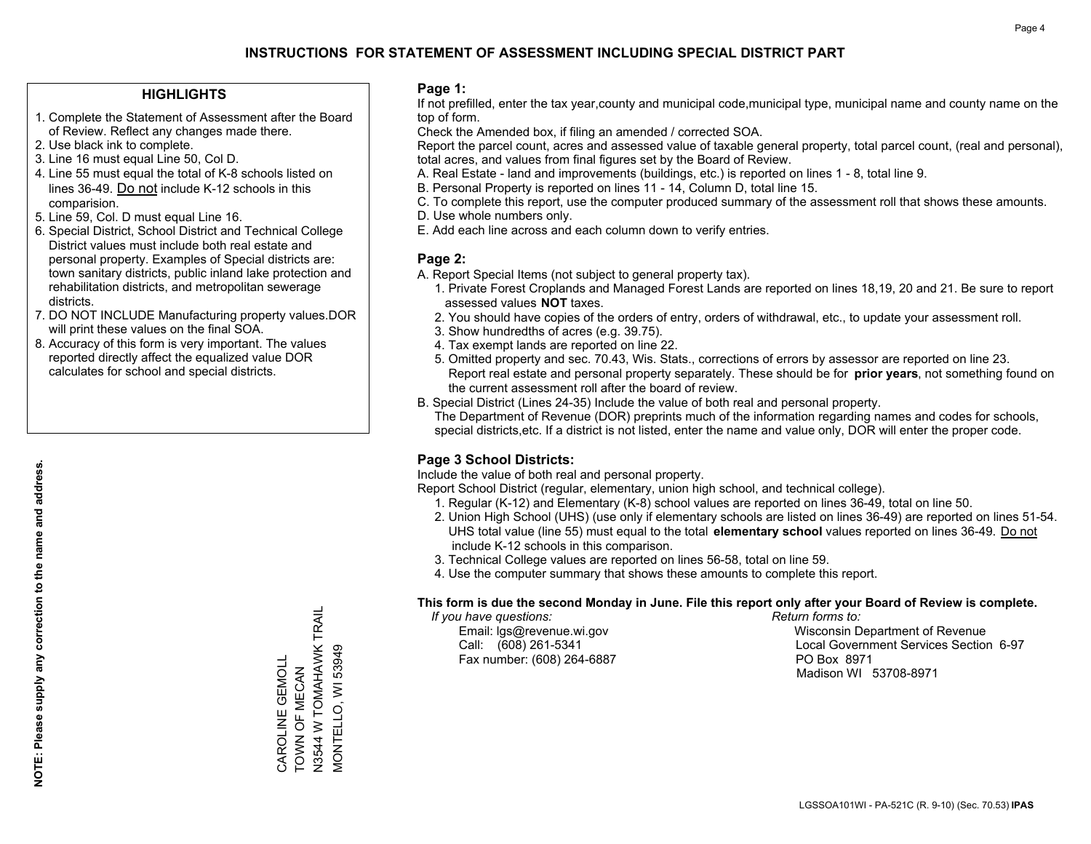### **HIGHLIGHTS**

- 1. Complete the Statement of Assessment after the Board of Review. Reflect any changes made there.
- 2. Use black ink to complete.
- 3. Line 16 must equal Line 50, Col D.
- 4. Line 55 must equal the total of K-8 schools listed on lines 36-49. Do not include K-12 schools in this comparision.
- 5. Line 59, Col. D must equal Line 16.
- 6. Special District, School District and Technical College District values must include both real estate and personal property. Examples of Special districts are: town sanitary districts, public inland lake protection and rehabilitation districts, and metropolitan sewerage districts.
- 7. DO NOT INCLUDE Manufacturing property values.DOR will print these values on the final SOA.

CAROLINE GEMOLL TOWN OF MECAN

CAROLINE GEMOLL TOWN OF MECAN N3544 W TOMAHAWK TRAIL

N3544 W TOMAHAWK TRAIL<br>MONTELLO, WI 53949

MONTELLO, WI 53949

 8. Accuracy of this form is very important. The values reported directly affect the equalized value DOR calculates for school and special districts.

### **Page 1:**

 If not prefilled, enter the tax year,county and municipal code,municipal type, municipal name and county name on the top of form.

Check the Amended box, if filing an amended / corrected SOA.

 Report the parcel count, acres and assessed value of taxable general property, total parcel count, (real and personal), total acres, and values from final figures set by the Board of Review.

- A. Real Estate land and improvements (buildings, etc.) is reported on lines 1 8, total line 9.
- B. Personal Property is reported on lines 11 14, Column D, total line 15.
- C. To complete this report, use the computer produced summary of the assessment roll that shows these amounts.
- D. Use whole numbers only.
- E. Add each line across and each column down to verify entries.

### **Page 2:**

- A. Report Special Items (not subject to general property tax).
- 1. Private Forest Croplands and Managed Forest Lands are reported on lines 18,19, 20 and 21. Be sure to report assessed values **NOT** taxes.
- 2. You should have copies of the orders of entry, orders of withdrawal, etc., to update your assessment roll.
	- 3. Show hundredths of acres (e.g. 39.75).
- 4. Tax exempt lands are reported on line 22.
- 5. Omitted property and sec. 70.43, Wis. Stats., corrections of errors by assessor are reported on line 23. Report real estate and personal property separately. These should be for **prior years**, not something found on the current assessment roll after the board of review.
- B. Special District (Lines 24-35) Include the value of both real and personal property.

 The Department of Revenue (DOR) preprints much of the information regarding names and codes for schools, special districts,etc. If a district is not listed, enter the name and value only, DOR will enter the proper code.

### **Page 3 School Districts:**

Include the value of both real and personal property.

Report School District (regular, elementary, union high school, and technical college).

- 1. Regular (K-12) and Elementary (K-8) school values are reported on lines 36-49, total on line 50.
- 2. Union High School (UHS) (use only if elementary schools are listed on lines 36-49) are reported on lines 51-54. UHS total value (line 55) must equal to the total **elementary school** values reported on lines 36-49. Do notinclude K-12 schools in this comparison.
- 3. Technical College values are reported on lines 56-58, total on line 59.
- 4. Use the computer summary that shows these amounts to complete this report.

#### **This form is due the second Monday in June. File this report only after your Board of Review is complete.**

 *If you have questions: Return forms to:*

Fax number: (608) 264-6887 PO Box 8971

 Email: lgs@revenue.wi.gov Wisconsin Department of Revenue Call: (608) 261-5341 Local Government Services Section 6-97Madison WI 53708-8971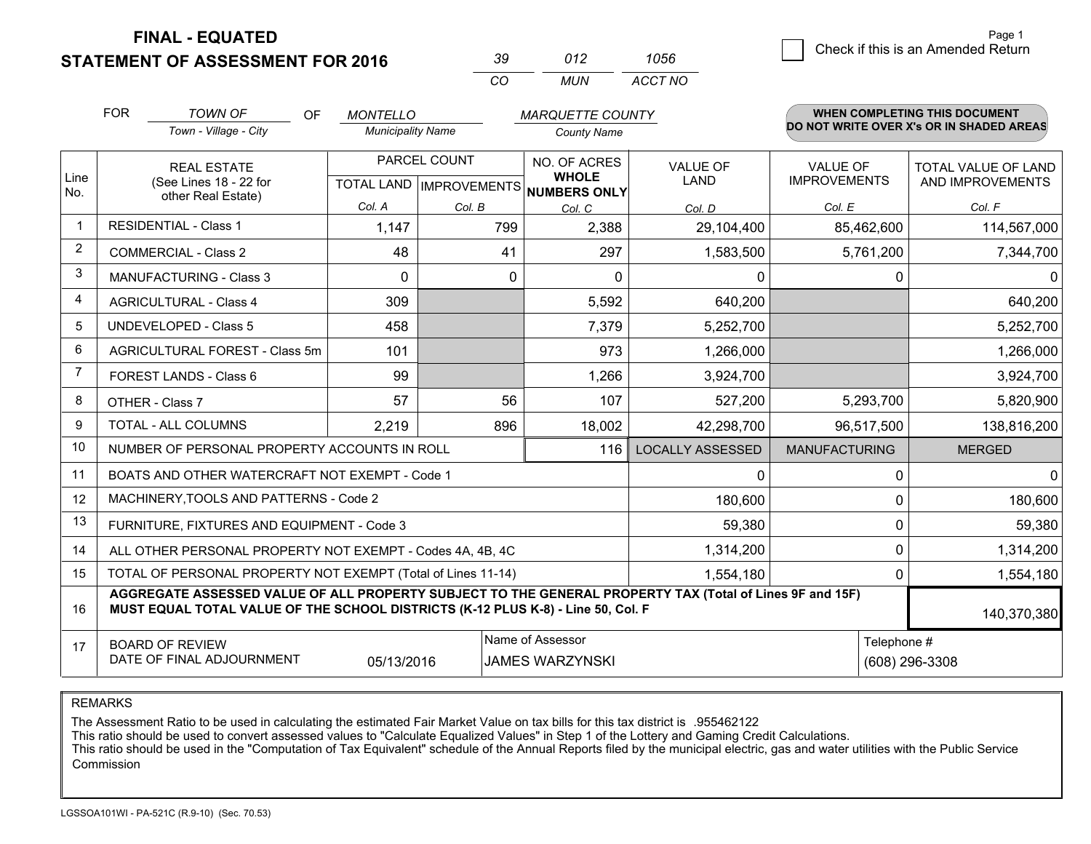**STATEMENT OF ASSESSMENT FOR 2016** 

| -39      | 012 | 1056    |
|----------|-----|---------|
| $\alpha$ | MUN | ACCT NO |

|                | <b>FOR</b>                                                                                                                                                                                   | <b>TOWN OF</b><br>OF                                         | <b>MONTELLO</b>                                      |          | <b>MARQUETTE COUNTY</b>      |                                |                                        | <b>WHEN COMPLETING THIS DOCUMENT</b>     |
|----------------|----------------------------------------------------------------------------------------------------------------------------------------------------------------------------------------------|--------------------------------------------------------------|------------------------------------------------------|----------|------------------------------|--------------------------------|----------------------------------------|------------------------------------------|
|                |                                                                                                                                                                                              | Town - Village - City                                        | <b>Municipality Name</b>                             |          | <b>County Name</b>           |                                |                                        | DO NOT WRITE OVER X's OR IN SHADED AREAS |
| Line<br>No.    | <b>REAL ESTATE</b><br>(See Lines 18 - 22 for                                                                                                                                                 |                                                              | PARCEL COUNT<br>TOTAL LAND IMPROVEMENTS NUMBERS ONLY |          | NO. OF ACRES<br><b>WHOLE</b> | <b>VALUE OF</b><br><b>LAND</b> | <b>VALUE OF</b><br><b>IMPROVEMENTS</b> | TOTAL VALUE OF LAND<br>AND IMPROVEMENTS  |
|                |                                                                                                                                                                                              | other Real Estate)                                           | Col. A                                               | Col. B   | Col. C                       | Col. D                         | Col. E                                 | Col. F                                   |
| $\mathbf 1$    |                                                                                                                                                                                              | <b>RESIDENTIAL - Class 1</b>                                 | 1,147                                                | 799      | 2,388                        | 29,104,400                     | 85,462,600                             | 114,567,000                              |
| $\overline{2}$ |                                                                                                                                                                                              | <b>COMMERCIAL - Class 2</b>                                  | 48                                                   | 41       | 297                          | 1,583,500                      | 5,761,200                              | 7,344,700                                |
| 3              |                                                                                                                                                                                              | <b>MANUFACTURING - Class 3</b>                               | $\Omega$                                             | $\Omega$ | $\Omega$                     | 0                              |                                        | $\overline{0}$<br>0                      |
| 4              |                                                                                                                                                                                              | <b>AGRICULTURAL - Class 4</b>                                | 309                                                  |          | 5,592                        | 640,200                        |                                        | 640,200                                  |
| 5              |                                                                                                                                                                                              | <b>UNDEVELOPED - Class 5</b>                                 | 458                                                  |          | 7,379                        | 5,252,700                      |                                        | 5,252,700                                |
| 6              | AGRICULTURAL FOREST - Class 5m                                                                                                                                                               |                                                              | 101                                                  |          | 973                          | 1,266,000                      |                                        | 1,266,000                                |
| 7              |                                                                                                                                                                                              | FOREST LANDS - Class 6                                       | 99                                                   |          | 1,266                        | 3,924,700                      |                                        | 3,924,700                                |
| 8              |                                                                                                                                                                                              | OTHER - Class 7                                              | 57                                                   | 56       | 107                          | 527,200                        | 5,293,700                              | 5,820,900                                |
| 9              |                                                                                                                                                                                              | TOTAL - ALL COLUMNS                                          | 2,219                                                | 896      | 18,002                       | 42,298,700                     | 96,517,500                             | 138,816,200                              |
| 10             |                                                                                                                                                                                              | NUMBER OF PERSONAL PROPERTY ACCOUNTS IN ROLL                 |                                                      |          | 116                          | <b>LOCALLY ASSESSED</b>        | <b>MANUFACTURING</b>                   | <b>MERGED</b>                            |
| 11             |                                                                                                                                                                                              | BOATS AND OTHER WATERCRAFT NOT EXEMPT - Code 1               |                                                      |          |                              | 0                              | 0                                      | $\overline{0}$                           |
| 12             |                                                                                                                                                                                              | MACHINERY, TOOLS AND PATTERNS - Code 2                       |                                                      |          |                              | 180,600                        |                                        | 180,600<br>$\Omega$                      |
| 13             |                                                                                                                                                                                              | FURNITURE, FIXTURES AND EQUIPMENT - Code 3                   |                                                      |          |                              | 59,380                         |                                        | 0<br>59,380                              |
| 14             |                                                                                                                                                                                              | ALL OTHER PERSONAL PROPERTY NOT EXEMPT - Codes 4A, 4B, 4C    |                                                      |          |                              | 1,314,200                      |                                        | 0<br>1,314,200                           |
| 15             |                                                                                                                                                                                              | TOTAL OF PERSONAL PROPERTY NOT EXEMPT (Total of Lines 11-14) |                                                      |          |                              | 1,554,180                      |                                        | 1,554,180<br>0                           |
| 16             | AGGREGATE ASSESSED VALUE OF ALL PROPERTY SUBJECT TO THE GENERAL PROPERTY TAX (Total of Lines 9F and 15F)<br>MUST EQUAL TOTAL VALUE OF THE SCHOOL DISTRICTS (K-12 PLUS K-8) - Line 50, Col. F |                                                              |                                                      |          |                              |                                |                                        | 140,370,380                              |
| 17             | Name of Assessor<br>Telephone #<br><b>BOARD OF REVIEW</b><br>DATE OF FINAL ADJOURNMENT<br>05/13/2016<br><b>JAMES WARZYNSKI</b>                                                               |                                                              |                                                      |          |                              |                                | (608) 296-3308                         |                                          |

REMARKS

The Assessment Ratio to be used in calculating the estimated Fair Market Value on tax bills for this tax district is .955462122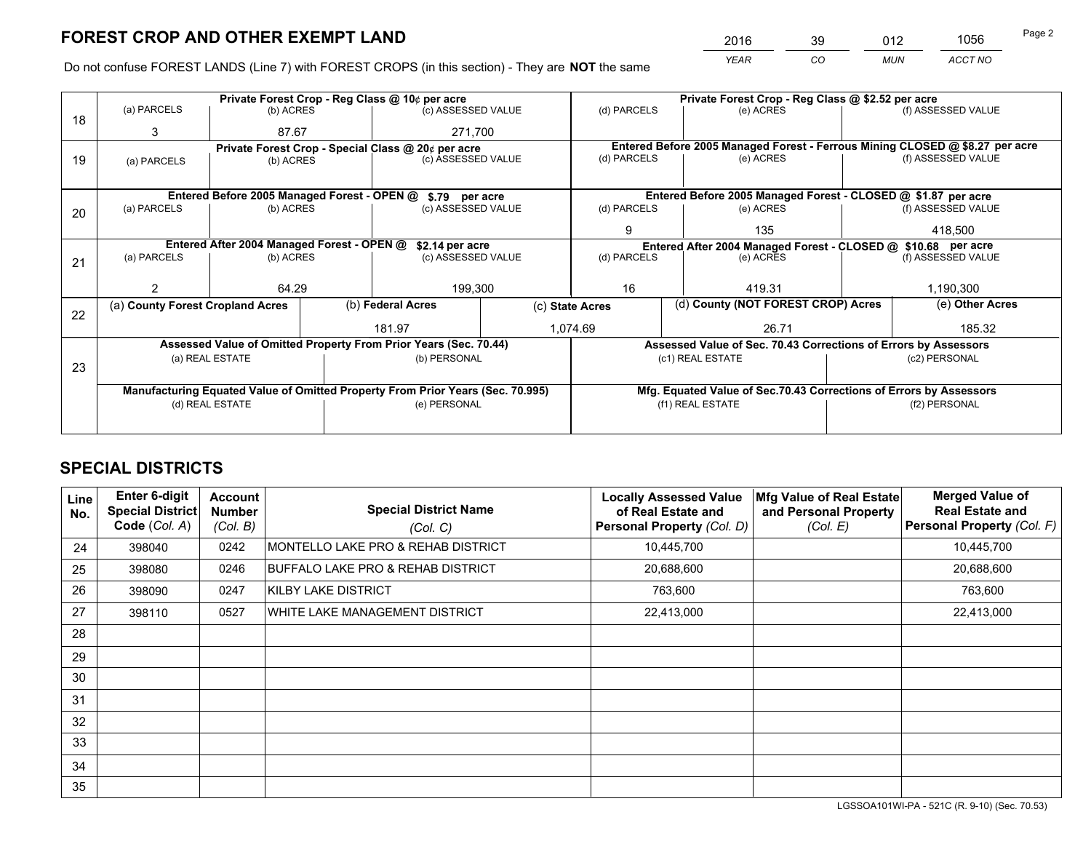*YEAR CO MUN ACCT NO* <sup>2016</sup> <sup>39</sup> <sup>012</sup> <sup>1056</sup>

Do not confuse FOREST LANDS (Line 7) with FOREST CROPS (in this section) - They are **NOT** the same

|    |                                                                                |                                             |  | Private Forest Crop - Reg Class @ 10¢ per acre                   |                                   | Private Forest Crop - Reg Class @ \$2.52 per acre             |                                                                              |                                    |                    |
|----|--------------------------------------------------------------------------------|---------------------------------------------|--|------------------------------------------------------------------|-----------------------------------|---------------------------------------------------------------|------------------------------------------------------------------------------|------------------------------------|--------------------|
| 18 | (a) PARCELS                                                                    | (b) ACRES                                   |  | (c) ASSESSED VALUE                                               |                                   | (d) PARCELS                                                   | (e) ACRES                                                                    |                                    | (f) ASSESSED VALUE |
|    | 3                                                                              | 87.67                                       |  | 271.700                                                          |                                   |                                                               |                                                                              |                                    |                    |
|    |                                                                                |                                             |  | Private Forest Crop - Special Class @ 20¢ per acre               |                                   |                                                               | Entered Before 2005 Managed Forest - Ferrous Mining CLOSED @ \$8.27 per acre |                                    |                    |
| 19 | (a) PARCELS                                                                    | (b) ACRES                                   |  | (c) ASSESSED VALUE                                               |                                   | (d) PARCELS                                                   | (e) ACRES                                                                    |                                    | (f) ASSESSED VALUE |
|    |                                                                                |                                             |  |                                                                  |                                   |                                                               |                                                                              |                                    |                    |
|    |                                                                                | Entered Before 2005 Managed Forest - OPEN @ |  | \$.79 per acre                                                   |                                   |                                                               | Entered Before 2005 Managed Forest - CLOSED @ \$1.87 per acre                |                                    |                    |
| 20 | (a) PARCELS                                                                    | (b) ACRES                                   |  | (c) ASSESSED VALUE                                               |                                   | (d) PARCELS                                                   | (e) ACRES                                                                    |                                    | (f) ASSESSED VALUE |
|    |                                                                                |                                             |  |                                                                  |                                   | 9                                                             | 135                                                                          |                                    | 418,500            |
|    |                                                                                | Entered After 2004 Managed Forest - OPEN @  |  | \$2.14 per acre                                                  |                                   | Entered After 2004 Managed Forest - CLOSED @ \$10.68 per acre |                                                                              | (f) ASSESSED VALUE                 |                    |
| 21 | (a) PARCELS                                                                    | (b) ACRES                                   |  |                                                                  | (d) PARCELS<br>(c) ASSESSED VALUE |                                                               | (e) ACRES                                                                    |                                    |                    |
|    |                                                                                |                                             |  |                                                                  |                                   |                                                               |                                                                              |                                    |                    |
|    |                                                                                | 64.29                                       |  | 199,300                                                          |                                   | 16                                                            | 419.31                                                                       |                                    | 1,190,300          |
|    | (a) County Forest Cropland Acres                                               |                                             |  | (b) Federal Acres                                                | (c) State Acres                   |                                                               |                                                                              | (d) County (NOT FOREST CROP) Acres |                    |
| 22 |                                                                                |                                             |  |                                                                  | 1,074.69                          |                                                               |                                                                              |                                    |                    |
|    |                                                                                |                                             |  | 181.97                                                           |                                   |                                                               | 26.71                                                                        |                                    | 185.32             |
|    |                                                                                |                                             |  | Assessed Value of Omitted Property From Prior Years (Sec. 70.44) |                                   |                                                               | Assessed Value of Sec. 70.43 Corrections of Errors by Assessors              |                                    |                    |
| 23 |                                                                                | (a) REAL ESTATE                             |  | (b) PERSONAL                                                     |                                   |                                                               | (c1) REAL ESTATE                                                             |                                    | (c2) PERSONAL      |
|    |                                                                                |                                             |  |                                                                  |                                   |                                                               |                                                                              |                                    |                    |
|    | Manufacturing Equated Value of Omitted Property From Prior Years (Sec. 70.995) |                                             |  |                                                                  |                                   |                                                               | Mfg. Equated Value of Sec.70.43 Corrections of Errors by Assessors           |                                    |                    |
|    |                                                                                | (d) REAL ESTATE                             |  | (e) PERSONAL                                                     |                                   | (f1) REAL ESTATE                                              |                                                                              | (f2) PERSONAL                      |                    |
|    |                                                                                |                                             |  |                                                                  |                                   |                                                               |                                                                              |                                    |                    |

## **SPECIAL DISTRICTS**

| <b>Line</b><br>No. | <b>Enter 6-digit</b><br><b>Special District</b><br>Code (Col. A) | <b>Account</b><br><b>Number</b><br>(Col. B) | <b>Special District Name</b><br>(Col. C) | <b>Locally Assessed Value</b><br>of Real Estate and<br>Personal Property (Col. D) | Mfg Value of Real Estate<br>and Personal Property<br>(Col. E) | <b>Merged Value of</b><br><b>Real Estate and</b><br>Personal Property (Col. F) |
|--------------------|------------------------------------------------------------------|---------------------------------------------|------------------------------------------|-----------------------------------------------------------------------------------|---------------------------------------------------------------|--------------------------------------------------------------------------------|
| 24                 | 398040                                                           | 0242                                        | MONTELLO LAKE PRO & REHAB DISTRICT       | 10,445,700                                                                        |                                                               | 10,445,700                                                                     |
| 25                 | 398080                                                           | 0246                                        | BUFFALO LAKE PRO & REHAB DISTRICT        | 20,688,600                                                                        |                                                               | 20,688,600                                                                     |
| 26                 | 398090                                                           | 0247                                        | KILBY LAKE DISTRICT                      | 763,600                                                                           |                                                               | 763,600                                                                        |
| 27                 | 398110                                                           | 0527                                        | WHITE LAKE MANAGEMENT DISTRICT           | 22,413,000                                                                        |                                                               | 22,413,000                                                                     |
| 28                 |                                                                  |                                             |                                          |                                                                                   |                                                               |                                                                                |
| 29                 |                                                                  |                                             |                                          |                                                                                   |                                                               |                                                                                |
| 30                 |                                                                  |                                             |                                          |                                                                                   |                                                               |                                                                                |
| 31                 |                                                                  |                                             |                                          |                                                                                   |                                                               |                                                                                |
| 32                 |                                                                  |                                             |                                          |                                                                                   |                                                               |                                                                                |
| 33                 |                                                                  |                                             |                                          |                                                                                   |                                                               |                                                                                |
| 34                 |                                                                  |                                             |                                          |                                                                                   |                                                               |                                                                                |
| 35                 |                                                                  |                                             |                                          |                                                                                   |                                                               |                                                                                |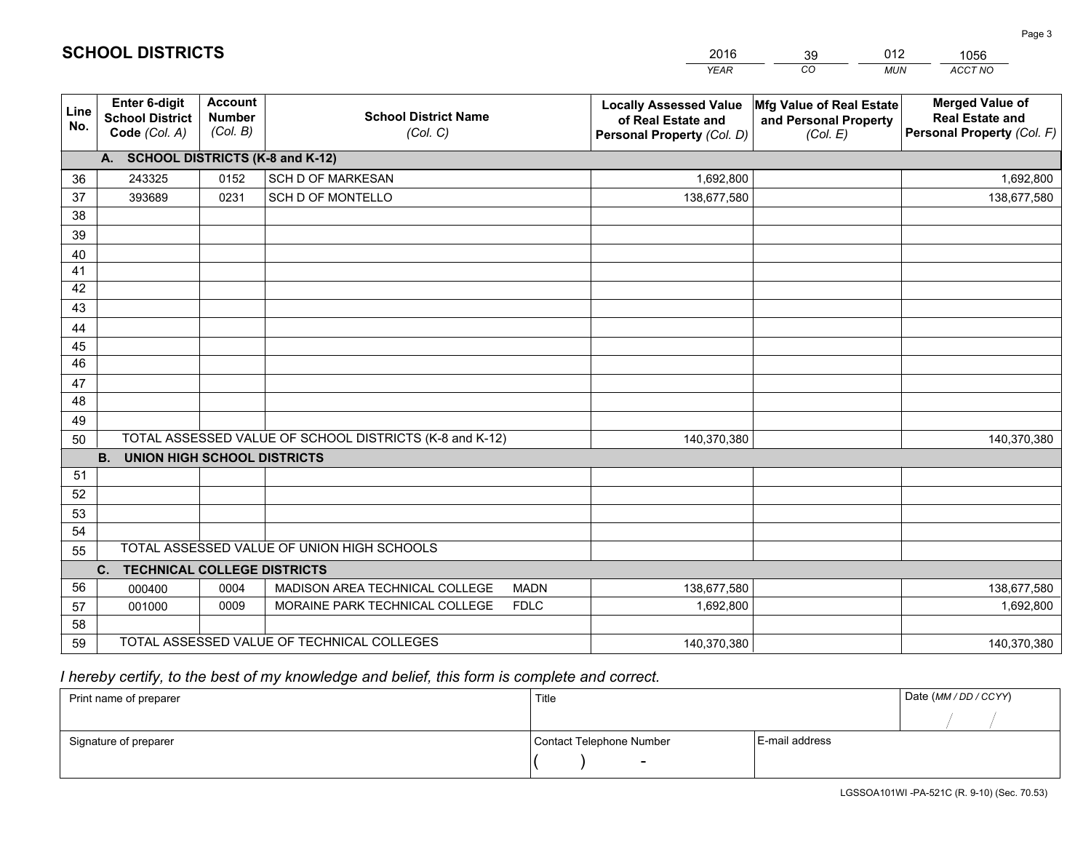|             |                                                          |                                             |                                                         |             | <b>YEAR</b>                                                                       | CO<br><b>MUN</b>                                              | ACCT NO                                                                        |
|-------------|----------------------------------------------------------|---------------------------------------------|---------------------------------------------------------|-------------|-----------------------------------------------------------------------------------|---------------------------------------------------------------|--------------------------------------------------------------------------------|
| Line<br>No. | Enter 6-digit<br><b>School District</b><br>Code (Col. A) | <b>Account</b><br><b>Number</b><br>(Col. B) | <b>School District Name</b><br>(Col. C)                 |             | <b>Locally Assessed Value</b><br>of Real Estate and<br>Personal Property (Col. D) | Mfg Value of Real Estate<br>and Personal Property<br>(Col. E) | <b>Merged Value of</b><br><b>Real Estate and</b><br>Personal Property (Col. F) |
|             | A. SCHOOL DISTRICTS (K-8 and K-12)                       |                                             |                                                         |             |                                                                                   |                                                               |                                                                                |
| 36          | 243325                                                   | 0152                                        | <b>SCH D OF MARKESAN</b>                                |             | 1,692,800                                                                         |                                                               | 1,692,800                                                                      |
| 37          | 393689                                                   | 0231                                        | <b>SCH D OF MONTELLO</b>                                |             | 138,677,580                                                                       |                                                               | 138,677,580                                                                    |
| 38          |                                                          |                                             |                                                         |             |                                                                                   |                                                               |                                                                                |
| 39          |                                                          |                                             |                                                         |             |                                                                                   |                                                               |                                                                                |
| 40          |                                                          |                                             |                                                         |             |                                                                                   |                                                               |                                                                                |
| 41          |                                                          |                                             |                                                         |             |                                                                                   |                                                               |                                                                                |
| 42          |                                                          |                                             |                                                         |             |                                                                                   |                                                               |                                                                                |
| 43          |                                                          |                                             |                                                         |             |                                                                                   |                                                               |                                                                                |
| 44          |                                                          |                                             |                                                         |             |                                                                                   |                                                               |                                                                                |
| 45          |                                                          |                                             |                                                         |             |                                                                                   |                                                               |                                                                                |
| 46          |                                                          |                                             |                                                         |             |                                                                                   |                                                               |                                                                                |
| 47          |                                                          |                                             |                                                         |             |                                                                                   |                                                               |                                                                                |
| 48          |                                                          |                                             |                                                         |             |                                                                                   |                                                               |                                                                                |
| 49          |                                                          |                                             |                                                         |             |                                                                                   |                                                               |                                                                                |
| 50          |                                                          |                                             | TOTAL ASSESSED VALUE OF SCHOOL DISTRICTS (K-8 and K-12) |             | 140,370,380                                                                       |                                                               | 140,370,380                                                                    |
|             | <b>B.</b><br><b>UNION HIGH SCHOOL DISTRICTS</b>          |                                             |                                                         |             |                                                                                   |                                                               |                                                                                |
| 51          |                                                          |                                             |                                                         |             |                                                                                   |                                                               |                                                                                |
| 52          |                                                          |                                             |                                                         |             |                                                                                   |                                                               |                                                                                |
| 53          |                                                          |                                             |                                                         |             |                                                                                   |                                                               |                                                                                |
| 54          |                                                          |                                             |                                                         |             |                                                                                   |                                                               |                                                                                |
| 55          |                                                          |                                             | TOTAL ASSESSED VALUE OF UNION HIGH SCHOOLS              |             |                                                                                   |                                                               |                                                                                |
|             | <b>TECHNICAL COLLEGE DISTRICTS</b><br>C.                 |                                             |                                                         |             |                                                                                   |                                                               |                                                                                |
| 56          | 000400                                                   | 0004                                        | MADISON AREA TECHNICAL COLLEGE                          | <b>MADN</b> | 138,677,580                                                                       |                                                               | 138,677,580                                                                    |
| 57          | 001000                                                   | 0009                                        | MORAINE PARK TECHNICAL COLLEGE                          | <b>FDLC</b> | 1,692,800                                                                         |                                                               | 1,692,800                                                                      |
| 58          |                                                          |                                             |                                                         |             |                                                                                   |                                                               |                                                                                |
| 59          |                                                          |                                             | TOTAL ASSESSED VALUE OF TECHNICAL COLLEGES              |             | 140,370,380                                                                       |                                                               | 140,370,380                                                                    |

39

012

 *I hereby certify, to the best of my knowledge and belief, this form is complete and correct.*

**SCHOOL DISTRICTS**

| Print name of preparer | Title                    |                | Date (MM / DD / CCYY) |
|------------------------|--------------------------|----------------|-----------------------|
|                        |                          |                |                       |
| Signature of preparer  | Contact Telephone Number | E-mail address |                       |
|                        | $\overline{\phantom{0}}$ |                |                       |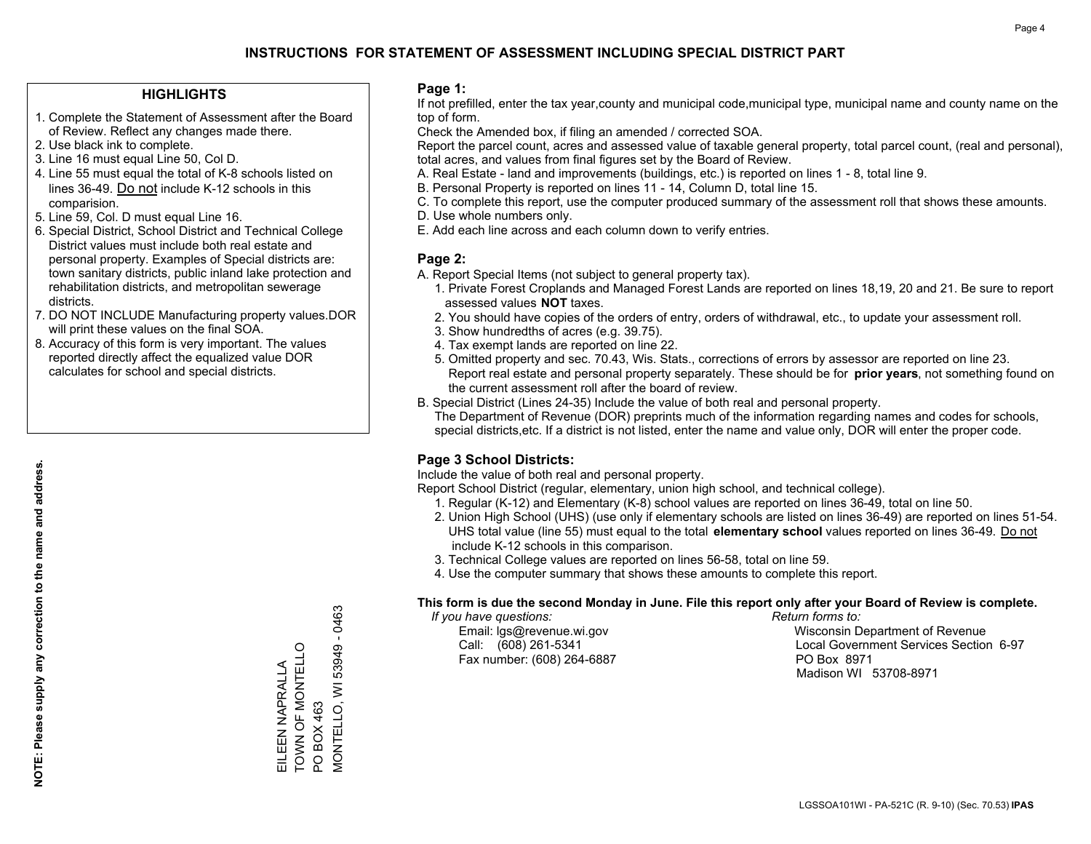### **HIGHLIGHTS**

- 1. Complete the Statement of Assessment after the Board of Review. Reflect any changes made there.
- 2. Use black ink to complete.
- 3. Line 16 must equal Line 50, Col D.
- 4. Line 55 must equal the total of K-8 schools listed on lines 36-49. Do not include K-12 schools in this comparision.
- 5. Line 59, Col. D must equal Line 16.
- 6. Special District, School District and Technical College District values must include both real estate and personal property. Examples of Special districts are: town sanitary districts, public inland lake protection and rehabilitation districts, and metropolitan sewerage districts.
- 7. DO NOT INCLUDE Manufacturing property values.DOR will print these values on the final SOA.

EILEEN NAPRALLA TOWN OF MONTELLO

EILEEN NAPRALLA<br>TOWN OF MONTELLO

PO BOX 463

PO BOX 463

MONTELLO, WI 53949 - 0463

VIONTELLO, WI 53949

 $-0463$ 

 8. Accuracy of this form is very important. The values reported directly affect the equalized value DOR calculates for school and special districts.

### **Page 1:**

 If not prefilled, enter the tax year,county and municipal code,municipal type, municipal name and county name on the top of form.

Check the Amended box, if filing an amended / corrected SOA.

 Report the parcel count, acres and assessed value of taxable general property, total parcel count, (real and personal), total acres, and values from final figures set by the Board of Review.

- A. Real Estate land and improvements (buildings, etc.) is reported on lines 1 8, total line 9.
- B. Personal Property is reported on lines 11 14, Column D, total line 15.
- C. To complete this report, use the computer produced summary of the assessment roll that shows these amounts.
- D. Use whole numbers only.
- E. Add each line across and each column down to verify entries.

### **Page 2:**

- A. Report Special Items (not subject to general property tax).
- 1. Private Forest Croplands and Managed Forest Lands are reported on lines 18,19, 20 and 21. Be sure to report assessed values **NOT** taxes.
- 2. You should have copies of the orders of entry, orders of withdrawal, etc., to update your assessment roll.
	- 3. Show hundredths of acres (e.g. 39.75).
- 4. Tax exempt lands are reported on line 22.
- 5. Omitted property and sec. 70.43, Wis. Stats., corrections of errors by assessor are reported on line 23. Report real estate and personal property separately. These should be for **prior years**, not something found on the current assessment roll after the board of review.
- B. Special District (Lines 24-35) Include the value of both real and personal property.
- The Department of Revenue (DOR) preprints much of the information regarding names and codes for schools, special districts,etc. If a district is not listed, enter the name and value only, DOR will enter the proper code.

### **Page 3 School Districts:**

Include the value of both real and personal property.

Report School District (regular, elementary, union high school, and technical college).

- 1. Regular (K-12) and Elementary (K-8) school values are reported on lines 36-49, total on line 50.
- 2. Union High School (UHS) (use only if elementary schools are listed on lines 36-49) are reported on lines 51-54. UHS total value (line 55) must equal to the total **elementary school** values reported on lines 36-49. Do notinclude K-12 schools in this comparison.
- 3. Technical College values are reported on lines 56-58, total on line 59.
- 4. Use the computer summary that shows these amounts to complete this report.

#### **This form is due the second Monday in June. File this report only after your Board of Review is complete.**

 *If you have questions: Return forms to:*

Fax number: (608) 264-6887 PO Box 8971

 Email: lgs@revenue.wi.gov Wisconsin Department of Revenue Call: (608) 261-5341 Local Government Services Section 6-97Madison WI 53708-8971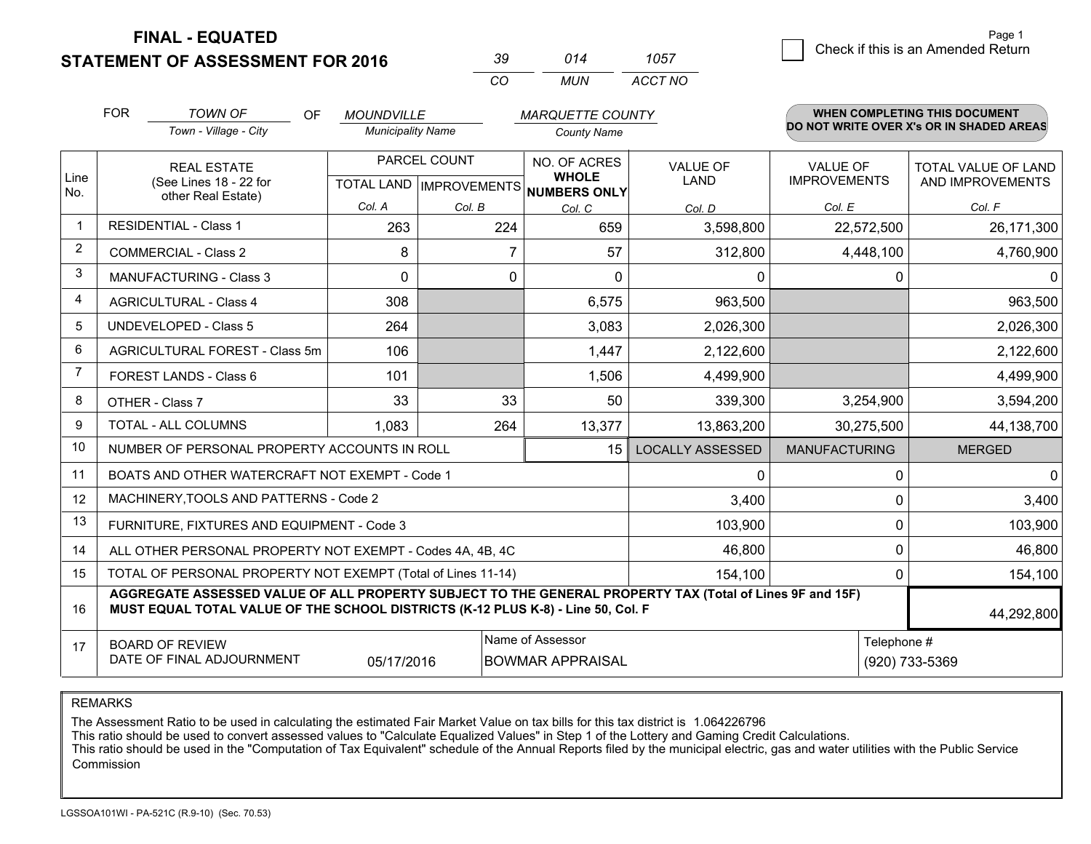**STATEMENT OF ASSESSMENT FOR 2016** 

| -30 | 014 | 1057    |
|-----|-----|---------|
| rη  | MUN | ACCT NO |

|                | <b>FOR</b>                                                                                                                                                                                   | <b>TOWN OF</b><br>OF                                               | <b>MOUNDVILLE</b>                         |        | <b>MARQUETTE COUNTY</b>                      |                         |                                        | WHEN COMPLETING THIS DOCUMENT                  |
|----------------|----------------------------------------------------------------------------------------------------------------------------------------------------------------------------------------------|--------------------------------------------------------------------|-------------------------------------------|--------|----------------------------------------------|-------------------------|----------------------------------------|------------------------------------------------|
|                |                                                                                                                                                                                              | Town - Village - City                                              | <b>Municipality Name</b>                  |        | <b>County Name</b>                           |                         |                                        | DO NOT WRITE OVER X's OR IN SHADED AREAS       |
| Line<br>No.    |                                                                                                                                                                                              | <b>REAL ESTATE</b><br>(See Lines 18 - 22 for<br>other Real Estate) | PARCEL COUNT<br>TOTAL LAND   IMPROVEMENTS |        | NO. OF ACRES<br><b>WHOLE</b><br>NUMBERS ONLY | <b>VALUE OF</b><br>LAND | <b>VALUE OF</b><br><b>IMPROVEMENTS</b> | <b>TOTAL VALUE OF LAND</b><br>AND IMPROVEMENTS |
|                |                                                                                                                                                                                              |                                                                    | Col. A                                    | Col. B | Col. C                                       | Col. D                  | Col. E                                 | Col. F                                         |
| -1             |                                                                                                                                                                                              | <b>RESIDENTIAL - Class 1</b>                                       | 263                                       | 224    | 659                                          | 3,598,800               | 22,572,500                             | 26,171,300                                     |
| $\overline{2}$ |                                                                                                                                                                                              | <b>COMMERCIAL - Class 2</b>                                        | 8                                         | 7      | 57                                           | 312,800                 | 4,448,100                              | 4,760,900                                      |
| 3              |                                                                                                                                                                                              | <b>MANUFACTURING - Class 3</b>                                     | $\mathbf{0}$                              | 0      | $\Omega$                                     | 0                       | 0                                      | 0                                              |
| 4              |                                                                                                                                                                                              | <b>AGRICULTURAL - Class 4</b>                                      | 308                                       |        | 6,575                                        | 963,500                 |                                        | 963,500                                        |
| 5              |                                                                                                                                                                                              | <b>UNDEVELOPED - Class 5</b>                                       | 264                                       |        | 3.083                                        | 2,026,300               |                                        | 2,026,300                                      |
| 6              | AGRICULTURAL FOREST - Class 5m                                                                                                                                                               |                                                                    | 106                                       |        | 1,447                                        | 2,122,600               |                                        | 2,122,600                                      |
| $\overline{7}$ |                                                                                                                                                                                              | FOREST LANDS - Class 6                                             | 101                                       |        | 1,506                                        | 4,499,900               |                                        | 4,499,900                                      |
| 8              |                                                                                                                                                                                              | OTHER - Class 7                                                    | 33                                        | 33     | 50                                           | 339,300                 | 3,254,900                              | 3,594,200                                      |
| 9              |                                                                                                                                                                                              | TOTAL - ALL COLUMNS                                                | 1,083                                     | 264    | 13,377                                       | 13,863,200              | 30,275,500                             | 44,138,700                                     |
| 10             |                                                                                                                                                                                              | NUMBER OF PERSONAL PROPERTY ACCOUNTS IN ROLL                       |                                           |        | 15                                           | <b>LOCALLY ASSESSED</b> | <b>MANUFACTURING</b>                   | <b>MERGED</b>                                  |
| 11             |                                                                                                                                                                                              | BOATS AND OTHER WATERCRAFT NOT EXEMPT - Code 1                     |                                           |        |                                              | 0                       | $\mathbf 0$                            | $\mathbf{0}$                                   |
| 12             |                                                                                                                                                                                              | MACHINERY, TOOLS AND PATTERNS - Code 2                             |                                           |        |                                              | 3,400                   | $\mathbf 0$                            | 3,400                                          |
| 13             |                                                                                                                                                                                              | FURNITURE, FIXTURES AND EQUIPMENT - Code 3                         |                                           |        |                                              | 103,900                 | $\mathbf{0}$                           | 103,900                                        |
| 14             |                                                                                                                                                                                              | ALL OTHER PERSONAL PROPERTY NOT EXEMPT - Codes 4A, 4B, 4C          |                                           |        |                                              | 46,800                  | 0                                      | 46,800                                         |
| 15             |                                                                                                                                                                                              | TOTAL OF PERSONAL PROPERTY NOT EXEMPT (Total of Lines 11-14)       |                                           |        |                                              | 154,100                 | $\Omega$                               | 154,100                                        |
| 16             | AGGREGATE ASSESSED VALUE OF ALL PROPERTY SUBJECT TO THE GENERAL PROPERTY TAX (Total of Lines 9F and 15F)<br>MUST EQUAL TOTAL VALUE OF THE SCHOOL DISTRICTS (K-12 PLUS K-8) - Line 50, Col. F |                                                                    |                                           |        |                                              |                         |                                        | 44,292,800                                     |
| 17             |                                                                                                                                                                                              | <b>BOARD OF REVIEW</b><br>DATE OF FINAL ADJOURNMENT                | 05/17/2016                                |        | Name of Assessor<br><b>BOWMAR APPRAISAL</b>  |                         | Telephone #                            | (920) 733-5369                                 |
|                |                                                                                                                                                                                              |                                                                    |                                           |        |                                              |                         |                                        |                                                |

REMARKS

The Assessment Ratio to be used in calculating the estimated Fair Market Value on tax bills for this tax district is 1.064226796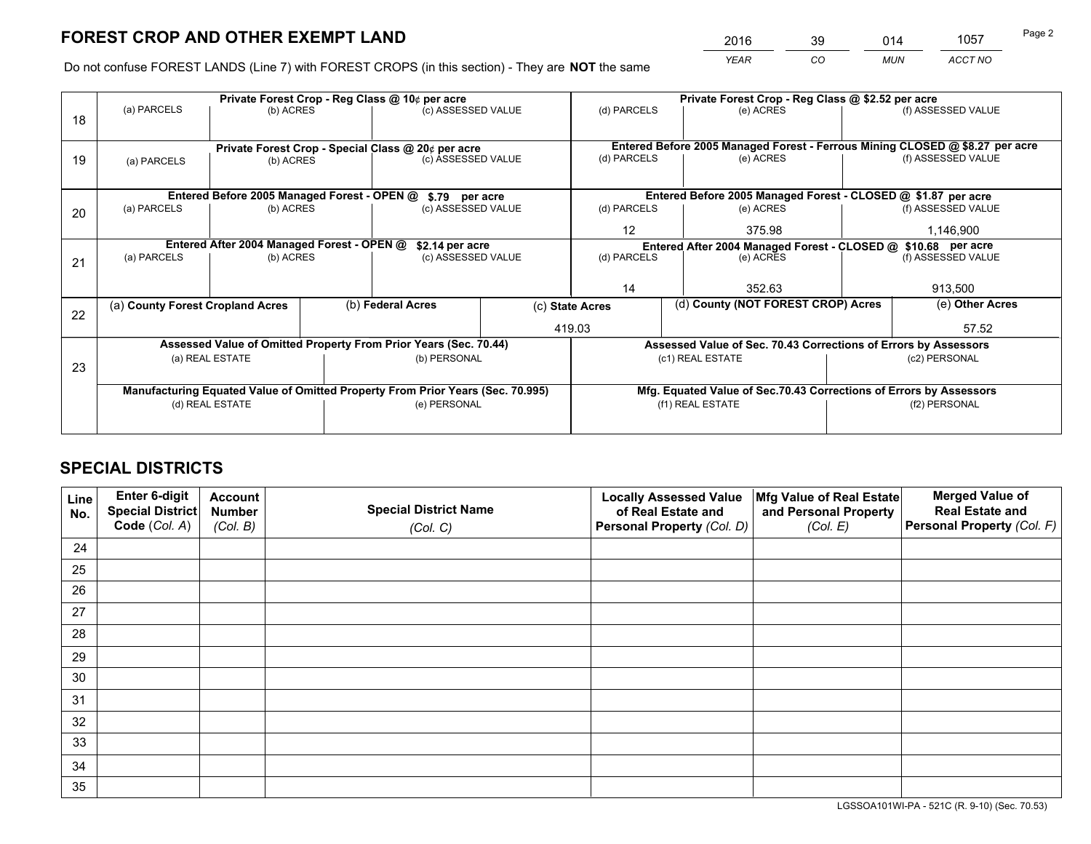*YEAR CO MUN ACCT NO* <sup>2016</sup> <sup>39</sup> <sup>014</sup> <sup>1057</sup>

Do not confuse FOREST LANDS (Line 7) with FOREST CROPS (in this section) - They are **NOT** the same

|    |                                                               |                                             |  | Private Forest Crop - Reg Class @ 10¢ per acre                                 |                                                                              | Private Forest Crop - Reg Class @ \$2.52 per acre     |                                                                    |               |                    |
|----|---------------------------------------------------------------|---------------------------------------------|--|--------------------------------------------------------------------------------|------------------------------------------------------------------------------|-------------------------------------------------------|--------------------------------------------------------------------|---------------|--------------------|
| 18 | (a) PARCELS                                                   | (b) ACRES                                   |  | (c) ASSESSED VALUE                                                             |                                                                              | (d) PARCELS                                           | (e) ACRES                                                          |               | (f) ASSESSED VALUE |
|    |                                                               |                                             |  |                                                                                |                                                                              |                                                       |                                                                    |               |                    |
|    | Private Forest Crop - Special Class @ 20¢ per acre            |                                             |  |                                                                                | Entered Before 2005 Managed Forest - Ferrous Mining CLOSED @ \$8.27 per acre |                                                       |                                                                    |               |                    |
| 19 | (a) PARCELS                                                   | (b) ACRES                                   |  | (c) ASSESSED VALUE                                                             |                                                                              | (d) PARCELS                                           | (e) ACRES                                                          |               | (f) ASSESSED VALUE |
|    |                                                               |                                             |  |                                                                                |                                                                              |                                                       |                                                                    |               |                    |
|    |                                                               | Entered Before 2005 Managed Forest - OPEN @ |  | \$.79 per acre                                                                 |                                                                              |                                                       | Entered Before 2005 Managed Forest - CLOSED @ \$1.87 per acre      |               |                    |
| 20 | (a) PARCELS                                                   | (b) ACRES                                   |  | (c) ASSESSED VALUE                                                             |                                                                              | (d) PARCELS                                           | (e) ACRES                                                          |               | (f) ASSESSED VALUE |
|    |                                                               |                                             |  |                                                                                |                                                                              | $12 \overline{ }$                                     | 375.98                                                             |               | 1,146,900          |
|    | Entered After 2004 Managed Forest - OPEN @<br>\$2.14 per acre |                                             |  |                                                                                |                                                                              |                                                       | Entered After 2004 Managed Forest - CLOSED @ \$10.68 per acre      |               |                    |
| 21 | (a) PARCELS                                                   | (b) ACRES                                   |  | (c) ASSESSED VALUE                                                             |                                                                              | (d) PARCELS                                           | (e) ACRES                                                          |               | (f) ASSESSED VALUE |
|    |                                                               |                                             |  |                                                                                |                                                                              |                                                       |                                                                    |               |                    |
|    |                                                               |                                             |  |                                                                                |                                                                              | 14                                                    | 352.63                                                             |               | 913,500            |
| 22 | (a) County Forest Cropland Acres                              |                                             |  | (b) Federal Acres                                                              |                                                                              | (d) County (NOT FOREST CROP) Acres<br>(c) State Acres |                                                                    |               | (e) Other Acres    |
|    |                                                               |                                             |  |                                                                                | 419.03                                                                       |                                                       |                                                                    |               | 57.52              |
|    |                                                               |                                             |  | Assessed Value of Omitted Property From Prior Years (Sec. 70.44)               |                                                                              |                                                       | Assessed Value of Sec. 70.43 Corrections of Errors by Assessors    |               |                    |
|    |                                                               | (a) REAL ESTATE                             |  | (b) PERSONAL                                                                   |                                                                              |                                                       | (c1) REAL ESTATE                                                   |               | (c2) PERSONAL      |
| 23 |                                                               |                                             |  |                                                                                |                                                                              |                                                       |                                                                    |               |                    |
|    |                                                               |                                             |  | Manufacturing Equated Value of Omitted Property From Prior Years (Sec. 70.995) |                                                                              |                                                       | Mfg. Equated Value of Sec.70.43 Corrections of Errors by Assessors |               |                    |
|    |                                                               | (d) REAL ESTATE                             |  | (e) PERSONAL                                                                   |                                                                              | (f1) REAL ESTATE                                      |                                                                    | (f2) PERSONAL |                    |
|    |                                                               |                                             |  |                                                                                |                                                                              |                                                       |                                                                    |               |                    |

# **SPECIAL DISTRICTS**

| Line<br>No. | Enter 6-digit<br>Special District<br>Code (Col. A) | <b>Account</b><br><b>Number</b> | <b>Special District Name</b> | <b>Locally Assessed Value</b><br>of Real Estate and | Mfg Value of Real Estate<br>and Personal Property | <b>Merged Value of</b><br><b>Real Estate and</b><br>Personal Property (Col. F) |
|-------------|----------------------------------------------------|---------------------------------|------------------------------|-----------------------------------------------------|---------------------------------------------------|--------------------------------------------------------------------------------|
|             |                                                    | (Col. B)                        | (Col. C)                     | Personal Property (Col. D)                          | (Col. E)                                          |                                                                                |
| 24          |                                                    |                                 |                              |                                                     |                                                   |                                                                                |
| 25          |                                                    |                                 |                              |                                                     |                                                   |                                                                                |
| 26          |                                                    |                                 |                              |                                                     |                                                   |                                                                                |
| 27          |                                                    |                                 |                              |                                                     |                                                   |                                                                                |
| 28          |                                                    |                                 |                              |                                                     |                                                   |                                                                                |
| 29          |                                                    |                                 |                              |                                                     |                                                   |                                                                                |
| 30          |                                                    |                                 |                              |                                                     |                                                   |                                                                                |
| 31          |                                                    |                                 |                              |                                                     |                                                   |                                                                                |
| 32          |                                                    |                                 |                              |                                                     |                                                   |                                                                                |
| 33          |                                                    |                                 |                              |                                                     |                                                   |                                                                                |
| 34          |                                                    |                                 |                              |                                                     |                                                   |                                                                                |
| 35          |                                                    |                                 |                              |                                                     |                                                   |                                                                                |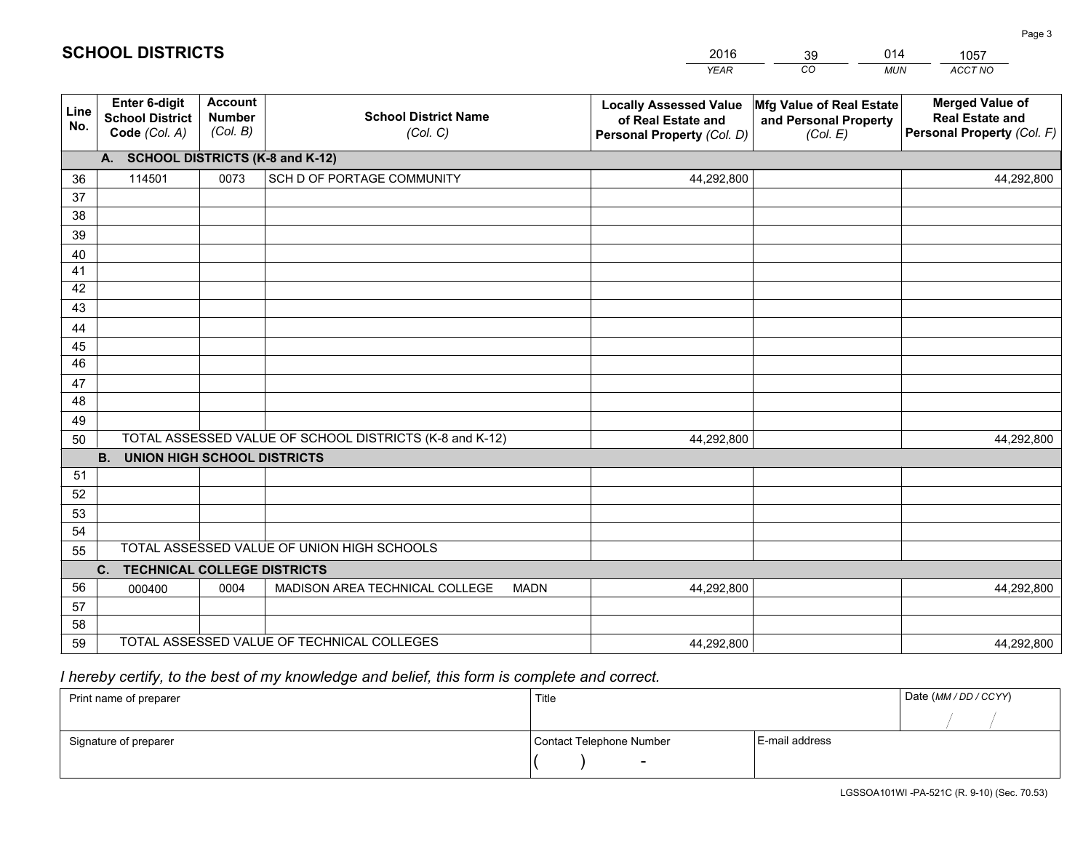|             |                                                                 |                                             |                                                         | <b>YEAR</b>                                                                       | CO<br><b>MUN</b>                                              | ACCT NO                                                                        |
|-------------|-----------------------------------------------------------------|---------------------------------------------|---------------------------------------------------------|-----------------------------------------------------------------------------------|---------------------------------------------------------------|--------------------------------------------------------------------------------|
| Line<br>No. | <b>Enter 6-digit</b><br><b>School District</b><br>Code (Col. A) | <b>Account</b><br><b>Number</b><br>(Col. B) | <b>School District Name</b><br>(Col. C)                 | <b>Locally Assessed Value</b><br>of Real Estate and<br>Personal Property (Col. D) | Mfg Value of Real Estate<br>and Personal Property<br>(Col. E) | <b>Merged Value of</b><br><b>Real Estate and</b><br>Personal Property (Col. F) |
|             | A. SCHOOL DISTRICTS (K-8 and K-12)                              |                                             |                                                         |                                                                                   |                                                               |                                                                                |
| 36          | 114501                                                          | 0073                                        | SCH D OF PORTAGE COMMUNITY                              | 44,292,800                                                                        |                                                               | 44,292,800                                                                     |
| 37          |                                                                 |                                             |                                                         |                                                                                   |                                                               |                                                                                |
| 38          |                                                                 |                                             |                                                         |                                                                                   |                                                               |                                                                                |
| 39          |                                                                 |                                             |                                                         |                                                                                   |                                                               |                                                                                |
| 40          |                                                                 |                                             |                                                         |                                                                                   |                                                               |                                                                                |
| 41<br>42    |                                                                 |                                             |                                                         |                                                                                   |                                                               |                                                                                |
| 43          |                                                                 |                                             |                                                         |                                                                                   |                                                               |                                                                                |
| 44          |                                                                 |                                             |                                                         |                                                                                   |                                                               |                                                                                |
| 45          |                                                                 |                                             |                                                         |                                                                                   |                                                               |                                                                                |
| 46          |                                                                 |                                             |                                                         |                                                                                   |                                                               |                                                                                |
| 47          |                                                                 |                                             |                                                         |                                                                                   |                                                               |                                                                                |
| 48          |                                                                 |                                             |                                                         |                                                                                   |                                                               |                                                                                |
| 49          |                                                                 |                                             |                                                         |                                                                                   |                                                               |                                                                                |
| 50          |                                                                 |                                             | TOTAL ASSESSED VALUE OF SCHOOL DISTRICTS (K-8 and K-12) | 44,292,800                                                                        |                                                               | 44,292,800                                                                     |
|             | <b>B.</b><br><b>UNION HIGH SCHOOL DISTRICTS</b>                 |                                             |                                                         |                                                                                   |                                                               |                                                                                |
| 51          |                                                                 |                                             |                                                         |                                                                                   |                                                               |                                                                                |
| 52          |                                                                 |                                             |                                                         |                                                                                   |                                                               |                                                                                |
| 53          |                                                                 |                                             |                                                         |                                                                                   |                                                               |                                                                                |
| 54          |                                                                 |                                             | TOTAL ASSESSED VALUE OF UNION HIGH SCHOOLS              |                                                                                   |                                                               |                                                                                |
| 55          |                                                                 |                                             |                                                         |                                                                                   |                                                               |                                                                                |
| 56          | <b>TECHNICAL COLLEGE DISTRICTS</b><br>C.                        |                                             |                                                         |                                                                                   |                                                               |                                                                                |
| 57          | 000400                                                          | 0004                                        | MADISON AREA TECHNICAL COLLEGE<br><b>MADN</b>           | 44,292,800                                                                        |                                                               | 44,292,800                                                                     |
| 58          |                                                                 |                                             |                                                         |                                                                                   |                                                               |                                                                                |
| 59          |                                                                 |                                             | TOTAL ASSESSED VALUE OF TECHNICAL COLLEGES              | 44,292,800                                                                        |                                                               | 44,292,800                                                                     |

39

014

# *I hereby certify, to the best of my knowledge and belief, this form is complete and correct.*

**SCHOOL DISTRICTS**

| Print name of preparer | Title                    |                | Date (MM / DD / CCYY) |
|------------------------|--------------------------|----------------|-----------------------|
|                        |                          |                |                       |
| Signature of preparer  | Contact Telephone Number | E-mail address |                       |
|                        | $\overline{\phantom{0}}$ |                |                       |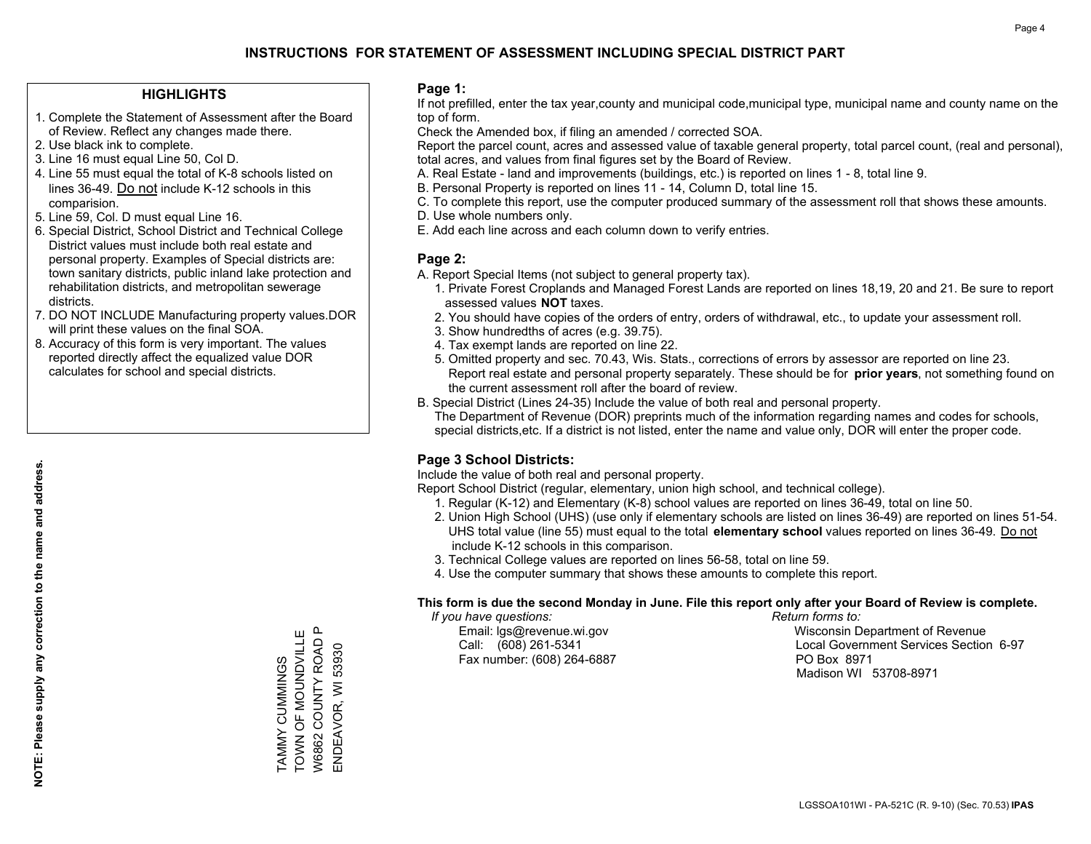### **HIGHLIGHTS**

- 1. Complete the Statement of Assessment after the Board of Review. Reflect any changes made there.
- 2. Use black ink to complete.
- 3. Line 16 must equal Line 50, Col D.
- 4. Line 55 must equal the total of K-8 schools listed on lines 36-49. Do not include K-12 schools in this comparision.
- 5. Line 59, Col. D must equal Line 16.
- 6. Special District, School District and Technical College District values must include both real estate and personal property. Examples of Special districts are: town sanitary districts, public inland lake protection and rehabilitation districts, and metropolitan sewerage districts.
- 7. DO NOT INCLUDE Manufacturing property values.DOR will print these values on the final SOA.
- 8. Accuracy of this form is very important. The values reported directly affect the equalized value DOR calculates for school and special districts.

### **Page 1:**

 If not prefilled, enter the tax year,county and municipal code,municipal type, municipal name and county name on the top of form.

Check the Amended box, if filing an amended / corrected SOA.

 Report the parcel count, acres and assessed value of taxable general property, total parcel count, (real and personal), total acres, and values from final figures set by the Board of Review.

- A. Real Estate land and improvements (buildings, etc.) is reported on lines 1 8, total line 9.
- B. Personal Property is reported on lines 11 14, Column D, total line 15.
- C. To complete this report, use the computer produced summary of the assessment roll that shows these amounts.
- D. Use whole numbers only.
- E. Add each line across and each column down to verify entries.

### **Page 2:**

- A. Report Special Items (not subject to general property tax).
- 1. Private Forest Croplands and Managed Forest Lands are reported on lines 18,19, 20 and 21. Be sure to report assessed values **NOT** taxes.
- 2. You should have copies of the orders of entry, orders of withdrawal, etc., to update your assessment roll.
	- 3. Show hundredths of acres (e.g. 39.75).
- 4. Tax exempt lands are reported on line 22.
- 5. Omitted property and sec. 70.43, Wis. Stats., corrections of errors by assessor are reported on line 23. Report real estate and personal property separately. These should be for **prior years**, not something found on the current assessment roll after the board of review.
- B. Special District (Lines 24-35) Include the value of both real and personal property.
- The Department of Revenue (DOR) preprints much of the information regarding names and codes for schools, special districts,etc. If a district is not listed, enter the name and value only, DOR will enter the proper code.

### **Page 3 School Districts:**

Include the value of both real and personal property.

Report School District (regular, elementary, union high school, and technical college).

- 1. Regular (K-12) and Elementary (K-8) school values are reported on lines 36-49, total on line 50.
- 2. Union High School (UHS) (use only if elementary schools are listed on lines 36-49) are reported on lines 51-54. UHS total value (line 55) must equal to the total **elementary school** values reported on lines 36-49. Do notinclude K-12 schools in this comparison.
- 3. Technical College values are reported on lines 56-58, total on line 59.
- 4. Use the computer summary that shows these amounts to complete this report.

#### **This form is due the second Monday in June. File this report only after your Board of Review is complete.**

 *If you have questions: Return forms to:*

Fax number: (608) 264-6887 PO Box 8971

 Email: lgs@revenue.wi.gov Wisconsin Department of Revenue Call: (608) 261-5341 Local Government Services Section 6-97Madison WI 53708-8971

TAMMY CUMMINGS<br>TOWN OF MOUNDVILLE TOWN OF MOUNDVILLE  $\mathbf{a}$ W6862 COUNTY ROAD P W6862 COUNTY ROAD TAMMY CUMMINGS

ENDEAVOR, WI 53930

ENDEAVOR, WI 53930

**NOTE: Please supply any correction to the name and address.**

NOTE: Please supply any correction to the name and address.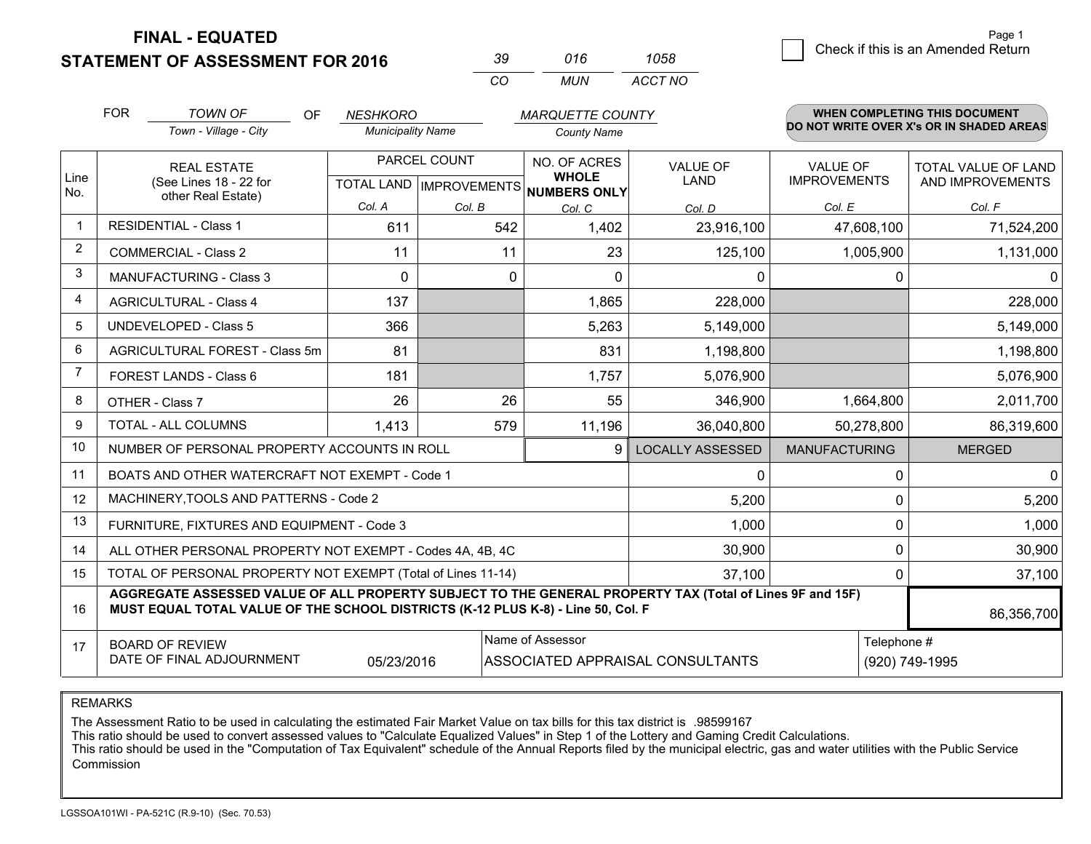**STATEMENT OF ASSESSMENT FOR 2016** 

| -39 | 016 | 1058    |
|-----|-----|---------|
| (   | MUN | ACCT NO |

|                | <b>FOR</b>                                                                                                                                                                                   | <b>TOWN OF</b><br>OF                                               | <b>NESHKORO</b>          |                                           | <b>MARQUETTE COUNTY</b>                      |                         |                                        | <b>WHEN COMPLETING THIS DOCUMENT</b>           |
|----------------|----------------------------------------------------------------------------------------------------------------------------------------------------------------------------------------------|--------------------------------------------------------------------|--------------------------|-------------------------------------------|----------------------------------------------|-------------------------|----------------------------------------|------------------------------------------------|
|                |                                                                                                                                                                                              | Town - Village - City                                              | <b>Municipality Name</b> |                                           | <b>County Name</b>                           |                         |                                        | DO NOT WRITE OVER X's OR IN SHADED AREAS       |
| Line<br>No.    |                                                                                                                                                                                              | <b>REAL ESTATE</b><br>(See Lines 18 - 22 for<br>other Real Estate) |                          | PARCEL COUNT<br>TOTAL LAND   IMPROVEMENTS | NO. OF ACRES<br><b>WHOLE</b><br>NUMBERS ONLY | <b>VALUE OF</b><br>LAND | <b>VALUE OF</b><br><b>IMPROVEMENTS</b> | <b>TOTAL VALUE OF LAND</b><br>AND IMPROVEMENTS |
|                |                                                                                                                                                                                              |                                                                    | Col. A                   | Col. B                                    | Col. C                                       | Col. D                  | Col. E                                 | Col. F                                         |
| $\mathbf 1$    |                                                                                                                                                                                              | <b>RESIDENTIAL - Class 1</b>                                       | 611                      | 542                                       | 1,402                                        | 23,916,100              | 47,608,100                             | 71,524,200                                     |
| 2              |                                                                                                                                                                                              | <b>COMMERCIAL - Class 2</b>                                        | 11                       | 11                                        | 23                                           | 125,100                 | 1,005,900                              | 1,131,000                                      |
| 3              |                                                                                                                                                                                              | MANUFACTURING - Class 3                                            | $\mathbf 0$              | 0                                         | 0                                            | 0                       | $\mathbf 0$                            | 0                                              |
| $\overline{4}$ |                                                                                                                                                                                              | <b>AGRICULTURAL - Class 4</b>                                      | 137                      |                                           | 1,865                                        | 228,000                 |                                        | 228,000                                        |
| 5              |                                                                                                                                                                                              | <b>UNDEVELOPED - Class 5</b>                                       | 366                      |                                           | 5,263                                        | 5,149,000               |                                        | 5,149,000                                      |
| 6              |                                                                                                                                                                                              | AGRICULTURAL FOREST - Class 5m                                     | 81                       |                                           | 831                                          | 1,198,800               |                                        | 1,198,800                                      |
| $\overline{7}$ |                                                                                                                                                                                              | FOREST LANDS - Class 6                                             | 181                      |                                           | 1,757                                        | 5,076,900               |                                        | 5,076,900                                      |
| 8              |                                                                                                                                                                                              | OTHER - Class 7                                                    | 26                       | 26                                        | 55                                           | 346,900                 | 1,664,800                              | 2,011,700                                      |
| 9              |                                                                                                                                                                                              | TOTAL - ALL COLUMNS                                                | 1,413                    | 579                                       | 11,196                                       | 36,040,800              | 50,278,800                             | 86,319,600                                     |
| 10             |                                                                                                                                                                                              | NUMBER OF PERSONAL PROPERTY ACCOUNTS IN ROLL                       |                          |                                           | g                                            | <b>LOCALLY ASSESSED</b> | <b>MANUFACTURING</b>                   | <b>MERGED</b>                                  |
| 11             |                                                                                                                                                                                              | BOATS AND OTHER WATERCRAFT NOT EXEMPT - Code 1                     |                          |                                           |                                              | 0                       | $\Omega$                               | $\mathbf{0}$                                   |
| 12             |                                                                                                                                                                                              | MACHINERY, TOOLS AND PATTERNS - Code 2                             |                          |                                           |                                              | 5,200                   | $\Omega$                               | 5,200                                          |
| 13             |                                                                                                                                                                                              | FURNITURE, FIXTURES AND EQUIPMENT - Code 3                         |                          |                                           |                                              | 1,000                   | $\mathbf{0}$                           | 1,000                                          |
| 14             |                                                                                                                                                                                              | ALL OTHER PERSONAL PROPERTY NOT EXEMPT - Codes 4A, 4B, 4C          |                          |                                           |                                              | 30,900                  | 0                                      | 30,900                                         |
| 15             |                                                                                                                                                                                              | TOTAL OF PERSONAL PROPERTY NOT EXEMPT (Total of Lines 11-14)       |                          |                                           |                                              | 37,100                  | $\mathbf{0}$                           | 37,100                                         |
| 16             | AGGREGATE ASSESSED VALUE OF ALL PROPERTY SUBJECT TO THE GENERAL PROPERTY TAX (Total of Lines 9F and 15F)<br>MUST EQUAL TOTAL VALUE OF THE SCHOOL DISTRICTS (K-12 PLUS K-8) - Line 50, Col. F |                                                                    |                          |                                           |                                              |                         |                                        | 86,356,700                                     |
| 17             |                                                                                                                                                                                              | <b>BOARD OF REVIEW</b>                                             |                          |                                           | Name of Assessor                             |                         | Telephone #                            |                                                |
|                | DATE OF FINAL ADJOURNMENT<br>05/23/2016<br>ASSOCIATED APPRAISAL CONSULTANTS<br>(920) 749-1995                                                                                                |                                                                    |                          |                                           |                                              |                         |                                        |                                                |

REMARKS

The Assessment Ratio to be used in calculating the estimated Fair Market Value on tax bills for this tax district is .98599167<br>This ratio should be used to convert assessed values to "Calculate Equalized Values" in Step 1 Commission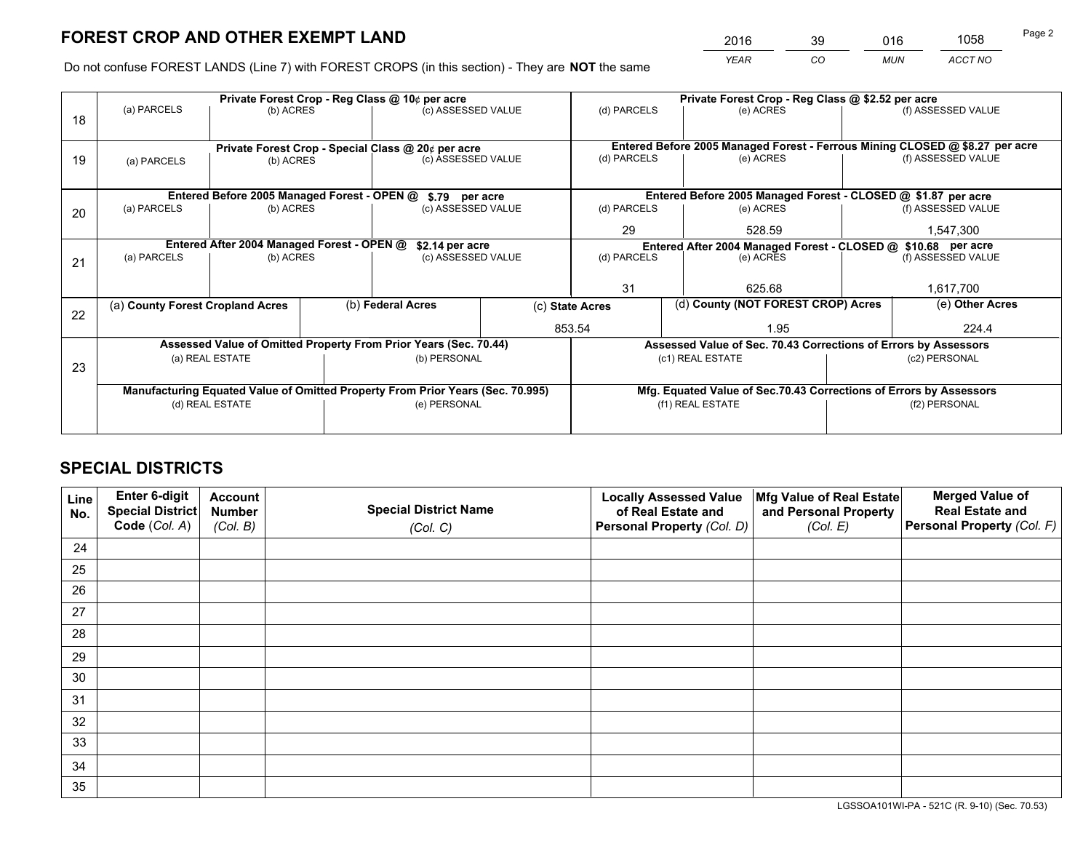*YEAR CO MUN ACCT NO* <sup>2016</sup> <sup>39</sup> <sup>016</sup> <sup>1058</sup>

Do not confuse FOREST LANDS (Line 7) with FOREST CROPS (in this section) - They are **NOT** the same

|    |                                                                                |                                             |  | Private Forest Crop - Reg Class @ 10¢ per acre                   |                 | Private Forest Crop - Reg Class @ \$2.52 per acre     |                                                                              |                                                                                     |                    |  |
|----|--------------------------------------------------------------------------------|---------------------------------------------|--|------------------------------------------------------------------|-----------------|-------------------------------------------------------|------------------------------------------------------------------------------|-------------------------------------------------------------------------------------|--------------------|--|
| 18 | (a) PARCELS                                                                    | (b) ACRES                                   |  | (c) ASSESSED VALUE                                               |                 | (d) PARCELS                                           | (e) ACRES                                                                    |                                                                                     | (f) ASSESSED VALUE |  |
|    |                                                                                |                                             |  |                                                                  |                 |                                                       |                                                                              |                                                                                     |                    |  |
|    |                                                                                |                                             |  | Private Forest Crop - Special Class @ 20¢ per acre               |                 |                                                       | Entered Before 2005 Managed Forest - Ferrous Mining CLOSED @ \$8.27 per acre |                                                                                     |                    |  |
| 19 | (a) PARCELS                                                                    | (b) ACRES                                   |  | (c) ASSESSED VALUE                                               |                 | (d) PARCELS                                           | (e) ACRES                                                                    |                                                                                     | (f) ASSESSED VALUE |  |
|    |                                                                                |                                             |  |                                                                  |                 |                                                       |                                                                              |                                                                                     |                    |  |
|    |                                                                                | Entered Before 2005 Managed Forest - OPEN @ |  | \$.79 per acre                                                   |                 |                                                       | Entered Before 2005 Managed Forest - CLOSED @ \$1.87 per acre                |                                                                                     |                    |  |
| 20 | (a) PARCELS                                                                    | (b) ACRES                                   |  | (c) ASSESSED VALUE                                               |                 | (d) PARCELS                                           | (e) ACRES                                                                    |                                                                                     | (f) ASSESSED VALUE |  |
|    |                                                                                |                                             |  |                                                                  |                 | 29                                                    | 528.59                                                                       |                                                                                     | 1,547,300          |  |
|    | Entered After 2004 Managed Forest - OPEN @                                     |                                             |  |                                                                  | \$2.14 per acre |                                                       |                                                                              | Entered After 2004 Managed Forest - CLOSED @ \$10.68 per acre<br>(f) ASSESSED VALUE |                    |  |
| 21 | (a) PARCELS                                                                    | (b) ACRES                                   |  | (c) ASSESSED VALUE                                               |                 | (d) PARCELS                                           | (e) ACRES                                                                    |                                                                                     |                    |  |
|    |                                                                                |                                             |  |                                                                  |                 |                                                       |                                                                              |                                                                                     |                    |  |
|    |                                                                                |                                             |  |                                                                  |                 | 31                                                    | 625.68                                                                       |                                                                                     | 1,617,700          |  |
| 22 | (a) County Forest Cropland Acres                                               |                                             |  | (b) Federal Acres                                                |                 | (d) County (NOT FOREST CROP) Acres<br>(c) State Acres |                                                                              |                                                                                     | (e) Other Acres    |  |
|    |                                                                                |                                             |  |                                                                  | 853.54          |                                                       | 1.95                                                                         |                                                                                     | 224.4              |  |
|    |                                                                                |                                             |  | Assessed Value of Omitted Property From Prior Years (Sec. 70.44) |                 |                                                       | Assessed Value of Sec. 70.43 Corrections of Errors by Assessors              |                                                                                     |                    |  |
|    |                                                                                | (a) REAL ESTATE                             |  | (b) PERSONAL                                                     |                 |                                                       | (c1) REAL ESTATE                                                             |                                                                                     | (c2) PERSONAL      |  |
| 23 |                                                                                |                                             |  |                                                                  |                 |                                                       |                                                                              |                                                                                     |                    |  |
|    | Manufacturing Equated Value of Omitted Property From Prior Years (Sec. 70.995) |                                             |  |                                                                  |                 |                                                       | Mfg. Equated Value of Sec.70.43 Corrections of Errors by Assessors           |                                                                                     |                    |  |
|    |                                                                                | (d) REAL ESTATE                             |  | (e) PERSONAL                                                     |                 | (f1) REAL ESTATE                                      |                                                                              |                                                                                     | (f2) PERSONAL      |  |
|    |                                                                                |                                             |  |                                                                  |                 |                                                       |                                                                              |                                                                                     |                    |  |

# **SPECIAL DISTRICTS**

| Line<br>No. | Enter 6-digit<br>Special District<br>Code (Col. A) | <b>Account</b><br><b>Number</b><br>(Col. B) | <b>Special District Name</b><br>(Col. C) | <b>Locally Assessed Value</b><br>of Real Estate and<br>Personal Property (Col. D) | Mfg Value of Real Estate<br>and Personal Property<br>(Col. E) | <b>Merged Value of</b><br><b>Real Estate and</b><br>Personal Property (Col. F) |
|-------------|----------------------------------------------------|---------------------------------------------|------------------------------------------|-----------------------------------------------------------------------------------|---------------------------------------------------------------|--------------------------------------------------------------------------------|
| 24          |                                                    |                                             |                                          |                                                                                   |                                                               |                                                                                |
| 25          |                                                    |                                             |                                          |                                                                                   |                                                               |                                                                                |
| 26          |                                                    |                                             |                                          |                                                                                   |                                                               |                                                                                |
| 27          |                                                    |                                             |                                          |                                                                                   |                                                               |                                                                                |
| 28          |                                                    |                                             |                                          |                                                                                   |                                                               |                                                                                |
| 29          |                                                    |                                             |                                          |                                                                                   |                                                               |                                                                                |
| 30          |                                                    |                                             |                                          |                                                                                   |                                                               |                                                                                |
| 31          |                                                    |                                             |                                          |                                                                                   |                                                               |                                                                                |
| 32          |                                                    |                                             |                                          |                                                                                   |                                                               |                                                                                |
| 33          |                                                    |                                             |                                          |                                                                                   |                                                               |                                                                                |
| 34          |                                                    |                                             |                                          |                                                                                   |                                                               |                                                                                |
| 35          |                                                    |                                             |                                          |                                                                                   |                                                               |                                                                                |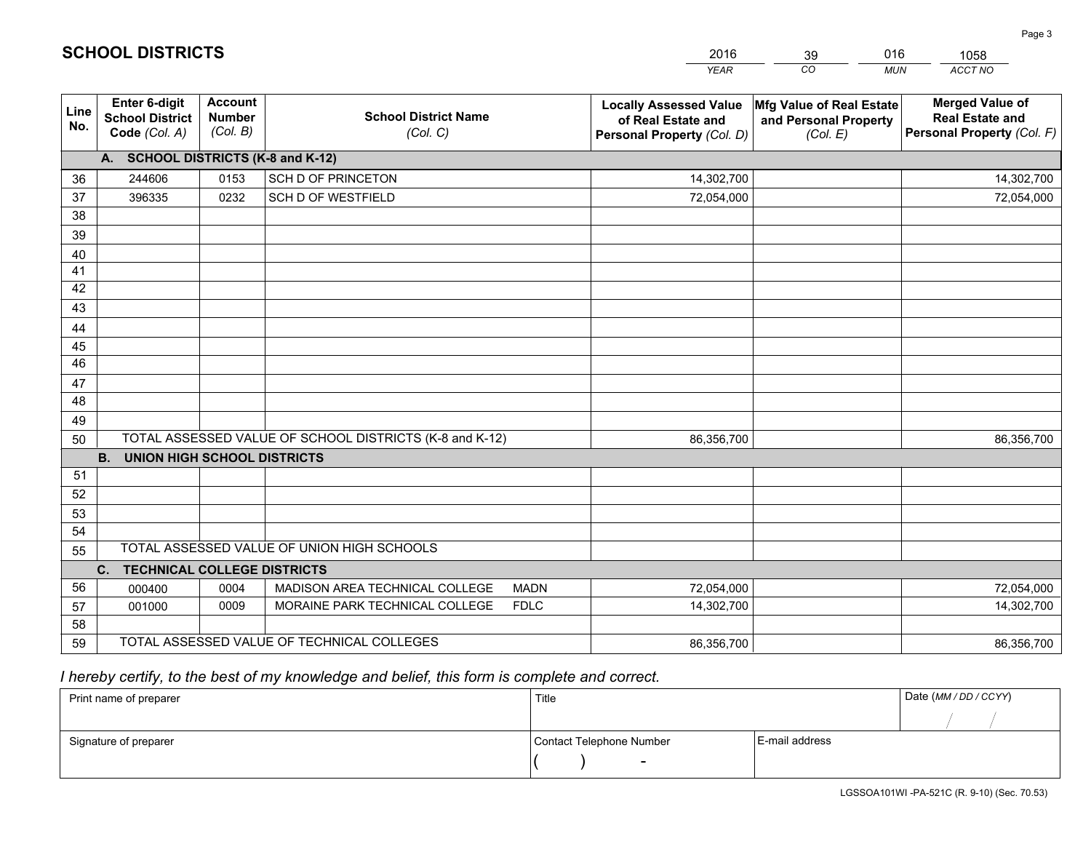|             |                                                          |                                             |                                                         | <b>YEAR</b>                                                                       | CO<br><b>MUN</b>                                              | ACCT NO                                                                        |
|-------------|----------------------------------------------------------|---------------------------------------------|---------------------------------------------------------|-----------------------------------------------------------------------------------|---------------------------------------------------------------|--------------------------------------------------------------------------------|
| Line<br>No. | Enter 6-digit<br><b>School District</b><br>Code (Col. A) | <b>Account</b><br><b>Number</b><br>(Col. B) | <b>School District Name</b><br>(Col. C)                 | <b>Locally Assessed Value</b><br>of Real Estate and<br>Personal Property (Col. D) | Mfg Value of Real Estate<br>and Personal Property<br>(Col. E) | <b>Merged Value of</b><br><b>Real Estate and</b><br>Personal Property (Col. F) |
|             | A. SCHOOL DISTRICTS (K-8 and K-12)                       |                                             |                                                         |                                                                                   |                                                               |                                                                                |
| 36          | 244606                                                   | 0153                                        | SCH D OF PRINCETON                                      | 14,302,700                                                                        |                                                               | 14,302,700                                                                     |
| 37          | 396335                                                   | 0232                                        | <b>SCH D OF WESTFIELD</b>                               | 72,054,000                                                                        |                                                               | 72,054,000                                                                     |
| 38          |                                                          |                                             |                                                         |                                                                                   |                                                               |                                                                                |
| 39          |                                                          |                                             |                                                         |                                                                                   |                                                               |                                                                                |
| 40          |                                                          |                                             |                                                         |                                                                                   |                                                               |                                                                                |
| 41          |                                                          |                                             |                                                         |                                                                                   |                                                               |                                                                                |
| 42          |                                                          |                                             |                                                         |                                                                                   |                                                               |                                                                                |
| 43          |                                                          |                                             |                                                         |                                                                                   |                                                               |                                                                                |
| 44          |                                                          |                                             |                                                         |                                                                                   |                                                               |                                                                                |
| 45          |                                                          |                                             |                                                         |                                                                                   |                                                               |                                                                                |
| 46          |                                                          |                                             |                                                         |                                                                                   |                                                               |                                                                                |
| 47          |                                                          |                                             |                                                         |                                                                                   |                                                               |                                                                                |
| 48          |                                                          |                                             |                                                         |                                                                                   |                                                               |                                                                                |
| 49          |                                                          |                                             |                                                         |                                                                                   |                                                               |                                                                                |
| 50          |                                                          |                                             | TOTAL ASSESSED VALUE OF SCHOOL DISTRICTS (K-8 and K-12) | 86,356,700                                                                        |                                                               | 86,356,700                                                                     |
|             | B <sub>1</sub><br><b>UNION HIGH SCHOOL DISTRICTS</b>     |                                             |                                                         |                                                                                   |                                                               |                                                                                |
| 51          |                                                          |                                             |                                                         |                                                                                   |                                                               |                                                                                |
| 52          |                                                          |                                             |                                                         |                                                                                   |                                                               |                                                                                |
| 53          |                                                          |                                             |                                                         |                                                                                   |                                                               |                                                                                |
| 54          |                                                          |                                             |                                                         |                                                                                   |                                                               |                                                                                |
| 55          |                                                          |                                             | TOTAL ASSESSED VALUE OF UNION HIGH SCHOOLS              |                                                                                   |                                                               |                                                                                |
|             | C. TECHNICAL COLLEGE DISTRICTS                           |                                             |                                                         |                                                                                   |                                                               |                                                                                |
| 56          | 000400                                                   | 0004                                        | MADISON AREA TECHNICAL COLLEGE<br><b>MADN</b>           | 72,054,000                                                                        |                                                               | 72,054,000                                                                     |
| 57          | 001000                                                   | 0009                                        | MORAINE PARK TECHNICAL COLLEGE<br><b>FDLC</b>           | 14,302,700                                                                        |                                                               | 14,302,700                                                                     |
| 58          |                                                          |                                             |                                                         |                                                                                   |                                                               |                                                                                |
| 59          |                                                          |                                             | TOTAL ASSESSED VALUE OF TECHNICAL COLLEGES              | 86,356,700                                                                        |                                                               | 86,356,700                                                                     |

39

016

 *I hereby certify, to the best of my knowledge and belief, this form is complete and correct.*

**SCHOOL DISTRICTS**

| Print name of preparer | Title                    |                | Date (MM / DD / CCYY) |
|------------------------|--------------------------|----------------|-----------------------|
|                        |                          |                |                       |
| Signature of preparer  | Contact Telephone Number | E-mail address |                       |
|                        | $\overline{\phantom{0}}$ |                |                       |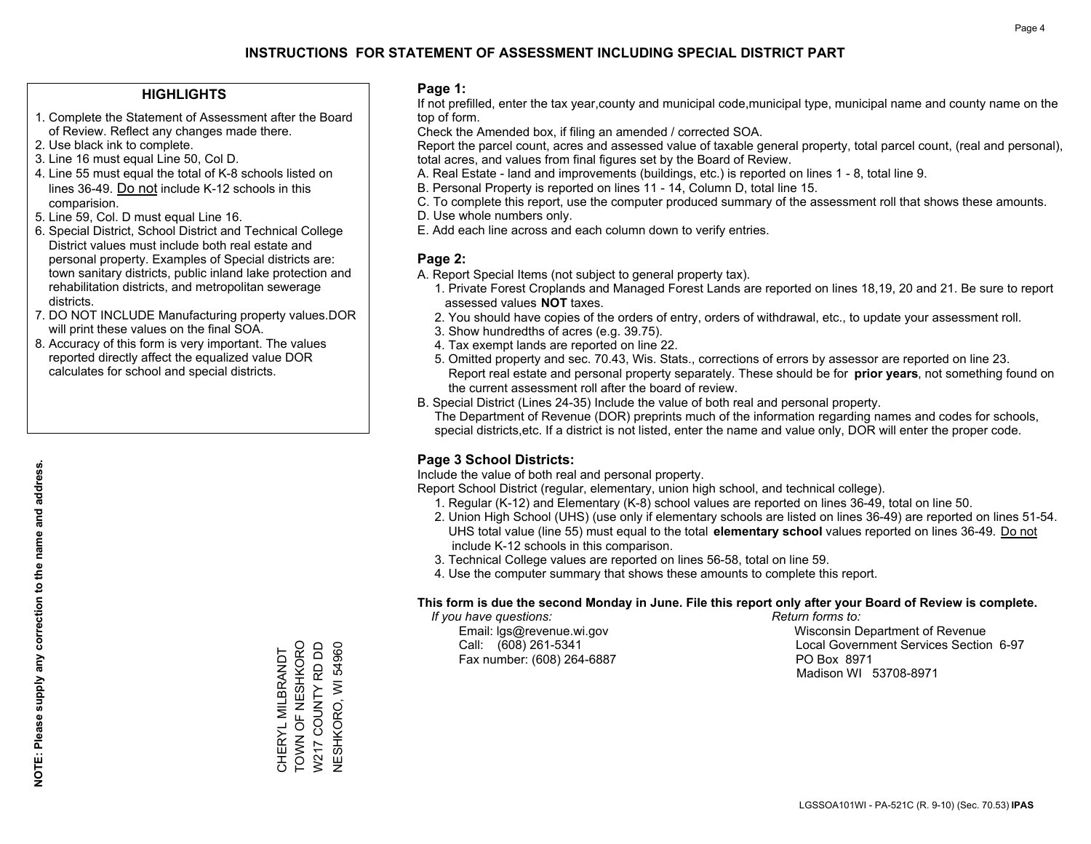### **HIGHLIGHTS**

- 1. Complete the Statement of Assessment after the Board of Review. Reflect any changes made there.
- 2. Use black ink to complete.
- 3. Line 16 must equal Line 50, Col D.
- 4. Line 55 must equal the total of K-8 schools listed on lines 36-49. Do not include K-12 schools in this comparision.
- 5. Line 59, Col. D must equal Line 16.
- 6. Special District, School District and Technical College District values must include both real estate and personal property. Examples of Special districts are: town sanitary districts, public inland lake protection and rehabilitation districts, and metropolitan sewerage districts.
- 7. DO NOT INCLUDE Manufacturing property values.DOR will print these values on the final SOA.
- 8. Accuracy of this form is very important. The values reported directly affect the equalized value DOR calculates for school and special districts.

### **Page 1:**

 If not prefilled, enter the tax year,county and municipal code,municipal type, municipal name and county name on the top of form.

Check the Amended box, if filing an amended / corrected SOA.

 Report the parcel count, acres and assessed value of taxable general property, total parcel count, (real and personal), total acres, and values from final figures set by the Board of Review.

- A. Real Estate land and improvements (buildings, etc.) is reported on lines 1 8, total line 9.
- B. Personal Property is reported on lines 11 14, Column D, total line 15.
- C. To complete this report, use the computer produced summary of the assessment roll that shows these amounts.
- D. Use whole numbers only.
- E. Add each line across and each column down to verify entries.

### **Page 2:**

- A. Report Special Items (not subject to general property tax).
- 1. Private Forest Croplands and Managed Forest Lands are reported on lines 18,19, 20 and 21. Be sure to report assessed values **NOT** taxes.
- 2. You should have copies of the orders of entry, orders of withdrawal, etc., to update your assessment roll.
	- 3. Show hundredths of acres (e.g. 39.75).
- 4. Tax exempt lands are reported on line 22.
- 5. Omitted property and sec. 70.43, Wis. Stats., corrections of errors by assessor are reported on line 23. Report real estate and personal property separately. These should be for **prior years**, not something found on the current assessment roll after the board of review.
- B. Special District (Lines 24-35) Include the value of both real and personal property.
- The Department of Revenue (DOR) preprints much of the information regarding names and codes for schools, special districts,etc. If a district is not listed, enter the name and value only, DOR will enter the proper code.

### **Page 3 School Districts:**

Include the value of both real and personal property.

Report School District (regular, elementary, union high school, and technical college).

- 1. Regular (K-12) and Elementary (K-8) school values are reported on lines 36-49, total on line 50.
- 2. Union High School (UHS) (use only if elementary schools are listed on lines 36-49) are reported on lines 51-54. UHS total value (line 55) must equal to the total **elementary school** values reported on lines 36-49. Do notinclude K-12 schools in this comparison.
- 3. Technical College values are reported on lines 56-58, total on line 59.
- 4. Use the computer summary that shows these amounts to complete this report.

#### **This form is due the second Monday in June. File this report only after your Board of Review is complete.**

 *If you have questions: Return forms to:*

Fax number: (608) 264-6887 PO Box 8971

 Email: lgs@revenue.wi.gov Wisconsin Department of Revenue Call: (608) 261-5341 Local Government Services Section 6-97Madison WI 53708-8971

CHERYL MILBRANDT<br>TOWN OF NESHKORO<br>W217 COUNTY RD DD TOWN OF NESHKORO W217 COUNTY RD DD **NESHKORO, WI 54960** NESHKORO, WI 54960 CHERYL MILBRANDT

**NOTE: Please supply any correction to the name and address.**

NOTE: Please supply any correction to the name and address.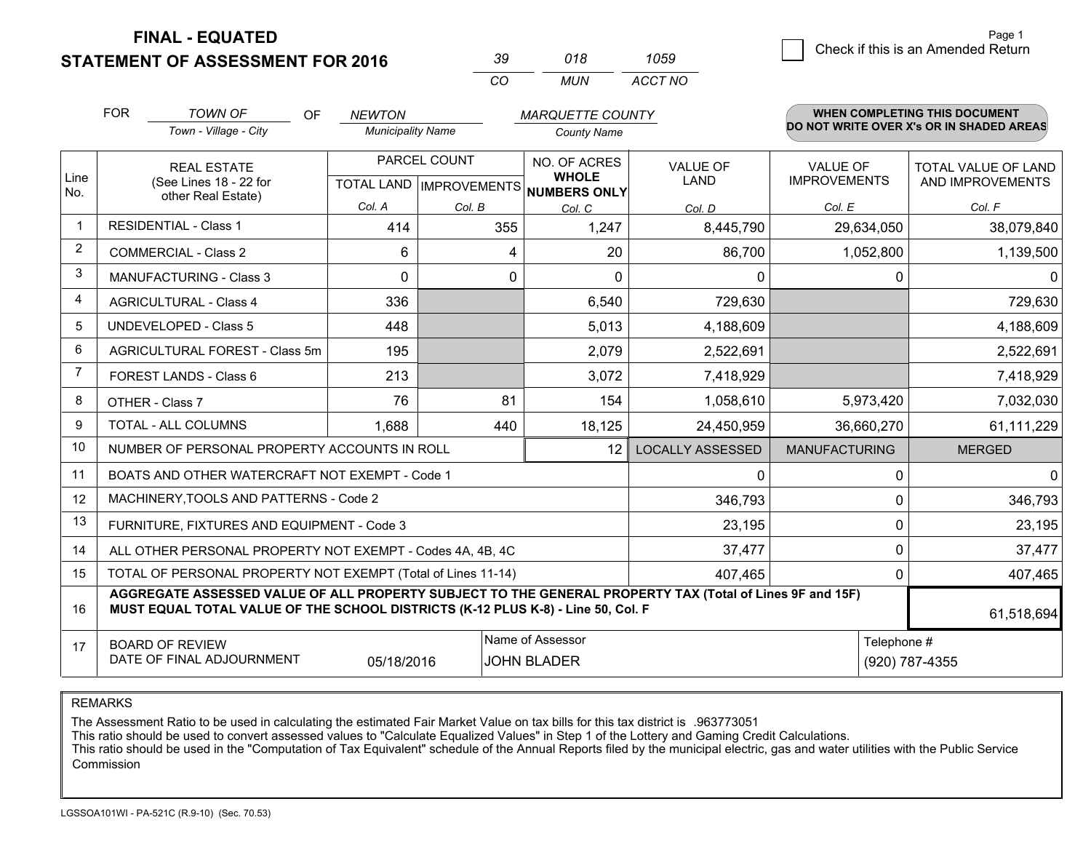**STATEMENT OF ASSESSMENT FOR 2016** 

| -39 | 018  | 1059    |  |
|-----|------|---------|--|
| (   | MUN. | ACCT NO |  |

|                | <b>FOR</b>                                                                                                                                                                                                 | <b>TOWN OF</b><br>OF                         | <b>NEWTON</b>                                        |          | <b>MARQUETTE COUNTY</b>      |                                |                                        | <b>WHEN COMPLETING THIS DOCUMENT</b>     |
|----------------|------------------------------------------------------------------------------------------------------------------------------------------------------------------------------------------------------------|----------------------------------------------|------------------------------------------------------|----------|------------------------------|--------------------------------|----------------------------------------|------------------------------------------|
|                |                                                                                                                                                                                                            | Town - Village - City                        | <b>Municipality Name</b>                             |          | <b>County Name</b>           |                                |                                        | DO NOT WRITE OVER X's OR IN SHADED AREAS |
| Line<br>No.    | <b>REAL ESTATE</b><br>(See Lines 18 - 22 for<br>other Real Estate)                                                                                                                                         |                                              | PARCEL COUNT<br>TOTAL LAND IMPROVEMENTS NUMBERS ONLY |          | NO. OF ACRES<br><b>WHOLE</b> | <b>VALUE OF</b><br><b>LAND</b> | <b>VALUE OF</b><br><b>IMPROVEMENTS</b> | TOTAL VALUE OF LAND<br>AND IMPROVEMENTS  |
|                |                                                                                                                                                                                                            |                                              | Col. A                                               | Col. B   | Col. C                       | Col. D                         | Col. E                                 | Col. F                                   |
| 1              |                                                                                                                                                                                                            | <b>RESIDENTIAL - Class 1</b>                 | 414                                                  | 355      | 1,247                        | 8,445,790                      | 29,634,050                             | 38,079,840                               |
| $\overline{2}$ |                                                                                                                                                                                                            | <b>COMMERCIAL - Class 2</b>                  | 6                                                    | 4        | 20                           | 86,700                         | 1,052,800                              | 1,139,500                                |
| 3              |                                                                                                                                                                                                            | <b>MANUFACTURING - Class 3</b>               | $\Omega$                                             | $\Omega$ | $\Omega$                     | 0                              | 0                                      | $\Omega$                                 |
| 4              |                                                                                                                                                                                                            | <b>AGRICULTURAL - Class 4</b>                | 336                                                  |          | 6,540                        | 729,630                        |                                        | 729,630                                  |
| 5              |                                                                                                                                                                                                            | <b>UNDEVELOPED - Class 5</b>                 | 448                                                  |          | 5,013                        | 4,188,609                      |                                        | 4,188,609                                |
| 6              |                                                                                                                                                                                                            | AGRICULTURAL FOREST - Class 5m               | 195                                                  |          | 2,079                        | 2,522,691                      |                                        | 2,522,691                                |
| $\overline{7}$ | FOREST LANDS - Class 6                                                                                                                                                                                     |                                              | 213                                                  |          | 3,072                        | 7,418,929                      |                                        | 7,418,929                                |
| 8              | OTHER - Class 7                                                                                                                                                                                            |                                              | 76                                                   | 81       | 154                          | 1,058,610                      | 5,973,420                              | 7,032,030                                |
| 9              | TOTAL - ALL COLUMNS                                                                                                                                                                                        |                                              | 1,688                                                | 440      | 18,125                       | 24,450,959                     | 36,660,270                             | 61,111,229                               |
| 10             |                                                                                                                                                                                                            | NUMBER OF PERSONAL PROPERTY ACCOUNTS IN ROLL |                                                      |          | <b>LOCALLY ASSESSED</b>      | <b>MANUFACTURING</b>           | <b>MERGED</b>                          |                                          |
| 11             | BOATS AND OTHER WATERCRAFT NOT EXEMPT - Code 1<br>0                                                                                                                                                        |                                              |                                                      |          |                              |                                |                                        | $\Omega$<br>0                            |
| 12             | MACHINERY, TOOLS AND PATTERNS - Code 2<br>346,793                                                                                                                                                          |                                              |                                                      |          |                              |                                | 0                                      | 346,793                                  |
| 13             | FURNITURE, FIXTURES AND EQUIPMENT - Code 3<br>23,195                                                                                                                                                       |                                              |                                                      |          |                              |                                | 0                                      | 23,195                                   |
| 14             | $\Omega$<br>37,477<br>ALL OTHER PERSONAL PROPERTY NOT EXEMPT - Codes 4A, 4B, 4C                                                                                                                            |                                              |                                                      |          |                              |                                | 37,477                                 |                                          |
| 15             | TOTAL OF PERSONAL PROPERTY NOT EXEMPT (Total of Lines 11-14)<br>407,465                                                                                                                                    |                                              |                                                      |          |                              |                                | 407,465<br>0                           |                                          |
| 16             | AGGREGATE ASSESSED VALUE OF ALL PROPERTY SUBJECT TO THE GENERAL PROPERTY TAX (Total of Lines 9F and 15F)<br>MUST EQUAL TOTAL VALUE OF THE SCHOOL DISTRICTS (K-12 PLUS K-8) - Line 50, Col. F<br>61,518,694 |                                              |                                                      |          |                              |                                |                                        |                                          |
| 17             | Name of Assessor<br>Telephone #<br><b>BOARD OF REVIEW</b><br>DATE OF FINAL ADJOURNMENT<br><b>JOHN BLADER</b><br>05/18/2016                                                                                 |                                              |                                                      |          |                              | (920) 787-4355                 |                                        |                                          |

REMARKS

The Assessment Ratio to be used in calculating the estimated Fair Market Value on tax bills for this tax district is .963773051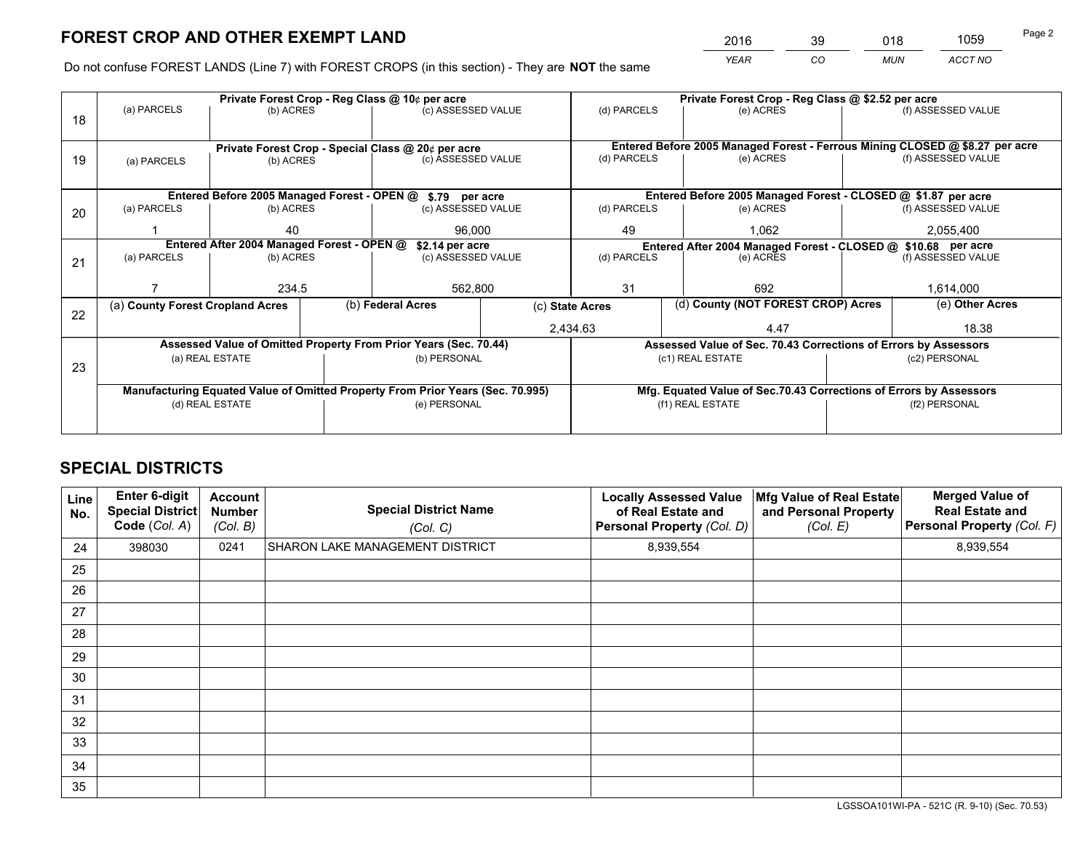*YEAR CO MUN ACCT NO* <sup>2016</sup> <sup>39</sup> <sup>018</sup> <sup>1059</sup>

Do not confuse FOREST LANDS (Line 7) with FOREST CROPS (in this section) - They are **NOT** the same

|    | Private Forest Crop - Reg Class @ 10¢ per acre                                 |                                 |  |                                                                          |             | Private Forest Crop - Reg Class @ \$2.52 per acre                  |           |                                                                 |                    |                                                                              |
|----|--------------------------------------------------------------------------------|---------------------------------|--|--------------------------------------------------------------------------|-------------|--------------------------------------------------------------------|-----------|-----------------------------------------------------------------|--------------------|------------------------------------------------------------------------------|
| 18 | (a) PARCELS<br>(b) ACRES                                                       |                                 |  | (c) ASSESSED VALUE                                                       |             | (d) PARCELS                                                        |           | (e) ACRES                                                       |                    | (f) ASSESSED VALUE                                                           |
|    |                                                                                |                                 |  |                                                                          |             |                                                                    |           |                                                                 |                    |                                                                              |
|    |                                                                                |                                 |  |                                                                          |             |                                                                    |           |                                                                 |                    | Entered Before 2005 Managed Forest - Ferrous Mining CLOSED @ \$8.27 per acre |
| 19 | (b) ACRES<br>(a) PARCELS                                                       |                                 |  | Private Forest Crop - Special Class @ 20¢ per acre<br>(c) ASSESSED VALUE |             | (d) PARCELS                                                        |           | (e) ACRES                                                       |                    | (f) ASSESSED VALUE                                                           |
|    |                                                                                |                                 |  |                                                                          |             |                                                                    |           |                                                                 |                    |                                                                              |
|    |                                                                                |                                 |  |                                                                          |             |                                                                    |           |                                                                 |                    |                                                                              |
|    |                                                                                |                                 |  | Entered Before 2005 Managed Forest - OPEN @ \$.79 per acre               |             |                                                                    |           | Entered Before 2005 Managed Forest - CLOSED @ \$1.87 per acre   |                    |                                                                              |
| 20 | (a) PARCELS                                                                    | (b) ACRES                       |  | (c) ASSESSED VALUE                                                       |             | (d) PARCELS                                                        |           | (e) ACRES                                                       |                    | (f) ASSESSED VALUE                                                           |
|    |                                                                                | 40                              |  | 96,000                                                                   |             | 49                                                                 |           | 1,062                                                           |                    | 2,055,400                                                                    |
|    | Entered After 2004 Managed Forest - OPEN @<br>\$2.14 per acre                  |                                 |  |                                                                          |             | Entered After 2004 Managed Forest - CLOSED @ \$10.68 per acre      |           |                                                                 |                    |                                                                              |
| 21 | (a) PARCELS                                                                    | (c) ASSESSED VALUE<br>(b) ACRES |  |                                                                          | (d) PARCELS |                                                                    | (e) ACRES |                                                                 | (f) ASSESSED VALUE |                                                                              |
|    |                                                                                |                                 |  |                                                                          |             |                                                                    |           |                                                                 |                    |                                                                              |
|    |                                                                                | 234.5                           |  | 562,800                                                                  |             | 31                                                                 |           | 692                                                             |                    | 1,614,000                                                                    |
|    | (a) County Forest Cropland Acres                                               |                                 |  | (b) Federal Acres<br>(c) State Acres                                     |             |                                                                    |           | (d) County (NOT FOREST CROP) Acres                              |                    | (e) Other Acres                                                              |
| 22 |                                                                                |                                 |  |                                                                          |             |                                                                    |           |                                                                 |                    |                                                                              |
|    |                                                                                |                                 |  | 2,434.63                                                                 |             |                                                                    |           | 4.47                                                            |                    | 18.38                                                                        |
|    | Assessed Value of Omitted Property From Prior Years (Sec. 70.44)               |                                 |  |                                                                          |             |                                                                    |           | Assessed Value of Sec. 70.43 Corrections of Errors by Assessors |                    |                                                                              |
| 23 | (a) REAL ESTATE                                                                |                                 |  | (b) PERSONAL                                                             |             | (c1) REAL ESTATE                                                   |           |                                                                 | (c2) PERSONAL      |                                                                              |
|    |                                                                                |                                 |  |                                                                          |             |                                                                    |           |                                                                 |                    |                                                                              |
|    | Manufacturing Equated Value of Omitted Property From Prior Years (Sec. 70.995) |                                 |  |                                                                          |             | Mfg. Equated Value of Sec.70.43 Corrections of Errors by Assessors |           |                                                                 |                    |                                                                              |
|    | (d) REAL ESTATE                                                                |                                 |  | (e) PERSONAL                                                             |             | (f1) REAL ESTATE                                                   |           | (f2) PERSONAL                                                   |                    |                                                                              |
|    |                                                                                |                                 |  |                                                                          |             |                                                                    |           |                                                                 |                    |                                                                              |
|    |                                                                                |                                 |  |                                                                          |             |                                                                    |           |                                                                 |                    |                                                                              |

# **SPECIAL DISTRICTS**

| <b>Line</b><br>No. | Enter 6-digit<br><b>Special District</b><br>Code (Col. A) | <b>Account</b><br><b>Number</b><br>(Col. B) | <b>Special District Name</b><br>(Col. C) | <b>Locally Assessed Value</b><br>of Real Estate and<br>Personal Property (Col. D) | Mfg Value of Real Estate<br>and Personal Property<br>(Col. E) | <b>Merged Value of</b><br><b>Real Estate and</b><br>Personal Property (Col. F) |
|--------------------|-----------------------------------------------------------|---------------------------------------------|------------------------------------------|-----------------------------------------------------------------------------------|---------------------------------------------------------------|--------------------------------------------------------------------------------|
| 24                 | 398030                                                    | 0241                                        | SHARON LAKE MANAGEMENT DISTRICT          | 8,939,554                                                                         |                                                               | 8,939,554                                                                      |
| 25                 |                                                           |                                             |                                          |                                                                                   |                                                               |                                                                                |
| 26                 |                                                           |                                             |                                          |                                                                                   |                                                               |                                                                                |
| 27                 |                                                           |                                             |                                          |                                                                                   |                                                               |                                                                                |
| 28                 |                                                           |                                             |                                          |                                                                                   |                                                               |                                                                                |
| 29                 |                                                           |                                             |                                          |                                                                                   |                                                               |                                                                                |
| 30                 |                                                           |                                             |                                          |                                                                                   |                                                               |                                                                                |
| 31                 |                                                           |                                             |                                          |                                                                                   |                                                               |                                                                                |
| 32                 |                                                           |                                             |                                          |                                                                                   |                                                               |                                                                                |
| 33                 |                                                           |                                             |                                          |                                                                                   |                                                               |                                                                                |
| 34                 |                                                           |                                             |                                          |                                                                                   |                                                               |                                                                                |
| 35                 |                                                           |                                             |                                          |                                                                                   |                                                               |                                                                                |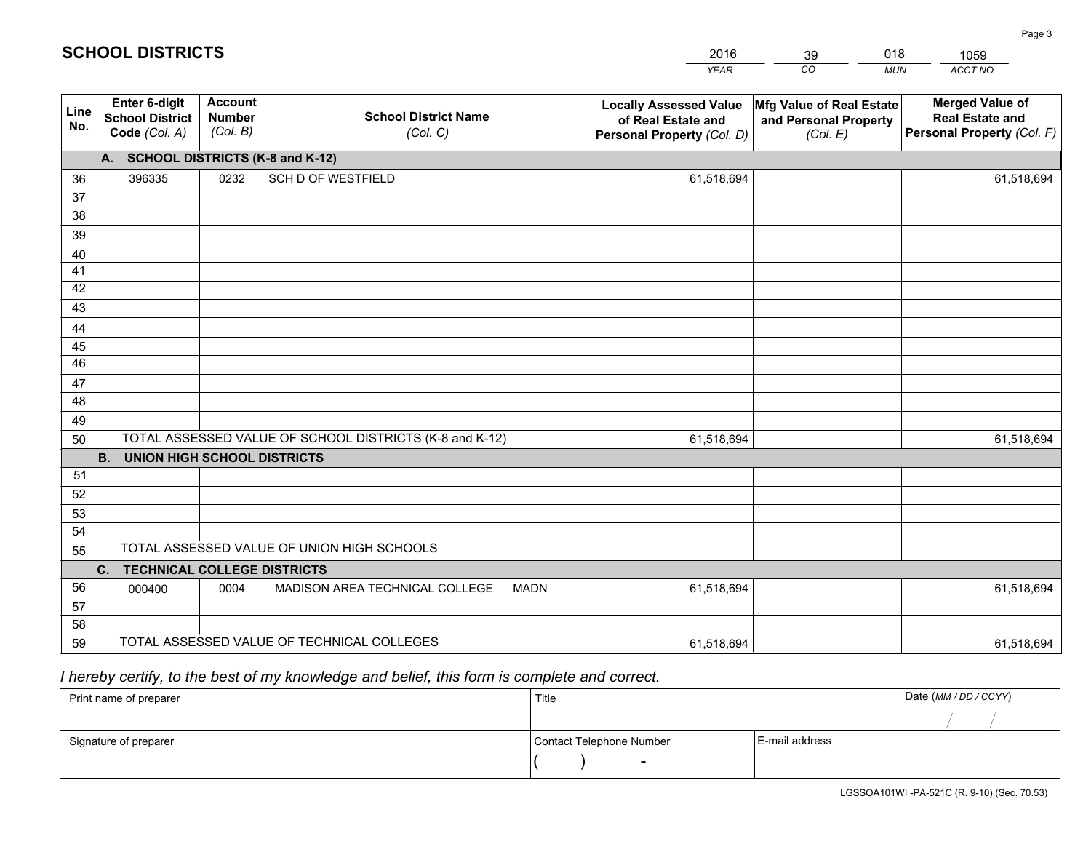|             |                                                                 |                                             |                                                         | <b>YEAR</b>                                                                       | CO<br><b>MUN</b>                                              | ACCT NO                                                                        |  |  |  |  |
|-------------|-----------------------------------------------------------------|---------------------------------------------|---------------------------------------------------------|-----------------------------------------------------------------------------------|---------------------------------------------------------------|--------------------------------------------------------------------------------|--|--|--|--|
| Line<br>No. | <b>Enter 6-digit</b><br><b>School District</b><br>Code (Col. A) | <b>Account</b><br><b>Number</b><br>(Col. B) | <b>School District Name</b><br>(Col. C)                 | <b>Locally Assessed Value</b><br>of Real Estate and<br>Personal Property (Col. D) | Mfg Value of Real Estate<br>and Personal Property<br>(Col. E) | <b>Merged Value of</b><br><b>Real Estate and</b><br>Personal Property (Col. F) |  |  |  |  |
|             | A. SCHOOL DISTRICTS (K-8 and K-12)                              |                                             |                                                         |                                                                                   |                                                               |                                                                                |  |  |  |  |
| 36          | 396335                                                          | 0232                                        | SCH D OF WESTFIELD                                      | 61,518,694                                                                        |                                                               | 61,518,694                                                                     |  |  |  |  |
| 37          |                                                                 |                                             |                                                         |                                                                                   |                                                               |                                                                                |  |  |  |  |
| 38          |                                                                 |                                             |                                                         |                                                                                   |                                                               |                                                                                |  |  |  |  |
| 39          |                                                                 |                                             |                                                         |                                                                                   |                                                               |                                                                                |  |  |  |  |
| 40          |                                                                 |                                             |                                                         |                                                                                   |                                                               |                                                                                |  |  |  |  |
| 41          |                                                                 |                                             |                                                         |                                                                                   |                                                               |                                                                                |  |  |  |  |
| 42          |                                                                 |                                             |                                                         |                                                                                   |                                                               |                                                                                |  |  |  |  |
| 43          |                                                                 |                                             |                                                         |                                                                                   |                                                               |                                                                                |  |  |  |  |
| 44          |                                                                 |                                             |                                                         |                                                                                   |                                                               |                                                                                |  |  |  |  |
| 45<br>46    |                                                                 |                                             |                                                         |                                                                                   |                                                               |                                                                                |  |  |  |  |
|             |                                                                 |                                             |                                                         |                                                                                   |                                                               |                                                                                |  |  |  |  |
| 47<br>48    |                                                                 |                                             |                                                         |                                                                                   |                                                               |                                                                                |  |  |  |  |
| 49          |                                                                 |                                             |                                                         |                                                                                   |                                                               |                                                                                |  |  |  |  |
| 50          |                                                                 |                                             | TOTAL ASSESSED VALUE OF SCHOOL DISTRICTS (K-8 and K-12) | 61,518,694                                                                        |                                                               | 61,518,694                                                                     |  |  |  |  |
|             | <b>B.</b><br><b>UNION HIGH SCHOOL DISTRICTS</b>                 |                                             |                                                         |                                                                                   |                                                               |                                                                                |  |  |  |  |
| 51          |                                                                 |                                             |                                                         |                                                                                   |                                                               |                                                                                |  |  |  |  |
| 52          |                                                                 |                                             |                                                         |                                                                                   |                                                               |                                                                                |  |  |  |  |
| 53          |                                                                 |                                             |                                                         |                                                                                   |                                                               |                                                                                |  |  |  |  |
| 54          |                                                                 |                                             |                                                         |                                                                                   |                                                               |                                                                                |  |  |  |  |
| 55          |                                                                 |                                             | TOTAL ASSESSED VALUE OF UNION HIGH SCHOOLS              |                                                                                   |                                                               |                                                                                |  |  |  |  |
|             | C.<br><b>TECHNICAL COLLEGE DISTRICTS</b>                        |                                             |                                                         |                                                                                   |                                                               |                                                                                |  |  |  |  |
| 56          | 000400                                                          | 0004                                        | MADISON AREA TECHNICAL COLLEGE<br><b>MADN</b>           | 61,518,694                                                                        |                                                               | 61,518,694                                                                     |  |  |  |  |
| 57          |                                                                 |                                             |                                                         |                                                                                   |                                                               |                                                                                |  |  |  |  |
| 58          |                                                                 |                                             |                                                         |                                                                                   |                                                               |                                                                                |  |  |  |  |
| 59          |                                                                 |                                             | TOTAL ASSESSED VALUE OF TECHNICAL COLLEGES              | 61,518,694                                                                        |                                                               | 61,518,694                                                                     |  |  |  |  |

39

018

# *I hereby certify, to the best of my knowledge and belief, this form is complete and correct.*

**SCHOOL DISTRICTS**

| Print name of preparer | Title                    | Date (MM / DD / CCYY) |  |
|------------------------|--------------------------|-----------------------|--|
|                        |                          |                       |  |
| Signature of preparer  | Contact Telephone Number | E-mail address        |  |
|                        | $\overline{\phantom{0}}$ |                       |  |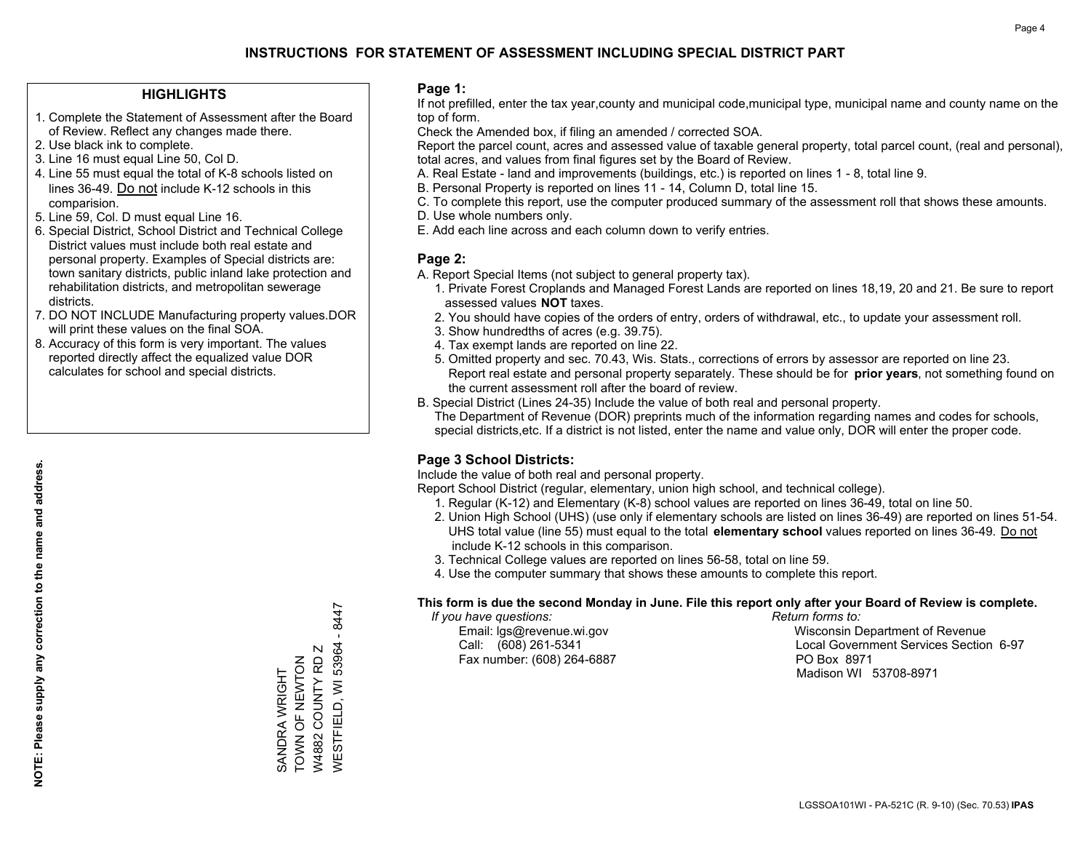### **HIGHLIGHTS**

- 1. Complete the Statement of Assessment after the Board of Review. Reflect any changes made there.
- 2. Use black ink to complete.
- 3. Line 16 must equal Line 50, Col D.
- 4. Line 55 must equal the total of K-8 schools listed on lines 36-49. Do not include K-12 schools in this comparision.
- 5. Line 59, Col. D must equal Line 16.
- 6. Special District, School District and Technical College District values must include both real estate and personal property. Examples of Special districts are: town sanitary districts, public inland lake protection and rehabilitation districts, and metropolitan sewerage districts.
- 7. DO NOT INCLUDE Manufacturing property values.DOR will print these values on the final SOA.

SANDRA WRIGHT TOWN OF NEWTON W4882 COUNTY RD Z WESTFIELD, WI 53964 - 8447

**NESTFIELD, WI 53964** W4882 COUNTY RD Z SANDRA WRIGHT<br>TOWN OF NEWTON

 $-8447$ 

 8. Accuracy of this form is very important. The values reported directly affect the equalized value DOR calculates for school and special districts.

### **Page 1:**

 If not prefilled, enter the tax year,county and municipal code,municipal type, municipal name and county name on the top of form.

Check the Amended box, if filing an amended / corrected SOA.

 Report the parcel count, acres and assessed value of taxable general property, total parcel count, (real and personal), total acres, and values from final figures set by the Board of Review.

- A. Real Estate land and improvements (buildings, etc.) is reported on lines 1 8, total line 9.
- B. Personal Property is reported on lines 11 14, Column D, total line 15.
- C. To complete this report, use the computer produced summary of the assessment roll that shows these amounts.
- D. Use whole numbers only.
- E. Add each line across and each column down to verify entries.

### **Page 2:**

- A. Report Special Items (not subject to general property tax).
- 1. Private Forest Croplands and Managed Forest Lands are reported on lines 18,19, 20 and 21. Be sure to report assessed values **NOT** taxes.
- 2. You should have copies of the orders of entry, orders of withdrawal, etc., to update your assessment roll.
	- 3. Show hundredths of acres (e.g. 39.75).
- 4. Tax exempt lands are reported on line 22.
- 5. Omitted property and sec. 70.43, Wis. Stats., corrections of errors by assessor are reported on line 23. Report real estate and personal property separately. These should be for **prior years**, not something found on the current assessment roll after the board of review.
- B. Special District (Lines 24-35) Include the value of both real and personal property.
- The Department of Revenue (DOR) preprints much of the information regarding names and codes for schools, special districts,etc. If a district is not listed, enter the name and value only, DOR will enter the proper code.

## **Page 3 School Districts:**

Include the value of both real and personal property.

Report School District (regular, elementary, union high school, and technical college).

- 1. Regular (K-12) and Elementary (K-8) school values are reported on lines 36-49, total on line 50.
- 2. Union High School (UHS) (use only if elementary schools are listed on lines 36-49) are reported on lines 51-54. UHS total value (line 55) must equal to the total **elementary school** values reported on lines 36-49. Do notinclude K-12 schools in this comparison.
- 3. Technical College values are reported on lines 56-58, total on line 59.
- 4. Use the computer summary that shows these amounts to complete this report.

#### **This form is due the second Monday in June. File this report only after your Board of Review is complete.**

 *If you have questions: Return forms to:*

Fax number: (608) 264-6887 PO Box 8971

 Email: lgs@revenue.wi.gov Wisconsin Department of Revenue Call: (608) 261-5341 Local Government Services Section 6-97Madison WI 53708-8971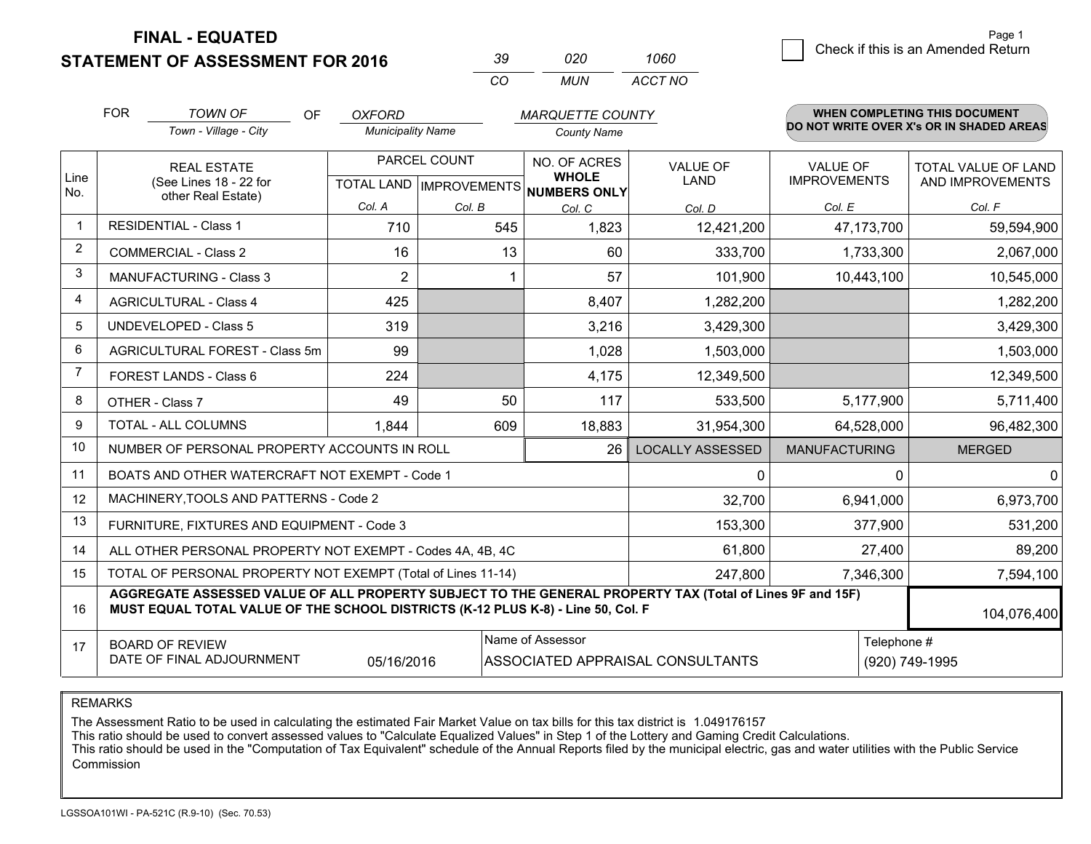**STATEMENT OF ASSESSMENT FOR 2016** 

| 39       | חכח  | 1060    |
|----------|------|---------|
| $\alpha$ | MUN. | ACCT NO |

|                | <b>FOR</b>                                                                                                                                                                                   | <b>TOWN OF</b><br>OF                                         | <b>OXFORD</b>            |        | <b>MARQUETTE COUNTY</b>                            |                         |                                        | <b>WHEN COMPLETING THIS DOCUMENT</b>     |
|----------------|----------------------------------------------------------------------------------------------------------------------------------------------------------------------------------------------|--------------------------------------------------------------|--------------------------|--------|----------------------------------------------------|-------------------------|----------------------------------------|------------------------------------------|
|                |                                                                                                                                                                                              | Town - Village - City                                        | <b>Municipality Name</b> |        | <b>County Name</b>                                 |                         |                                        | DO NOT WRITE OVER X's OR IN SHADED AREAS |
| Line           |                                                                                                                                                                                              | <b>REAL ESTATE</b><br>(See Lines 18 - 22 for                 | PARCEL COUNT             |        | NO. OF ACRES<br><b>WHOLE</b>                       | <b>VALUE OF</b><br>LAND | <b>VALUE OF</b><br><b>IMPROVEMENTS</b> | TOTAL VALUE OF LAND<br>AND IMPROVEMENTS  |
| No.            |                                                                                                                                                                                              | other Real Estate)                                           | Col. A                   | Col. B | TOTAL LAND   IMPROVEMENTS   NUMBERS ONLY<br>Col. C | Col. D                  | Col. E                                 | Col. F                                   |
|                |                                                                                                                                                                                              | <b>RESIDENTIAL - Class 1</b>                                 | 710                      | 545    | 1,823                                              | 12,421,200              | 47,173,700                             | 59,594,900                               |
| $\overline{2}$ |                                                                                                                                                                                              | <b>COMMERCIAL - Class 2</b>                                  | 16                       | 13     | 60                                                 | 333,700                 | 1,733,300                              | 2,067,000                                |
| 3              |                                                                                                                                                                                              | <b>MANUFACTURING - Class 3</b>                               | $\overline{2}$           |        | 57                                                 | 101,900                 | 10,443,100                             | 10,545,000                               |
| $\overline{4}$ |                                                                                                                                                                                              | <b>AGRICULTURAL - Class 4</b>                                | 425                      |        | 8,407                                              | 1,282,200               |                                        | 1,282,200                                |
| 5              |                                                                                                                                                                                              | <b>UNDEVELOPED - Class 5</b>                                 | 319                      |        | 3,216                                              | 3,429,300               |                                        | 3,429,300                                |
| 6              |                                                                                                                                                                                              | AGRICULTURAL FOREST - Class 5m                               | 99                       |        | 1,028                                              | 1,503,000               |                                        | 1,503,000                                |
| 7              |                                                                                                                                                                                              | FOREST LANDS - Class 6                                       | 224                      |        | 4,175                                              | 12,349,500              |                                        | 12,349,500                               |
| 8              |                                                                                                                                                                                              | OTHER - Class 7                                              | 49                       | 50     | 117                                                | 533,500                 | 5,177,900                              | 5,711,400                                |
| 9              |                                                                                                                                                                                              | TOTAL - ALL COLUMNS                                          | 1,844                    | 609    | 18,883                                             | 31,954,300              | 64,528,000                             | 96,482,300                               |
| 10             |                                                                                                                                                                                              | NUMBER OF PERSONAL PROPERTY ACCOUNTS IN ROLL                 |                          |        | 26                                                 | <b>LOCALLY ASSESSED</b> | <b>MANUFACTURING</b>                   | <b>MERGED</b>                            |
| 11             |                                                                                                                                                                                              | BOATS AND OTHER WATERCRAFT NOT EXEMPT - Code 1               |                          |        |                                                    | 0                       | 0                                      | $\overline{0}$                           |
| 12             |                                                                                                                                                                                              | MACHINERY, TOOLS AND PATTERNS - Code 2                       |                          |        |                                                    | 32,700                  | 6,941,000                              | 6,973,700                                |
| 13             |                                                                                                                                                                                              | FURNITURE, FIXTURES AND EQUIPMENT - Code 3                   |                          |        |                                                    | 153,300                 | 377,900                                | 531,200                                  |
| 14             |                                                                                                                                                                                              | ALL OTHER PERSONAL PROPERTY NOT EXEMPT - Codes 4A, 4B, 4C    |                          |        |                                                    | 61,800                  | 27,400                                 | 89,200                                   |
| 15             |                                                                                                                                                                                              | TOTAL OF PERSONAL PROPERTY NOT EXEMPT (Total of Lines 11-14) |                          |        |                                                    | 247,800                 | 7,346,300                              | 7,594,100                                |
| 16             | AGGREGATE ASSESSED VALUE OF ALL PROPERTY SUBJECT TO THE GENERAL PROPERTY TAX (Total of Lines 9F and 15F)<br>MUST EQUAL TOTAL VALUE OF THE SCHOOL DISTRICTS (K-12 PLUS K-8) - Line 50, Col. F |                                                              |                          |        |                                                    |                         | 104,076,400                            |                                          |
| 17             | Name of Assessor<br>Telephone #<br><b>BOARD OF REVIEW</b><br>DATE OF FINAL ADJOURNMENT<br>05/16/2016<br>ASSOCIATED APPRAISAL CONSULTANTS<br>(920) 749-1995                                   |                                                              |                          |        |                                                    |                         |                                        |                                          |

REMARKS

The Assessment Ratio to be used in calculating the estimated Fair Market Value on tax bills for this tax district is 1.049176157

This ratio should be used to convert assessed values to "Calculate Equalized Values" in Step 1 of the Lottery and Gaming Credit Calculations.<br>This ratio should be used in the "Computation of Tax Equivalent" schedule of the Commission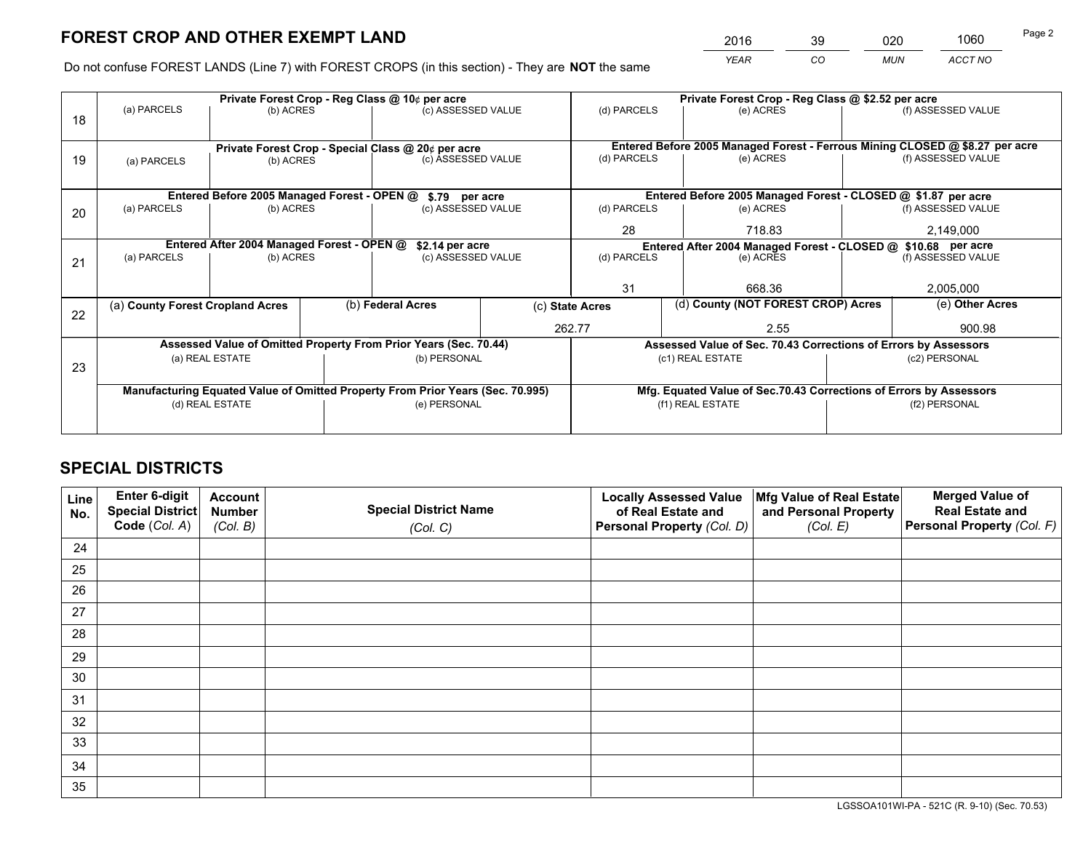*YEAR CO MUN ACCT NO* <sup>2016</sup> <sup>39</sup> <sup>020</sup> <sup>1060</sup>

Do not confuse FOREST LANDS (Line 7) with FOREST CROPS (in this section) - They are **NOT** the same

|    |                                                               |                                             |              | Private Forest Crop - Reg Class @ 10¢ per acre                                 |                 | Private Forest Crop - Reg Class @ \$2.52 per acre             |                                                                              |                    |                    |
|----|---------------------------------------------------------------|---------------------------------------------|--------------|--------------------------------------------------------------------------------|-----------------|---------------------------------------------------------------|------------------------------------------------------------------------------|--------------------|--------------------|
| 18 | (a) PARCELS                                                   | (b) ACRES                                   |              | (c) ASSESSED VALUE                                                             |                 | (d) PARCELS                                                   | (e) ACRES                                                                    |                    | (f) ASSESSED VALUE |
|    |                                                               |                                             |              |                                                                                |                 |                                                               |                                                                              |                    |                    |
|    |                                                               |                                             |              | Private Forest Crop - Special Class @ 20¢ per acre                             |                 |                                                               | Entered Before 2005 Managed Forest - Ferrous Mining CLOSED @ \$8.27 per acre |                    |                    |
| 19 | (a) PARCELS                                                   | (b) ACRES                                   |              | (c) ASSESSED VALUE                                                             |                 | (d) PARCELS                                                   | (e) ACRES                                                                    |                    | (f) ASSESSED VALUE |
|    |                                                               |                                             |              |                                                                                |                 |                                                               |                                                                              |                    |                    |
|    |                                                               | Entered Before 2005 Managed Forest - OPEN @ |              | \$.79 per acre                                                                 |                 |                                                               | Entered Before 2005 Managed Forest - CLOSED @ \$1.87 per acre                |                    |                    |
| 20 | (a) PARCELS                                                   | (b) ACRES                                   |              | (c) ASSESSED VALUE                                                             |                 | (d) PARCELS                                                   | (e) ACRES                                                                    |                    | (f) ASSESSED VALUE |
|    |                                                               |                                             |              |                                                                                | 28              | 718.83                                                        |                                                                              | 2,149,000          |                    |
|    | Entered After 2004 Managed Forest - OPEN @<br>\$2.14 per acre |                                             |              |                                                                                |                 | Entered After 2004 Managed Forest - CLOSED @ \$10.68 per acre |                                                                              | (f) ASSESSED VALUE |                    |
| 21 | (a) PARCELS                                                   | (b) ACRES                                   |              | (c) ASSESSED VALUE                                                             | (d) PARCELS     |                                                               | (e) ACRES                                                                    |                    |                    |
|    |                                                               |                                             |              |                                                                                |                 |                                                               |                                                                              |                    |                    |
|    |                                                               |                                             |              |                                                                                |                 | 31<br>668.36                                                  |                                                                              | 2,005,000          |                    |
| 22 | (a) County Forest Cropland Acres                              |                                             |              | (b) Federal Acres                                                              | (c) State Acres |                                                               | (d) County (NOT FOREST CROP) Acres                                           |                    | (e) Other Acres    |
|    |                                                               |                                             |              |                                                                                | 262.77          |                                                               | 2.55                                                                         |                    | 900.98             |
|    |                                                               |                                             |              | Assessed Value of Omitted Property From Prior Years (Sec. 70.44)               |                 |                                                               | Assessed Value of Sec. 70.43 Corrections of Errors by Assessors              |                    |                    |
| 23 |                                                               | (a) REAL ESTATE                             |              | (b) PERSONAL                                                                   |                 |                                                               | (c1) REAL ESTATE                                                             |                    | (c2) PERSONAL      |
|    |                                                               |                                             |              |                                                                                |                 |                                                               |                                                                              |                    |                    |
|    |                                                               |                                             |              | Manufacturing Equated Value of Omitted Property From Prior Years (Sec. 70.995) |                 |                                                               | Mfg. Equated Value of Sec.70.43 Corrections of Errors by Assessors           |                    |                    |
|    | (d) REAL ESTATE                                               |                                             | (e) PERSONAL |                                                                                |                 | (f1) REAL ESTATE                                              |                                                                              | (f2) PERSONAL      |                    |
|    |                                                               |                                             |              |                                                                                |                 |                                                               |                                                                              |                    |                    |

## **SPECIAL DISTRICTS**

| Line<br>No. | Enter 6-digit<br>Special District<br>Code (Col. A) | <b>Account</b><br><b>Number</b><br>(Col. B) | <b>Special District Name</b><br>(Col. C) | <b>Locally Assessed Value</b><br>of Real Estate and<br>Personal Property (Col. D) | Mfg Value of Real Estate<br>and Personal Property<br>(Col. E) | <b>Merged Value of</b><br><b>Real Estate and</b><br>Personal Property (Col. F) |
|-------------|----------------------------------------------------|---------------------------------------------|------------------------------------------|-----------------------------------------------------------------------------------|---------------------------------------------------------------|--------------------------------------------------------------------------------|
| 24          |                                                    |                                             |                                          |                                                                                   |                                                               |                                                                                |
| 25          |                                                    |                                             |                                          |                                                                                   |                                                               |                                                                                |
| 26          |                                                    |                                             |                                          |                                                                                   |                                                               |                                                                                |
| 27          |                                                    |                                             |                                          |                                                                                   |                                                               |                                                                                |
| 28          |                                                    |                                             |                                          |                                                                                   |                                                               |                                                                                |
| 29          |                                                    |                                             |                                          |                                                                                   |                                                               |                                                                                |
| 30          |                                                    |                                             |                                          |                                                                                   |                                                               |                                                                                |
| 31          |                                                    |                                             |                                          |                                                                                   |                                                               |                                                                                |
| 32          |                                                    |                                             |                                          |                                                                                   |                                                               |                                                                                |
| 33          |                                                    |                                             |                                          |                                                                                   |                                                               |                                                                                |
| 34          |                                                    |                                             |                                          |                                                                                   |                                                               |                                                                                |
| 35          |                                                    |                                             |                                          |                                                                                   |                                                               |                                                                                |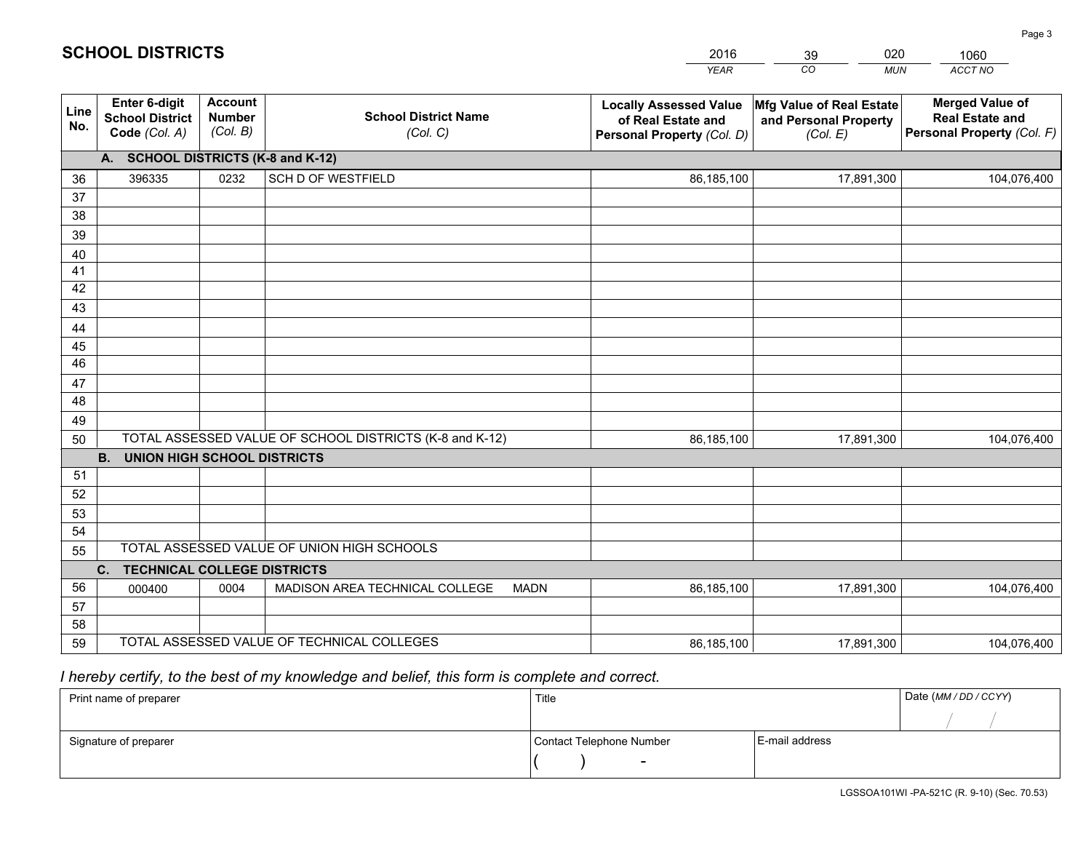|             |                                                          |                                             |                                                         | <b>YEAR</b>                                                                       | CO<br><b>MUN</b>                                              | ACCT NO                                                                        |
|-------------|----------------------------------------------------------|---------------------------------------------|---------------------------------------------------------|-----------------------------------------------------------------------------------|---------------------------------------------------------------|--------------------------------------------------------------------------------|
| Line<br>No. | Enter 6-digit<br><b>School District</b><br>Code (Col. A) | <b>Account</b><br><b>Number</b><br>(Col. B) | <b>School District Name</b><br>(Col. C)                 | <b>Locally Assessed Value</b><br>of Real Estate and<br>Personal Property (Col. D) | Mfg Value of Real Estate<br>and Personal Property<br>(Col. E) | <b>Merged Value of</b><br><b>Real Estate and</b><br>Personal Property (Col. F) |
|             | A. SCHOOL DISTRICTS (K-8 and K-12)                       |                                             |                                                         |                                                                                   |                                                               |                                                                                |
| 36          | 396335                                                   | 0232                                        | <b>SCH D OF WESTFIELD</b>                               | 86,185,100                                                                        | 17,891,300                                                    | 104,076,400                                                                    |
| 37          |                                                          |                                             |                                                         |                                                                                   |                                                               |                                                                                |
| 38          |                                                          |                                             |                                                         |                                                                                   |                                                               |                                                                                |
| 39          |                                                          |                                             |                                                         |                                                                                   |                                                               |                                                                                |
| 40          |                                                          |                                             |                                                         |                                                                                   |                                                               |                                                                                |
| 41<br>42    |                                                          |                                             |                                                         |                                                                                   |                                                               |                                                                                |
| 43          |                                                          |                                             |                                                         |                                                                                   |                                                               |                                                                                |
|             |                                                          |                                             |                                                         |                                                                                   |                                                               |                                                                                |
| 44<br>45    |                                                          |                                             |                                                         |                                                                                   |                                                               |                                                                                |
| 46          |                                                          |                                             |                                                         |                                                                                   |                                                               |                                                                                |
| 47          |                                                          |                                             |                                                         |                                                                                   |                                                               |                                                                                |
| 48          |                                                          |                                             |                                                         |                                                                                   |                                                               |                                                                                |
| 49          |                                                          |                                             |                                                         |                                                                                   |                                                               |                                                                                |
| 50          |                                                          |                                             | TOTAL ASSESSED VALUE OF SCHOOL DISTRICTS (K-8 and K-12) | 86,185,100                                                                        | 17,891,300                                                    | 104,076,400                                                                    |
|             | <b>B.</b><br>UNION HIGH SCHOOL DISTRICTS                 |                                             |                                                         |                                                                                   |                                                               |                                                                                |
| 51          |                                                          |                                             |                                                         |                                                                                   |                                                               |                                                                                |
| 52          |                                                          |                                             |                                                         |                                                                                   |                                                               |                                                                                |
| 53          |                                                          |                                             |                                                         |                                                                                   |                                                               |                                                                                |
| 54          |                                                          |                                             |                                                         |                                                                                   |                                                               |                                                                                |
| 55          |                                                          |                                             | TOTAL ASSESSED VALUE OF UNION HIGH SCHOOLS              |                                                                                   |                                                               |                                                                                |
|             | C.<br><b>TECHNICAL COLLEGE DISTRICTS</b>                 |                                             |                                                         |                                                                                   |                                                               |                                                                                |
| 56          | 000400                                                   | 0004                                        | MADISON AREA TECHNICAL COLLEGE<br><b>MADN</b>           | 86,185,100                                                                        | 17,891,300                                                    | 104,076,400                                                                    |
| 57          |                                                          |                                             |                                                         |                                                                                   |                                                               |                                                                                |
| 58          |                                                          |                                             | TOTAL ASSESSED VALUE OF TECHNICAL COLLEGES              |                                                                                   |                                                               |                                                                                |
| 59          |                                                          |                                             |                                                         | 86,185,100                                                                        | 17,891,300                                                    | 104,076,400                                                                    |

39

020

 *I hereby certify, to the best of my knowledge and belief, this form is complete and correct.*

**SCHOOL DISTRICTS**

| Print name of preparer | Title                    |                | Date (MM / DD / CCYY) |
|------------------------|--------------------------|----------------|-----------------------|
|                        |                          |                |                       |
| Signature of preparer  | Contact Telephone Number | E-mail address |                       |
|                        | $\sim$                   |                |                       |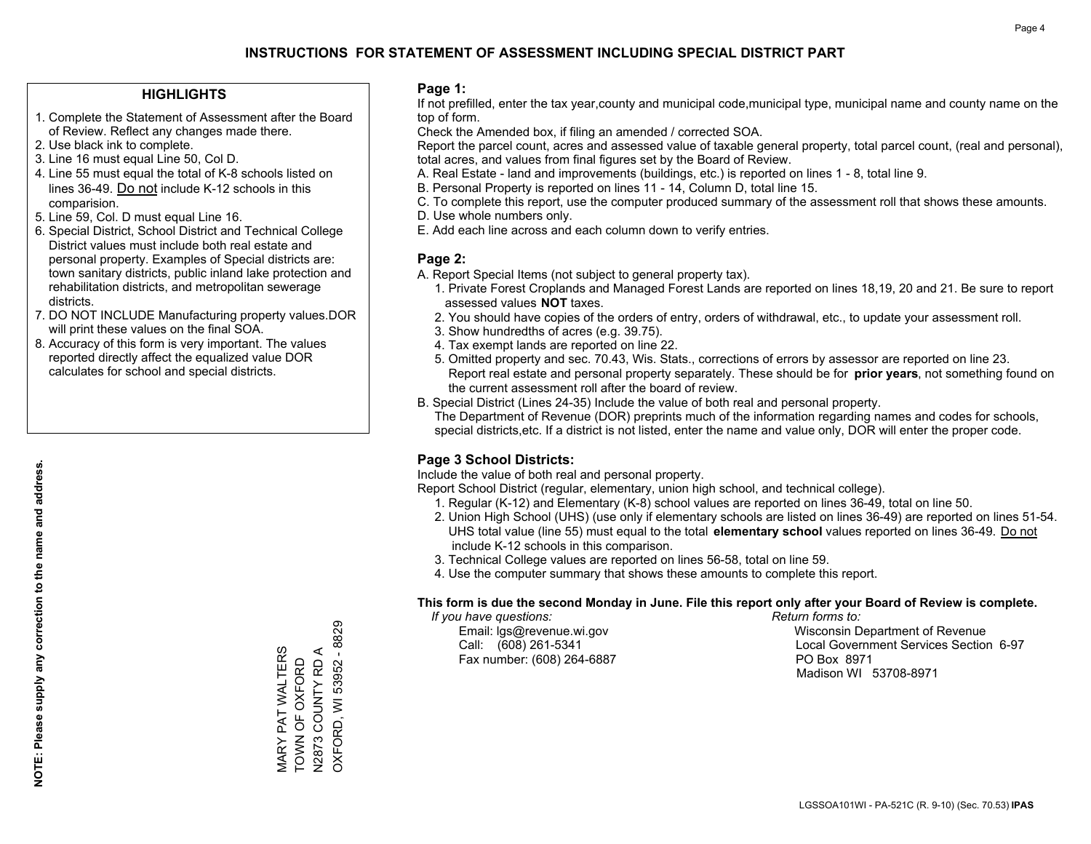#### **HIGHLIGHTS**

- 1. Complete the Statement of Assessment after the Board of Review. Reflect any changes made there.
- 2. Use black ink to complete.
- 3. Line 16 must equal Line 50, Col D.
- 4. Line 55 must equal the total of K-8 schools listed on lines 36-49. Do not include K-12 schools in this comparision.
- 5. Line 59, Col. D must equal Line 16.
- 6. Special District, School District and Technical College District values must include both real estate and personal property. Examples of Special districts are: town sanitary districts, public inland lake protection and rehabilitation districts, and metropolitan sewerage districts.
- 7. DO NOT INCLUDE Manufacturing property values.DOR will print these values on the final SOA.

MARY PAT WALTERS TOWN OF OXFORD N2873 COUNTY RD A OXFORD, WI 53952 - 8829

**VIARY PAT WALTERS**<br>TOWN OF OXFORD N2873 COUNTY RD A

OXFORD, WI 53952 - 8829

 8. Accuracy of this form is very important. The values reported directly affect the equalized value DOR calculates for school and special districts.

#### **Page 1:**

 If not prefilled, enter the tax year,county and municipal code,municipal type, municipal name and county name on the top of form.

Check the Amended box, if filing an amended / corrected SOA.

 Report the parcel count, acres and assessed value of taxable general property, total parcel count, (real and personal), total acres, and values from final figures set by the Board of Review.

- A. Real Estate land and improvements (buildings, etc.) is reported on lines 1 8, total line 9.
- B. Personal Property is reported on lines 11 14, Column D, total line 15.
- C. To complete this report, use the computer produced summary of the assessment roll that shows these amounts.
- D. Use whole numbers only.
- E. Add each line across and each column down to verify entries.

#### **Page 2:**

- A. Report Special Items (not subject to general property tax).
- 1. Private Forest Croplands and Managed Forest Lands are reported on lines 18,19, 20 and 21. Be sure to report assessed values **NOT** taxes.
- 2. You should have copies of the orders of entry, orders of withdrawal, etc., to update your assessment roll.
	- 3. Show hundredths of acres (e.g. 39.75).
- 4. Tax exempt lands are reported on line 22.
- 5. Omitted property and sec. 70.43, Wis. Stats., corrections of errors by assessor are reported on line 23. Report real estate and personal property separately. These should be for **prior years**, not something found on the current assessment roll after the board of review.
- B. Special District (Lines 24-35) Include the value of both real and personal property.

 The Department of Revenue (DOR) preprints much of the information regarding names and codes for schools, special districts,etc. If a district is not listed, enter the name and value only, DOR will enter the proper code.

### **Page 3 School Districts:**

Include the value of both real and personal property.

Report School District (regular, elementary, union high school, and technical college).

- 1. Regular (K-12) and Elementary (K-8) school values are reported on lines 36-49, total on line 50.
- 2. Union High School (UHS) (use only if elementary schools are listed on lines 36-49) are reported on lines 51-54. UHS total value (line 55) must equal to the total **elementary school** values reported on lines 36-49. Do notinclude K-12 schools in this comparison.
- 3. Technical College values are reported on lines 56-58, total on line 59.
- 4. Use the computer summary that shows these amounts to complete this report.

#### **This form is due the second Monday in June. File this report only after your Board of Review is complete.**

 *If you have questions: Return forms to:*

Fax number: (608) 264-6887 PO Box 8971

 Email: lgs@revenue.wi.gov Wisconsin Department of Revenue Call: (608) 261-5341 Local Government Services Section 6-97Madison WI 53708-8971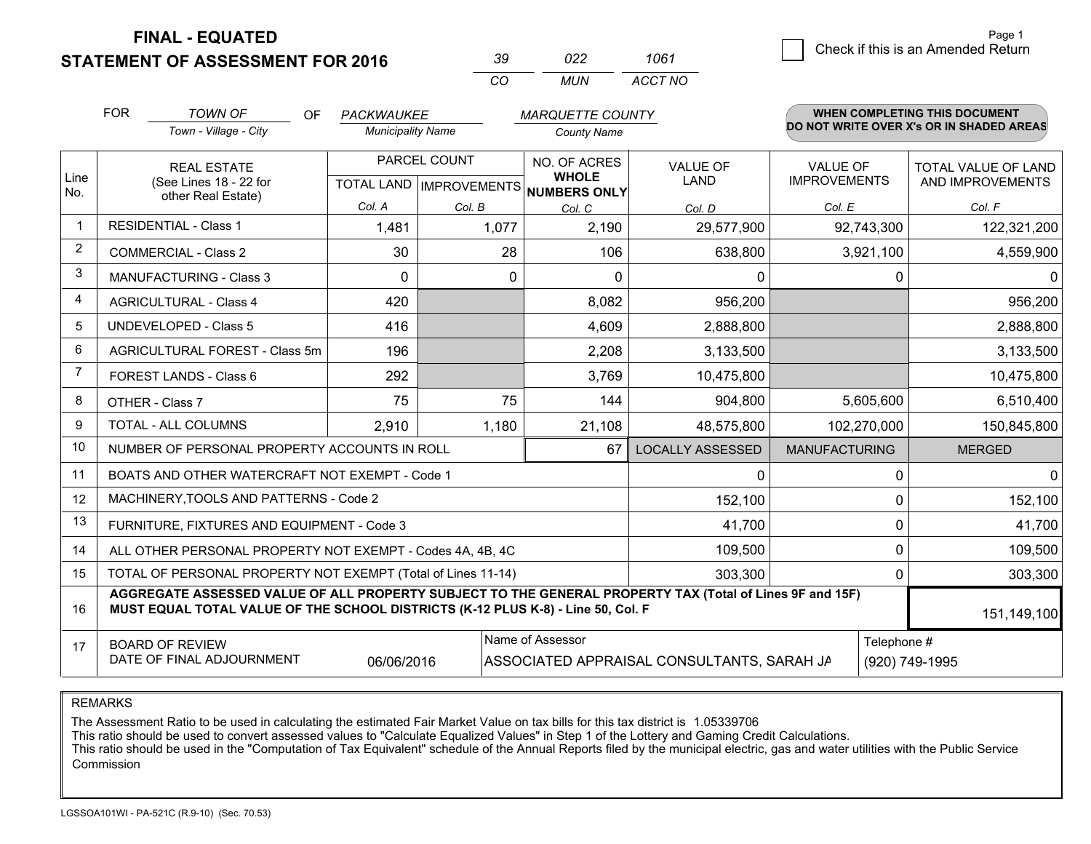**STATEMENT OF ASSESSMENT FOR 2016** 

| -30      | N22.  | 1061    |
|----------|-------|---------|
| $\cdots$ | MI IN | ACCT NO |

|                | <b>FOR</b>                                                                                                                                                                                   | <b>TOWN OF</b><br><b>OF</b>                                  | PACKWAUKEE                                |          | <b>MARQUETTE COUNTY</b>                      |                                |                                        |             | <b>WHEN COMPLETING THIS DOCUMENT</b>           |
|----------------|----------------------------------------------------------------------------------------------------------------------------------------------------------------------------------------------|--------------------------------------------------------------|-------------------------------------------|----------|----------------------------------------------|--------------------------------|----------------------------------------|-------------|------------------------------------------------|
|                |                                                                                                                                                                                              | Town - Village - City                                        | <b>Municipality Name</b>                  |          | <b>County Name</b>                           |                                |                                        |             | DO NOT WRITE OVER X's OR IN SHADED AREAS       |
| Line<br>No.    |                                                                                                                                                                                              | <b>REAL ESTATE</b><br>(See Lines 18 - 22 for                 | PARCEL COUNT<br>TOTAL LAND   IMPROVEMENTS |          | NO. OF ACRES<br><b>WHOLE</b><br>NUMBERS ONLY | <b>VALUE OF</b><br><b>LAND</b> | <b>VALUE OF</b><br><b>IMPROVEMENTS</b> |             | <b>TOTAL VALUE OF LAND</b><br>AND IMPROVEMENTS |
|                |                                                                                                                                                                                              | other Real Estate)                                           | Col. A                                    | Col. B   | Col. C                                       | Col. D                         | Col. E                                 |             | Col. F                                         |
| $\mathbf 1$    |                                                                                                                                                                                              | <b>RESIDENTIAL - Class 1</b>                                 | 1,481                                     | 1,077    | 2,190                                        | 29,577,900                     |                                        | 92,743,300  | 122,321,200                                    |
| $\overline{2}$ |                                                                                                                                                                                              | <b>COMMERCIAL - Class 2</b>                                  | 30                                        | 28       | 106                                          | 638,800                        |                                        | 3,921,100   | 4,559,900                                      |
| 3              |                                                                                                                                                                                              | <b>MANUFACTURING - Class 3</b>                               | 0                                         | $\Omega$ | $\mathbf{0}$                                 | 0                              |                                        | 0           | $\mathbf 0$                                    |
| 4              |                                                                                                                                                                                              | <b>AGRICULTURAL - Class 4</b>                                | 420                                       |          | 8,082                                        | 956,200                        |                                        |             | 956,200                                        |
| 5              |                                                                                                                                                                                              | <b>UNDEVELOPED - Class 5</b>                                 | 416                                       |          | 4,609                                        | 2,888,800                      |                                        |             | 2,888,800                                      |
| 6              |                                                                                                                                                                                              | AGRICULTURAL FOREST - Class 5m                               | 196                                       |          | 2,208                                        | 3,133,500                      |                                        |             | 3,133,500                                      |
| $\overline{7}$ |                                                                                                                                                                                              | FOREST LANDS - Class 6                                       | 292                                       |          | 3,769                                        | 10,475,800                     |                                        |             | 10,475,800                                     |
| 8              |                                                                                                                                                                                              | OTHER - Class 7                                              | 75                                        | 75       | 144                                          | 904,800                        |                                        | 5,605,600   | 6,510,400                                      |
| 9              |                                                                                                                                                                                              | TOTAL - ALL COLUMNS                                          | 2,910                                     | 1,180    | 21,108                                       | 48,575,800                     |                                        | 102,270,000 | 150,845,800                                    |
| 10             |                                                                                                                                                                                              | NUMBER OF PERSONAL PROPERTY ACCOUNTS IN ROLL                 |                                           |          | 67                                           | <b>LOCALLY ASSESSED</b>        | <b>MANUFACTURING</b>                   |             | <b>MERGED</b>                                  |
| 11             |                                                                                                                                                                                              | BOATS AND OTHER WATERCRAFT NOT EXEMPT - Code 1               |                                           |          |                                              | 0                              |                                        | 0           | $\mathbf{0}$                                   |
| 12             |                                                                                                                                                                                              | MACHINERY, TOOLS AND PATTERNS - Code 2                       |                                           |          |                                              | 152,100                        |                                        | 0           | 152,100                                        |
| 13             |                                                                                                                                                                                              | FURNITURE, FIXTURES AND EQUIPMENT - Code 3                   |                                           |          |                                              | 41,700                         |                                        | $\mathbf 0$ | 41,700                                         |
| 14             |                                                                                                                                                                                              | ALL OTHER PERSONAL PROPERTY NOT EXEMPT - Codes 4A, 4B, 4C    |                                           |          |                                              | 109,500                        |                                        | $\Omega$    | 109,500                                        |
| 15             |                                                                                                                                                                                              | TOTAL OF PERSONAL PROPERTY NOT EXEMPT (Total of Lines 11-14) |                                           |          |                                              | 303,300                        |                                        | 0           | 303,300                                        |
| 16             | AGGREGATE ASSESSED VALUE OF ALL PROPERTY SUBJECT TO THE GENERAL PROPERTY TAX (Total of Lines 9F and 15F)<br>MUST EQUAL TOTAL VALUE OF THE SCHOOL DISTRICTS (K-12 PLUS K-8) - Line 50, Col. F |                                                              |                                           |          |                                              |                                | 151,149,100                            |             |                                                |
| 17             | Name of Assessor<br>Telephone #<br><b>BOARD OF REVIEW</b><br>DATE OF FINAL ADJOURNMENT<br>06/06/2016<br>ASSOCIATED APPRAISAL CONSULTANTS, SARAH JA<br>(920) 749-1995                         |                                                              |                                           |          |                                              |                                |                                        |             |                                                |

REMARKS

The Assessment Ratio to be used in calculating the estimated Fair Market Value on tax bills for this tax district is 1.05339706

This ratio should be used to convert assessed values to "Calculate Equalized Values" in Step 1 of the Lottery and Gaming Credit Calculations.<br>This ratio should be used in the "Computation of Tax Equivalent" schedule of the Commission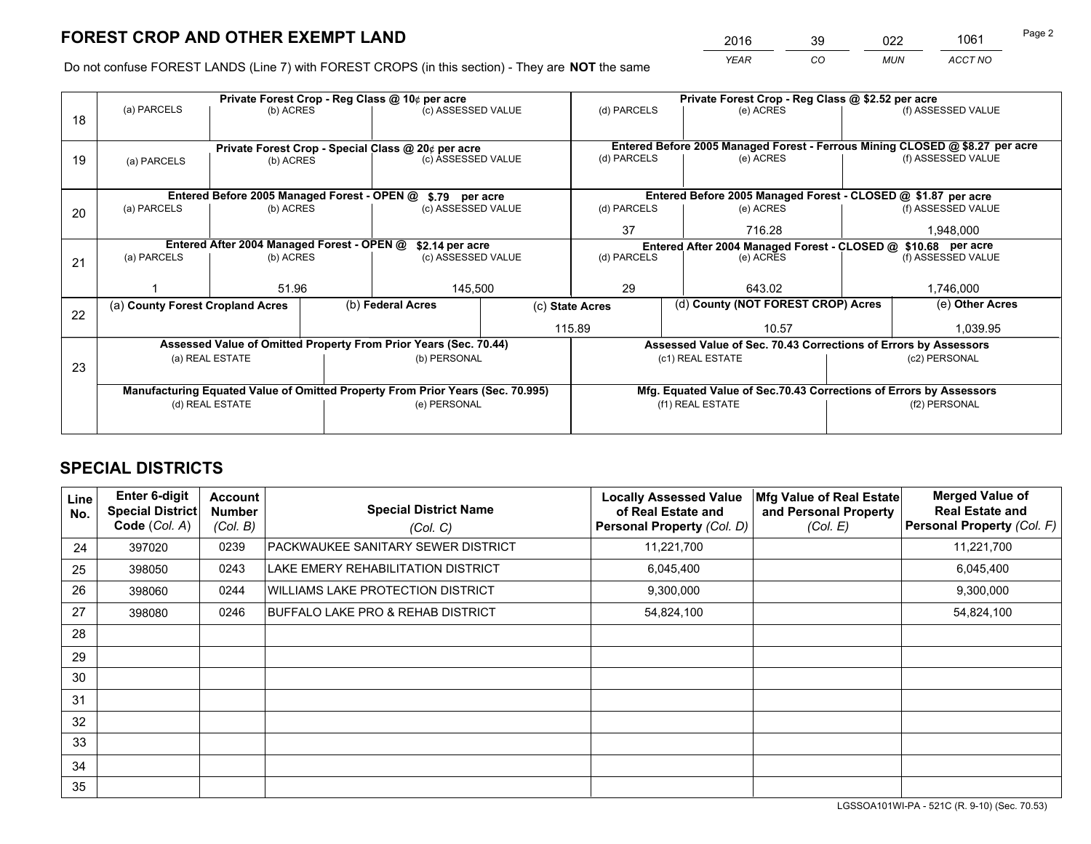*YEAR CO MUN ACCT NO* <sup>2016</sup> <sup>39</sup> <sup>022</sup> <sup>1061</sup>

Do not confuse FOREST LANDS (Line 7) with FOREST CROPS (in this section) - They are **NOT** the same

|    |                                                               |                                             |  | Private Forest Crop - Reg Class @ 10¢ per acre                                 |                 | Private Forest Crop - Reg Class @ \$2.52 per acre                            |                                                                    |                                    |                    |  |
|----|---------------------------------------------------------------|---------------------------------------------|--|--------------------------------------------------------------------------------|-----------------|------------------------------------------------------------------------------|--------------------------------------------------------------------|------------------------------------|--------------------|--|
| 18 | (a) PARCELS                                                   | (b) ACRES                                   |  | (c) ASSESSED VALUE                                                             |                 | (d) PARCELS                                                                  | (e) ACRES                                                          |                                    | (f) ASSESSED VALUE |  |
|    |                                                               |                                             |  |                                                                                |                 |                                                                              |                                                                    |                                    |                    |  |
|    | Private Forest Crop - Special Class @ 20¢ per acre            |                                             |  |                                                                                |                 | Entered Before 2005 Managed Forest - Ferrous Mining CLOSED @ \$8.27 per acre |                                                                    |                                    |                    |  |
| 19 | (a) PARCELS                                                   | (b) ACRES                                   |  | (c) ASSESSED VALUE                                                             |                 | (d) PARCELS                                                                  | (e) ACRES                                                          |                                    | (f) ASSESSED VALUE |  |
|    |                                                               |                                             |  |                                                                                |                 |                                                                              |                                                                    |                                    |                    |  |
|    |                                                               | Entered Before 2005 Managed Forest - OPEN @ |  | \$.79                                                                          | per acre        |                                                                              | Entered Before 2005 Managed Forest - CLOSED @ \$1.87 per acre      |                                    |                    |  |
| 20 | (a) PARCELS                                                   | (b) ACRES                                   |  | (c) ASSESSED VALUE                                                             |                 | (d) PARCELS                                                                  | (e) ACRES                                                          |                                    | (f) ASSESSED VALUE |  |
|    |                                                               |                                             |  |                                                                                |                 | 37                                                                           | 716.28                                                             |                                    | 1,948,000          |  |
|    | Entered After 2004 Managed Forest - OPEN @<br>\$2.14 per acre |                                             |  |                                                                                |                 |                                                                              | Entered After 2004 Managed Forest - CLOSED @ \$10.68 per acre      |                                    |                    |  |
| 21 | (a) PARCELS                                                   | (b) ACRES                                   |  | (c) ASSESSED VALUE                                                             | (d) PARCELS     |                                                                              | (e) ACRES                                                          |                                    |                    |  |
|    |                                                               |                                             |  |                                                                                |                 |                                                                              |                                                                    |                                    |                    |  |
|    |                                                               | 51.96                                       |  |                                                                                | 29<br>145,500   |                                                                              | 643.02                                                             |                                    |                    |  |
| 22 | (a) County Forest Cropland Acres                              |                                             |  | (b) Federal Acres                                                              | (c) State Acres |                                                                              |                                                                    | (d) County (NOT FOREST CROP) Acres |                    |  |
|    |                                                               |                                             |  |                                                                                | 115.89          |                                                                              | 10.57                                                              |                                    | 1,039.95           |  |
|    |                                                               |                                             |  | Assessed Value of Omitted Property From Prior Years (Sec. 70.44)               |                 |                                                                              | Assessed Value of Sec. 70.43 Corrections of Errors by Assessors    |                                    |                    |  |
|    |                                                               | (a) REAL ESTATE                             |  | (b) PERSONAL                                                                   |                 |                                                                              | (c1) REAL ESTATE                                                   |                                    | (c2) PERSONAL      |  |
| 23 |                                                               |                                             |  |                                                                                |                 |                                                                              |                                                                    |                                    |                    |  |
|    |                                                               |                                             |  | Manufacturing Equated Value of Omitted Property From Prior Years (Sec. 70.995) |                 |                                                                              | Mfg. Equated Value of Sec.70.43 Corrections of Errors by Assessors |                                    |                    |  |
|    | (d) REAL ESTATE                                               |                                             |  | (e) PERSONAL                                                                   |                 | (f1) REAL ESTATE                                                             |                                                                    |                                    | (f2) PERSONAL      |  |
|    |                                                               |                                             |  |                                                                                |                 |                                                                              |                                                                    |                                    |                    |  |

## **SPECIAL DISTRICTS**

| <b>Line</b><br>No. | <b>Enter 6-digit</b><br><b>Special District</b><br>Code (Col. A) | <b>Account</b><br><b>Number</b><br>(Col. B) | <b>Special District Name</b><br>(Col. C) | <b>Locally Assessed Value</b><br>of Real Estate and<br>Personal Property (Col. D) | Mfg Value of Real Estate<br>and Personal Property<br>(Col. E) | <b>Merged Value of</b><br><b>Real Estate and</b><br>Personal Property (Col. F) |
|--------------------|------------------------------------------------------------------|---------------------------------------------|------------------------------------------|-----------------------------------------------------------------------------------|---------------------------------------------------------------|--------------------------------------------------------------------------------|
| 24                 | 397020                                                           | 0239                                        | PACKWAUKEE SANITARY SEWER DISTRICT       | 11,221,700                                                                        |                                                               | 11,221,700                                                                     |
| 25                 | 398050                                                           | 0243                                        | LAKE EMERY REHABILITATION DISTRICT       | 6,045,400                                                                         |                                                               | 6,045,400                                                                      |
| 26                 | 398060                                                           | 0244                                        | <b>WILLIAMS LAKE PROTECTION DISTRICT</b> | 9,300,000                                                                         |                                                               | 9,300,000                                                                      |
| 27                 | 398080                                                           | 0246                                        | BUFFALO LAKE PRO & REHAB DISTRICT        | 54,824,100                                                                        |                                                               | 54,824,100                                                                     |
| 28                 |                                                                  |                                             |                                          |                                                                                   |                                                               |                                                                                |
| 29                 |                                                                  |                                             |                                          |                                                                                   |                                                               |                                                                                |
| 30                 |                                                                  |                                             |                                          |                                                                                   |                                                               |                                                                                |
| 31                 |                                                                  |                                             |                                          |                                                                                   |                                                               |                                                                                |
| 32                 |                                                                  |                                             |                                          |                                                                                   |                                                               |                                                                                |
| 33                 |                                                                  |                                             |                                          |                                                                                   |                                                               |                                                                                |
| 34                 |                                                                  |                                             |                                          |                                                                                   |                                                               |                                                                                |
| 35                 |                                                                  |                                             |                                          |                                                                                   |                                                               |                                                                                |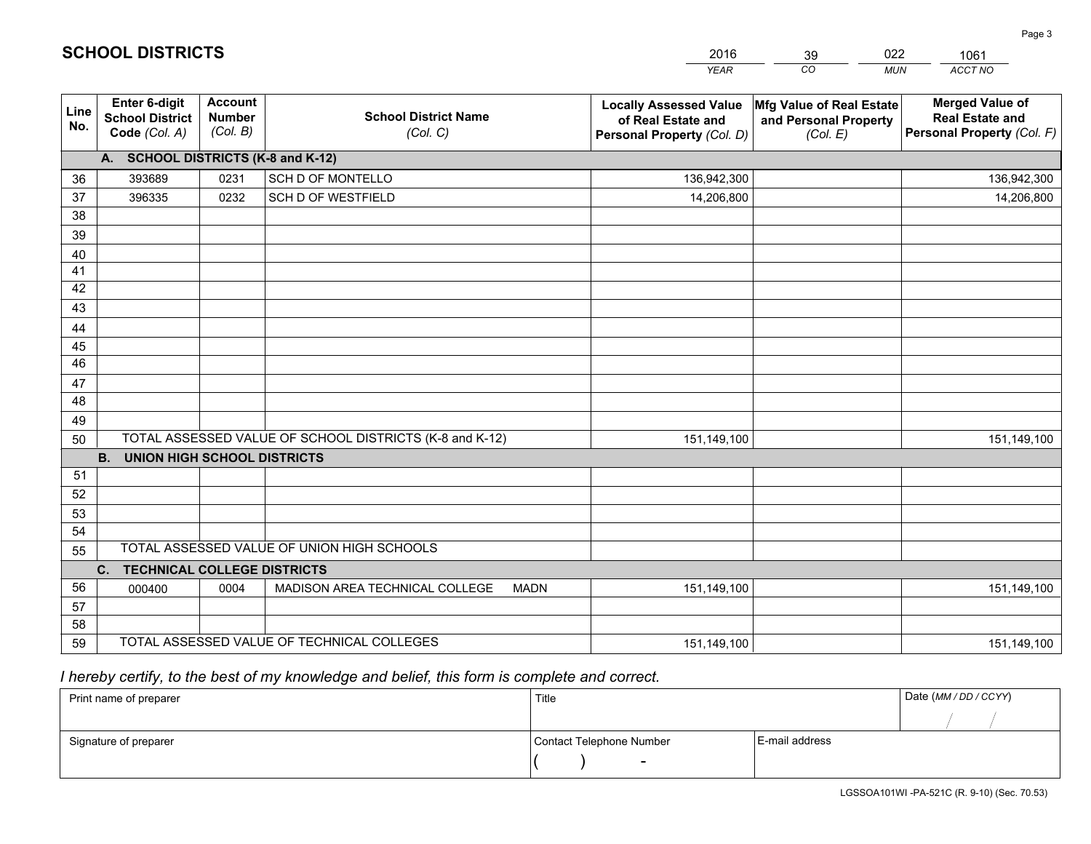|             |                                                                 |                                             |                                                         | <b>YEAR</b>                                                                       | CO<br><b>MUN</b>                                              | ACCT NO                                                                        |
|-------------|-----------------------------------------------------------------|---------------------------------------------|---------------------------------------------------------|-----------------------------------------------------------------------------------|---------------------------------------------------------------|--------------------------------------------------------------------------------|
| Line<br>No. | <b>Enter 6-digit</b><br><b>School District</b><br>Code (Col. A) | <b>Account</b><br><b>Number</b><br>(Col. B) | <b>School District Name</b><br>(Col. C)                 | <b>Locally Assessed Value</b><br>of Real Estate and<br>Personal Property (Col. D) | Mfg Value of Real Estate<br>and Personal Property<br>(Col. E) | <b>Merged Value of</b><br><b>Real Estate and</b><br>Personal Property (Col. F) |
|             | A. SCHOOL DISTRICTS (K-8 and K-12)                              |                                             |                                                         |                                                                                   |                                                               |                                                                                |
| 36          | 393689                                                          | 0231                                        | SCH D OF MONTELLO                                       | 136,942,300                                                                       |                                                               | 136,942,300                                                                    |
| 37          | 396335                                                          | 0232                                        | SCH D OF WESTFIELD                                      | 14,206,800                                                                        |                                                               | 14,206,800                                                                     |
| 38          |                                                                 |                                             |                                                         |                                                                                   |                                                               |                                                                                |
| 39          |                                                                 |                                             |                                                         |                                                                                   |                                                               |                                                                                |
| 40          |                                                                 |                                             |                                                         |                                                                                   |                                                               |                                                                                |
| 41          |                                                                 |                                             |                                                         |                                                                                   |                                                               |                                                                                |
| 42          |                                                                 |                                             |                                                         |                                                                                   |                                                               |                                                                                |
| 43          |                                                                 |                                             |                                                         |                                                                                   |                                                               |                                                                                |
| 44          |                                                                 |                                             |                                                         |                                                                                   |                                                               |                                                                                |
| 45          |                                                                 |                                             |                                                         |                                                                                   |                                                               |                                                                                |
| 46          |                                                                 |                                             |                                                         |                                                                                   |                                                               |                                                                                |
| 47<br>48    |                                                                 |                                             |                                                         |                                                                                   |                                                               |                                                                                |
| 49          |                                                                 |                                             |                                                         |                                                                                   |                                                               |                                                                                |
| 50          |                                                                 |                                             | TOTAL ASSESSED VALUE OF SCHOOL DISTRICTS (K-8 and K-12) | 151,149,100                                                                       |                                                               | 151,149,100                                                                    |
|             | <b>B.</b><br><b>UNION HIGH SCHOOL DISTRICTS</b>                 |                                             |                                                         |                                                                                   |                                                               |                                                                                |
| 51          |                                                                 |                                             |                                                         |                                                                                   |                                                               |                                                                                |
| 52          |                                                                 |                                             |                                                         |                                                                                   |                                                               |                                                                                |
| 53          |                                                                 |                                             |                                                         |                                                                                   |                                                               |                                                                                |
| 54          |                                                                 |                                             |                                                         |                                                                                   |                                                               |                                                                                |
| 55          |                                                                 |                                             | TOTAL ASSESSED VALUE OF UNION HIGH SCHOOLS              |                                                                                   |                                                               |                                                                                |
|             | C.<br><b>TECHNICAL COLLEGE DISTRICTS</b>                        |                                             |                                                         |                                                                                   |                                                               |                                                                                |
| 56          | 000400                                                          | 0004                                        | MADISON AREA TECHNICAL COLLEGE<br><b>MADN</b>           | 151,149,100                                                                       |                                                               | 151,149,100                                                                    |
| 57          |                                                                 |                                             |                                                         |                                                                                   |                                                               |                                                                                |
| 58          |                                                                 |                                             |                                                         |                                                                                   |                                                               |                                                                                |
| 59          |                                                                 |                                             | TOTAL ASSESSED VALUE OF TECHNICAL COLLEGES              | 151,149,100                                                                       |                                                               | 151,149,100                                                                    |

39

022

 *I hereby certify, to the best of my knowledge and belief, this form is complete and correct.*

**SCHOOL DISTRICTS**

| Print name of preparer | Title                    |                | Date (MM / DD / CCYY) |
|------------------------|--------------------------|----------------|-----------------------|
|                        |                          |                |                       |
| Signature of preparer  | Contact Telephone Number | E-mail address |                       |
|                        | $\sim$                   |                |                       |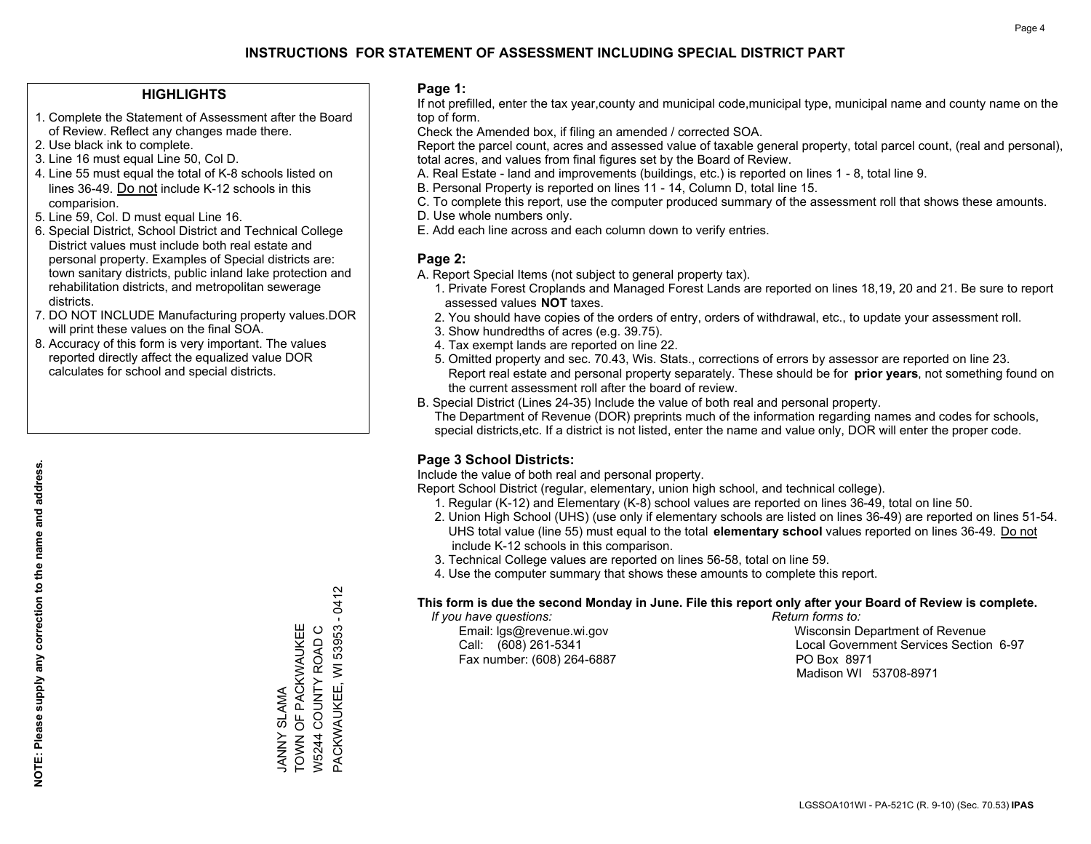#### **HIGHLIGHTS**

- 1. Complete the Statement of Assessment after the Board of Review. Reflect any changes made there.
- 2. Use black ink to complete.
- 3. Line 16 must equal Line 50, Col D.
- 4. Line 55 must equal the total of K-8 schools listed on lines 36-49. Do not include K-12 schools in this comparision.
- 5. Line 59, Col. D must equal Line 16.
- 6. Special District, School District and Technical College District values must include both real estate and personal property. Examples of Special districts are: town sanitary districts, public inland lake protection and rehabilitation districts, and metropolitan sewerage districts.
- 7. DO NOT INCLUDE Manufacturing property values.DOR will print these values on the final SOA.

JANNY SLAMA

TOWN OF PACKWAUKEE W5244 COUNTY ROAD C

JANNY SLAMA<br>TOWN OF PACKWAUKEE W5244 COUNTY ROAD C PACKWAUKEE, WI 53953 - 0412

PACKWAUKEE, WI 53953 -

0412

 8. Accuracy of this form is very important. The values reported directly affect the equalized value DOR calculates for school and special districts.

#### **Page 1:**

 If not prefilled, enter the tax year,county and municipal code,municipal type, municipal name and county name on the top of form.

Check the Amended box, if filing an amended / corrected SOA.

 Report the parcel count, acres and assessed value of taxable general property, total parcel count, (real and personal), total acres, and values from final figures set by the Board of Review.

- A. Real Estate land and improvements (buildings, etc.) is reported on lines 1 8, total line 9.
- B. Personal Property is reported on lines 11 14, Column D, total line 15.
- C. To complete this report, use the computer produced summary of the assessment roll that shows these amounts.
- D. Use whole numbers only.
- E. Add each line across and each column down to verify entries.

#### **Page 2:**

- A. Report Special Items (not subject to general property tax).
- 1. Private Forest Croplands and Managed Forest Lands are reported on lines 18,19, 20 and 21. Be sure to report assessed values **NOT** taxes.
- 2. You should have copies of the orders of entry, orders of withdrawal, etc., to update your assessment roll.
	- 3. Show hundredths of acres (e.g. 39.75).
- 4. Tax exempt lands are reported on line 22.
- 5. Omitted property and sec. 70.43, Wis. Stats., corrections of errors by assessor are reported on line 23. Report real estate and personal property separately. These should be for **prior years**, not something found on the current assessment roll after the board of review.
- B. Special District (Lines 24-35) Include the value of both real and personal property.

 The Department of Revenue (DOR) preprints much of the information regarding names and codes for schools, special districts,etc. If a district is not listed, enter the name and value only, DOR will enter the proper code.

### **Page 3 School Districts:**

Include the value of both real and personal property.

Report School District (regular, elementary, union high school, and technical college).

- 1. Regular (K-12) and Elementary (K-8) school values are reported on lines 36-49, total on line 50.
- 2. Union High School (UHS) (use only if elementary schools are listed on lines 36-49) are reported on lines 51-54. UHS total value (line 55) must equal to the total **elementary school** values reported on lines 36-49. Do notinclude K-12 schools in this comparison.
- 3. Technical College values are reported on lines 56-58, total on line 59.
- 4. Use the computer summary that shows these amounts to complete this report.

#### **This form is due the second Monday in June. File this report only after your Board of Review is complete.**

 *If you have questions: Return forms to:*

Fax number: (608) 264-6887 PO Box 8971

 Email: lgs@revenue.wi.gov Wisconsin Department of Revenue Call: (608) 261-5341 Local Government Services Section 6-97Madison WI 53708-8971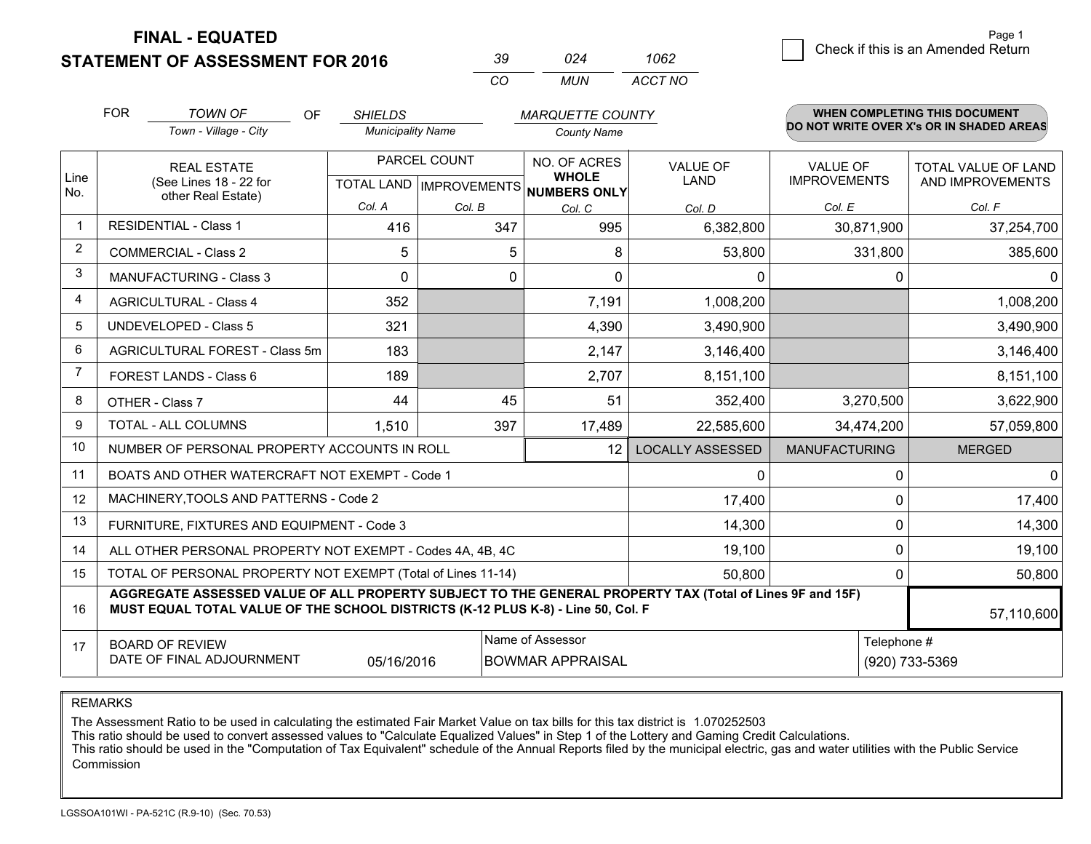**STATEMENT OF ASSESSMENT FOR 2016** 

| ≺ч           | በጋፈ | 1062    |
|--------------|-----|---------|
| $\mathbf{r}$ | MUN | ACCT NO |

|             | <b>FOR</b>                                                                                                                                                                                   | <b>TOWN OF</b><br><b>OF</b>                                  | <b>SHIELDS</b>           |              | <b>MARQUETTE COUNTY</b>                                                  |                                |                                        | WHEN COMPLETING THIS DOCUMENT            |  |
|-------------|----------------------------------------------------------------------------------------------------------------------------------------------------------------------------------------------|--------------------------------------------------------------|--------------------------|--------------|--------------------------------------------------------------------------|--------------------------------|----------------------------------------|------------------------------------------|--|
|             |                                                                                                                                                                                              | Town - Village - City                                        | <b>Municipality Name</b> |              | <b>County Name</b>                                                       |                                |                                        | DO NOT WRITE OVER X's OR IN SHADED AREAS |  |
| Line<br>No. |                                                                                                                                                                                              | <b>REAL ESTATE</b><br>(See Lines 18 - 22 for                 |                          | PARCEL COUNT | NO. OF ACRES<br><b>WHOLE</b><br>TOTAL LAND   IMPROVEMENTS   NUMBERS ONLY | <b>VALUE OF</b><br><b>LAND</b> | <b>VALUE OF</b><br><b>IMPROVEMENTS</b> | TOTAL VALUE OF LAND<br>AND IMPROVEMENTS  |  |
|             |                                                                                                                                                                                              | other Real Estate)                                           | Col. A                   | Col. B       | Col. C                                                                   | Col. D                         | Col. E                                 | Col. F                                   |  |
| -1          |                                                                                                                                                                                              | <b>RESIDENTIAL - Class 1</b>                                 | 416                      | 347          | 995                                                                      | 6,382,800                      | 30,871,900                             | 37,254,700                               |  |
| 2           |                                                                                                                                                                                              | <b>COMMERCIAL - Class 2</b>                                  | 5                        | 5            | 8                                                                        | 53,800                         | 331,800                                | 385,600                                  |  |
| 3           |                                                                                                                                                                                              | <b>MANUFACTURING - Class 3</b>                               | $\Omega$                 | 0            | 0                                                                        | 0                              | 0                                      | 0                                        |  |
| 4           |                                                                                                                                                                                              | <b>AGRICULTURAL - Class 4</b>                                | 352                      |              | 7,191                                                                    | 1,008,200                      |                                        | 1,008,200                                |  |
| 5           |                                                                                                                                                                                              | <b>UNDEVELOPED - Class 5</b>                                 | 321                      |              | 4,390                                                                    | 3,490,900                      |                                        | 3,490,900                                |  |
| 6           |                                                                                                                                                                                              | AGRICULTURAL FOREST - Class 5m                               | 183                      |              | 2,147                                                                    | 3,146,400                      |                                        | 3,146,400                                |  |
| 7           |                                                                                                                                                                                              | FOREST LANDS - Class 6                                       | 189                      |              | 2,707                                                                    | 8,151,100                      |                                        | 8,151,100                                |  |
| 8           |                                                                                                                                                                                              | OTHER - Class 7                                              | 44                       | 45           | 51                                                                       | 352,400                        | 3,270,500                              | 3,622,900                                |  |
| 9           |                                                                                                                                                                                              | TOTAL - ALL COLUMNS                                          | 1,510                    | 397          | 17,489                                                                   | 22,585,600                     | 34,474,200                             | 57,059,800                               |  |
| 10          |                                                                                                                                                                                              | NUMBER OF PERSONAL PROPERTY ACCOUNTS IN ROLL                 |                          |              | 12                                                                       | <b>LOCALLY ASSESSED</b>        | <b>MANUFACTURING</b>                   | <b>MERGED</b>                            |  |
| 11          |                                                                                                                                                                                              | BOATS AND OTHER WATERCRAFT NOT EXEMPT - Code 1               |                          |              |                                                                          | 0                              | 0                                      | 0                                        |  |
| 12          |                                                                                                                                                                                              | MACHINERY, TOOLS AND PATTERNS - Code 2                       |                          |              |                                                                          | 17,400                         | 0                                      | 17,400                                   |  |
| 13          |                                                                                                                                                                                              | FURNITURE, FIXTURES AND EQUIPMENT - Code 3                   |                          |              |                                                                          | 14,300                         | 0                                      | 14,300                                   |  |
| 14          |                                                                                                                                                                                              | ALL OTHER PERSONAL PROPERTY NOT EXEMPT - Codes 4A, 4B, 4C    |                          |              |                                                                          | 19,100                         | 0                                      | 19,100                                   |  |
| 15          |                                                                                                                                                                                              | TOTAL OF PERSONAL PROPERTY NOT EXEMPT (Total of Lines 11-14) |                          | 50,800       | 0                                                                        | 50,800                         |                                        |                                          |  |
| 16          | AGGREGATE ASSESSED VALUE OF ALL PROPERTY SUBJECT TO THE GENERAL PROPERTY TAX (Total of Lines 9F and 15F)<br>MUST EQUAL TOTAL VALUE OF THE SCHOOL DISTRICTS (K-12 PLUS K-8) - Line 50, Col. F |                                                              |                          |              |                                                                          |                                | 57,110,600                             |                                          |  |
| 17          |                                                                                                                                                                                              | <b>BOARD OF REVIEW</b><br>DATE OF FINAL ADJOURNMENT          | 05/16/2016               |              | Name of Assessor<br><b>BOWMAR APPRAISAL</b>                              | Telephone #<br>(920) 733-5369  |                                        |                                          |  |

REMARKS

The Assessment Ratio to be used in calculating the estimated Fair Market Value on tax bills for this tax district is 1.070252503

This ratio should be used to convert assessed values to "Calculate Equalized Values" in Step 1 of the Lottery and Gaming Credit Calculations.<br>This ratio should be used in the "Computation of Tax Equivalent" schedule of the Commission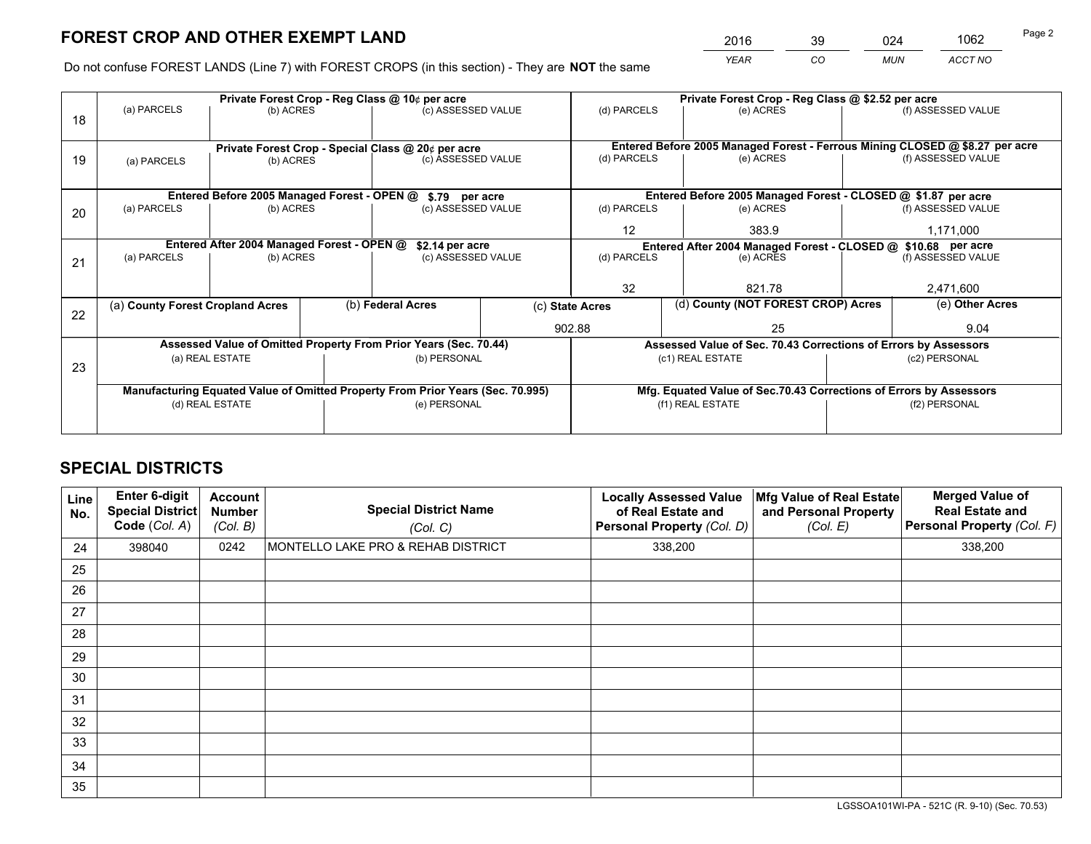*YEAR CO MUN ACCT NO* <sup>2016</sup> <sup>39</sup> <sup>024</sup> <sup>1062</sup>

Do not confuse FOREST LANDS (Line 7) with FOREST CROPS (in this section) - They are **NOT** the same

|    | Private Forest Crop - Reg Class @ 10¢ per acre                                 |                                             |  |                                                                  |                                                                              | Private Forest Crop - Reg Class @ \$2.52 per acre                  |                                                                 |                    |                    |
|----|--------------------------------------------------------------------------------|---------------------------------------------|--|------------------------------------------------------------------|------------------------------------------------------------------------------|--------------------------------------------------------------------|-----------------------------------------------------------------|--------------------|--------------------|
| 18 | (a) PARCELS                                                                    | (b) ACRES                                   |  | (c) ASSESSED VALUE                                               |                                                                              | (d) PARCELS                                                        | (e) ACRES                                                       |                    | (f) ASSESSED VALUE |
|    |                                                                                |                                             |  |                                                                  |                                                                              |                                                                    |                                                                 |                    |                    |
|    | Private Forest Crop - Special Class @ 20¢ per acre                             |                                             |  |                                                                  | Entered Before 2005 Managed Forest - Ferrous Mining CLOSED @ \$8.27 per acre |                                                                    |                                                                 |                    |                    |
| 19 | (a) PARCELS                                                                    | (b) ACRES                                   |  | (c) ASSESSED VALUE                                               |                                                                              | (d) PARCELS                                                        | (e) ACRES                                                       |                    | (f) ASSESSED VALUE |
|    |                                                                                |                                             |  |                                                                  |                                                                              |                                                                    |                                                                 |                    |                    |
|    |                                                                                | Entered Before 2005 Managed Forest - OPEN @ |  | \$.79 per acre                                                   |                                                                              |                                                                    | Entered Before 2005 Managed Forest - CLOSED @ \$1.87 per acre   |                    |                    |
| 20 | (a) PARCELS                                                                    | (b) ACRES                                   |  | (c) ASSESSED VALUE                                               |                                                                              | (d) PARCELS                                                        | (e) ACRES                                                       |                    | (f) ASSESSED VALUE |
|    |                                                                                |                                             |  |                                                                  |                                                                              | $12 \overline{ }$                                                  | 383.9                                                           |                    | 1,171,000          |
|    | Entered After 2004 Managed Forest - OPEN @<br>\$2.14 per acre                  |                                             |  |                                                                  |                                                                              | Entered After 2004 Managed Forest - CLOSED @ \$10.68 per acre      |                                                                 | (f) ASSESSED VALUE |                    |
| 21 | (a) PARCELS                                                                    | (b) ACRES                                   |  | (c) ASSESSED VALUE                                               | (d) PARCELS                                                                  |                                                                    | (e) ACRES                                                       |                    |                    |
|    |                                                                                |                                             |  |                                                                  |                                                                              |                                                                    |                                                                 |                    |                    |
|    |                                                                                |                                             |  |                                                                  |                                                                              | 32<br>821.78                                                       |                                                                 | 2,471,600          |                    |
| 22 | (a) County Forest Cropland Acres                                               |                                             |  | (b) Federal Acres                                                |                                                                              | (d) County (NOT FOREST CROP) Acres<br>(c) State Acres              |                                                                 |                    | (e) Other Acres    |
|    |                                                                                |                                             |  |                                                                  | 902.88                                                                       |                                                                    | 25                                                              |                    | 9.04               |
|    |                                                                                |                                             |  | Assessed Value of Omitted Property From Prior Years (Sec. 70.44) |                                                                              |                                                                    | Assessed Value of Sec. 70.43 Corrections of Errors by Assessors |                    |                    |
| 23 |                                                                                | (a) REAL ESTATE<br>(b) PERSONAL             |  |                                                                  |                                                                              | (c1) REAL ESTATE                                                   |                                                                 | (c2) PERSONAL      |                    |
|    |                                                                                |                                             |  |                                                                  |                                                                              |                                                                    |                                                                 |                    |                    |
|    | Manufacturing Equated Value of Omitted Property From Prior Years (Sec. 70.995) |                                             |  |                                                                  |                                                                              | Mfg. Equated Value of Sec.70.43 Corrections of Errors by Assessors |                                                                 |                    |                    |
|    | (d) REAL ESTATE                                                                |                                             |  | (e) PERSONAL                                                     |                                                                              | (f1) REAL ESTATE                                                   |                                                                 | (f2) PERSONAL      |                    |
|    |                                                                                |                                             |  |                                                                  |                                                                              |                                                                    |                                                                 |                    |                    |

## **SPECIAL DISTRICTS**

| Line<br>No. | Enter 6-digit<br><b>Special District</b><br>Code (Col. A) | <b>Account</b><br><b>Number</b><br>(Col. B) | <b>Special District Name</b><br>(Col. C) | <b>Locally Assessed Value</b><br>of Real Estate and<br>Personal Property (Col. D) | Mfg Value of Real Estate<br>and Personal Property<br>(Col. E) | <b>Merged Value of</b><br><b>Real Estate and</b><br>Personal Property (Col. F) |
|-------------|-----------------------------------------------------------|---------------------------------------------|------------------------------------------|-----------------------------------------------------------------------------------|---------------------------------------------------------------|--------------------------------------------------------------------------------|
| 24          | 398040                                                    | 0242                                        | MONTELLO LAKE PRO & REHAB DISTRICT       | 338,200                                                                           |                                                               | 338,200                                                                        |
| 25          |                                                           |                                             |                                          |                                                                                   |                                                               |                                                                                |
| 26          |                                                           |                                             |                                          |                                                                                   |                                                               |                                                                                |
| 27          |                                                           |                                             |                                          |                                                                                   |                                                               |                                                                                |
| 28          |                                                           |                                             |                                          |                                                                                   |                                                               |                                                                                |
| 29          |                                                           |                                             |                                          |                                                                                   |                                                               |                                                                                |
| 30          |                                                           |                                             |                                          |                                                                                   |                                                               |                                                                                |
| 31          |                                                           |                                             |                                          |                                                                                   |                                                               |                                                                                |
| 32          |                                                           |                                             |                                          |                                                                                   |                                                               |                                                                                |
| 33          |                                                           |                                             |                                          |                                                                                   |                                                               |                                                                                |
| 34          |                                                           |                                             |                                          |                                                                                   |                                                               |                                                                                |
| 35          |                                                           |                                             |                                          |                                                                                   |                                                               |                                                                                |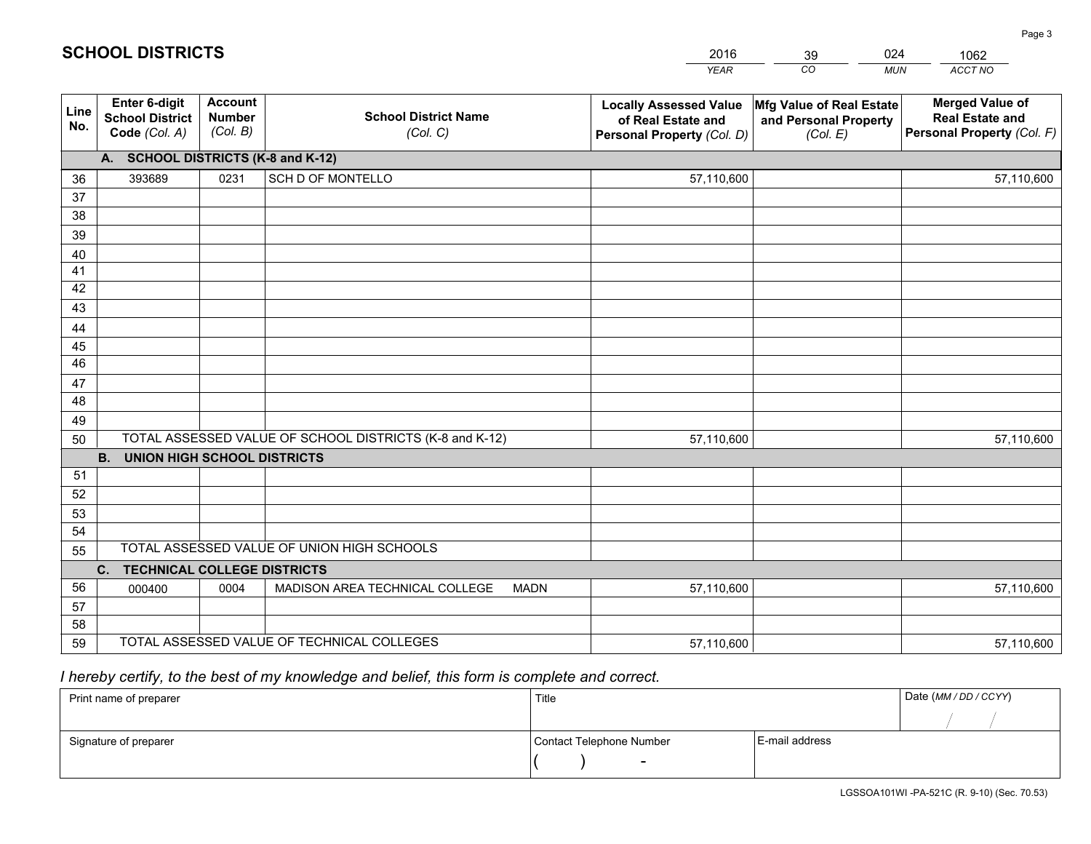|             |                                                                 |                                             |                                                         | <b>YEAR</b>                                                                       | CO<br><b>MUN</b>                                              | ACCT NO                                                                        |
|-------------|-----------------------------------------------------------------|---------------------------------------------|---------------------------------------------------------|-----------------------------------------------------------------------------------|---------------------------------------------------------------|--------------------------------------------------------------------------------|
| Line<br>No. | <b>Enter 6-digit</b><br><b>School District</b><br>Code (Col. A) | <b>Account</b><br><b>Number</b><br>(Col. B) | <b>School District Name</b><br>(Col. C)                 | <b>Locally Assessed Value</b><br>of Real Estate and<br>Personal Property (Col. D) | Mfg Value of Real Estate<br>and Personal Property<br>(Col. E) | <b>Merged Value of</b><br><b>Real Estate and</b><br>Personal Property (Col. F) |
|             | A. SCHOOL DISTRICTS (K-8 and K-12)                              |                                             |                                                         |                                                                                   |                                                               |                                                                                |
| 36          | 393689                                                          | 0231                                        | SCH D OF MONTELLO                                       | 57,110,600                                                                        |                                                               | 57,110,600                                                                     |
| 37          |                                                                 |                                             |                                                         |                                                                                   |                                                               |                                                                                |
| 38          |                                                                 |                                             |                                                         |                                                                                   |                                                               |                                                                                |
| 39          |                                                                 |                                             |                                                         |                                                                                   |                                                               |                                                                                |
| 40          |                                                                 |                                             |                                                         |                                                                                   |                                                               |                                                                                |
| 41<br>42    |                                                                 |                                             |                                                         |                                                                                   |                                                               |                                                                                |
| 43          |                                                                 |                                             |                                                         |                                                                                   |                                                               |                                                                                |
| 44          |                                                                 |                                             |                                                         |                                                                                   |                                                               |                                                                                |
| 45          |                                                                 |                                             |                                                         |                                                                                   |                                                               |                                                                                |
| 46          |                                                                 |                                             |                                                         |                                                                                   |                                                               |                                                                                |
| 47          |                                                                 |                                             |                                                         |                                                                                   |                                                               |                                                                                |
| 48          |                                                                 |                                             |                                                         |                                                                                   |                                                               |                                                                                |
| 49          |                                                                 |                                             |                                                         |                                                                                   |                                                               |                                                                                |
| 50          |                                                                 |                                             | TOTAL ASSESSED VALUE OF SCHOOL DISTRICTS (K-8 and K-12) | 57,110,600                                                                        |                                                               | 57,110,600                                                                     |
|             | <b>B.</b><br><b>UNION HIGH SCHOOL DISTRICTS</b>                 |                                             |                                                         |                                                                                   |                                                               |                                                                                |
| 51          |                                                                 |                                             |                                                         |                                                                                   |                                                               |                                                                                |
| 52          |                                                                 |                                             |                                                         |                                                                                   |                                                               |                                                                                |
| 53<br>54    |                                                                 |                                             |                                                         |                                                                                   |                                                               |                                                                                |
| 55          |                                                                 |                                             | TOTAL ASSESSED VALUE OF UNION HIGH SCHOOLS              |                                                                                   |                                                               |                                                                                |
|             | C.<br><b>TECHNICAL COLLEGE DISTRICTS</b>                        |                                             |                                                         |                                                                                   |                                                               |                                                                                |
| 56          | 000400                                                          | 0004                                        | MADISON AREA TECHNICAL COLLEGE<br><b>MADN</b>           | 57,110,600                                                                        |                                                               | 57,110,600                                                                     |
| 57          |                                                                 |                                             |                                                         |                                                                                   |                                                               |                                                                                |
| 58          |                                                                 |                                             |                                                         |                                                                                   |                                                               |                                                                                |
| 59          |                                                                 |                                             | TOTAL ASSESSED VALUE OF TECHNICAL COLLEGES              | 57,110,600                                                                        |                                                               | 57,110,600                                                                     |

39

024

 *I hereby certify, to the best of my knowledge and belief, this form is complete and correct.*

**SCHOOL DISTRICTS**

| Print name of preparer | Title                    |                | Date (MM / DD / CCYY) |
|------------------------|--------------------------|----------------|-----------------------|
|                        |                          |                |                       |
| Signature of preparer  | Contact Telephone Number | E-mail address |                       |
|                        | $\overline{\phantom{0}}$ |                |                       |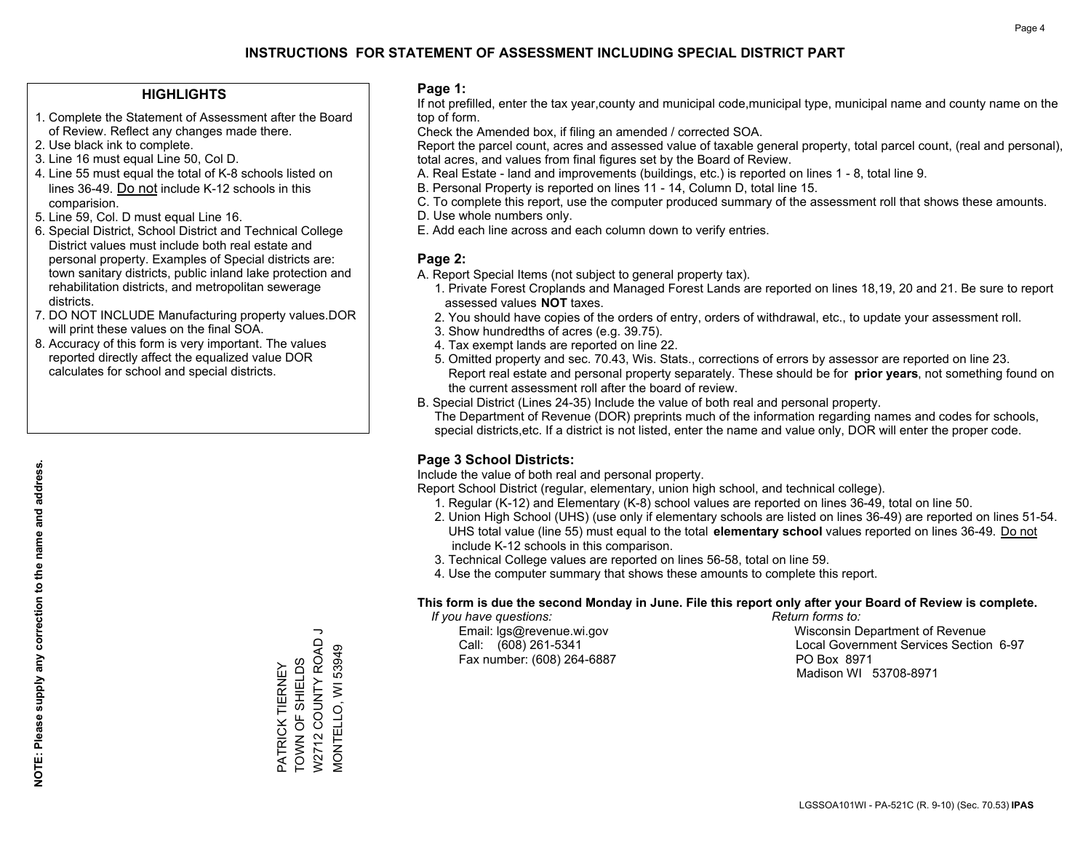#### **HIGHLIGHTS**

- 1. Complete the Statement of Assessment after the Board of Review. Reflect any changes made there.
- 2. Use black ink to complete.
- 3. Line 16 must equal Line 50, Col D.
- 4. Line 55 must equal the total of K-8 schools listed on lines 36-49. Do not include K-12 schools in this comparision.
- 5. Line 59, Col. D must equal Line 16.
- 6. Special District, School District and Technical College District values must include both real estate and personal property. Examples of Special districts are: town sanitary districts, public inland lake protection and rehabilitation districts, and metropolitan sewerage districts.
- 7. DO NOT INCLUDE Manufacturing property values.DOR will print these values on the final SOA.
- 8. Accuracy of this form is very important. The values reported directly affect the equalized value DOR calculates for school and special districts.

#### **Page 1:**

 If not prefilled, enter the tax year,county and municipal code,municipal type, municipal name and county name on the top of form.

Check the Amended box, if filing an amended / corrected SOA.

 Report the parcel count, acres and assessed value of taxable general property, total parcel count, (real and personal), total acres, and values from final figures set by the Board of Review.

- A. Real Estate land and improvements (buildings, etc.) is reported on lines 1 8, total line 9.
- B. Personal Property is reported on lines 11 14, Column D, total line 15.
- C. To complete this report, use the computer produced summary of the assessment roll that shows these amounts.
- D. Use whole numbers only.
- E. Add each line across and each column down to verify entries.

#### **Page 2:**

- A. Report Special Items (not subject to general property tax).
- 1. Private Forest Croplands and Managed Forest Lands are reported on lines 18,19, 20 and 21. Be sure to report assessed values **NOT** taxes.
- 2. You should have copies of the orders of entry, orders of withdrawal, etc., to update your assessment roll.
	- 3. Show hundredths of acres (e.g. 39.75).
- 4. Tax exempt lands are reported on line 22.
- 5. Omitted property and sec. 70.43, Wis. Stats., corrections of errors by assessor are reported on line 23. Report real estate and personal property separately. These should be for **prior years**, not something found on the current assessment roll after the board of review.
- B. Special District (Lines 24-35) Include the value of both real and personal property.

 The Department of Revenue (DOR) preprints much of the information regarding names and codes for schools, special districts,etc. If a district is not listed, enter the name and value only, DOR will enter the proper code.

### **Page 3 School Districts:**

Include the value of both real and personal property.

Report School District (regular, elementary, union high school, and technical college).

- 1. Regular (K-12) and Elementary (K-8) school values are reported on lines 36-49, total on line 50.
- 2. Union High School (UHS) (use only if elementary schools are listed on lines 36-49) are reported on lines 51-54. UHS total value (line 55) must equal to the total **elementary school** values reported on lines 36-49. Do notinclude K-12 schools in this comparison.
- 3. Technical College values are reported on lines 56-58, total on line 59.
- 4. Use the computer summary that shows these amounts to complete this report.

#### **This form is due the second Monday in June. File this report only after your Board of Review is complete.**

 *If you have questions: Return forms to:*

Fax number: (608) 264-6887 PO Box 8971

 Email: lgs@revenue.wi.gov Wisconsin Department of Revenue Call: (608) 261-5341 Local Government Services Section 6-97Madison WI 53708-8971

W2712 COUNTY ROAD J W2712 COUNTY ROAD VIONTELLO, WI 53949 MONTELLO, WI 53949 PATRICK TIERNEY<br>TOWN OF SHIELDS TOWN OF SHIELDS PATRICK TIERNEY

**NOTE: Please supply any correction to the name and address.**

NOTE: Please supply any correction to the name and address.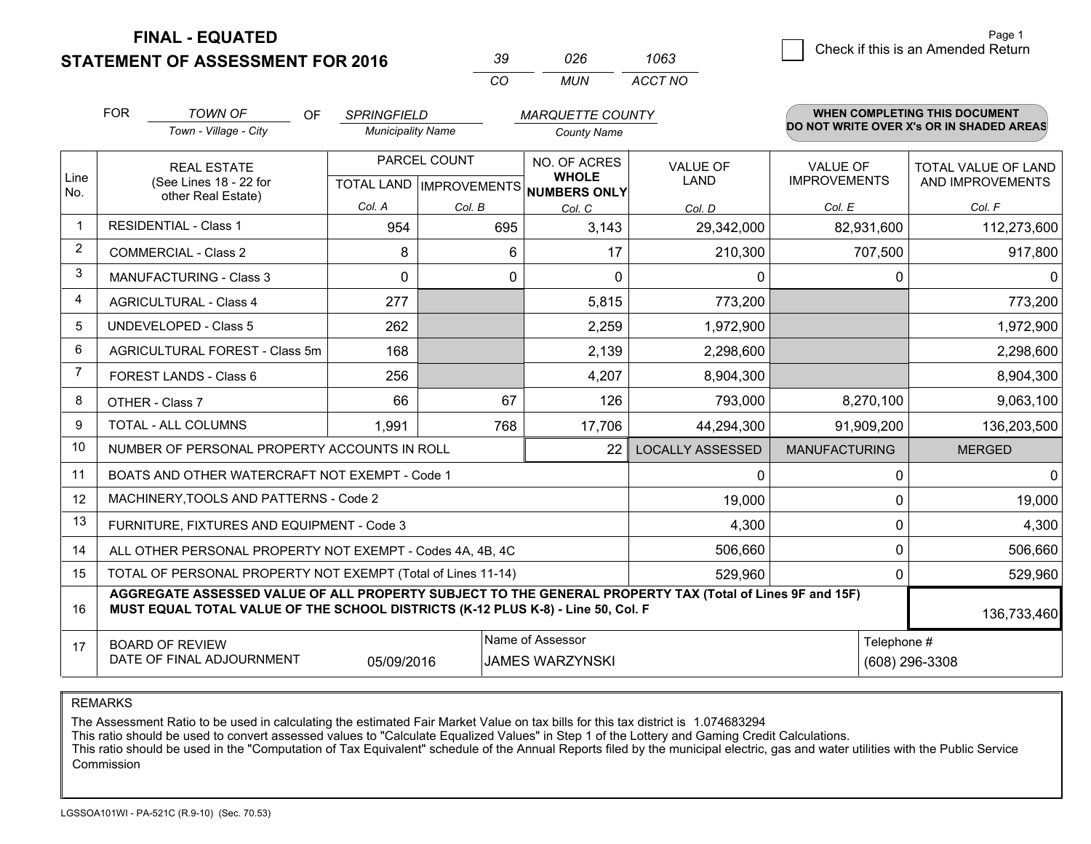**STATEMENT OF ASSESSMENT FOR 2016** 

| -39      | 026   | 1063    |
|----------|-------|---------|
| $\alpha$ | MI IN | ACCT NO |

|             | <b>FOR</b>                                                                                                                                                                                   | <b>TOWN OF</b><br>OF.                                     | <b>SPRINGFIELD</b>       |                                           | <b>MARQUETTE COUNTY</b>                      |                                |                                 | <b>WHEN COMPLETING THIS DOCUMENT</b>     |
|-------------|----------------------------------------------------------------------------------------------------------------------------------------------------------------------------------------------|-----------------------------------------------------------|--------------------------|-------------------------------------------|----------------------------------------------|--------------------------------|---------------------------------|------------------------------------------|
|             |                                                                                                                                                                                              | Town - Village - City                                     | <b>Municipality Name</b> |                                           | <b>County Name</b>                           |                                |                                 | DO NOT WRITE OVER X's OR IN SHADED AREAS |
| Line<br>No. |                                                                                                                                                                                              | <b>REAL ESTATE</b><br>(See Lines 18 - 22 for              |                          | PARCEL COUNT<br>TOTAL LAND   IMPROVEMENTS | NO. OF ACRES<br><b>WHOLE</b><br>NUMBERS ONLY | <b>VALUE OF</b><br><b>LAND</b> | VALUE OF<br><b>IMPROVEMENTS</b> | TOTAL VALUE OF LAND<br>AND IMPROVEMENTS  |
|             |                                                                                                                                                                                              | other Real Estate)                                        | Col. A                   | Col. B                                    | Col. C                                       | Col. D                         | Col. E                          | Col. F                                   |
| $\mathbf 1$ |                                                                                                                                                                                              | <b>RESIDENTIAL - Class 1</b>                              | 954                      | 695                                       | 3,143                                        | 29,342,000                     | 82,931,600                      | 112,273,600                              |
| 2           |                                                                                                                                                                                              | <b>COMMERCIAL - Class 2</b>                               | 8                        | 6                                         | 17                                           | 210,300                        | 707,500                         | 917,800                                  |
| 3           |                                                                                                                                                                                              | <b>MANUFACTURING - Class 3</b>                            | $\Omega$                 | 0                                         | $\Omega$                                     | 0                              | 0                               | $\Omega$                                 |
| 4           |                                                                                                                                                                                              | <b>AGRICULTURAL - Class 4</b>                             | 277                      |                                           | 5,815                                        | 773,200                        |                                 | 773,200                                  |
| 5           |                                                                                                                                                                                              | <b>UNDEVELOPED - Class 5</b>                              | 262                      |                                           | 2,259                                        | 1,972,900                      |                                 | 1,972,900                                |
| 6           | AGRICULTURAL FOREST - Class 5m                                                                                                                                                               |                                                           | 168                      |                                           | 2,139                                        | 2,298,600                      |                                 | 2,298,600                                |
| 7           |                                                                                                                                                                                              | FOREST LANDS - Class 6                                    | 256                      |                                           | 4,207                                        | 8,904,300                      |                                 | 8,904,300                                |
| 8           |                                                                                                                                                                                              | OTHER - Class 7                                           | 66                       | 67                                        | 126                                          | 793,000                        | 8,270,100                       | 9,063,100                                |
| 9           |                                                                                                                                                                                              | TOTAL - ALL COLUMNS                                       | 1,991                    | 768                                       | 17,706                                       | 44,294,300                     | 91,909,200                      | 136,203,500                              |
| 10          |                                                                                                                                                                                              | NUMBER OF PERSONAL PROPERTY ACCOUNTS IN ROLL              |                          |                                           | 22                                           | <b>LOCALLY ASSESSED</b>        | <b>MANUFACTURING</b>            | <b>MERGED</b>                            |
| 11          |                                                                                                                                                                                              | BOATS AND OTHER WATERCRAFT NOT EXEMPT - Code 1            |                          |                                           |                                              | 0                              | 0                               | $\overline{0}$                           |
| 12          |                                                                                                                                                                                              | MACHINERY, TOOLS AND PATTERNS - Code 2                    |                          |                                           |                                              | 19,000                         | 0                               | 19,000                                   |
| 13          |                                                                                                                                                                                              | FURNITURE, FIXTURES AND EQUIPMENT - Code 3                |                          |                                           |                                              | 4,300                          | 0                               | 4,300                                    |
| 14          |                                                                                                                                                                                              | ALL OTHER PERSONAL PROPERTY NOT EXEMPT - Codes 4A, 4B, 4C |                          |                                           |                                              | 506,660                        | 0                               | 506,660                                  |
| 15          | TOTAL OF PERSONAL PROPERTY NOT EXEMPT (Total of Lines 11-14)<br>529,960                                                                                                                      |                                                           |                          |                                           |                                              |                                |                                 | 0<br>529,960                             |
| 16          | AGGREGATE ASSESSED VALUE OF ALL PROPERTY SUBJECT TO THE GENERAL PROPERTY TAX (Total of Lines 9F and 15F)<br>MUST EQUAL TOTAL VALUE OF THE SCHOOL DISTRICTS (K-12 PLUS K-8) - Line 50, Col. F |                                                           |                          |                                           |                                              |                                | 136,733,460                     |                                          |
| 17          | Name of Assessor<br>Telephone #<br><b>BOARD OF REVIEW</b><br>DATE OF FINAL ADJOURNMENT<br>05/09/2016<br><b>JAMES WARZYNSKI</b>                                                               |                                                           |                          |                                           |                                              | (608) 296-3308                 |                                 |                                          |

REMARKS

The Assessment Ratio to be used in calculating the estimated Fair Market Value on tax bills for this tax district is 1.074683294

This ratio should be used to convert assessed values to "Calculate Equalized Values" in Step 1 of the Lottery and Gaming Credit Calculations.<br>This ratio should be used in the "Computation of Tax Equivalent" schedule of the Commission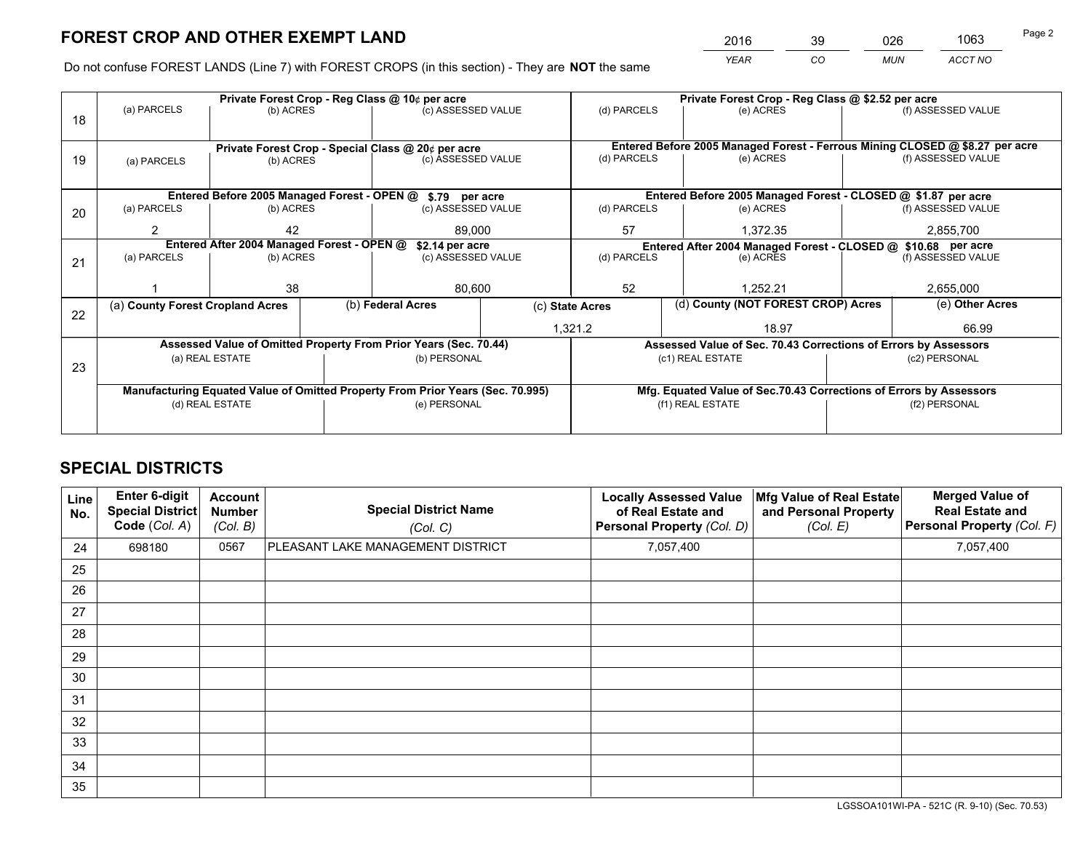*YEAR CO MUN ACCT NO* <sup>2016</sup> <sup>39</sup> <sup>026</sup> <sup>1063</sup>

Do not confuse FOREST LANDS (Line 7) with FOREST CROPS (in this section) - They are **NOT** the same

|                                                               |                            |                                                           |                                     |                                                                     | Private Forest Crop - Reg Class @ \$2.52 per acre                                                                                                                                                                                                                                                                                                                                        |               |                            |                                           |                                                                                                                                                                                                                                                                                                                                                                                               |
|---------------------------------------------------------------|----------------------------|-----------------------------------------------------------|-------------------------------------|---------------------------------------------------------------------|------------------------------------------------------------------------------------------------------------------------------------------------------------------------------------------------------------------------------------------------------------------------------------------------------------------------------------------------------------------------------------------|---------------|----------------------------|-------------------------------------------|-----------------------------------------------------------------------------------------------------------------------------------------------------------------------------------------------------------------------------------------------------------------------------------------------------------------------------------------------------------------------------------------------|
|                                                               |                            |                                                           |                                     |                                                                     | (d) PARCELS                                                                                                                                                                                                                                                                                                                                                                              |               | (e) ACRES                  |                                           | (f) ASSESSED VALUE                                                                                                                                                                                                                                                                                                                                                                            |
|                                                               |                            |                                                           |                                     |                                                                     |                                                                                                                                                                                                                                                                                                                                                                                          |               |                            |                                           |                                                                                                                                                                                                                                                                                                                                                                                               |
|                                                               |                            |                                                           |                                     |                                                                     |                                                                                                                                                                                                                                                                                                                                                                                          |               |                            |                                           |                                                                                                                                                                                                                                                                                                                                                                                               |
| (a) PARCELS                                                   | (b) ACRES                  |                                                           |                                     |                                                                     | (e) ACRES                                                                                                                                                                                                                                                                                                                                                                                |               | (f) ASSESSED VALUE         |                                           |                                                                                                                                                                                                                                                                                                                                                                                               |
|                                                               |                            |                                                           |                                     |                                                                     |                                                                                                                                                                                                                                                                                                                                                                                          |               |                            |                                           |                                                                                                                                                                                                                                                                                                                                                                                               |
|                                                               |                            |                                                           |                                     |                                                                     |                                                                                                                                                                                                                                                                                                                                                                                          |               |                            |                                           |                                                                                                                                                                                                                                                                                                                                                                                               |
| (a) PARCELS                                                   |                            |                                                           |                                     |                                                                     | (d) PARCELS                                                                                                                                                                                                                                                                                                                                                                              |               | (e) ACRES                  |                                           | (f) ASSESSED VALUE                                                                                                                                                                                                                                                                                                                                                                            |
| 2                                                             | 42<br>89.000               |                                                           |                                     | 57                                                                  |                                                                                                                                                                                                                                                                                                                                                                                          | 1,372.35      | 2,855,700                  |                                           |                                                                                                                                                                                                                                                                                                                                                                                               |
| Entered After 2004 Managed Forest - OPEN @<br>\$2.14 per acre |                            |                                                           |                                     |                                                                     |                                                                                                                                                                                                                                                                                                                                                                                          |               |                            |                                           |                                                                                                                                                                                                                                                                                                                                                                                               |
|                                                               |                            |                                                           |                                     |                                                                     |                                                                                                                                                                                                                                                                                                                                                                                          |               | (f) ASSESSED VALUE         |                                           |                                                                                                                                                                                                                                                                                                                                                                                               |
|                                                               |                            |                                                           |                                     |                                                                     |                                                                                                                                                                                                                                                                                                                                                                                          |               |                            |                                           |                                                                                                                                                                                                                                                                                                                                                                                               |
|                                                               |                            |                                                           |                                     |                                                                     |                                                                                                                                                                                                                                                                                                                                                                                          |               |                            |                                           | 2,655,000                                                                                                                                                                                                                                                                                                                                                                                     |
|                                                               |                            |                                                           |                                     | (c) State Acres                                                     |                                                                                                                                                                                                                                                                                                                                                                                          |               |                            |                                           | (e) Other Acres                                                                                                                                                                                                                                                                                                                                                                               |
|                                                               |                            |                                                           |                                     |                                                                     | 18.97                                                                                                                                                                                                                                                                                                                                                                                    |               |                            | 66.99                                     |                                                                                                                                                                                                                                                                                                                                                                                               |
|                                                               |                            |                                                           |                                     |                                                                     |                                                                                                                                                                                                                                                                                                                                                                                          |               |                            |                                           |                                                                                                                                                                                                                                                                                                                                                                                               |
|                                                               |                            |                                                           |                                     |                                                                     |                                                                                                                                                                                                                                                                                                                                                                                          |               |                            |                                           | (c2) PERSONAL                                                                                                                                                                                                                                                                                                                                                                                 |
|                                                               |                            |                                                           |                                     |                                                                     |                                                                                                                                                                                                                                                                                                                                                                                          |               |                            |                                           |                                                                                                                                                                                                                                                                                                                                                                                               |
|                                                               |                            |                                                           |                                     |                                                                     |                                                                                                                                                                                                                                                                                                                                                                                          |               |                            |                                           |                                                                                                                                                                                                                                                                                                                                                                                               |
| (d) REAL ESTATE                                               |                            |                                                           | (e) PERSONAL                        |                                                                     | (f1) REAL ESTATE                                                                                                                                                                                                                                                                                                                                                                         |               |                            | (f2) PERSONAL                             |                                                                                                                                                                                                                                                                                                                                                                                               |
|                                                               |                            |                                                           |                                     |                                                                     |                                                                                                                                                                                                                                                                                                                                                                                          |               |                            |                                           |                                                                                                                                                                                                                                                                                                                                                                                               |
|                                                               | (a) PARCELS<br>(a) PARCELS | 38<br>(a) County Forest Cropland Acres<br>(a) REAL ESTATE | (b) ACRES<br>(b) ACRES<br>(b) ACRES | Private Forest Crop - Reg Class @ 10¢ per acre<br>(b) Federal Acres | (c) ASSESSED VALUE<br>Private Forest Crop - Special Class @ 20¢ per acre<br>(c) ASSESSED VALUE<br>Entered Before 2005 Managed Forest - OPEN @ \$.79 per acre<br>(c) ASSESSED VALUE<br>(c) ASSESSED VALUE<br>80,600<br>Assessed Value of Omitted Property From Prior Years (Sec. 70.44)<br>(b) PERSONAL<br>Manufacturing Equated Value of Omitted Property From Prior Years (Sec. 70.995) | 52<br>1,321.2 | (d) PARCELS<br>(d) PARCELS | (e) ACRES<br>1.252.21<br>(c1) REAL ESTATE | Entered Before 2005 Managed Forest - Ferrous Mining CLOSED @ \$8.27 per acre<br>Entered Before 2005 Managed Forest - CLOSED @ \$1.87 per acre<br>Entered After 2004 Managed Forest - CLOSED @ \$10.68 per acre<br>(d) County (NOT FOREST CROP) Acres<br>Assessed Value of Sec. 70.43 Corrections of Errors by Assessors<br>Mfg. Equated Value of Sec.70.43 Corrections of Errors by Assessors |

## **SPECIAL DISTRICTS**

| Line<br>No. | Enter 6-digit<br><b>Special District</b><br>Code (Col. A) | <b>Account</b><br><b>Number</b><br>(Col. B) | <b>Special District Name</b><br>(Col. C) | <b>Locally Assessed Value</b><br>of Real Estate and<br>Personal Property (Col. D) | Mfg Value of Real Estate<br>and Personal Property<br>(Col. E) | <b>Merged Value of</b><br><b>Real Estate and</b><br>Personal Property (Col. F) |
|-------------|-----------------------------------------------------------|---------------------------------------------|------------------------------------------|-----------------------------------------------------------------------------------|---------------------------------------------------------------|--------------------------------------------------------------------------------|
| 24          | 698180                                                    | 0567                                        | PLEASANT LAKE MANAGEMENT DISTRICT        | 7,057,400                                                                         |                                                               | 7,057,400                                                                      |
| 25          |                                                           |                                             |                                          |                                                                                   |                                                               |                                                                                |
| 26          |                                                           |                                             |                                          |                                                                                   |                                                               |                                                                                |
| 27          |                                                           |                                             |                                          |                                                                                   |                                                               |                                                                                |
| 28          |                                                           |                                             |                                          |                                                                                   |                                                               |                                                                                |
| 29          |                                                           |                                             |                                          |                                                                                   |                                                               |                                                                                |
| 30          |                                                           |                                             |                                          |                                                                                   |                                                               |                                                                                |
| 31          |                                                           |                                             |                                          |                                                                                   |                                                               |                                                                                |
| 32          |                                                           |                                             |                                          |                                                                                   |                                                               |                                                                                |
| 33          |                                                           |                                             |                                          |                                                                                   |                                                               |                                                                                |
| 34          |                                                           |                                             |                                          |                                                                                   |                                                               |                                                                                |
| 35          |                                                           |                                             |                                          |                                                                                   |                                                               |                                                                                |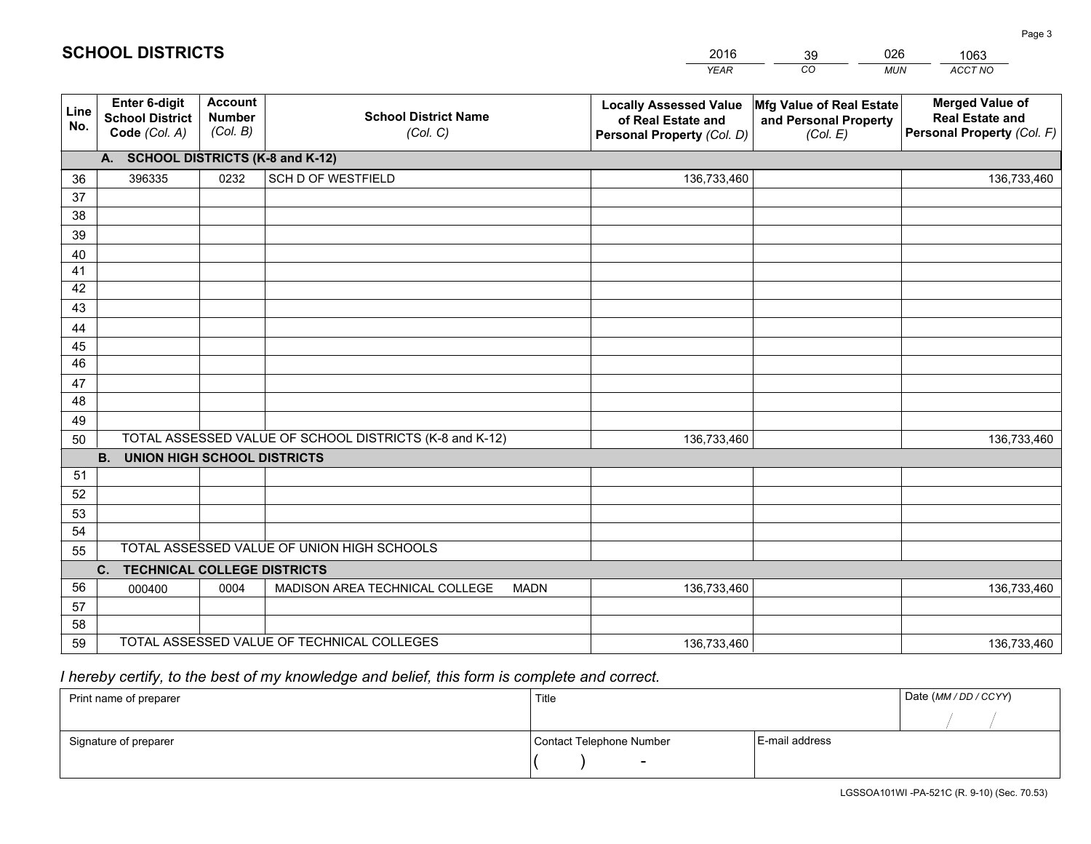| <b>Account</b><br><b>Merged Value of</b><br><b>Enter 6-digit</b><br>Mfg Value of Real Estate<br><b>Locally Assessed Value</b><br>Line<br><b>School District Name</b><br><b>Number</b><br><b>School District</b><br><b>Real Estate and</b><br>of Real Estate and<br>and Personal Property<br>No.<br>(Col. B)<br>Personal Property (Col. F)<br>Code (Col. A)<br>(Col. C)<br>Personal Property (Col. D)<br>(Col. E)<br>A. SCHOOL DISTRICTS (K-8 and K-12)<br>0232<br>SCH D OF WESTFIELD<br>396335<br>136,733,460<br>36<br>136,733,460<br>37<br>38<br>39<br>40<br>41<br>42<br>43<br>44<br>45<br>46<br>47<br>48<br>49<br>TOTAL ASSESSED VALUE OF SCHOOL DISTRICTS (K-8 and K-12)<br>50<br>136,733,460<br>136,733,460<br><b>B.</b><br><b>UNION HIGH SCHOOL DISTRICTS</b><br>51<br>52<br>53<br>54<br>TOTAL ASSESSED VALUE OF UNION HIGH SCHOOLS<br>55<br>C.<br><b>TECHNICAL COLLEGE DISTRICTS</b><br>56<br>MADISON AREA TECHNICAL COLLEGE<br>0004<br><b>MADN</b><br>136,733,460<br>136,733,460<br>000400 |  |  | <b>YEAR</b> | CO<br><b>MUN</b> | ACCT NO |
|---------------------------------------------------------------------------------------------------------------------------------------------------------------------------------------------------------------------------------------------------------------------------------------------------------------------------------------------------------------------------------------------------------------------------------------------------------------------------------------------------------------------------------------------------------------------------------------------------------------------------------------------------------------------------------------------------------------------------------------------------------------------------------------------------------------------------------------------------------------------------------------------------------------------------------------------------------------------------------------------------|--|--|-------------|------------------|---------|
|                                                                                                                                                                                                                                                                                                                                                                                                                                                                                                                                                                                                                                                                                                                                                                                                                                                                                                                                                                                                   |  |  |             |                  |         |
|                                                                                                                                                                                                                                                                                                                                                                                                                                                                                                                                                                                                                                                                                                                                                                                                                                                                                                                                                                                                   |  |  |             |                  |         |
|                                                                                                                                                                                                                                                                                                                                                                                                                                                                                                                                                                                                                                                                                                                                                                                                                                                                                                                                                                                                   |  |  |             |                  |         |
|                                                                                                                                                                                                                                                                                                                                                                                                                                                                                                                                                                                                                                                                                                                                                                                                                                                                                                                                                                                                   |  |  |             |                  |         |
|                                                                                                                                                                                                                                                                                                                                                                                                                                                                                                                                                                                                                                                                                                                                                                                                                                                                                                                                                                                                   |  |  |             |                  |         |
|                                                                                                                                                                                                                                                                                                                                                                                                                                                                                                                                                                                                                                                                                                                                                                                                                                                                                                                                                                                                   |  |  |             |                  |         |
|                                                                                                                                                                                                                                                                                                                                                                                                                                                                                                                                                                                                                                                                                                                                                                                                                                                                                                                                                                                                   |  |  |             |                  |         |
|                                                                                                                                                                                                                                                                                                                                                                                                                                                                                                                                                                                                                                                                                                                                                                                                                                                                                                                                                                                                   |  |  |             |                  |         |
|                                                                                                                                                                                                                                                                                                                                                                                                                                                                                                                                                                                                                                                                                                                                                                                                                                                                                                                                                                                                   |  |  |             |                  |         |
|                                                                                                                                                                                                                                                                                                                                                                                                                                                                                                                                                                                                                                                                                                                                                                                                                                                                                                                                                                                                   |  |  |             |                  |         |
|                                                                                                                                                                                                                                                                                                                                                                                                                                                                                                                                                                                                                                                                                                                                                                                                                                                                                                                                                                                                   |  |  |             |                  |         |
|                                                                                                                                                                                                                                                                                                                                                                                                                                                                                                                                                                                                                                                                                                                                                                                                                                                                                                                                                                                                   |  |  |             |                  |         |
|                                                                                                                                                                                                                                                                                                                                                                                                                                                                                                                                                                                                                                                                                                                                                                                                                                                                                                                                                                                                   |  |  |             |                  |         |
|                                                                                                                                                                                                                                                                                                                                                                                                                                                                                                                                                                                                                                                                                                                                                                                                                                                                                                                                                                                                   |  |  |             |                  |         |
|                                                                                                                                                                                                                                                                                                                                                                                                                                                                                                                                                                                                                                                                                                                                                                                                                                                                                                                                                                                                   |  |  |             |                  |         |
|                                                                                                                                                                                                                                                                                                                                                                                                                                                                                                                                                                                                                                                                                                                                                                                                                                                                                                                                                                                                   |  |  |             |                  |         |
|                                                                                                                                                                                                                                                                                                                                                                                                                                                                                                                                                                                                                                                                                                                                                                                                                                                                                                                                                                                                   |  |  |             |                  |         |
|                                                                                                                                                                                                                                                                                                                                                                                                                                                                                                                                                                                                                                                                                                                                                                                                                                                                                                                                                                                                   |  |  |             |                  |         |
|                                                                                                                                                                                                                                                                                                                                                                                                                                                                                                                                                                                                                                                                                                                                                                                                                                                                                                                                                                                                   |  |  |             |                  |         |
|                                                                                                                                                                                                                                                                                                                                                                                                                                                                                                                                                                                                                                                                                                                                                                                                                                                                                                                                                                                                   |  |  |             |                  |         |
|                                                                                                                                                                                                                                                                                                                                                                                                                                                                                                                                                                                                                                                                                                                                                                                                                                                                                                                                                                                                   |  |  |             |                  |         |
|                                                                                                                                                                                                                                                                                                                                                                                                                                                                                                                                                                                                                                                                                                                                                                                                                                                                                                                                                                                                   |  |  |             |                  |         |
|                                                                                                                                                                                                                                                                                                                                                                                                                                                                                                                                                                                                                                                                                                                                                                                                                                                                                                                                                                                                   |  |  |             |                  |         |
| 57                                                                                                                                                                                                                                                                                                                                                                                                                                                                                                                                                                                                                                                                                                                                                                                                                                                                                                                                                                                                |  |  |             |                  |         |
| 58                                                                                                                                                                                                                                                                                                                                                                                                                                                                                                                                                                                                                                                                                                                                                                                                                                                                                                                                                                                                |  |  |             |                  |         |
| TOTAL ASSESSED VALUE OF TECHNICAL COLLEGES<br>59<br>136,733,460<br>136,733,460                                                                                                                                                                                                                                                                                                                                                                                                                                                                                                                                                                                                                                                                                                                                                                                                                                                                                                                    |  |  |             |                  |         |

39

026

# *I hereby certify, to the best of my knowledge and belief, this form is complete and correct.*

**SCHOOL DISTRICTS**

| Print name of preparer | Title                    |                | Date (MM / DD / CCYY) |
|------------------------|--------------------------|----------------|-----------------------|
|                        |                          |                |                       |
| Signature of preparer  | Contact Telephone Number | E-mail address |                       |
|                        | $\sim$                   |                |                       |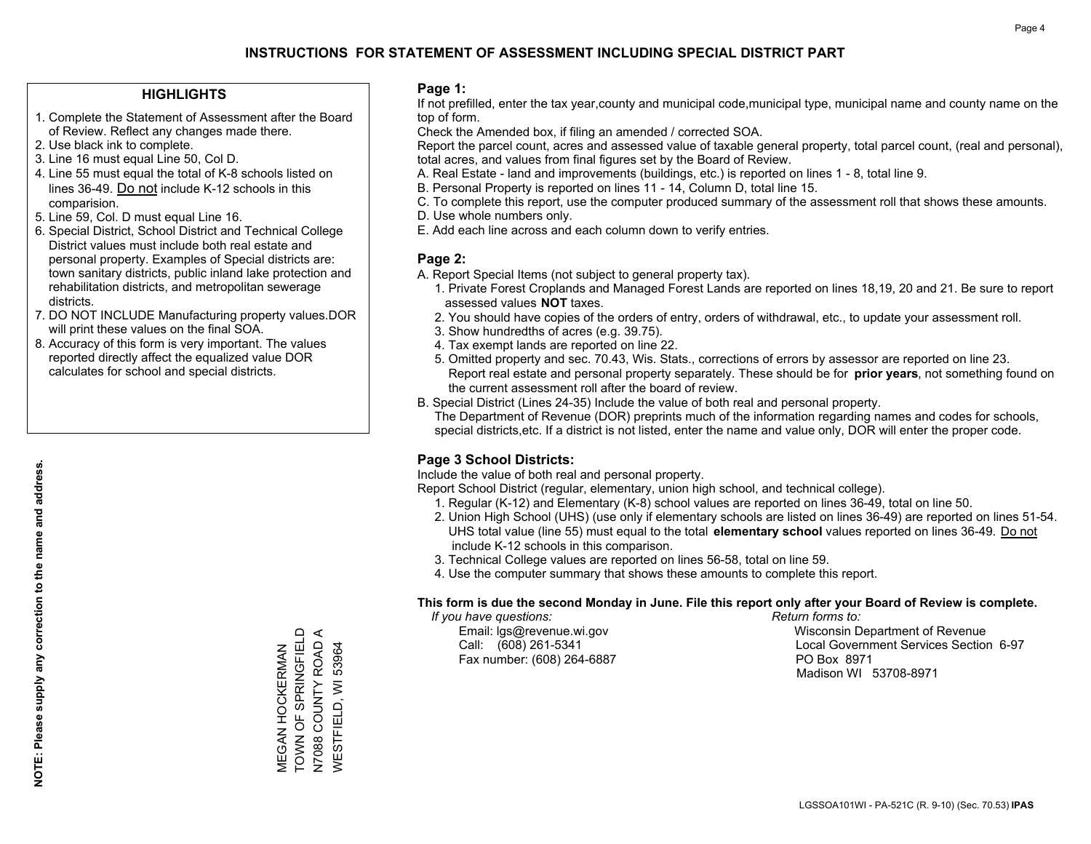#### **HIGHLIGHTS**

- 1. Complete the Statement of Assessment after the Board of Review. Reflect any changes made there.
- 2. Use black ink to complete.
- 3. Line 16 must equal Line 50, Col D.
- 4. Line 55 must equal the total of K-8 schools listed on lines 36-49. Do not include K-12 schools in this comparision.
- 5. Line 59, Col. D must equal Line 16.
- 6. Special District, School District and Technical College District values must include both real estate and personal property. Examples of Special districts are: town sanitary districts, public inland lake protection and rehabilitation districts, and metropolitan sewerage districts.
- 7. DO NOT INCLUDE Manufacturing property values.DOR will print these values on the final SOA.
- 8. Accuracy of this form is very important. The values reported directly affect the equalized value DOR calculates for school and special districts.

#### **Page 1:**

 If not prefilled, enter the tax year,county and municipal code,municipal type, municipal name and county name on the top of form.

Check the Amended box, if filing an amended / corrected SOA.

 Report the parcel count, acres and assessed value of taxable general property, total parcel count, (real and personal), total acres, and values from final figures set by the Board of Review.

- A. Real Estate land and improvements (buildings, etc.) is reported on lines 1 8, total line 9.
- B. Personal Property is reported on lines 11 14, Column D, total line 15.
- C. To complete this report, use the computer produced summary of the assessment roll that shows these amounts.
- D. Use whole numbers only.
- E. Add each line across and each column down to verify entries.

#### **Page 2:**

- A. Report Special Items (not subject to general property tax).
- 1. Private Forest Croplands and Managed Forest Lands are reported on lines 18,19, 20 and 21. Be sure to report assessed values **NOT** taxes.
- 2. You should have copies of the orders of entry, orders of withdrawal, etc., to update your assessment roll.
	- 3. Show hundredths of acres (e.g. 39.75).
- 4. Tax exempt lands are reported on line 22.
- 5. Omitted property and sec. 70.43, Wis. Stats., corrections of errors by assessor are reported on line 23. Report real estate and personal property separately. These should be for **prior years**, not something found on the current assessment roll after the board of review.
- B. Special District (Lines 24-35) Include the value of both real and personal property.
- The Department of Revenue (DOR) preprints much of the information regarding names and codes for schools, special districts,etc. If a district is not listed, enter the name and value only, DOR will enter the proper code.

### **Page 3 School Districts:**

Include the value of both real and personal property.

Report School District (regular, elementary, union high school, and technical college).

- 1. Regular (K-12) and Elementary (K-8) school values are reported on lines 36-49, total on line 50.
- 2. Union High School (UHS) (use only if elementary schools are listed on lines 36-49) are reported on lines 51-54. UHS total value (line 55) must equal to the total **elementary school** values reported on lines 36-49. Do notinclude K-12 schools in this comparison.
- 3. Technical College values are reported on lines 56-58, total on line 59.
- 4. Use the computer summary that shows these amounts to complete this report.

#### **This form is due the second Monday in June. File this report only after your Board of Review is complete.**

 *If you have questions: Return forms to:*

Fax number: (608) 264-6887 PO Box 8971

 Email: lgs@revenue.wi.gov Wisconsin Department of Revenue Call: (608) 261-5341 Local Government Services Section 6-97Madison WI 53708-8971

TOWN OF SPRINGFIELD MEGAN HOCKERMAN<br>TOWN OF SPRINGFIELD  $\prec$ N7088 COUNTY ROAD A N7088 COUNTY ROAD **WESTFIELD, WI 53964** MEGAN HOCKERMAN

WESTFIELD, WI 53964

**NOTE: Please supply any correction to the name and address.**

NOTE: Please supply any correction to the name and address.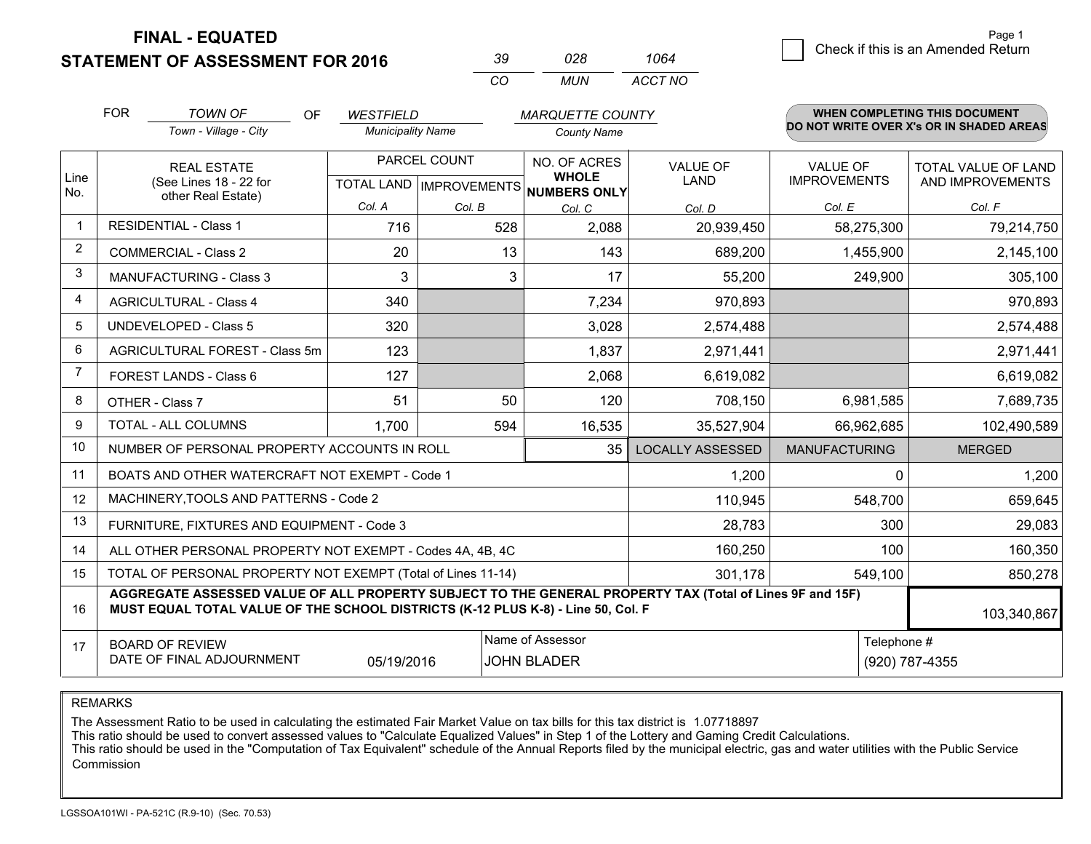**STATEMENT OF ASSESSMENT FOR 2016** 

| ₹u       | กวล   | 1064    |
|----------|-------|---------|
| $\cdots$ | MI IN | ACCT NO |

|                | <b>FOR</b>                                                                                                  | <b>TOWN OF</b><br>OF<br><b>WESTFIELD</b><br><b>MARQUETTE COUNTY</b>                                                                                                                          |                                                      |        |                                                         | <b>WHEN COMPLETING THIS DOCUMENT</b> |                                        |                                                |
|----------------|-------------------------------------------------------------------------------------------------------------|----------------------------------------------------------------------------------------------------------------------------------------------------------------------------------------------|------------------------------------------------------|--------|---------------------------------------------------------|--------------------------------------|----------------------------------------|------------------------------------------------|
|                |                                                                                                             | Town - Village - City                                                                                                                                                                        | <b>Municipality Name</b>                             |        | <b>County Name</b>                                      |                                      |                                        | DO NOT WRITE OVER X's OR IN SHADED AREAS       |
| Line           |                                                                                                             | <b>REAL ESTATE</b><br>(See Lines 18 - 22 for                                                                                                                                                 | PARCEL COUNT<br>TOTAL LAND IMPROVEMENTS NUMBERS ONLY |        | NO. OF ACRES<br>VALUE OF<br><b>WHOLE</b><br><b>LAND</b> |                                      | <b>VALUE OF</b><br><b>IMPROVEMENTS</b> | <b>TOTAL VALUE OF LAND</b><br>AND IMPROVEMENTS |
| No.            |                                                                                                             | other Real Estate)                                                                                                                                                                           | Col. A                                               | Col. B | Col. C                                                  | Col. D                               | Col. E                                 | Col. F                                         |
| $\mathbf 1$    | <b>RESIDENTIAL - Class 1</b>                                                                                |                                                                                                                                                                                              | 716                                                  | 528    | 2,088                                                   | 20,939,450                           | 58,275,300                             | 79,214,750                                     |
| $\overline{2}$ |                                                                                                             | <b>COMMERCIAL - Class 2</b>                                                                                                                                                                  | 20                                                   | 13     | 143                                                     | 689,200                              | 1,455,900                              | 2,145,100                                      |
| 3              |                                                                                                             | <b>MANUFACTURING - Class 3</b>                                                                                                                                                               | 3                                                    | 3      | 17                                                      | 55,200                               | 249,900                                | 305,100                                        |
| $\overline{4}$ |                                                                                                             | <b>AGRICULTURAL - Class 4</b>                                                                                                                                                                | 340                                                  |        | 7,234                                                   | 970,893                              |                                        | 970,893                                        |
| 5              |                                                                                                             | <b>UNDEVELOPED - Class 5</b>                                                                                                                                                                 | 320                                                  |        | 3,028                                                   | 2,574,488                            |                                        | 2,574,488                                      |
| 6              | AGRICULTURAL FOREST - Class 5m                                                                              |                                                                                                                                                                                              | 123                                                  |        | 1,837                                                   | 2,971,441                            |                                        | 2,971,441                                      |
| 7              |                                                                                                             | FOREST LANDS - Class 6                                                                                                                                                                       | 127                                                  |        | 2,068                                                   | 6,619,082                            |                                        | 6,619,082                                      |
| 8              |                                                                                                             | OTHER - Class 7                                                                                                                                                                              | 51                                                   | 50     | 120                                                     | 708,150                              | 6,981,585                              | 7,689,735                                      |
| 9              |                                                                                                             | TOTAL - ALL COLUMNS                                                                                                                                                                          | 1,700                                                | 594    | 16,535                                                  | 35,527,904                           | 66,962,685                             | 102,490,589                                    |
| 10             |                                                                                                             | NUMBER OF PERSONAL PROPERTY ACCOUNTS IN ROLL                                                                                                                                                 |                                                      |        | 35                                                      | <b>LOCALLY ASSESSED</b>              | <b>MANUFACTURING</b>                   | <b>MERGED</b>                                  |
| 11             |                                                                                                             | BOATS AND OTHER WATERCRAFT NOT EXEMPT - Code 1                                                                                                                                               |                                                      |        |                                                         | 1,200                                | $\mathbf{0}$                           | 1,200                                          |
| 12             |                                                                                                             | MACHINERY, TOOLS AND PATTERNS - Code 2                                                                                                                                                       |                                                      |        |                                                         | 110,945                              | 548,700                                | 659,645                                        |
| 13             |                                                                                                             | FURNITURE, FIXTURES AND EQUIPMENT - Code 3                                                                                                                                                   |                                                      |        |                                                         | 28,783                               | 300                                    | 29,083                                         |
| 14             |                                                                                                             | ALL OTHER PERSONAL PROPERTY NOT EXEMPT - Codes 4A, 4B, 4C                                                                                                                                    |                                                      |        |                                                         | 160,250                              | 100                                    | 160,350                                        |
| 15             |                                                                                                             | TOTAL OF PERSONAL PROPERTY NOT EXEMPT (Total of Lines 11-14)                                                                                                                                 |                                                      |        |                                                         | 301,178                              | 549,100                                | 850,278                                        |
| 16             |                                                                                                             | AGGREGATE ASSESSED VALUE OF ALL PROPERTY SUBJECT TO THE GENERAL PROPERTY TAX (Total of Lines 9F and 15F)<br>MUST EQUAL TOTAL VALUE OF THE SCHOOL DISTRICTS (K-12 PLUS K-8) - Line 50, Col. F |                                                      |        |                                                         |                                      |                                        | 103,340,867                                    |
| 17             | Name of Assessor<br><b>BOARD OF REVIEW</b><br>DATE OF FINAL ADJOURNMENT<br>05/19/2016<br><b>JOHN BLADER</b> |                                                                                                                                                                                              |                                                      |        |                                                         |                                      | Telephone #                            | (920) 787-4355                                 |

REMARKS

The Assessment Ratio to be used in calculating the estimated Fair Market Value on tax bills for this tax district is 1.07718897

This ratio should be used to convert assessed values to "Calculate Equalized Values" in Step 1 of the Lottery and Gaming Credit Calculations.<br>This ratio should be used in the "Computation of Tax Equivalent" schedule of the Commission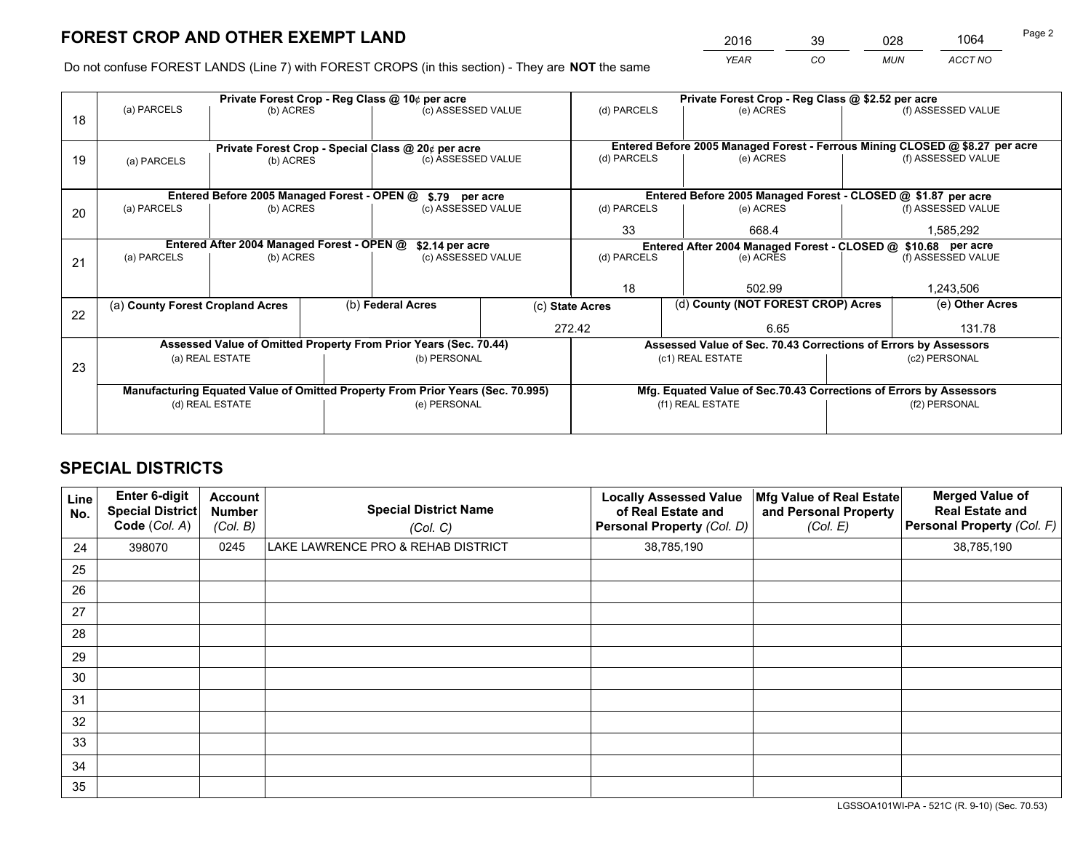*YEAR CO MUN ACCT NO* <sup>2016</sup> <sup>39</sup> <sup>028</sup> <sup>1064</sup>

Do not confuse FOREST LANDS (Line 7) with FOREST CROPS (in this section) - They are **NOT** the same

|    |                                                                 |                                             |                    | Private Forest Crop - Reg Class @ 10¢ per acre                                 |                    | Private Forest Crop - Reg Class @ \$2.52 per acre                            |                                                                    |                                                                                                    |                    |  |
|----|-----------------------------------------------------------------|---------------------------------------------|--------------------|--------------------------------------------------------------------------------|--------------------|------------------------------------------------------------------------------|--------------------------------------------------------------------|----------------------------------------------------------------------------------------------------|--------------------|--|
| 18 | (a) PARCELS                                                     | (b) ACRES                                   |                    | (c) ASSESSED VALUE                                                             |                    | (d) PARCELS                                                                  | (e) ACRES                                                          |                                                                                                    | (f) ASSESSED VALUE |  |
|    |                                                                 |                                             |                    |                                                                                |                    |                                                                              |                                                                    |                                                                                                    |                    |  |
|    | Private Forest Crop - Special Class @ 20¢ per acre<br>(b) ACRES |                                             | (c) ASSESSED VALUE |                                                                                | (d) PARCELS        | (e) ACRES                                                                    |                                                                    | Entered Before 2005 Managed Forest - Ferrous Mining CLOSED @ \$8.27 per acre<br>(f) ASSESSED VALUE |                    |  |
| 19 | (a) PARCELS                                                     |                                             |                    |                                                                                |                    |                                                                              |                                                                    |                                                                                                    |                    |  |
|    |                                                                 |                                             |                    |                                                                                |                    |                                                                              |                                                                    |                                                                                                    |                    |  |
|    |                                                                 | Entered Before 2005 Managed Forest - OPEN @ |                    | \$.79 per acre                                                                 |                    |                                                                              | Entered Before 2005 Managed Forest - CLOSED @ \$1.87 per acre      |                                                                                                    |                    |  |
| 20 | (a) PARCELS                                                     | (b) ACRES                                   |                    | (c) ASSESSED VALUE                                                             |                    | (d) PARCELS                                                                  | (e) ACRES                                                          |                                                                                                    | (f) ASSESSED VALUE |  |
|    |                                                                 |                                             | 33                 |                                                                                |                    |                                                                              |                                                                    |                                                                                                    |                    |  |
|    |                                                                 |                                             |                    |                                                                                | 668.4              |                                                                              |                                                                    | 1,585,292                                                                                          |                    |  |
|    | Entered After 2004 Managed Forest - OPEN @                      |                                             |                    | \$2.14 per acre                                                                |                    | Entered After 2004 Managed Forest - CLOSED @ \$10.68 per acre<br>(d) PARCELS |                                                                    |                                                                                                    |                    |  |
| 21 | (a) PARCELS                                                     | (b) ACRES                                   |                    |                                                                                | (c) ASSESSED VALUE |                                                                              | (e) ACRES                                                          |                                                                                                    | (f) ASSESSED VALUE |  |
|    |                                                                 |                                             |                    |                                                                                |                    |                                                                              |                                                                    |                                                                                                    |                    |  |
|    |                                                                 |                                             |                    |                                                                                |                    | 18                                                                           | 502.99                                                             |                                                                                                    | 1,243,506          |  |
|    | (a) County Forest Cropland Acres                                |                                             |                    | (b) Federal Acres                                                              | (c) State Acres    |                                                                              |                                                                    | (d) County (NOT FOREST CROP) Acres                                                                 |                    |  |
| 22 |                                                                 |                                             |                    |                                                                                |                    |                                                                              |                                                                    |                                                                                                    |                    |  |
|    |                                                                 |                                             |                    |                                                                                |                    | 272.42                                                                       | 6.65                                                               |                                                                                                    | 131.78             |  |
|    |                                                                 |                                             |                    | Assessed Value of Omitted Property From Prior Years (Sec. 70.44)               |                    |                                                                              | Assessed Value of Sec. 70.43 Corrections of Errors by Assessors    |                                                                                                    |                    |  |
| 23 |                                                                 | (a) REAL ESTATE                             |                    | (b) PERSONAL                                                                   |                    |                                                                              | (c1) REAL ESTATE                                                   |                                                                                                    | (c2) PERSONAL      |  |
|    |                                                                 |                                             |                    |                                                                                |                    |                                                                              |                                                                    |                                                                                                    |                    |  |
|    |                                                                 |                                             |                    | Manufacturing Equated Value of Omitted Property From Prior Years (Sec. 70.995) |                    |                                                                              | Mfg. Equated Value of Sec.70.43 Corrections of Errors by Assessors |                                                                                                    |                    |  |
|    |                                                                 | (d) REAL ESTATE                             |                    | (e) PERSONAL                                                                   |                    | (f1) REAL ESTATE                                                             |                                                                    |                                                                                                    | (f2) PERSONAL      |  |
|    |                                                                 |                                             |                    |                                                                                |                    |                                                                              |                                                                    |                                                                                                    |                    |  |
|    |                                                                 |                                             |                    |                                                                                |                    |                                                                              |                                                                    |                                                                                                    |                    |  |

## **SPECIAL DISTRICTS**

| Line<br>No. | Enter 6-digit<br><b>Special District</b><br>Code (Col. A) | <b>Account</b><br><b>Number</b><br>(Col. B) | <b>Special District Name</b><br>(Col. C) | <b>Locally Assessed Value</b><br>of Real Estate and<br>Personal Property (Col. D) | Mfg Value of Real Estate<br>and Personal Property<br>(Col. E) | <b>Merged Value of</b><br><b>Real Estate and</b><br>Personal Property (Col. F) |
|-------------|-----------------------------------------------------------|---------------------------------------------|------------------------------------------|-----------------------------------------------------------------------------------|---------------------------------------------------------------|--------------------------------------------------------------------------------|
| 24          | 398070                                                    | 0245                                        | LAKE LAWRENCE PRO & REHAB DISTRICT       | 38,785,190                                                                        |                                                               | 38,785,190                                                                     |
| 25          |                                                           |                                             |                                          |                                                                                   |                                                               |                                                                                |
| 26          |                                                           |                                             |                                          |                                                                                   |                                                               |                                                                                |
| 27          |                                                           |                                             |                                          |                                                                                   |                                                               |                                                                                |
| 28          |                                                           |                                             |                                          |                                                                                   |                                                               |                                                                                |
| 29          |                                                           |                                             |                                          |                                                                                   |                                                               |                                                                                |
| 30          |                                                           |                                             |                                          |                                                                                   |                                                               |                                                                                |
| 31          |                                                           |                                             |                                          |                                                                                   |                                                               |                                                                                |
| 32          |                                                           |                                             |                                          |                                                                                   |                                                               |                                                                                |
| 33          |                                                           |                                             |                                          |                                                                                   |                                                               |                                                                                |
| 34          |                                                           |                                             |                                          |                                                                                   |                                                               |                                                                                |
| 35          |                                                           |                                             |                                          |                                                                                   |                                                               |                                                                                |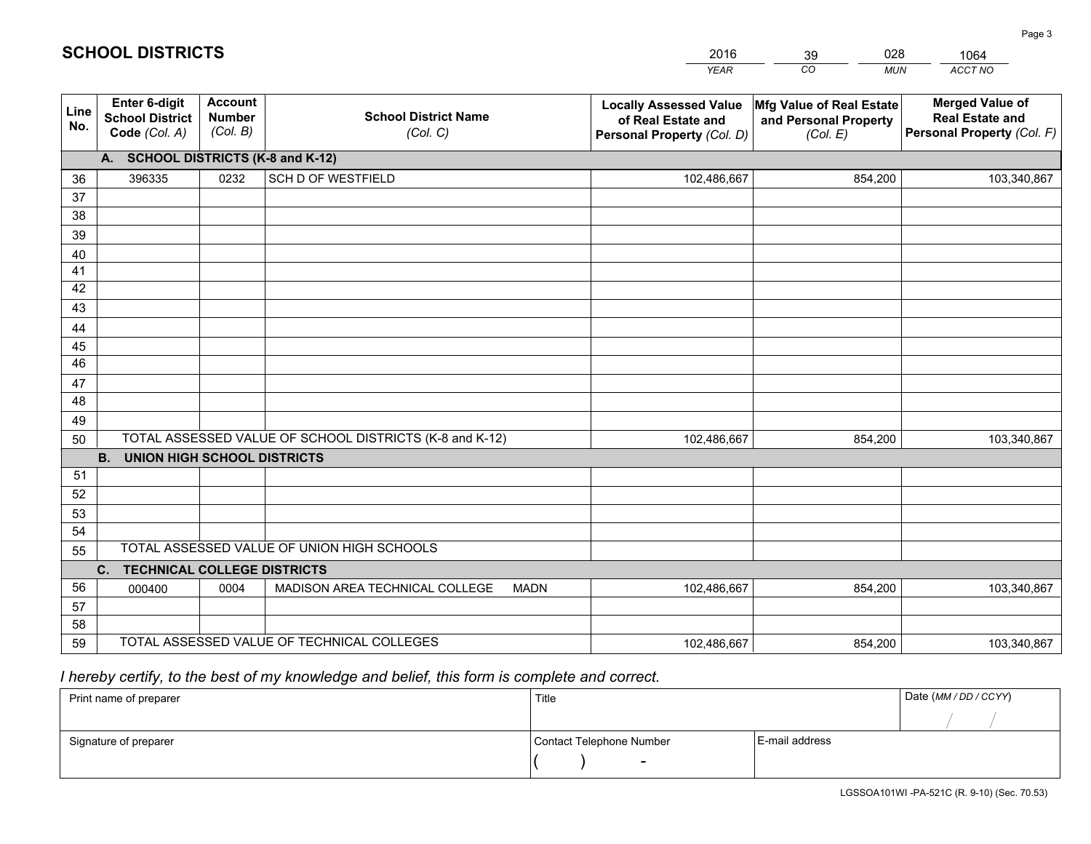|             |                                                                 |                                             |                                                         | <b>YEAR</b>                                                                       | CO<br><b>MUN</b>                                              | ACCT NO                                                                        |
|-------------|-----------------------------------------------------------------|---------------------------------------------|---------------------------------------------------------|-----------------------------------------------------------------------------------|---------------------------------------------------------------|--------------------------------------------------------------------------------|
| Line<br>No. | <b>Enter 6-digit</b><br><b>School District</b><br>Code (Col. A) | <b>Account</b><br><b>Number</b><br>(Col. B) | <b>School District Name</b><br>(Col. C)                 | <b>Locally Assessed Value</b><br>of Real Estate and<br>Personal Property (Col. D) | Mfg Value of Real Estate<br>and Personal Property<br>(Col. E) | <b>Merged Value of</b><br><b>Real Estate and</b><br>Personal Property (Col. F) |
|             | A. SCHOOL DISTRICTS (K-8 and K-12)                              |                                             |                                                         |                                                                                   |                                                               |                                                                                |
| 36          | 396335                                                          | 0232                                        | <b>SCH D OF WESTFIELD</b>                               | 102,486,667                                                                       | 854,200                                                       | 103,340,867                                                                    |
| 37          |                                                                 |                                             |                                                         |                                                                                   |                                                               |                                                                                |
| 38          |                                                                 |                                             |                                                         |                                                                                   |                                                               |                                                                                |
| 39          |                                                                 |                                             |                                                         |                                                                                   |                                                               |                                                                                |
| 40          |                                                                 |                                             |                                                         |                                                                                   |                                                               |                                                                                |
| 41<br>42    |                                                                 |                                             |                                                         |                                                                                   |                                                               |                                                                                |
| 43          |                                                                 |                                             |                                                         |                                                                                   |                                                               |                                                                                |
|             |                                                                 |                                             |                                                         |                                                                                   |                                                               |                                                                                |
| 44<br>45    |                                                                 |                                             |                                                         |                                                                                   |                                                               |                                                                                |
| 46          |                                                                 |                                             |                                                         |                                                                                   |                                                               |                                                                                |
| 47          |                                                                 |                                             |                                                         |                                                                                   |                                                               |                                                                                |
| 48          |                                                                 |                                             |                                                         |                                                                                   |                                                               |                                                                                |
| 49          |                                                                 |                                             |                                                         |                                                                                   |                                                               |                                                                                |
| 50          |                                                                 |                                             | TOTAL ASSESSED VALUE OF SCHOOL DISTRICTS (K-8 and K-12) | 102,486,667                                                                       | 854,200                                                       | 103,340,867                                                                    |
|             | <b>B.</b><br><b>UNION HIGH SCHOOL DISTRICTS</b>                 |                                             |                                                         |                                                                                   |                                                               |                                                                                |
| 51          |                                                                 |                                             |                                                         |                                                                                   |                                                               |                                                                                |
| 52          |                                                                 |                                             |                                                         |                                                                                   |                                                               |                                                                                |
| 53          |                                                                 |                                             |                                                         |                                                                                   |                                                               |                                                                                |
| 54          |                                                                 |                                             |                                                         |                                                                                   |                                                               |                                                                                |
| 55          |                                                                 |                                             | TOTAL ASSESSED VALUE OF UNION HIGH SCHOOLS              |                                                                                   |                                                               |                                                                                |
|             | C.<br><b>TECHNICAL COLLEGE DISTRICTS</b>                        |                                             |                                                         |                                                                                   |                                                               |                                                                                |
| 56          | 000400                                                          | 0004                                        | MADISON AREA TECHNICAL COLLEGE<br><b>MADN</b>           | 102,486,667                                                                       | 854,200                                                       | 103,340,867                                                                    |
| 57          |                                                                 |                                             |                                                         |                                                                                   |                                                               |                                                                                |
| 58<br>59    |                                                                 |                                             | TOTAL ASSESSED VALUE OF TECHNICAL COLLEGES              |                                                                                   |                                                               |                                                                                |
|             |                                                                 |                                             |                                                         | 102,486,667                                                                       | 854,200                                                       | 103,340,867                                                                    |

39

028

 *I hereby certify, to the best of my knowledge and belief, this form is complete and correct.*

**SCHOOL DISTRICTS**

| Print name of preparer | Title                    |                | Date (MM / DD / CCYY) |
|------------------------|--------------------------|----------------|-----------------------|
|                        |                          |                |                       |
| Signature of preparer  | Contact Telephone Number | E-mail address |                       |
|                        |                          |                |                       |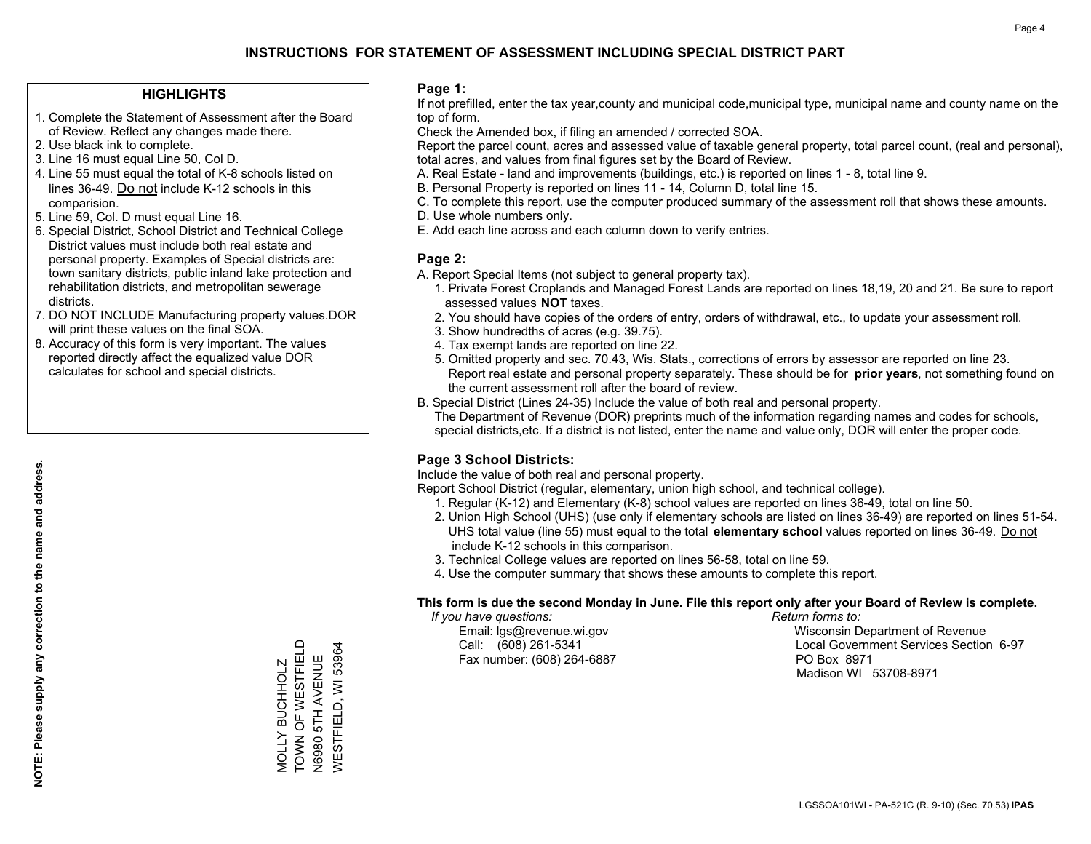#### **HIGHLIGHTS**

- 1. Complete the Statement of Assessment after the Board of Review. Reflect any changes made there.
- 2. Use black ink to complete.

**NOTE: Please supply any correction to the name and address.**

NOTE: Please supply any correction to the name and address.

- 3. Line 16 must equal Line 50, Col D.
- 4. Line 55 must equal the total of K-8 schools listed on lines 36-49. Do not include K-12 schools in this comparision.
- 5. Line 59, Col. D must equal Line 16.
- 6. Special District, School District and Technical College District values must include both real estate and personal property. Examples of Special districts are: town sanitary districts, public inland lake protection and rehabilitation districts, and metropolitan sewerage districts.
- 7. DO NOT INCLUDE Manufacturing property values.DOR will print these values on the final SOA.
- 8. Accuracy of this form is very important. The values reported directly affect the equalized value DOR calculates for school and special districts.

#### **Page 1:**

 If not prefilled, enter the tax year,county and municipal code,municipal type, municipal name and county name on the top of form.

Check the Amended box, if filing an amended / corrected SOA.

 Report the parcel count, acres and assessed value of taxable general property, total parcel count, (real and personal), total acres, and values from final figures set by the Board of Review.

- A. Real Estate land and improvements (buildings, etc.) is reported on lines 1 8, total line 9.
- B. Personal Property is reported on lines 11 14, Column D, total line 15.
- C. To complete this report, use the computer produced summary of the assessment roll that shows these amounts.
- D. Use whole numbers only.
- E. Add each line across and each column down to verify entries.

#### **Page 2:**

- A. Report Special Items (not subject to general property tax).
- 1. Private Forest Croplands and Managed Forest Lands are reported on lines 18,19, 20 and 21. Be sure to report assessed values **NOT** taxes.
- 2. You should have copies of the orders of entry, orders of withdrawal, etc., to update your assessment roll.
	- 3. Show hundredths of acres (e.g. 39.75).
- 4. Tax exempt lands are reported on line 22.
- 5. Omitted property and sec. 70.43, Wis. Stats., corrections of errors by assessor are reported on line 23. Report real estate and personal property separately. These should be for **prior years**, not something found on the current assessment roll after the board of review.
- B. Special District (Lines 24-35) Include the value of both real and personal property.

 The Department of Revenue (DOR) preprints much of the information regarding names and codes for schools, special districts,etc. If a district is not listed, enter the name and value only, DOR will enter the proper code.

### **Page 3 School Districts:**

Include the value of both real and personal property.

Report School District (regular, elementary, union high school, and technical college).

- 1. Regular (K-12) and Elementary (K-8) school values are reported on lines 36-49, total on line 50.
- 2. Union High School (UHS) (use only if elementary schools are listed on lines 36-49) are reported on lines 51-54. UHS total value (line 55) must equal to the total **elementary school** values reported on lines 36-49. Do notinclude K-12 schools in this comparison.
- 3. Technical College values are reported on lines 56-58, total on line 59.
- 4. Use the computer summary that shows these amounts to complete this report.

#### **This form is due the second Monday in June. File this report only after your Board of Review is complete.**

 *If you have questions: Return forms to:*

Fax number: (608) 264-6887 PO Box 8971

 Email: lgs@revenue.wi.gov Wisconsin Department of Revenue Call: (608) 261-5341 Local Government Services Section 6-97Madison WI 53708-8971

TOWN OF WESTFIELD MOLLY BUCHHOLZ<br>TOWN OF WESTFIELD WESTFIELD, WI 53964 WESTFIELD, WI 53964 N6980 5TH AVENUE N6980 5TH AVENUE MOLLY BUCHHOLZ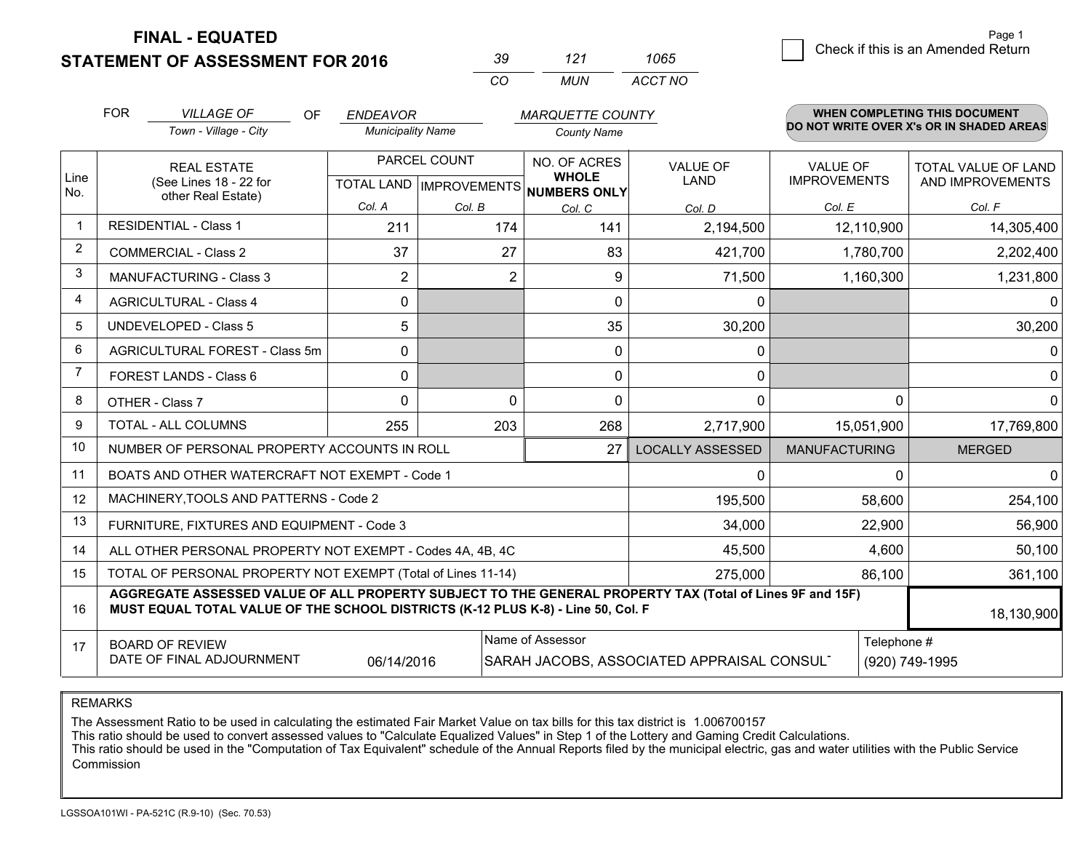**STATEMENT OF ASSESSMENT FOR 2016** 

|          | 727   | 1065    |
|----------|-------|---------|
| $\cdots$ | MI IN | ACCT NO |

|                | <b>FOR</b>                                                                                                                                                                                   | <b>VILLAGE OF</b><br>OF<br><b>ENDEAVOR</b><br><b>MARQUETTE COUNTY</b> |                                           |                | <b>WHEN COMPLETING THIS DOCUMENT</b>                |                         |                                        |                                                |
|----------------|----------------------------------------------------------------------------------------------------------------------------------------------------------------------------------------------|-----------------------------------------------------------------------|-------------------------------------------|----------------|-----------------------------------------------------|-------------------------|----------------------------------------|------------------------------------------------|
|                |                                                                                                                                                                                              | Town - Village - City                                                 | <b>Municipality Name</b>                  |                | <b>County Name</b>                                  |                         |                                        | DO NOT WRITE OVER X's OR IN SHADED AREAS       |
| Line<br>No.    |                                                                                                                                                                                              | <b>REAL ESTATE</b><br>(See Lines 18 - 22 for                          | PARCEL COUNT<br>TOTAL LAND   IMPROVEMENTS |                | NO. OF ACRES<br><b>WHOLE</b><br><b>NUMBERS ONLY</b> | <b>VALUE OF</b><br>LAND | <b>VALUE OF</b><br><b>IMPROVEMENTS</b> | <b>TOTAL VALUE OF LAND</b><br>AND IMPROVEMENTS |
|                |                                                                                                                                                                                              | other Real Estate)                                                    | Col. A                                    | Col. B         | Col. C                                              | Col. D                  | Col. E                                 | Col. F                                         |
| $\overline{1}$ | <b>RESIDENTIAL - Class 1</b>                                                                                                                                                                 |                                                                       | 211                                       | 174            | 141                                                 | 2,194,500               | 12,110,900                             | 14,305,400                                     |
| 2              |                                                                                                                                                                                              | <b>COMMERCIAL - Class 2</b>                                           | 37                                        | 27             | 83                                                  | 421,700                 | 1,780,700                              | 2,202,400                                      |
| 3              |                                                                                                                                                                                              | <b>MANUFACTURING - Class 3</b>                                        | 2                                         | $\overline{2}$ | 9                                                   | 71,500                  | 1,160,300                              | 1,231,800                                      |
| $\overline{4}$ |                                                                                                                                                                                              | <b>AGRICULTURAL - Class 4</b>                                         | $\mathbf 0$                               |                | $\mathbf{0}$                                        | $\mathbf{0}$            |                                        | 0                                              |
| 5              |                                                                                                                                                                                              | <b>UNDEVELOPED - Class 5</b>                                          | 5                                         |                | 35                                                  | 30,200                  |                                        | 30,200                                         |
| 6              |                                                                                                                                                                                              | AGRICULTURAL FOREST - Class 5m                                        | $\Omega$                                  |                | 0                                                   | 0                       |                                        | 0                                              |
| 7              |                                                                                                                                                                                              | FOREST LANDS - Class 6                                                | $\mathbf{0}$                              |                | $\mathbf{0}$                                        | $\mathbf{0}$            |                                        | 0                                              |
| 8              |                                                                                                                                                                                              | OTHER - Class 7                                                       | $\Omega$                                  | $\Omega$       | $\Omega$                                            | 0                       |                                        | $\Omega$<br>0                                  |
| 9              |                                                                                                                                                                                              | TOTAL - ALL COLUMNS                                                   | 255                                       | 203            | 268                                                 | 2,717,900               | 15,051,900                             | 17,769,800                                     |
| 10             |                                                                                                                                                                                              | NUMBER OF PERSONAL PROPERTY ACCOUNTS IN ROLL                          |                                           |                | 27                                                  | <b>LOCALLY ASSESSED</b> | <b>MANUFACTURING</b>                   | <b>MERGED</b>                                  |
| 11             |                                                                                                                                                                                              | BOATS AND OTHER WATERCRAFT NOT EXEMPT - Code 1                        |                                           |                |                                                     | 0                       |                                        | $\Omega$<br>$\Omega$                           |
| 12             |                                                                                                                                                                                              | MACHINERY, TOOLS AND PATTERNS - Code 2                                |                                           |                |                                                     | 195,500                 | 58,600                                 | 254,100                                        |
| 13             |                                                                                                                                                                                              | FURNITURE, FIXTURES AND EQUIPMENT - Code 3                            |                                           |                |                                                     | 34,000                  | 22,900                                 | 56,900                                         |
| 14             |                                                                                                                                                                                              | ALL OTHER PERSONAL PROPERTY NOT EXEMPT - Codes 4A, 4B, 4C             |                                           |                |                                                     | 45,500                  | 4,600                                  | 50,100                                         |
| 15             |                                                                                                                                                                                              | TOTAL OF PERSONAL PROPERTY NOT EXEMPT (Total of Lines 11-14)          |                                           |                |                                                     | 275,000                 | 86,100                                 | 361,100                                        |
| 16             | AGGREGATE ASSESSED VALUE OF ALL PROPERTY SUBJECT TO THE GENERAL PROPERTY TAX (Total of Lines 9F and 15F)<br>MUST EQUAL TOTAL VALUE OF THE SCHOOL DISTRICTS (K-12 PLUS K-8) - Line 50, Col. F |                                                                       |                                           |                |                                                     |                         |                                        | 18,130,900                                     |
| 17             |                                                                                                                                                                                              | <b>BOARD OF REVIEW</b>                                                |                                           |                | Name of Assessor                                    |                         | Telephone #                            |                                                |
|                | DATE OF FINAL ADJOURNMENT<br>06/14/2016<br>SARAH JACOBS, ASSOCIATED APPRAISAL CONSUL                                                                                                         |                                                                       |                                           |                |                                                     |                         | (920) 749-1995                         |                                                |

REMARKS

The Assessment Ratio to be used in calculating the estimated Fair Market Value on tax bills for this tax district is 1.006700157

This ratio should be used to convert assessed values to "Calculate Equalized Values" in Step 1 of the Lottery and Gaming Credit Calculations.<br>This ratio should be used in the "Computation of Tax Equivalent" schedule of the Commission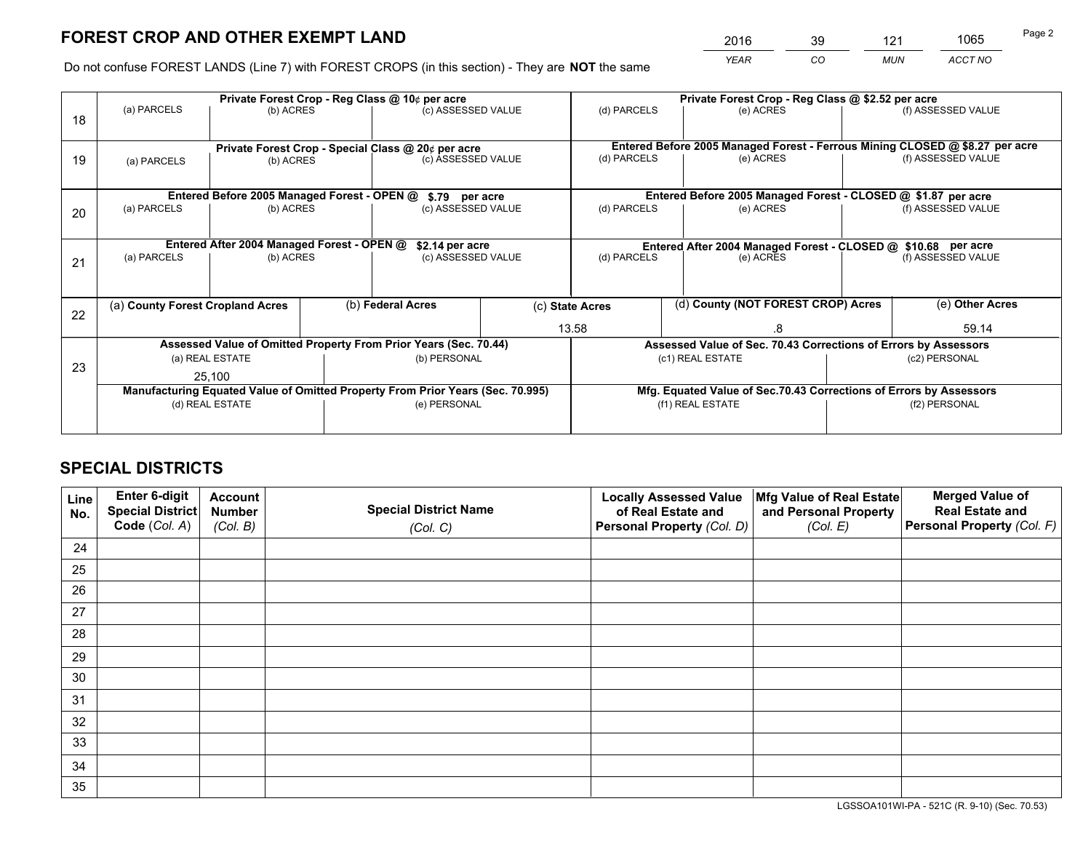*YEAR CO MUN ACCT NO* <sup>2016</sup> <sup>39</sup> <sup>121</sup> <sup>1065</sup>

Do not confuse FOREST LANDS (Line 7) with FOREST CROPS (in this section) - They are **NOT** the same

|    | Private Forest Crop - Reg Class @ 10¢ per acre                |                                                    |  |                                                                                |                 | Private Forest Crop - Reg Class @ \$2.52 per acre             |                                                                    |                                                                 |                    |                                                                              |
|----|---------------------------------------------------------------|----------------------------------------------------|--|--------------------------------------------------------------------------------|-----------------|---------------------------------------------------------------|--------------------------------------------------------------------|-----------------------------------------------------------------|--------------------|------------------------------------------------------------------------------|
| 18 | (a) PARCELS                                                   | (b) ACRES                                          |  | (c) ASSESSED VALUE                                                             |                 | (d) PARCELS                                                   |                                                                    | (e) ACRES                                                       |                    | (f) ASSESSED VALUE                                                           |
|    |                                                               | Private Forest Crop - Special Class @ 20¢ per acre |  |                                                                                |                 |                                                               |                                                                    |                                                                 |                    | Entered Before 2005 Managed Forest - Ferrous Mining CLOSED @ \$8.27 per acre |
| 19 | (a) PARCELS                                                   | (b) ACRES                                          |  | (c) ASSESSED VALUE                                                             |                 | (d) PARCELS                                                   |                                                                    | (e) ACRES                                                       |                    | (f) ASSESSED VALUE                                                           |
|    |                                                               |                                                    |  |                                                                                |                 |                                                               |                                                                    |                                                                 |                    |                                                                              |
|    |                                                               | Entered Before 2005 Managed Forest - OPEN @        |  | \$.79 per acre                                                                 |                 |                                                               |                                                                    | Entered Before 2005 Managed Forest - CLOSED @ \$1.87 per acre   |                    |                                                                              |
| 20 | (a) PARCELS<br>(b) ACRES                                      |                                                    |  | (c) ASSESSED VALUE                                                             |                 | (d) PARCELS<br>(e) ACRES                                      |                                                                    |                                                                 | (f) ASSESSED VALUE |                                                                              |
|    | Entered After 2004 Managed Forest - OPEN @<br>\$2.14 per acre |                                                    |  |                                                                                |                 | Entered After 2004 Managed Forest - CLOSED @ \$10.68 per acre |                                                                    |                                                                 |                    |                                                                              |
| 21 | (a) PARCELS                                                   | (b) ACRES                                          |  | (c) ASSESSED VALUE                                                             |                 | (d) PARCELS<br>(e) ACRES                                      |                                                                    | (f) ASSESSED VALUE                                              |                    |                                                                              |
|    |                                                               |                                                    |  |                                                                                |                 |                                                               |                                                                    |                                                                 |                    |                                                                              |
| 22 |                                                               | (a) County Forest Cropland Acres                   |  | (b) Federal Acres                                                              | (c) State Acres |                                                               |                                                                    | (d) County (NOT FOREST CROP) Acres                              |                    | (e) Other Acres                                                              |
|    |                                                               |                                                    |  |                                                                                | 13.58           |                                                               | .8                                                                 |                                                                 |                    | 59.14                                                                        |
|    |                                                               |                                                    |  | Assessed Value of Omitted Property From Prior Years (Sec. 70.44)               |                 |                                                               |                                                                    | Assessed Value of Sec. 70.43 Corrections of Errors by Assessors |                    |                                                                              |
| 23 |                                                               | (a) REAL ESTATE                                    |  | (b) PERSONAL                                                                   |                 |                                                               |                                                                    | (c1) REAL ESTATE                                                |                    | (c2) PERSONAL                                                                |
|    | 25,100                                                        |                                                    |  |                                                                                |                 |                                                               |                                                                    |                                                                 |                    |                                                                              |
|    |                                                               |                                                    |  | Manufacturing Equated Value of Omitted Property From Prior Years (Sec. 70.995) |                 |                                                               | Mfg. Equated Value of Sec.70.43 Corrections of Errors by Assessors |                                                                 |                    |                                                                              |
|    |                                                               | (d) REAL ESTATE                                    |  | (e) PERSONAL                                                                   |                 | (f1) REAL ESTATE                                              |                                                                    |                                                                 | (f2) PERSONAL      |                                                                              |
|    |                                                               |                                                    |  |                                                                                |                 |                                                               |                                                                    |                                                                 |                    |                                                                              |

## **SPECIAL DISTRICTS**

| Line<br>No. | Enter 6-digit<br>Special District<br>Code (Col. A) | <b>Account</b><br><b>Number</b><br>(Col. B) | <b>Special District Name</b><br>(Col. C) | <b>Locally Assessed Value</b><br>of Real Estate and<br>Personal Property (Col. D) | Mfg Value of Real Estate<br>and Personal Property<br>(Col. E) | <b>Merged Value of</b><br><b>Real Estate and</b><br>Personal Property (Col. F) |
|-------------|----------------------------------------------------|---------------------------------------------|------------------------------------------|-----------------------------------------------------------------------------------|---------------------------------------------------------------|--------------------------------------------------------------------------------|
| 24          |                                                    |                                             |                                          |                                                                                   |                                                               |                                                                                |
| 25          |                                                    |                                             |                                          |                                                                                   |                                                               |                                                                                |
| 26          |                                                    |                                             |                                          |                                                                                   |                                                               |                                                                                |
| 27          |                                                    |                                             |                                          |                                                                                   |                                                               |                                                                                |
| 28          |                                                    |                                             |                                          |                                                                                   |                                                               |                                                                                |
| 29          |                                                    |                                             |                                          |                                                                                   |                                                               |                                                                                |
| 30          |                                                    |                                             |                                          |                                                                                   |                                                               |                                                                                |
| 31          |                                                    |                                             |                                          |                                                                                   |                                                               |                                                                                |
| 32          |                                                    |                                             |                                          |                                                                                   |                                                               |                                                                                |
| 33          |                                                    |                                             |                                          |                                                                                   |                                                               |                                                                                |
| 34          |                                                    |                                             |                                          |                                                                                   |                                                               |                                                                                |
| 35          |                                                    |                                             |                                          |                                                                                   |                                                               |                                                                                |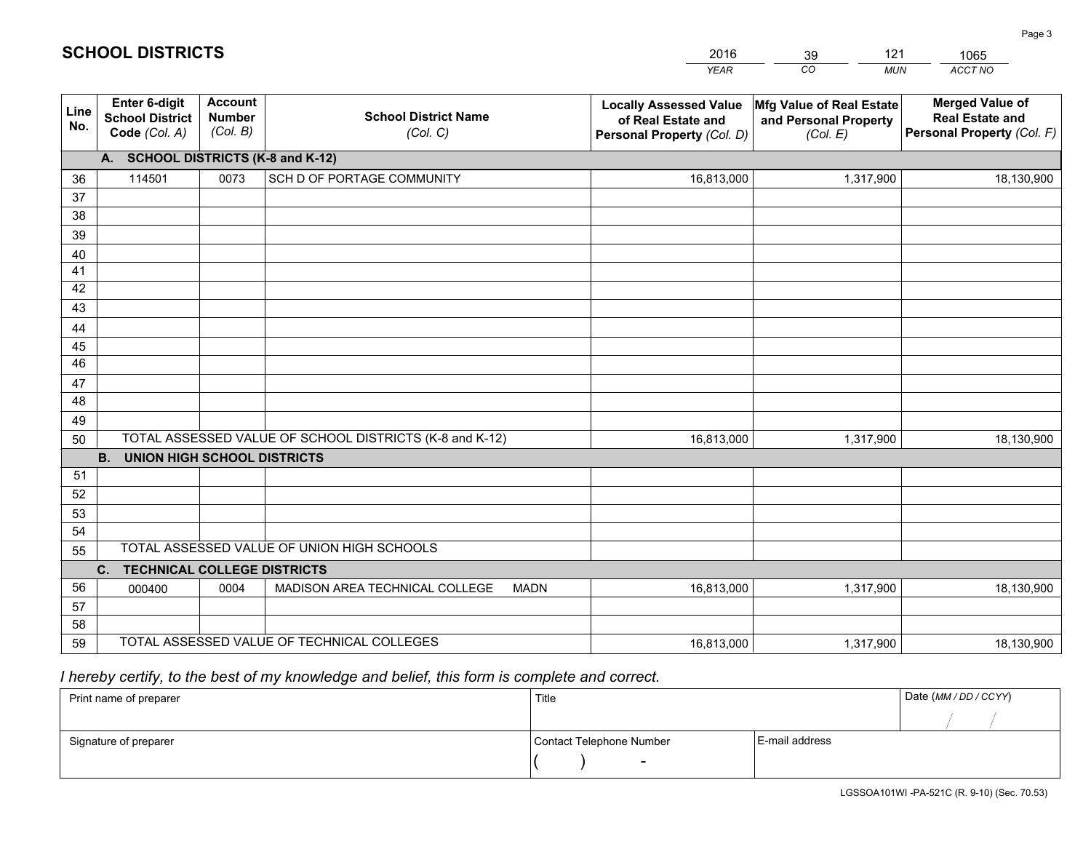|                 |                                                                 |                                             |                                                         | <b>YEAR</b>                                                                       | CO<br><b>MUN</b>                                              | ACCT NO                                                                        |
|-----------------|-----------------------------------------------------------------|---------------------------------------------|---------------------------------------------------------|-----------------------------------------------------------------------------------|---------------------------------------------------------------|--------------------------------------------------------------------------------|
| Line<br>No.     | <b>Enter 6-digit</b><br><b>School District</b><br>Code (Col. A) | <b>Account</b><br><b>Number</b><br>(Col. B) | <b>School District Name</b><br>(Col. C)                 | <b>Locally Assessed Value</b><br>of Real Estate and<br>Personal Property (Col. D) | Mfg Value of Real Estate<br>and Personal Property<br>(Col. E) | <b>Merged Value of</b><br><b>Real Estate and</b><br>Personal Property (Col. F) |
|                 | A. SCHOOL DISTRICTS (K-8 and K-12)                              |                                             |                                                         |                                                                                   |                                                               |                                                                                |
| 36              | 114501                                                          | 0073                                        | SCH D OF PORTAGE COMMUNITY                              | 16,813,000                                                                        | 1,317,900                                                     | 18,130,900                                                                     |
| 37              |                                                                 |                                             |                                                         |                                                                                   |                                                               |                                                                                |
| 38              |                                                                 |                                             |                                                         |                                                                                   |                                                               |                                                                                |
| 39              |                                                                 |                                             |                                                         |                                                                                   |                                                               |                                                                                |
| 40              |                                                                 |                                             |                                                         |                                                                                   |                                                               |                                                                                |
| 41              |                                                                 |                                             |                                                         |                                                                                   |                                                               |                                                                                |
| 42<br>43        |                                                                 |                                             |                                                         |                                                                                   |                                                               |                                                                                |
| 44              |                                                                 |                                             |                                                         |                                                                                   |                                                               |                                                                                |
| 45              |                                                                 |                                             |                                                         |                                                                                   |                                                               |                                                                                |
| $\overline{46}$ |                                                                 |                                             |                                                         |                                                                                   |                                                               |                                                                                |
| 47              |                                                                 |                                             |                                                         |                                                                                   |                                                               |                                                                                |
| 48              |                                                                 |                                             |                                                         |                                                                                   |                                                               |                                                                                |
| 49              |                                                                 |                                             |                                                         |                                                                                   |                                                               |                                                                                |
| 50              |                                                                 |                                             | TOTAL ASSESSED VALUE OF SCHOOL DISTRICTS (K-8 and K-12) | 16,813,000                                                                        | 1,317,900                                                     | 18,130,900                                                                     |
|                 | <b>B.</b><br><b>UNION HIGH SCHOOL DISTRICTS</b>                 |                                             |                                                         |                                                                                   |                                                               |                                                                                |
| 51              |                                                                 |                                             |                                                         |                                                                                   |                                                               |                                                                                |
| 52              |                                                                 |                                             |                                                         |                                                                                   |                                                               |                                                                                |
| 53              |                                                                 |                                             |                                                         |                                                                                   |                                                               |                                                                                |
| 54              |                                                                 |                                             |                                                         |                                                                                   |                                                               |                                                                                |
| 55              |                                                                 |                                             | TOTAL ASSESSED VALUE OF UNION HIGH SCHOOLS              |                                                                                   |                                                               |                                                                                |
|                 | C.<br><b>TECHNICAL COLLEGE DISTRICTS</b>                        |                                             |                                                         |                                                                                   |                                                               |                                                                                |
| 56              | 000400                                                          | 0004                                        | MADISON AREA TECHNICAL COLLEGE<br><b>MADN</b>           | 16,813,000                                                                        | 1,317,900                                                     | 18,130,900                                                                     |
| 57              |                                                                 |                                             |                                                         |                                                                                   |                                                               |                                                                                |
| 58              |                                                                 |                                             | TOTAL ASSESSED VALUE OF TECHNICAL COLLEGES              |                                                                                   |                                                               |                                                                                |
| 59              |                                                                 |                                             |                                                         | 16,813,000                                                                        | 1,317,900                                                     | 18,130,900                                                                     |

39

121

1065

Page 3

# *I hereby certify, to the best of my knowledge and belief, this form is complete and correct.*

**SCHOOL DISTRICTS**

| Print name of preparer | Title                    |                | Date (MM / DD / CCYY) |
|------------------------|--------------------------|----------------|-----------------------|
|                        |                          |                |                       |
| Signature of preparer  | Contact Telephone Number | E-mail address |                       |
|                        | $\overline{\phantom{0}}$ |                |                       |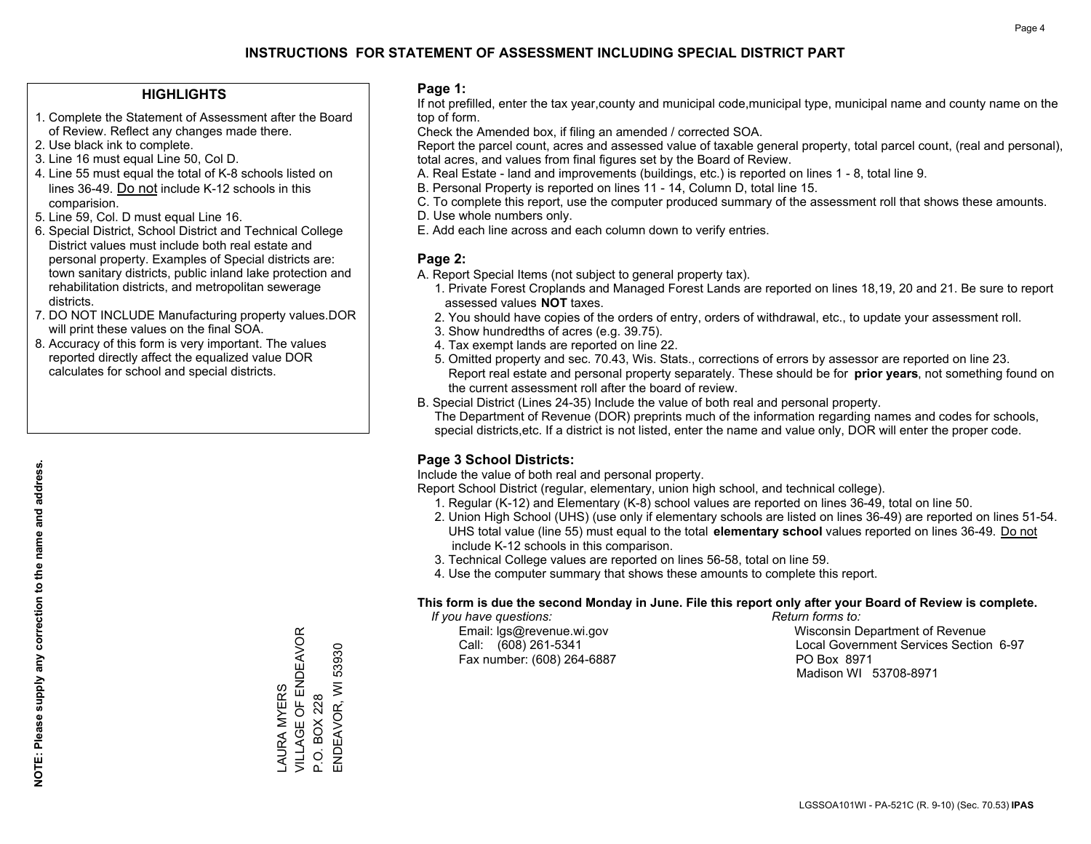#### **HIGHLIGHTS**

- 1. Complete the Statement of Assessment after the Board of Review. Reflect any changes made there.
- 2. Use black ink to complete.
- 3. Line 16 must equal Line 50, Col D.
- 4. Line 55 must equal the total of K-8 schools listed on lines 36-49. Do not include K-12 schools in this comparision.
- 5. Line 59, Col. D must equal Line 16.
- 6. Special District, School District and Technical College District values must include both real estate and personal property. Examples of Special districts are: town sanitary districts, public inland lake protection and rehabilitation districts, and metropolitan sewerage districts.
- 7. DO NOT INCLUDE Manufacturing property values.DOR will print these values on the final SOA.
- 8. Accuracy of this form is very important. The values reported directly affect the equalized value DOR calculates for school and special districts.

#### **Page 1:**

 If not prefilled, enter the tax year,county and municipal code,municipal type, municipal name and county name on the top of form.

Check the Amended box, if filing an amended / corrected SOA.

 Report the parcel count, acres and assessed value of taxable general property, total parcel count, (real and personal), total acres, and values from final figures set by the Board of Review.

- A. Real Estate land and improvements (buildings, etc.) is reported on lines 1 8, total line 9.
- B. Personal Property is reported on lines 11 14, Column D, total line 15.
- C. To complete this report, use the computer produced summary of the assessment roll that shows these amounts.
- D. Use whole numbers only.
- E. Add each line across and each column down to verify entries.

#### **Page 2:**

- A. Report Special Items (not subject to general property tax).
- 1. Private Forest Croplands and Managed Forest Lands are reported on lines 18,19, 20 and 21. Be sure to report assessed values **NOT** taxes.
- 2. You should have copies of the orders of entry, orders of withdrawal, etc., to update your assessment roll.
	- 3. Show hundredths of acres (e.g. 39.75).
- 4. Tax exempt lands are reported on line 22.
- 5. Omitted property and sec. 70.43, Wis. Stats., corrections of errors by assessor are reported on line 23. Report real estate and personal property separately. These should be for **prior years**, not something found on the current assessment roll after the board of review.
- B. Special District (Lines 24-35) Include the value of both real and personal property.
- The Department of Revenue (DOR) preprints much of the information regarding names and codes for schools, special districts,etc. If a district is not listed, enter the name and value only, DOR will enter the proper code.

### **Page 3 School Districts:**

Include the value of both real and personal property.

Report School District (regular, elementary, union high school, and technical college).

- 1. Regular (K-12) and Elementary (K-8) school values are reported on lines 36-49, total on line 50.
- 2. Union High School (UHS) (use only if elementary schools are listed on lines 36-49) are reported on lines 51-54. UHS total value (line 55) must equal to the total **elementary school** values reported on lines 36-49. Do notinclude K-12 schools in this comparison.
- 3. Technical College values are reported on lines 56-58, total on line 59.
- 4. Use the computer summary that shows these amounts to complete this report.

#### **This form is due the second Monday in June. File this report only after your Board of Review is complete.**

 *If you have questions: Return forms to:*

Fax number: (608) 264-6887 PO Box 8971

 Email: lgs@revenue.wi.gov Wisconsin Department of Revenue Call: (608) 261-5341 Local Government Services Section 6-97Madison WI 53708-8971

VILLAGE OF ENDEAVOR LAURA MYERS<br>VILLAGE OF ENDEAVOR ENDEAVOR, WI 53930 ENDEAVOR, WI 53930 LAURA MYERS P.O. BOX 228 P.O. BOX 228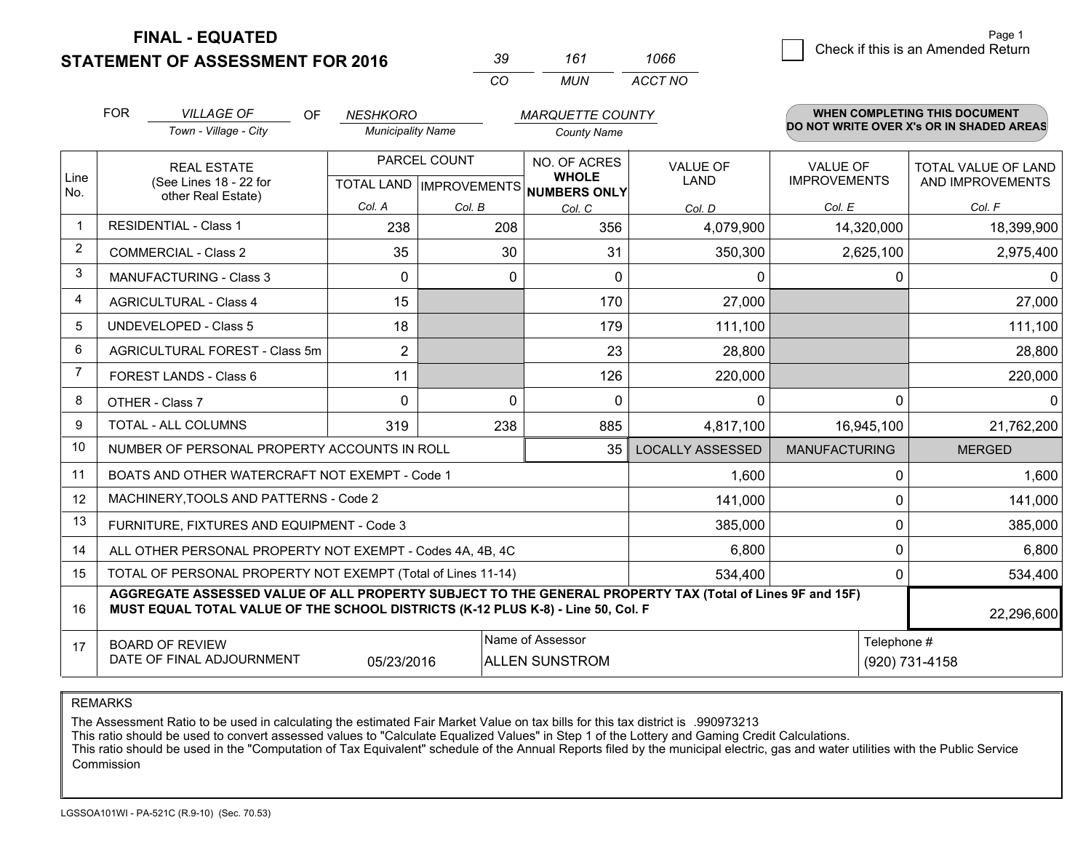**STATEMENT OF ASSESSMENT FOR 2016 FINAL - EQUATED**

*<sup>39</sup> <sup>161</sup>*

*CO MUN ACCT NO1066*

|             | <b>FOR</b>                                                                                                                                                                                   | <b>VILLAGE OF</b><br>OF.                                     | <b>NESHKORO</b>          |                                           | <b>MARQUETTE COUNTY</b>                      |                                |                                        | <b>WHEN COMPLETING THIS DOCUMENT</b>     |
|-------------|----------------------------------------------------------------------------------------------------------------------------------------------------------------------------------------------|--------------------------------------------------------------|--------------------------|-------------------------------------------|----------------------------------------------|--------------------------------|----------------------------------------|------------------------------------------|
|             |                                                                                                                                                                                              | Town - Village - City                                        | <b>Municipality Name</b> |                                           | <b>County Name</b>                           |                                |                                        | DO NOT WRITE OVER X's OR IN SHADED AREAS |
| Line<br>No. |                                                                                                                                                                                              | <b>REAL ESTATE</b><br>(See Lines 18 - 22 for                 |                          | PARCEL COUNT<br>TOTAL LAND   IMPROVEMENTS | NO. OF ACRES<br><b>WHOLE</b><br>NUMBERS ONLY | <b>VALUE OF</b><br><b>LAND</b> | <b>VALUE OF</b><br><b>IMPROVEMENTS</b> | TOTAL VALUE OF LAND<br>AND IMPROVEMENTS  |
|             |                                                                                                                                                                                              | other Real Estate)                                           | Col. A                   | Col. B                                    | Col. C                                       | Col. D                         | Col. E                                 | Col. F                                   |
| -1          |                                                                                                                                                                                              | <b>RESIDENTIAL - Class 1</b>                                 | 238                      | 208                                       | 356                                          | 4,079,900                      | 14,320,000                             | 18,399,900                               |
| 2           |                                                                                                                                                                                              | <b>COMMERCIAL - Class 2</b>                                  | 35                       | 30                                        | 31                                           | 350,300                        | 2,625,100                              | 2,975,400                                |
| 3           |                                                                                                                                                                                              | MANUFACTURING - Class 3                                      | 0                        | 0                                         | $\Omega$                                     | 0                              | 0                                      | $\mathbf{0}$                             |
| 4           |                                                                                                                                                                                              | <b>AGRICULTURAL - Class 4</b>                                | 15                       |                                           | 170                                          | 27,000                         |                                        | 27,000                                   |
| 5           |                                                                                                                                                                                              | <b>UNDEVELOPED - Class 5</b>                                 | 18                       |                                           | 179                                          | 111,100                        |                                        | 111,100                                  |
| 6           |                                                                                                                                                                                              | AGRICULTURAL FOREST - Class 5m                               | $\overline{2}$           |                                           | 23                                           | 28,800                         |                                        | 28,800                                   |
| 7           |                                                                                                                                                                                              | FOREST LANDS - Class 6                                       | 11                       |                                           | 126                                          | 220,000                        |                                        | 220,000                                  |
| 8           |                                                                                                                                                                                              | OTHER - Class 7                                              | $\Omega$                 | $\Omega$                                  | $\Omega$                                     | $\Omega$                       | $\Omega$                               | $\mathbf{0}$                             |
| 9           |                                                                                                                                                                                              | TOTAL - ALL COLUMNS                                          | 319                      | 238                                       | 885                                          | 4,817,100                      | 16,945,100                             | 21,762,200                               |
| 10          |                                                                                                                                                                                              | NUMBER OF PERSONAL PROPERTY ACCOUNTS IN ROLL                 |                          |                                           | 35                                           | <b>LOCALLY ASSESSED</b>        | <b>MANUFACTURING</b>                   | <b>MERGED</b>                            |
| 11          |                                                                                                                                                                                              | BOATS AND OTHER WATERCRAFT NOT EXEMPT - Code 1               |                          |                                           |                                              | 1,600                          | 0                                      | 1,600                                    |
| 12          |                                                                                                                                                                                              | MACHINERY, TOOLS AND PATTERNS - Code 2                       |                          |                                           |                                              | 141,000                        | $\Omega$                               | 141,000                                  |
| 13          |                                                                                                                                                                                              | FURNITURE, FIXTURES AND EQUIPMENT - Code 3                   |                          |                                           |                                              | 385,000                        | 0                                      | 385,000                                  |
| 14          |                                                                                                                                                                                              | ALL OTHER PERSONAL PROPERTY NOT EXEMPT - Codes 4A, 4B, 4C    |                          |                                           |                                              | 6,800                          | 0                                      | 6,800                                    |
| 15          |                                                                                                                                                                                              | TOTAL OF PERSONAL PROPERTY NOT EXEMPT (Total of Lines 11-14) |                          |                                           |                                              | 534,400                        | 0                                      | 534,400                                  |
| 16          | AGGREGATE ASSESSED VALUE OF ALL PROPERTY SUBJECT TO THE GENERAL PROPERTY TAX (Total of Lines 9F and 15F)<br>MUST EQUAL TOTAL VALUE OF THE SCHOOL DISTRICTS (K-12 PLUS K-8) - Line 50, Col. F |                                                              |                          |                                           |                                              |                                |                                        | 22,296,600                               |
| 17          |                                                                                                                                                                                              | <b>BOARD OF REVIEW</b><br>DATE OF FINAL ADJOURNMENT          | 05/23/2016               |                                           | Name of Assessor<br><b>ALLEN SUNSTROM</b>    |                                | Telephone #                            | (920) 731-4158                           |

REMARKS

The Assessment Ratio to be used in calculating the estimated Fair Market Value on tax bills for this tax district is .990973213<br>This ratio should be used to convert assessed values to "Calculate Equalized Values" in Step 1 Commission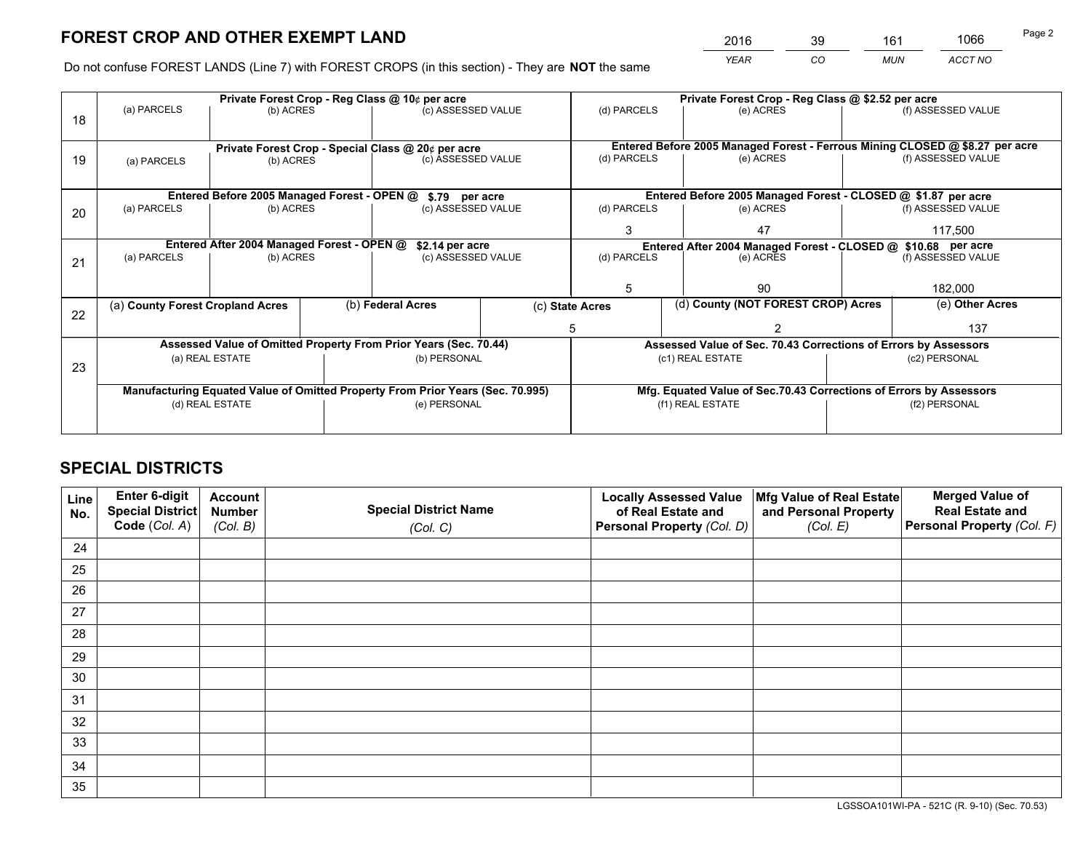*YEAR CO MUN ACCT NO* <sup>2016</sup> <sup>39</sup> <sup>161</sup> <sup>1066</sup>

Do not confuse FOREST LANDS (Line 7) with FOREST CROPS (in this section) - They are **NOT** the same

|    |                                                                                |                                             |                                                    | Private Forest Crop - Reg Class @ 10¢ per acre                   |             | Private Forest Crop - Reg Class @ \$2.52 per acre                  |                                                                              |                    |                    |
|----|--------------------------------------------------------------------------------|---------------------------------------------|----------------------------------------------------|------------------------------------------------------------------|-------------|--------------------------------------------------------------------|------------------------------------------------------------------------------|--------------------|--------------------|
| 18 | (a) PARCELS                                                                    | (b) ACRES                                   |                                                    | (c) ASSESSED VALUE                                               |             | (d) PARCELS                                                        | (e) ACRES                                                                    |                    | (f) ASSESSED VALUE |
|    |                                                                                |                                             | Private Forest Crop - Special Class @ 20¢ per acre |                                                                  |             |                                                                    | Entered Before 2005 Managed Forest - Ferrous Mining CLOSED @ \$8.27 per acre |                    |                    |
| 19 | (a) PARCELS                                                                    | (c) ASSESSED VALUE<br>(b) ACRES             |                                                    |                                                                  | (d) PARCELS | (e) ACRES                                                          |                                                                              | (f) ASSESSED VALUE |                    |
|    |                                                                                | Entered Before 2005 Managed Forest - OPEN @ |                                                    | \$.79 per acre                                                   |             |                                                                    | Entered Before 2005 Managed Forest - CLOSED @ \$1.87 per acre                |                    |                    |
| 20 | (a) PARCELS                                                                    | (b) ACRES                                   |                                                    | (c) ASSESSED VALUE                                               |             | (d) PARCELS                                                        | (e) ACRES                                                                    |                    | (f) ASSESSED VALUE |
|    |                                                                                |                                             |                                                    |                                                                  |             | 47<br>3                                                            |                                                                              | 117,500            |                    |
|    | Entered After 2004 Managed Forest - OPEN @<br>\$2.14 per acre                  |                                             |                                                    |                                                                  |             | Entered After 2004 Managed Forest - CLOSED @ \$10.68 per acre      |                                                                              |                    |                    |
| 21 | (a) PARCELS                                                                    | (b) ACRES                                   |                                                    | (c) ASSESSED VALUE                                               |             | (d) PARCELS<br>(e) ACRES                                           |                                                                              |                    | (f) ASSESSED VALUE |
|    |                                                                                |                                             |                                                    |                                                                  |             | 5                                                                  | 90                                                                           |                    | 182,000            |
| 22 | (a) County Forest Cropland Acres                                               |                                             |                                                    | (b) Federal Acres                                                |             | (c) State Acres                                                    | (d) County (NOT FOREST CROP) Acres                                           |                    | (e) Other Acres    |
|    |                                                                                |                                             |                                                    |                                                                  |             |                                                                    |                                                                              |                    | 137                |
|    |                                                                                |                                             |                                                    | Assessed Value of Omitted Property From Prior Years (Sec. 70.44) |             | Assessed Value of Sec. 70.43 Corrections of Errors by Assessors    |                                                                              |                    |                    |
| 23 | (b) PERSONAL<br>(a) REAL ESTATE                                                |                                             | (c1) REAL ESTATE<br>(c2) PERSONAL                  |                                                                  |             |                                                                    |                                                                              |                    |                    |
|    | Manufacturing Equated Value of Omitted Property From Prior Years (Sec. 70.995) |                                             |                                                    |                                                                  |             | Mfg. Equated Value of Sec.70.43 Corrections of Errors by Assessors |                                                                              |                    |                    |
|    | (d) REAL ESTATE                                                                |                                             |                                                    | (e) PERSONAL                                                     |             |                                                                    | (f1) REAL ESTATE                                                             |                    | (f2) PERSONAL      |
|    |                                                                                |                                             |                                                    |                                                                  |             |                                                                    |                                                                              |                    |                    |

## **SPECIAL DISTRICTS**

| Line<br>No. | Enter 6-digit<br>Special District<br>Code (Col. A) | <b>Account</b><br><b>Number</b> | <b>Special District Name</b> | <b>Locally Assessed Value</b><br>of Real Estate and | Mfg Value of Real Estate<br>and Personal Property | <b>Merged Value of</b><br><b>Real Estate and</b><br>Personal Property (Col. F) |
|-------------|----------------------------------------------------|---------------------------------|------------------------------|-----------------------------------------------------|---------------------------------------------------|--------------------------------------------------------------------------------|
|             |                                                    | (Col. B)                        | (Col. C)                     | Personal Property (Col. D)                          | (Col. E)                                          |                                                                                |
| 24          |                                                    |                                 |                              |                                                     |                                                   |                                                                                |
| 25          |                                                    |                                 |                              |                                                     |                                                   |                                                                                |
| 26          |                                                    |                                 |                              |                                                     |                                                   |                                                                                |
| 27          |                                                    |                                 |                              |                                                     |                                                   |                                                                                |
| 28          |                                                    |                                 |                              |                                                     |                                                   |                                                                                |
| 29          |                                                    |                                 |                              |                                                     |                                                   |                                                                                |
| 30          |                                                    |                                 |                              |                                                     |                                                   |                                                                                |
| 31          |                                                    |                                 |                              |                                                     |                                                   |                                                                                |
| 32          |                                                    |                                 |                              |                                                     |                                                   |                                                                                |
| 33          |                                                    |                                 |                              |                                                     |                                                   |                                                                                |
| 34          |                                                    |                                 |                              |                                                     |                                                   |                                                                                |
| 35          |                                                    |                                 |                              |                                                     |                                                   |                                                                                |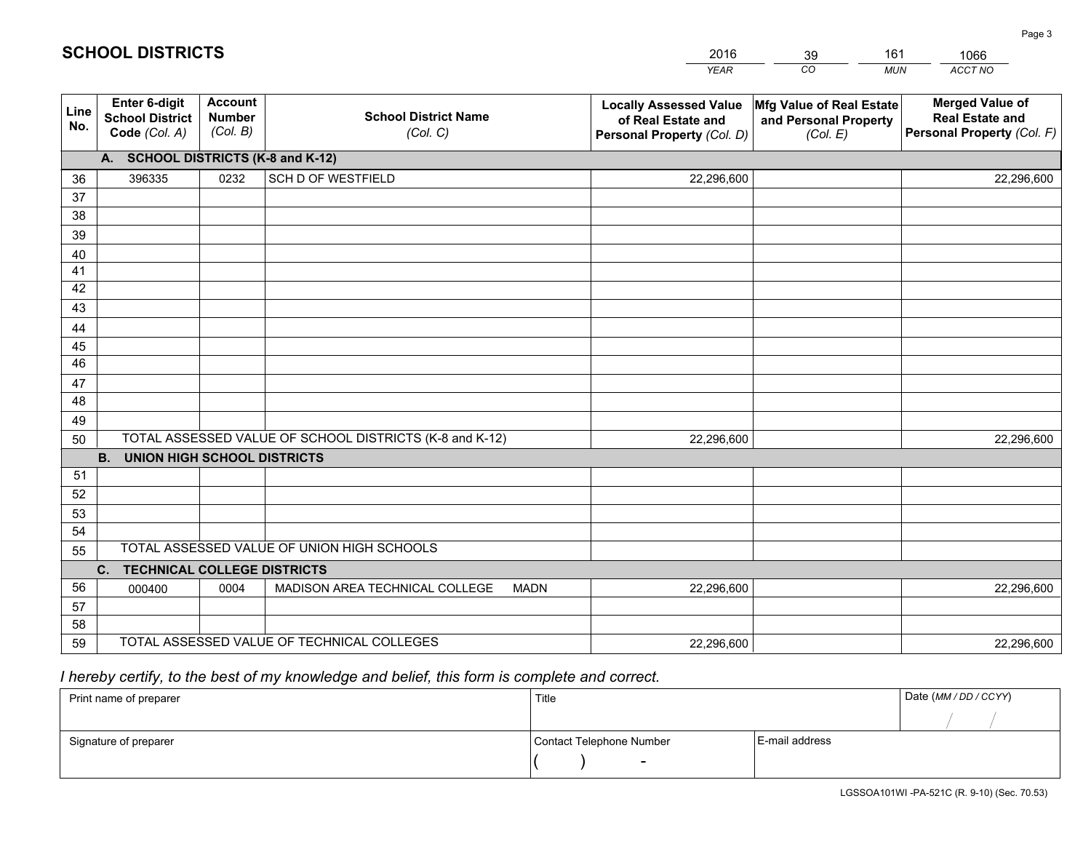|             |                                                          |                                             |                                                         | YEAR                                                                              | CO.<br><b>MUN</b>                                             | ACCT NO                                                                        |
|-------------|----------------------------------------------------------|---------------------------------------------|---------------------------------------------------------|-----------------------------------------------------------------------------------|---------------------------------------------------------------|--------------------------------------------------------------------------------|
| Line<br>No. | Enter 6-digit<br><b>School District</b><br>Code (Col. A) | <b>Account</b><br><b>Number</b><br>(Col. B) | <b>School District Name</b><br>(Col. C)                 | <b>Locally Assessed Value</b><br>of Real Estate and<br>Personal Property (Col. D) | Mfg Value of Real Estate<br>and Personal Property<br>(Col. E) | <b>Merged Value of</b><br><b>Real Estate and</b><br>Personal Property (Col. F) |
|             | A. SCHOOL DISTRICTS (K-8 and K-12)                       |                                             |                                                         |                                                                                   |                                                               |                                                                                |
| 36          | 396335                                                   | 0232                                        | <b>SCH D OF WESTFIELD</b>                               | 22,296,600                                                                        |                                                               | 22,296,600                                                                     |
| 37          |                                                          |                                             |                                                         |                                                                                   |                                                               |                                                                                |
| 38          |                                                          |                                             |                                                         |                                                                                   |                                                               |                                                                                |
| 39          |                                                          |                                             |                                                         |                                                                                   |                                                               |                                                                                |
| 40          |                                                          |                                             |                                                         |                                                                                   |                                                               |                                                                                |
| 41          |                                                          |                                             |                                                         |                                                                                   |                                                               |                                                                                |
| 42          |                                                          |                                             |                                                         |                                                                                   |                                                               |                                                                                |
| 43          |                                                          |                                             |                                                         |                                                                                   |                                                               |                                                                                |
| 44          |                                                          |                                             |                                                         |                                                                                   |                                                               |                                                                                |
| 45<br>46    |                                                          |                                             |                                                         |                                                                                   |                                                               |                                                                                |
| 47          |                                                          |                                             |                                                         |                                                                                   |                                                               |                                                                                |
| 48          |                                                          |                                             |                                                         |                                                                                   |                                                               |                                                                                |
| 49          |                                                          |                                             |                                                         |                                                                                   |                                                               |                                                                                |
| 50          |                                                          |                                             | TOTAL ASSESSED VALUE OF SCHOOL DISTRICTS (K-8 and K-12) | 22,296,600                                                                        |                                                               | 22,296,600                                                                     |
|             | <b>B.</b><br><b>UNION HIGH SCHOOL DISTRICTS</b>          |                                             |                                                         |                                                                                   |                                                               |                                                                                |
| 51          |                                                          |                                             |                                                         |                                                                                   |                                                               |                                                                                |
| 52          |                                                          |                                             |                                                         |                                                                                   |                                                               |                                                                                |
| 53          |                                                          |                                             |                                                         |                                                                                   |                                                               |                                                                                |
| 54          |                                                          |                                             |                                                         |                                                                                   |                                                               |                                                                                |
| 55          |                                                          |                                             | TOTAL ASSESSED VALUE OF UNION HIGH SCHOOLS              |                                                                                   |                                                               |                                                                                |
|             | C.<br><b>TECHNICAL COLLEGE DISTRICTS</b>                 |                                             |                                                         |                                                                                   |                                                               |                                                                                |
| 56          | 000400                                                   | 0004                                        | MADISON AREA TECHNICAL COLLEGE<br><b>MADN</b>           | 22,296,600                                                                        |                                                               | 22,296,600                                                                     |
| 57          |                                                          |                                             |                                                         |                                                                                   |                                                               |                                                                                |
| 58          |                                                          |                                             |                                                         |                                                                                   |                                                               |                                                                                |
| 59          |                                                          |                                             | TOTAL ASSESSED VALUE OF TECHNICAL COLLEGES              | 22,296,600                                                                        |                                                               | 22,296,600                                                                     |

39

161

 *I hereby certify, to the best of my knowledge and belief, this form is complete and correct.*

**SCHOOL DISTRICTS**

| Print name of preparer | Title                    |                | Date (MM / DD / CCYY) |
|------------------------|--------------------------|----------------|-----------------------|
|                        |                          |                |                       |
| Signature of preparer  | Contact Telephone Number | E-mail address |                       |
|                        | $\overline{\phantom{0}}$ |                |                       |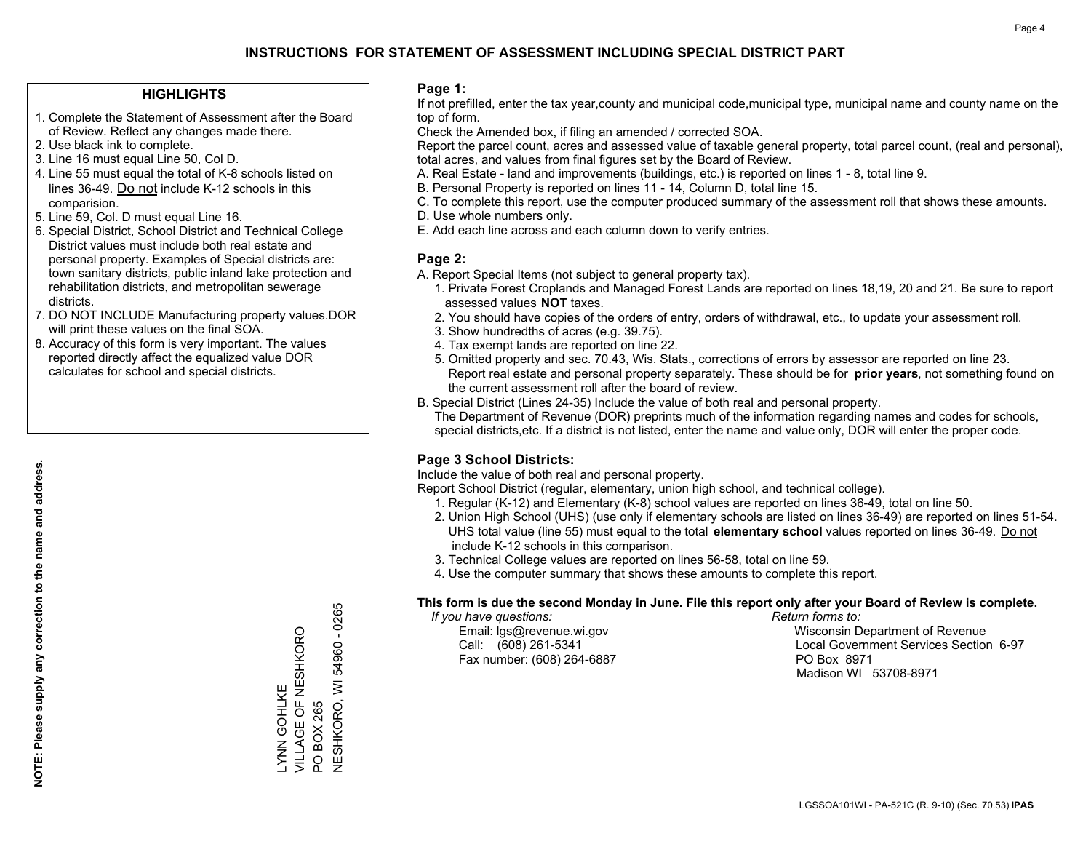#### **HIGHLIGHTS**

- 1. Complete the Statement of Assessment after the Board of Review. Reflect any changes made there.
- 2. Use black ink to complete.
- 3. Line 16 must equal Line 50, Col D.
- 4. Line 55 must equal the total of K-8 schools listed on lines 36-49. Do not include K-12 schools in this comparision.
- 5. Line 59, Col. D must equal Line 16.
- 6. Special District, School District and Technical College District values must include both real estate and personal property. Examples of Special districts are: town sanitary districts, public inland lake protection and rehabilitation districts, and metropolitan sewerage districts.
- 7. DO NOT INCLUDE Manufacturing property values.DOR will print these values on the final SOA.

LYNN GOHLKE

VILLAGE OF NESHKORO

LYNN GOHLKE<br>VILLAGE OF NESHKORO

PO BOX 265

 $\overline{S}$ 

BOX 265

NESHKORO, WI 54960 - 0265

**NESHKORO, WI 54960 - 0265** 

 8. Accuracy of this form is very important. The values reported directly affect the equalized value DOR calculates for school and special districts.

#### **Page 1:**

 If not prefilled, enter the tax year,county and municipal code,municipal type, municipal name and county name on the top of form.

Check the Amended box, if filing an amended / corrected SOA.

 Report the parcel count, acres and assessed value of taxable general property, total parcel count, (real and personal), total acres, and values from final figures set by the Board of Review.

- A. Real Estate land and improvements (buildings, etc.) is reported on lines 1 8, total line 9.
- B. Personal Property is reported on lines 11 14, Column D, total line 15.
- C. To complete this report, use the computer produced summary of the assessment roll that shows these amounts.
- D. Use whole numbers only.
- E. Add each line across and each column down to verify entries.

#### **Page 2:**

- A. Report Special Items (not subject to general property tax).
- 1. Private Forest Croplands and Managed Forest Lands are reported on lines 18,19, 20 and 21. Be sure to report assessed values **NOT** taxes.
- 2. You should have copies of the orders of entry, orders of withdrawal, etc., to update your assessment roll.
	- 3. Show hundredths of acres (e.g. 39.75).
- 4. Tax exempt lands are reported on line 22.
- 5. Omitted property and sec. 70.43, Wis. Stats., corrections of errors by assessor are reported on line 23. Report real estate and personal property separately. These should be for **prior years**, not something found on the current assessment roll after the board of review.
- B. Special District (Lines 24-35) Include the value of both real and personal property.
- The Department of Revenue (DOR) preprints much of the information regarding names and codes for schools, special districts,etc. If a district is not listed, enter the name and value only, DOR will enter the proper code.

### **Page 3 School Districts:**

Include the value of both real and personal property.

Report School District (regular, elementary, union high school, and technical college).

- 1. Regular (K-12) and Elementary (K-8) school values are reported on lines 36-49, total on line 50.
- 2. Union High School (UHS) (use only if elementary schools are listed on lines 36-49) are reported on lines 51-54. UHS total value (line 55) must equal to the total **elementary school** values reported on lines 36-49. Do notinclude K-12 schools in this comparison.
- 3. Technical College values are reported on lines 56-58, total on line 59.
- 4. Use the computer summary that shows these amounts to complete this report.

#### **This form is due the second Monday in June. File this report only after your Board of Review is complete.**

 *If you have questions: Return forms to:*

Fax number: (608) 264-6887 PO Box 8971

 Email: lgs@revenue.wi.gov Wisconsin Department of Revenue Call: (608) 261-5341 Local Government Services Section 6-97Madison WI 53708-8971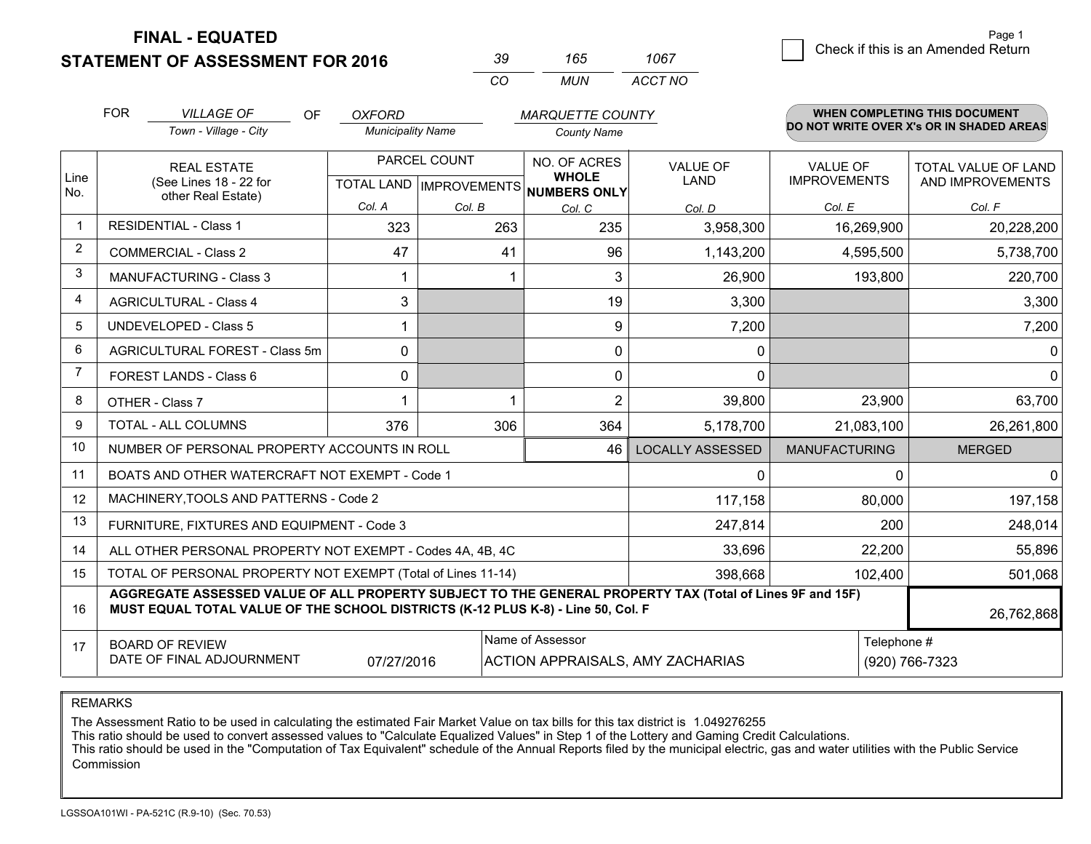**STATEMENT OF ASSESSMENT FOR 2016** 

| ט? | 165  | 1067    |
|----|------|---------|
| (  | MUN. | ACCT NO |

|             | <b>FOR</b>                                                                                                                                                                                   | <b>VILLAGE OF</b><br><b>OF</b>                               | <b>OXFORD</b>            |                                           | <b>MARQUETTE COUNTY</b>                             |                                         |                                        | <b>WHEN COMPLETING THIS DOCUMENT</b>           |
|-------------|----------------------------------------------------------------------------------------------------------------------------------------------------------------------------------------------|--------------------------------------------------------------|--------------------------|-------------------------------------------|-----------------------------------------------------|-----------------------------------------|----------------------------------------|------------------------------------------------|
|             |                                                                                                                                                                                              | Town - Village - City                                        | <b>Municipality Name</b> |                                           | <b>County Name</b>                                  |                                         |                                        | DO NOT WRITE OVER X's OR IN SHADED AREAS       |
| Line<br>No. |                                                                                                                                                                                              | <b>REAL ESTATE</b><br>(See Lines 18 - 22 for                 |                          | PARCEL COUNT<br>TOTAL LAND   IMPROVEMENTS | NO. OF ACRES<br><b>WHOLE</b><br><b>NUMBERS ONLY</b> | <b>VALUE OF</b><br><b>LAND</b>          | <b>VALUE OF</b><br><b>IMPROVEMENTS</b> | <b>TOTAL VALUE OF LAND</b><br>AND IMPROVEMENTS |
|             | other Real Estate)                                                                                                                                                                           |                                                              | Col. A                   | Col. B                                    | Col. C                                              | Col. D                                  | Col. E                                 | Col. F                                         |
| $\mathbf 1$ |                                                                                                                                                                                              | <b>RESIDENTIAL - Class 1</b>                                 | 323                      | 263                                       | 235                                                 | 3,958,300                               | 16,269,900                             | 20,228,200                                     |
| 2           |                                                                                                                                                                                              | <b>COMMERCIAL - Class 2</b>                                  | 47                       | 41                                        | 96                                                  | 1,143,200                               | 4,595,500                              | 5,738,700                                      |
| 3           |                                                                                                                                                                                              | <b>MANUFACTURING - Class 3</b>                               |                          |                                           | 3                                                   | 26,900                                  | 193,800                                | 220,700                                        |
| 4           |                                                                                                                                                                                              | <b>AGRICULTURAL - Class 4</b>                                | 3                        |                                           | 19                                                  | 3,300                                   |                                        | 3,300                                          |
| 5           |                                                                                                                                                                                              | <b>UNDEVELOPED - Class 5</b>                                 |                          |                                           | 9                                                   | 7,200                                   |                                        | 7,200                                          |
| 6           |                                                                                                                                                                                              | AGRICULTURAL FOREST - Class 5m                               | 0                        |                                           | $\Omega$                                            | 0                                       |                                        | 0                                              |
| 7           |                                                                                                                                                                                              | FOREST LANDS - Class 6                                       | 0                        |                                           | 0                                                   | $\mathbf{0}$                            |                                        | $\mathbf{0}$                                   |
| 8           |                                                                                                                                                                                              | OTHER - Class 7                                              |                          |                                           | $\overline{2}$                                      | 39,800                                  | 23,900                                 | 63,700                                         |
| 9           |                                                                                                                                                                                              | TOTAL - ALL COLUMNS                                          | 376                      | 306                                       | 364                                                 | 5,178,700                               | 21,083,100                             | 26,261,800                                     |
| 10          |                                                                                                                                                                                              | NUMBER OF PERSONAL PROPERTY ACCOUNTS IN ROLL                 |                          |                                           | 46                                                  | <b>LOCALLY ASSESSED</b>                 | <b>MANUFACTURING</b>                   | <b>MERGED</b>                                  |
| 11          |                                                                                                                                                                                              | BOATS AND OTHER WATERCRAFT NOT EXEMPT - Code 1               |                          |                                           |                                                     | 0                                       | ∩                                      | $\mathbf{0}$                                   |
| 12          |                                                                                                                                                                                              | MACHINERY, TOOLS AND PATTERNS - Code 2                       |                          |                                           |                                                     | 117,158                                 | 80,000                                 | 197,158                                        |
| 13          |                                                                                                                                                                                              | FURNITURE, FIXTURES AND EQUIPMENT - Code 3                   |                          |                                           |                                                     | 247,814                                 | 200                                    | 248,014                                        |
| 14          |                                                                                                                                                                                              | ALL OTHER PERSONAL PROPERTY NOT EXEMPT - Codes 4A, 4B, 4C    |                          |                                           |                                                     | 33,696                                  | 22,200                                 | 55,896                                         |
| 15          |                                                                                                                                                                                              | TOTAL OF PERSONAL PROPERTY NOT EXEMPT (Total of Lines 11-14) |                          |                                           | 398,668                                             | 102,400                                 | 501,068                                |                                                |
| 16          | AGGREGATE ASSESSED VALUE OF ALL PROPERTY SUBJECT TO THE GENERAL PROPERTY TAX (Total of Lines 9F and 15F)<br>MUST EQUAL TOTAL VALUE OF THE SCHOOL DISTRICTS (K-12 PLUS K-8) - Line 50, Col. F |                                                              |                          |                                           |                                                     |                                         |                                        | 26,762,868                                     |
| 17          |                                                                                                                                                                                              | <b>BOARD OF REVIEW</b><br>DATE OF FINAL ADJOURNMENT          | 07/27/2016               |                                           | Name of Assessor                                    | <b>ACTION APPRAISALS, AMY ZACHARIAS</b> | Telephone #                            | (920) 766-7323                                 |

REMARKS

The Assessment Ratio to be used in calculating the estimated Fair Market Value on tax bills for this tax district is 1.049276255<br>This ratio should be used to convert assessed values to "Calculate Equalized Values" in Step Commission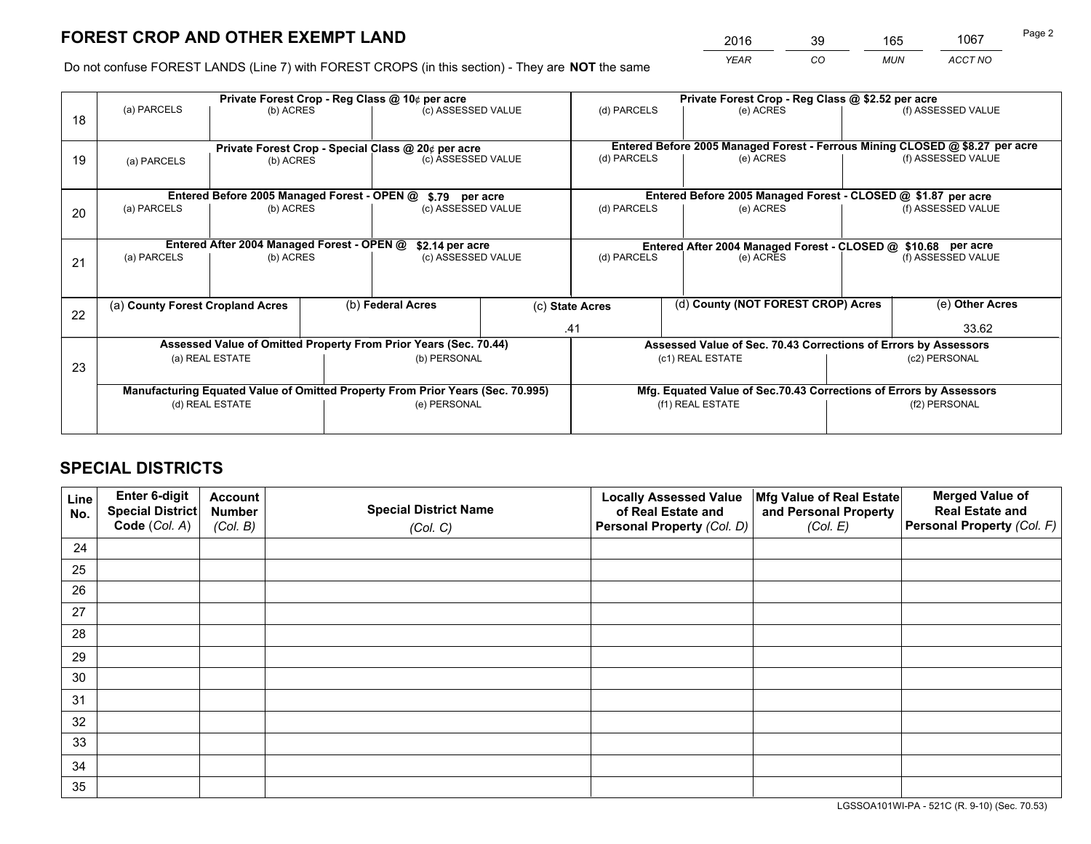*YEAR CO MUN ACCT NO* <sup>2016</sup> <sup>39</sup> <sup>165</sup> <sup>1067</sup>

Do not confuse FOREST LANDS (Line 7) with FOREST CROPS (in this section) - They are **NOT** the same

|    | Private Forest Crop - Reg Class @ 10¢ per acre                |                                             |  |                                                                                |                                                                              | Private Forest Crop - Reg Class @ \$2.52 per acre                  |                                                                 |                    |                    |
|----|---------------------------------------------------------------|---------------------------------------------|--|--------------------------------------------------------------------------------|------------------------------------------------------------------------------|--------------------------------------------------------------------|-----------------------------------------------------------------|--------------------|--------------------|
| 18 | (a) PARCELS                                                   | (b) ACRES                                   |  | (c) ASSESSED VALUE                                                             |                                                                              | (d) PARCELS                                                        | (e) ACRES                                                       |                    | (f) ASSESSED VALUE |
|    |                                                               |                                             |  |                                                                                |                                                                              |                                                                    |                                                                 |                    |                    |
|    | Private Forest Crop - Special Class @ 20¢ per acre            |                                             |  |                                                                                | Entered Before 2005 Managed Forest - Ferrous Mining CLOSED @ \$8.27 per acre |                                                                    |                                                                 |                    |                    |
| 19 | (a) PARCELS                                                   | (b) ACRES                                   |  | (c) ASSESSED VALUE                                                             |                                                                              | (d) PARCELS                                                        | (e) ACRES                                                       |                    | (f) ASSESSED VALUE |
|    |                                                               |                                             |  |                                                                                |                                                                              |                                                                    |                                                                 |                    |                    |
|    |                                                               | Entered Before 2005 Managed Forest - OPEN @ |  | \$.79 per acre                                                                 |                                                                              |                                                                    | Entered Before 2005 Managed Forest - CLOSED @ \$1.87 per acre   |                    |                    |
| 20 | (a) PARCELS                                                   | (b) ACRES                                   |  | (c) ASSESSED VALUE                                                             |                                                                              | (d) PARCELS                                                        | (e) ACRES                                                       |                    | (f) ASSESSED VALUE |
|    |                                                               |                                             |  |                                                                                |                                                                              |                                                                    |                                                                 |                    |                    |
|    | Entered After 2004 Managed Forest - OPEN @<br>\$2.14 per acre |                                             |  |                                                                                | Entered After 2004 Managed Forest - CLOSED @ \$10.68 per acre                |                                                                    |                                                                 |                    |                    |
| 21 | (a) PARCELS                                                   | (b) ACRES                                   |  | (c) ASSESSED VALUE                                                             |                                                                              | (d) PARCELS<br>(e) ACRES                                           |                                                                 | (f) ASSESSED VALUE |                    |
|    |                                                               |                                             |  |                                                                                |                                                                              |                                                                    |                                                                 |                    |                    |
|    | (a) County Forest Cropland Acres                              |                                             |  | (b) Federal Acres                                                              |                                                                              | (c) State Acres                                                    | (d) County (NOT FOREST CROP) Acres                              |                    | (e) Other Acres    |
| 22 |                                                               |                                             |  |                                                                                |                                                                              |                                                                    |                                                                 |                    |                    |
|    |                                                               |                                             |  |                                                                                |                                                                              | .41                                                                |                                                                 |                    | 33.62              |
|    |                                                               |                                             |  | Assessed Value of Omitted Property From Prior Years (Sec. 70.44)               |                                                                              |                                                                    | Assessed Value of Sec. 70.43 Corrections of Errors by Assessors |                    |                    |
| 23 |                                                               | (a) REAL ESTATE                             |  | (b) PERSONAL                                                                   |                                                                              |                                                                    | (c1) REAL ESTATE                                                | (c2) PERSONAL      |                    |
|    |                                                               |                                             |  |                                                                                |                                                                              |                                                                    |                                                                 |                    |                    |
|    |                                                               |                                             |  | Manufacturing Equated Value of Omitted Property From Prior Years (Sec. 70.995) |                                                                              | Mfg. Equated Value of Sec.70.43 Corrections of Errors by Assessors |                                                                 |                    |                    |
|    |                                                               | (d) REAL ESTATE                             |  | (e) PERSONAL                                                                   |                                                                              |                                                                    | (f1) REAL ESTATE                                                |                    | (f2) PERSONAL      |
|    |                                                               |                                             |  |                                                                                |                                                                              |                                                                    |                                                                 |                    |                    |

## **SPECIAL DISTRICTS**

| Line<br>No. | Enter 6-digit<br>Special District | <b>Account</b><br><b>Number</b> | <b>Special District Name</b> | <b>Locally Assessed Value</b><br>of Real Estate and | Mfg Value of Real Estate<br>and Personal Property | <b>Merged Value of</b><br><b>Real Estate and</b> |
|-------------|-----------------------------------|---------------------------------|------------------------------|-----------------------------------------------------|---------------------------------------------------|--------------------------------------------------|
|             | Code (Col. A)                     | (Col. B)                        | (Col. C)                     | Personal Property (Col. D)                          | (Col. E)                                          | Personal Property (Col. F)                       |
| 24          |                                   |                                 |                              |                                                     |                                                   |                                                  |
| 25          |                                   |                                 |                              |                                                     |                                                   |                                                  |
| 26          |                                   |                                 |                              |                                                     |                                                   |                                                  |
| 27          |                                   |                                 |                              |                                                     |                                                   |                                                  |
| 28          |                                   |                                 |                              |                                                     |                                                   |                                                  |
| 29          |                                   |                                 |                              |                                                     |                                                   |                                                  |
| 30          |                                   |                                 |                              |                                                     |                                                   |                                                  |
| 31          |                                   |                                 |                              |                                                     |                                                   |                                                  |
| 32          |                                   |                                 |                              |                                                     |                                                   |                                                  |
| 33          |                                   |                                 |                              |                                                     |                                                   |                                                  |
| 34          |                                   |                                 |                              |                                                     |                                                   |                                                  |
| 35          |                                   |                                 |                              |                                                     |                                                   |                                                  |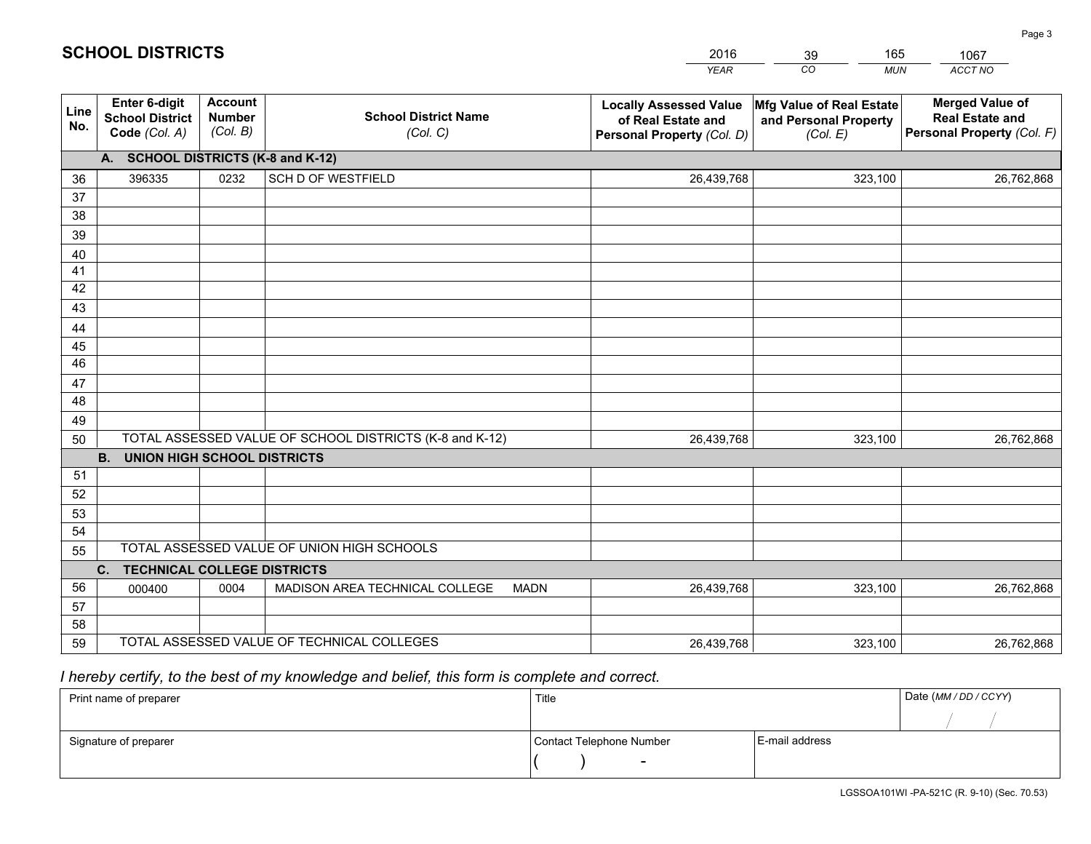|             |                                                                 |                                             |                                                         | <b>YEAR</b>                                                                       | CO<br><b>MUN</b>                                              | ACCT NO                                                                        |
|-------------|-----------------------------------------------------------------|---------------------------------------------|---------------------------------------------------------|-----------------------------------------------------------------------------------|---------------------------------------------------------------|--------------------------------------------------------------------------------|
| Line<br>No. | <b>Enter 6-digit</b><br><b>School District</b><br>Code (Col. A) | <b>Account</b><br><b>Number</b><br>(Col. B) | <b>School District Name</b><br>(Col. C)                 | <b>Locally Assessed Value</b><br>of Real Estate and<br>Personal Property (Col. D) | Mfg Value of Real Estate<br>and Personal Property<br>(Col. E) | <b>Merged Value of</b><br><b>Real Estate and</b><br>Personal Property (Col. F) |
|             | A. SCHOOL DISTRICTS (K-8 and K-12)                              |                                             |                                                         |                                                                                   |                                                               |                                                                                |
| 36          | 396335                                                          | 0232                                        | <b>SCH D OF WESTFIELD</b>                               | 26,439,768                                                                        | 323,100                                                       | 26,762,868                                                                     |
| 37          |                                                                 |                                             |                                                         |                                                                                   |                                                               |                                                                                |
| 38          |                                                                 |                                             |                                                         |                                                                                   |                                                               |                                                                                |
| 39          |                                                                 |                                             |                                                         |                                                                                   |                                                               |                                                                                |
| 40          |                                                                 |                                             |                                                         |                                                                                   |                                                               |                                                                                |
| 41<br>42    |                                                                 |                                             |                                                         |                                                                                   |                                                               |                                                                                |
| 43          |                                                                 |                                             |                                                         |                                                                                   |                                                               |                                                                                |
| 44          |                                                                 |                                             |                                                         |                                                                                   |                                                               |                                                                                |
| 45          |                                                                 |                                             |                                                         |                                                                                   |                                                               |                                                                                |
| 46          |                                                                 |                                             |                                                         |                                                                                   |                                                               |                                                                                |
| 47          |                                                                 |                                             |                                                         |                                                                                   |                                                               |                                                                                |
| 48          |                                                                 |                                             |                                                         |                                                                                   |                                                               |                                                                                |
| 49          |                                                                 |                                             |                                                         |                                                                                   |                                                               |                                                                                |
| 50          |                                                                 |                                             | TOTAL ASSESSED VALUE OF SCHOOL DISTRICTS (K-8 and K-12) | 26,439,768                                                                        | 323,100                                                       | 26,762,868                                                                     |
|             | <b>B.</b><br><b>UNION HIGH SCHOOL DISTRICTS</b>                 |                                             |                                                         |                                                                                   |                                                               |                                                                                |
| 51<br>52    |                                                                 |                                             |                                                         |                                                                                   |                                                               |                                                                                |
| 53          |                                                                 |                                             |                                                         |                                                                                   |                                                               |                                                                                |
| 54          |                                                                 |                                             |                                                         |                                                                                   |                                                               |                                                                                |
| 55          |                                                                 |                                             | TOTAL ASSESSED VALUE OF UNION HIGH SCHOOLS              |                                                                                   |                                                               |                                                                                |
|             | C.<br><b>TECHNICAL COLLEGE DISTRICTS</b>                        |                                             |                                                         |                                                                                   |                                                               |                                                                                |
| 56          | 000400                                                          | 0004                                        | MADISON AREA TECHNICAL COLLEGE<br><b>MADN</b>           | 26,439,768                                                                        | 323,100                                                       | 26,762,868                                                                     |
| 57          |                                                                 |                                             |                                                         |                                                                                   |                                                               |                                                                                |
| 58          |                                                                 |                                             |                                                         |                                                                                   |                                                               |                                                                                |
| 59          |                                                                 |                                             | TOTAL ASSESSED VALUE OF TECHNICAL COLLEGES              | 26,439,768                                                                        | 323,100                                                       | 26,762,868                                                                     |

39

165

 *I hereby certify, to the best of my knowledge and belief, this form is complete and correct.*

**SCHOOL DISTRICTS**

| Print name of preparer | Title                    |                | Date (MM / DD / CCYY) |
|------------------------|--------------------------|----------------|-----------------------|
|                        |                          |                |                       |
| Signature of preparer  | Contact Telephone Number | E-mail address |                       |
|                        | $\overline{\phantom{a}}$ |                |                       |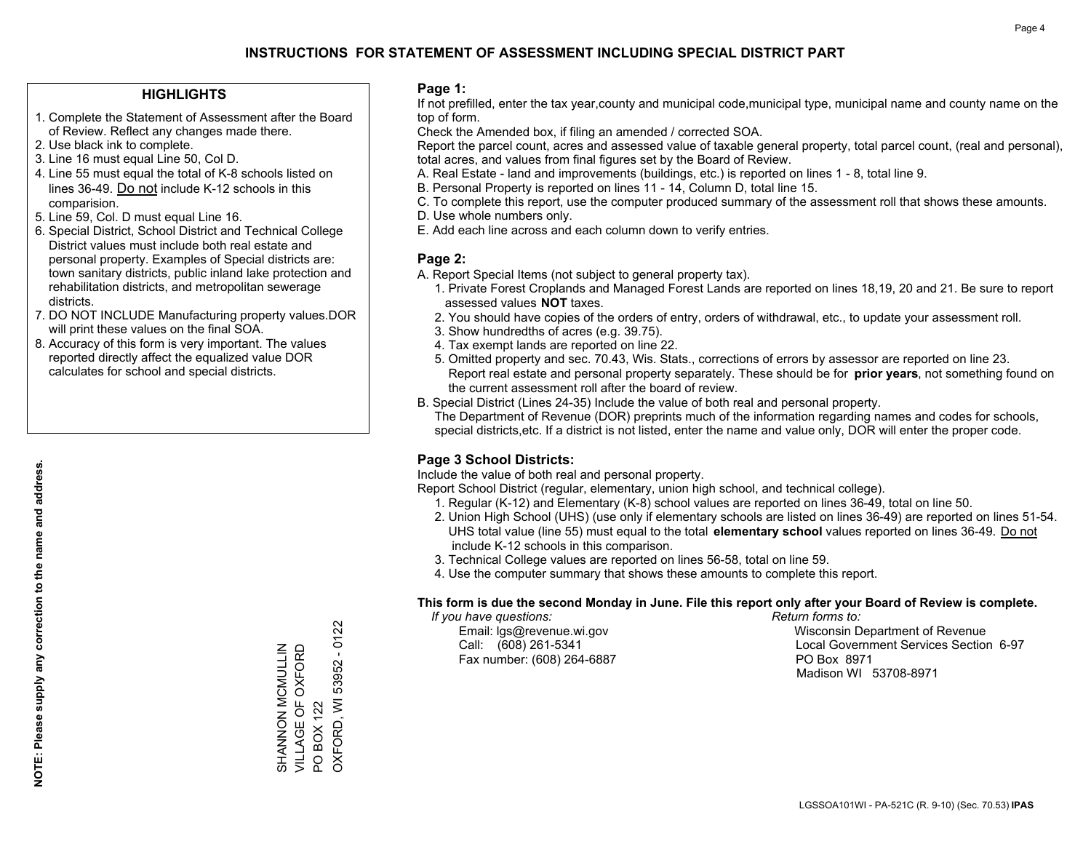#### **HIGHLIGHTS**

- 1. Complete the Statement of Assessment after the Board of Review. Reflect any changes made there.
- 2. Use black ink to complete.
- 3. Line 16 must equal Line 50, Col D.
- 4. Line 55 must equal the total of K-8 schools listed on lines 36-49. Do not include K-12 schools in this comparision.
- 5. Line 59, Col. D must equal Line 16.
- 6. Special District, School District and Technical College District values must include both real estate and personal property. Examples of Special districts are: town sanitary districts, public inland lake protection and rehabilitation districts, and metropolitan sewerage districts.
- 7. DO NOT INCLUDE Manufacturing property values.DOR will print these values on the final SOA.

SHANNON MCMULLIN VILLAGE OF OXFORD

SHANNON MCMULLIN<br>VILLAGE OF OXFORD

PO BOX 122

 $\overline{S}$ 

**BOX 122 OXFORD, WI** 

OXFORD, WI 53952 - 0122

53952 - 0122

 8. Accuracy of this form is very important. The values reported directly affect the equalized value DOR calculates for school and special districts.

#### **Page 1:**

 If not prefilled, enter the tax year,county and municipal code,municipal type, municipal name and county name on the top of form.

Check the Amended box, if filing an amended / corrected SOA.

 Report the parcel count, acres and assessed value of taxable general property, total parcel count, (real and personal), total acres, and values from final figures set by the Board of Review.

- A. Real Estate land and improvements (buildings, etc.) is reported on lines 1 8, total line 9.
- B. Personal Property is reported on lines 11 14, Column D, total line 15.
- C. To complete this report, use the computer produced summary of the assessment roll that shows these amounts.
- D. Use whole numbers only.
- E. Add each line across and each column down to verify entries.

#### **Page 2:**

- A. Report Special Items (not subject to general property tax).
- 1. Private Forest Croplands and Managed Forest Lands are reported on lines 18,19, 20 and 21. Be sure to report assessed values **NOT** taxes.
- 2. You should have copies of the orders of entry, orders of withdrawal, etc., to update your assessment roll.
	- 3. Show hundredths of acres (e.g. 39.75).
- 4. Tax exempt lands are reported on line 22.
- 5. Omitted property and sec. 70.43, Wis. Stats., corrections of errors by assessor are reported on line 23. Report real estate and personal property separately. These should be for **prior years**, not something found on the current assessment roll after the board of review.
- B. Special District (Lines 24-35) Include the value of both real and personal property.
- The Department of Revenue (DOR) preprints much of the information regarding names and codes for schools, special districts,etc. If a district is not listed, enter the name and value only, DOR will enter the proper code.

### **Page 3 School Districts:**

Include the value of both real and personal property.

Report School District (regular, elementary, union high school, and technical college).

- 1. Regular (K-12) and Elementary (K-8) school values are reported on lines 36-49, total on line 50.
- 2. Union High School (UHS) (use only if elementary schools are listed on lines 36-49) are reported on lines 51-54. UHS total value (line 55) must equal to the total **elementary school** values reported on lines 36-49. Do notinclude K-12 schools in this comparison.
- 3. Technical College values are reported on lines 56-58, total on line 59.
- 4. Use the computer summary that shows these amounts to complete this report.

#### **This form is due the second Monday in June. File this report only after your Board of Review is complete.**

 *If you have questions: Return forms to:*

Fax number: (608) 264-6887 PO Box 8971

 Email: lgs@revenue.wi.gov Wisconsin Department of Revenue Call: (608) 261-5341 Local Government Services Section 6-97Madison WI 53708-8971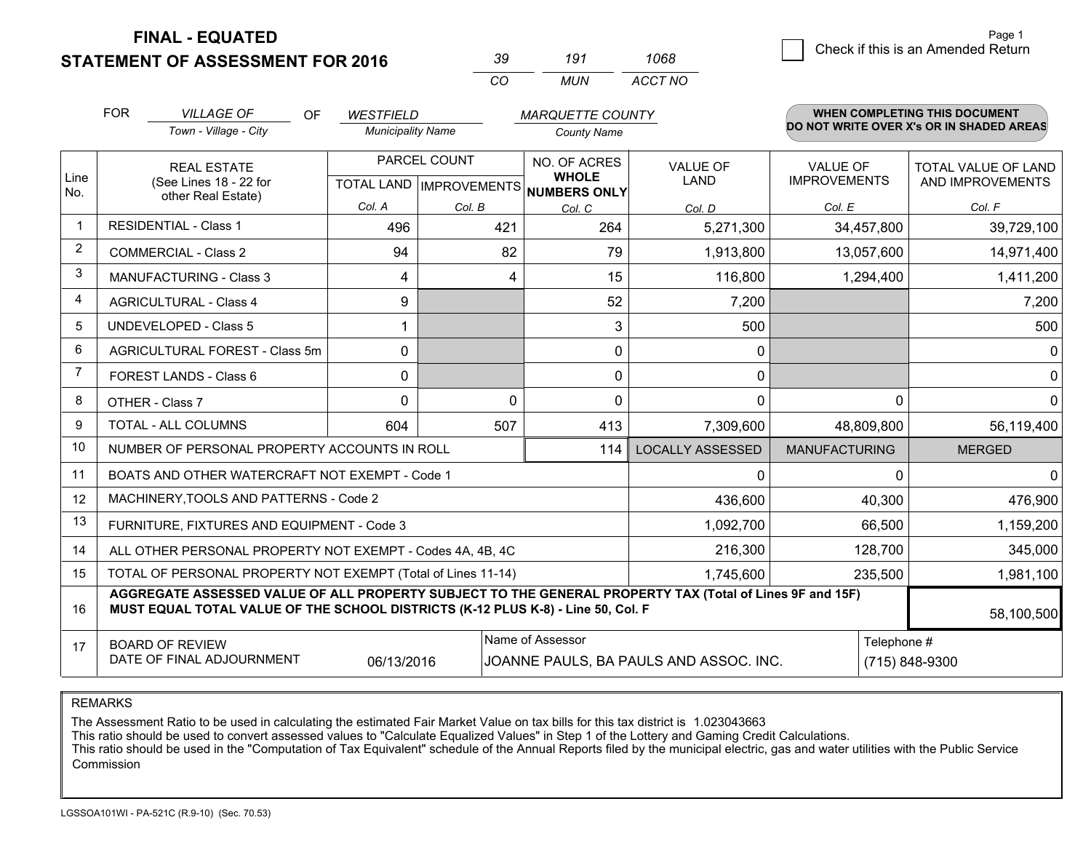**STATEMENT OF ASSESSMENT FOR 2016** 

| ku       | 191   | 1068    |
|----------|-------|---------|
| $\cdots$ | MI IN | ACCT NO |

|                | <b>FOR</b>                                                                                                                                                                                                 | <b>VILLAGE OF</b><br>OF                                                                                                                                          | <b>WESTFIELD</b>                                     |          | <b>MARQUETTE COUNTY</b>      |                                |                                        | WHEN COMPLETING THIS DOCUMENT            |
|----------------|------------------------------------------------------------------------------------------------------------------------------------------------------------------------------------------------------------|------------------------------------------------------------------------------------------------------------------------------------------------------------------|------------------------------------------------------|----------|------------------------------|--------------------------------|----------------------------------------|------------------------------------------|
|                |                                                                                                                                                                                                            | Town - Village - City                                                                                                                                            | <b>Municipality Name</b>                             |          | <b>County Name</b>           |                                |                                        | DO NOT WRITE OVER X's OR IN SHADED AREAS |
| Line<br>No.    |                                                                                                                                                                                                            | <b>REAL ESTATE</b><br>(See Lines 18 - 22 for                                                                                                                     | PARCEL COUNT<br>TOTAL LAND IMPROVEMENTS NUMBERS ONLY |          | NO. OF ACRES<br><b>WHOLE</b> | <b>VALUE OF</b><br><b>LAND</b> | <b>VALUE OF</b><br><b>IMPROVEMENTS</b> | TOTAL VALUE OF LAND<br>AND IMPROVEMENTS  |
|                |                                                                                                                                                                                                            | other Real Estate)                                                                                                                                               | Col. A                                               | Col. B   | Col. C                       | Col. D                         | Col. E                                 | Col. F                                   |
| -1             |                                                                                                                                                                                                            | <b>RESIDENTIAL - Class 1</b>                                                                                                                                     | 496                                                  | 421      | 264                          | 5,271,300                      | 34,457,800                             | 39,729,100                               |
| 2              |                                                                                                                                                                                                            | <b>COMMERCIAL - Class 2</b>                                                                                                                                      | 94                                                   | 82       | 79                           | 1,913,800                      | 13,057,600                             | 14,971,400                               |
| 3              |                                                                                                                                                                                                            | <b>MANUFACTURING - Class 3</b>                                                                                                                                   | 4                                                    | 4        | 15                           | 116,800                        | 1,294,400                              | 1,411,200                                |
| 4              |                                                                                                                                                                                                            | <b>AGRICULTURAL - Class 4</b>                                                                                                                                    | 9                                                    |          | 52                           | 7,200                          |                                        | 7,200                                    |
| 5              |                                                                                                                                                                                                            | UNDEVELOPED - Class 5                                                                                                                                            |                                                      |          | 3                            | 500                            |                                        | 500                                      |
| 6              |                                                                                                                                                                                                            | AGRICULTURAL FOREST - Class 5m                                                                                                                                   | 0                                                    |          | $\mathbf 0$                  | 0                              |                                        | $\mathbf{0}$                             |
| $\overline{7}$ |                                                                                                                                                                                                            | FOREST LANDS - Class 6                                                                                                                                           | $\Omega$                                             |          | $\mathbf{0}$                 | 0                              |                                        | $\mathbf 0$                              |
| 8              |                                                                                                                                                                                                            | OTHER - Class 7                                                                                                                                                  | $\Omega$                                             | $\Omega$ | $\Omega$                     | $\mathbf{0}$                   | $\Omega$                               | $\mathbf 0$                              |
| 9              | TOTAL - ALL COLUMNS                                                                                                                                                                                        |                                                                                                                                                                  | 604                                                  | 507      | 413                          | 7,309,600                      | 48,809,800                             | 56,119,400                               |
| 10             | NUMBER OF PERSONAL PROPERTY ACCOUNTS IN ROLL<br>114                                                                                                                                                        |                                                                                                                                                                  |                                                      |          |                              | <b>LOCALLY ASSESSED</b>        | <b>MANUFACTURING</b>                   | <b>MERGED</b>                            |
| 11             |                                                                                                                                                                                                            | BOATS AND OTHER WATERCRAFT NOT EXEMPT - Code 1                                                                                                                   |                                                      |          |                              | 0                              | ∩                                      | $\mathbf{0}$                             |
| 12             |                                                                                                                                                                                                            | MACHINERY, TOOLS AND PATTERNS - Code 2                                                                                                                           |                                                      |          |                              | 436,600                        | 40,300                                 | 476,900                                  |
| 13             |                                                                                                                                                                                                            | FURNITURE, FIXTURES AND EQUIPMENT - Code 3                                                                                                                       |                                                      |          | 1,092,700                    | 66,500                         | 1,159,200                              |                                          |
| 14             |                                                                                                                                                                                                            | ALL OTHER PERSONAL PROPERTY NOT EXEMPT - Codes 4A, 4B, 4C                                                                                                        |                                                      |          | 216,300                      | 128,700                        | 345,000                                |                                          |
| 15             |                                                                                                                                                                                                            | TOTAL OF PERSONAL PROPERTY NOT EXEMPT (Total of Lines 11-14)                                                                                                     |                                                      |          | 1,745,600                    | 235,500                        | 1,981,100                              |                                          |
| 16             | AGGREGATE ASSESSED VALUE OF ALL PROPERTY SUBJECT TO THE GENERAL PROPERTY TAX (Total of Lines 9F and 15F)<br>MUST EQUAL TOTAL VALUE OF THE SCHOOL DISTRICTS (K-12 PLUS K-8) - Line 50, Col. F<br>58,100,500 |                                                                                                                                                                  |                                                      |          |                              |                                |                                        |                                          |
| 17             |                                                                                                                                                                                                            | Name of Assessor<br>Telephone #<br><b>BOARD OF REVIEW</b><br>DATE OF FINAL ADJOURNMENT<br>06/13/2016<br>JOANNE PAULS, BA PAULS AND ASSOC. INC.<br>(715) 848-9300 |                                                      |          |                              |                                |                                        |                                          |

REMARKS

The Assessment Ratio to be used in calculating the estimated Fair Market Value on tax bills for this tax district is 1.023043663

This ratio should be used to convert assessed values to "Calculate Equalized Values" in Step 1 of the Lottery and Gaming Credit Calculations.<br>This ratio should be used in the "Computation of Tax Equivalent" schedule of the Commission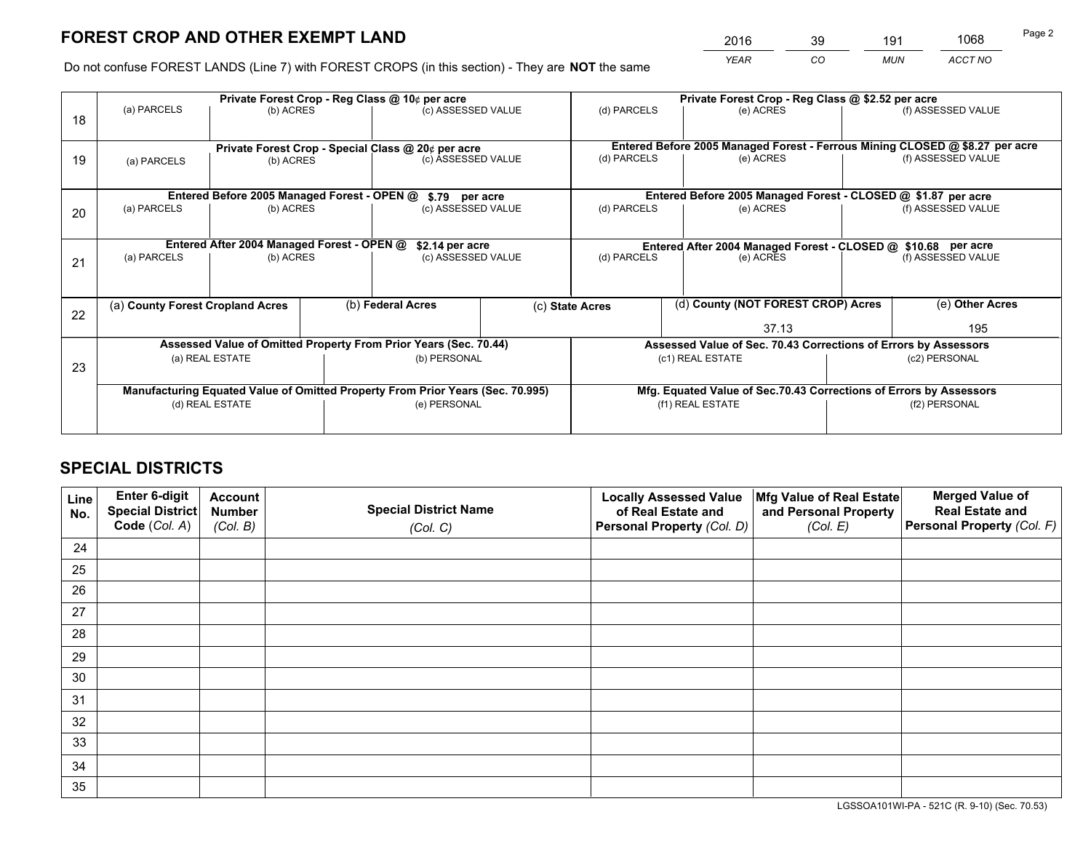*YEAR CO MUN ACCT NO* <sup>2016</sup> <sup>39</sup> <sup>191</sup> <sup>1068</sup>

Do not confuse FOREST LANDS (Line 7) with FOREST CROPS (in this section) - They are **NOT** the same

|    |                                                                                |                                             |                    | Private Forest Crop - Reg Class @ 10¢ per acre                   |                    | Private Forest Crop - Reg Class @ \$2.52 per acre                            |                                                               |               |                    |  |
|----|--------------------------------------------------------------------------------|---------------------------------------------|--------------------|------------------------------------------------------------------|--------------------|------------------------------------------------------------------------------|---------------------------------------------------------------|---------------|--------------------|--|
| 18 | (a) PARCELS                                                                    | (b) ACRES                                   |                    | (c) ASSESSED VALUE                                               |                    | (d) PARCELS                                                                  | (e) ACRES                                                     |               | (f) ASSESSED VALUE |  |
|    |                                                                                |                                             |                    |                                                                  |                    |                                                                              |                                                               |               |                    |  |
|    | Private Forest Crop - Special Class @ 20¢ per acre                             |                                             |                    |                                                                  |                    | Entered Before 2005 Managed Forest - Ferrous Mining CLOSED @ \$8.27 per acre |                                                               |               |                    |  |
| 19 | (a) PARCELS                                                                    | (b) ACRES                                   |                    | (c) ASSESSED VALUE                                               |                    | (d) PARCELS                                                                  | (e) ACRES                                                     |               | (f) ASSESSED VALUE |  |
|    |                                                                                |                                             |                    |                                                                  |                    |                                                                              |                                                               |               |                    |  |
|    |                                                                                | Entered Before 2005 Managed Forest - OPEN @ |                    | \$.79 per acre                                                   |                    |                                                                              | Entered Before 2005 Managed Forest - CLOSED @ \$1.87 per acre |               |                    |  |
| 20 | (a) PARCELS<br>(b) ACRES                                                       |                                             | (c) ASSESSED VALUE |                                                                  |                    | (d) PARCELS                                                                  | (e) ACRES                                                     |               | (f) ASSESSED VALUE |  |
|    |                                                                                |                                             |                    |                                                                  |                    |                                                                              |                                                               |               |                    |  |
|    |                                                                                | Entered After 2004 Managed Forest - OPEN @  |                    | \$2.14 per acre                                                  |                    | Entered After 2004 Managed Forest - CLOSED @ \$10.68 per acre                |                                                               |               |                    |  |
| 21 | (a) PARCELS                                                                    | (b) ACRES                                   |                    |                                                                  | (c) ASSESSED VALUE |                                                                              | (d) PARCELS<br>(e) ACRES                                      |               | (f) ASSESSED VALUE |  |
|    |                                                                                |                                             |                    |                                                                  |                    |                                                                              |                                                               |               |                    |  |
|    | (a) County Forest Cropland Acres                                               |                                             |                    | (b) Federal Acres                                                |                    | (d) County (NOT FOREST CROP) Acres<br>(c) State Acres                        |                                                               |               | (e) Other Acres    |  |
| 22 |                                                                                |                                             |                    |                                                                  |                    |                                                                              |                                                               |               |                    |  |
|    |                                                                                |                                             |                    |                                                                  | 37.13              |                                                                              | 195                                                           |               |                    |  |
|    |                                                                                |                                             |                    | Assessed Value of Omitted Property From Prior Years (Sec. 70.44) |                    | Assessed Value of Sec. 70.43 Corrections of Errors by Assessors              |                                                               |               |                    |  |
| 23 | (a) REAL ESTATE                                                                |                                             |                    | (b) PERSONAL                                                     | (c1) REAL ESTATE   |                                                                              |                                                               | (c2) PERSONAL |                    |  |
|    |                                                                                |                                             |                    |                                                                  |                    |                                                                              |                                                               |               |                    |  |
|    | Manufacturing Equated Value of Omitted Property From Prior Years (Sec. 70.995) |                                             |                    |                                                                  |                    | Mfg. Equated Value of Sec.70.43 Corrections of Errors by Assessors           |                                                               |               |                    |  |
|    | (d) REAL ESTATE                                                                |                                             | (e) PERSONAL       |                                                                  | (f1) REAL ESTATE   |                                                                              | (f2) PERSONAL                                                 |               |                    |  |
|    |                                                                                |                                             |                    |                                                                  |                    |                                                                              |                                                               |               |                    |  |

## **SPECIAL DISTRICTS**

| Line<br>No. | Enter 6-digit<br><b>Special District</b> | <b>Account</b><br><b>Number</b> | <b>Special District Name</b> | <b>Locally Assessed Value</b><br>of Real Estate and | Mfg Value of Real Estate<br>and Personal Property | <b>Merged Value of</b><br><b>Real Estate and</b> |
|-------------|------------------------------------------|---------------------------------|------------------------------|-----------------------------------------------------|---------------------------------------------------|--------------------------------------------------|
|             | Code (Col. A)                            | (Col. B)                        | (Col. C)                     | Personal Property (Col. D)                          | (Col. E)                                          | Personal Property (Col. F)                       |
| 24          |                                          |                                 |                              |                                                     |                                                   |                                                  |
| 25          |                                          |                                 |                              |                                                     |                                                   |                                                  |
| 26          |                                          |                                 |                              |                                                     |                                                   |                                                  |
| 27          |                                          |                                 |                              |                                                     |                                                   |                                                  |
| 28          |                                          |                                 |                              |                                                     |                                                   |                                                  |
| 29          |                                          |                                 |                              |                                                     |                                                   |                                                  |
| 30          |                                          |                                 |                              |                                                     |                                                   |                                                  |
| 31          |                                          |                                 |                              |                                                     |                                                   |                                                  |
| 32          |                                          |                                 |                              |                                                     |                                                   |                                                  |
| 33          |                                          |                                 |                              |                                                     |                                                   |                                                  |
| 34          |                                          |                                 |                              |                                                     |                                                   |                                                  |
| 35          |                                          |                                 |                              |                                                     |                                                   |                                                  |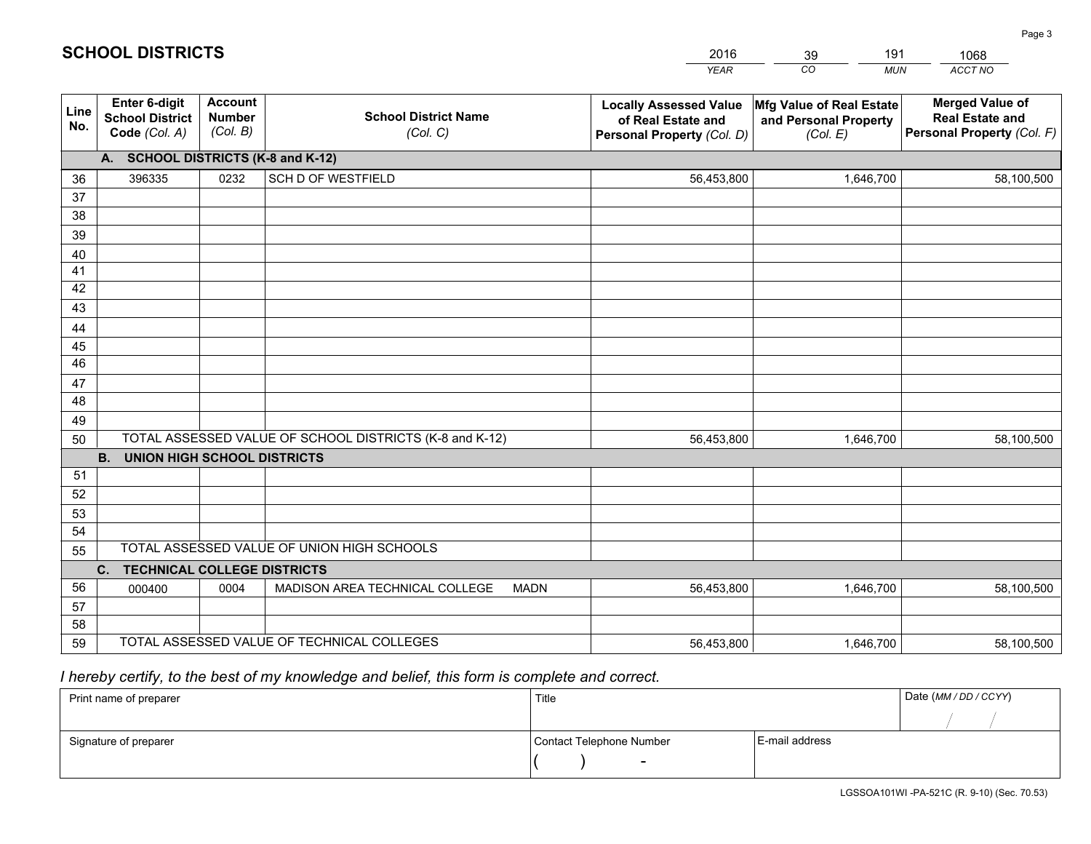|             |                                                                 |                                             |                                                         | <b>YEAR</b>                                                                       | CO<br><b>MUN</b>                                              | ACCT NO                                                                        |  |  |
|-------------|-----------------------------------------------------------------|---------------------------------------------|---------------------------------------------------------|-----------------------------------------------------------------------------------|---------------------------------------------------------------|--------------------------------------------------------------------------------|--|--|
| Line<br>No. | <b>Enter 6-digit</b><br><b>School District</b><br>Code (Col. A) | <b>Account</b><br><b>Number</b><br>(Col. B) | <b>School District Name</b><br>(Col. C)                 | <b>Locally Assessed Value</b><br>of Real Estate and<br>Personal Property (Col. D) | Mfg Value of Real Estate<br>and Personal Property<br>(Col. E) | <b>Merged Value of</b><br><b>Real Estate and</b><br>Personal Property (Col. F) |  |  |
|             | A. SCHOOL DISTRICTS (K-8 and K-12)                              |                                             |                                                         |                                                                                   |                                                               |                                                                                |  |  |
| 36          | 396335                                                          | 0232                                        | <b>SCH D OF WESTFIELD</b>                               | 56,453,800                                                                        | 1,646,700                                                     | 58,100,500                                                                     |  |  |
| 37          |                                                                 |                                             |                                                         |                                                                                   |                                                               |                                                                                |  |  |
| 38          |                                                                 |                                             |                                                         |                                                                                   |                                                               |                                                                                |  |  |
| 39          |                                                                 |                                             |                                                         |                                                                                   |                                                               |                                                                                |  |  |
| 40          |                                                                 |                                             |                                                         |                                                                                   |                                                               |                                                                                |  |  |
| 41<br>42    |                                                                 |                                             |                                                         |                                                                                   |                                                               |                                                                                |  |  |
| 43          |                                                                 |                                             |                                                         |                                                                                   |                                                               |                                                                                |  |  |
| 44          |                                                                 |                                             |                                                         |                                                                                   |                                                               |                                                                                |  |  |
| 45          |                                                                 |                                             |                                                         |                                                                                   |                                                               |                                                                                |  |  |
| 46          |                                                                 |                                             |                                                         |                                                                                   |                                                               |                                                                                |  |  |
| 47          |                                                                 |                                             |                                                         |                                                                                   |                                                               |                                                                                |  |  |
| 48          |                                                                 |                                             |                                                         |                                                                                   |                                                               |                                                                                |  |  |
| 49          |                                                                 |                                             |                                                         |                                                                                   |                                                               |                                                                                |  |  |
| 50          |                                                                 |                                             | TOTAL ASSESSED VALUE OF SCHOOL DISTRICTS (K-8 and K-12) | 56,453,800                                                                        | 1,646,700                                                     | 58,100,500                                                                     |  |  |
|             | <b>B.</b><br><b>UNION HIGH SCHOOL DISTRICTS</b>                 |                                             |                                                         |                                                                                   |                                                               |                                                                                |  |  |
| 51<br>52    |                                                                 |                                             |                                                         |                                                                                   |                                                               |                                                                                |  |  |
| 53          |                                                                 |                                             |                                                         |                                                                                   |                                                               |                                                                                |  |  |
| 54          |                                                                 |                                             |                                                         |                                                                                   |                                                               |                                                                                |  |  |
| 55          |                                                                 |                                             | TOTAL ASSESSED VALUE OF UNION HIGH SCHOOLS              |                                                                                   |                                                               |                                                                                |  |  |
|             | C.<br><b>TECHNICAL COLLEGE DISTRICTS</b>                        |                                             |                                                         |                                                                                   |                                                               |                                                                                |  |  |
| 56          | 000400                                                          | 0004                                        | MADISON AREA TECHNICAL COLLEGE<br><b>MADN</b>           | 56,453,800                                                                        | 1,646,700                                                     | 58,100,500                                                                     |  |  |
| 57          |                                                                 |                                             |                                                         |                                                                                   |                                                               |                                                                                |  |  |
| 58          |                                                                 |                                             |                                                         |                                                                                   |                                                               |                                                                                |  |  |
| 59          |                                                                 |                                             | TOTAL ASSESSED VALUE OF TECHNICAL COLLEGES              | 56,453,800                                                                        | 1,646,700                                                     | 58,100,500                                                                     |  |  |

39

191

 *I hereby certify, to the best of my knowledge and belief, this form is complete and correct.*

**SCHOOL DISTRICTS**

| Print name of preparer | Title                    | Date (MM / DD / CCYY) |  |
|------------------------|--------------------------|-----------------------|--|
|                        |                          |                       |  |
| Signature of preparer  | Contact Telephone Number | E-mail address        |  |
|                        | $\overline{\phantom{0}}$ |                       |  |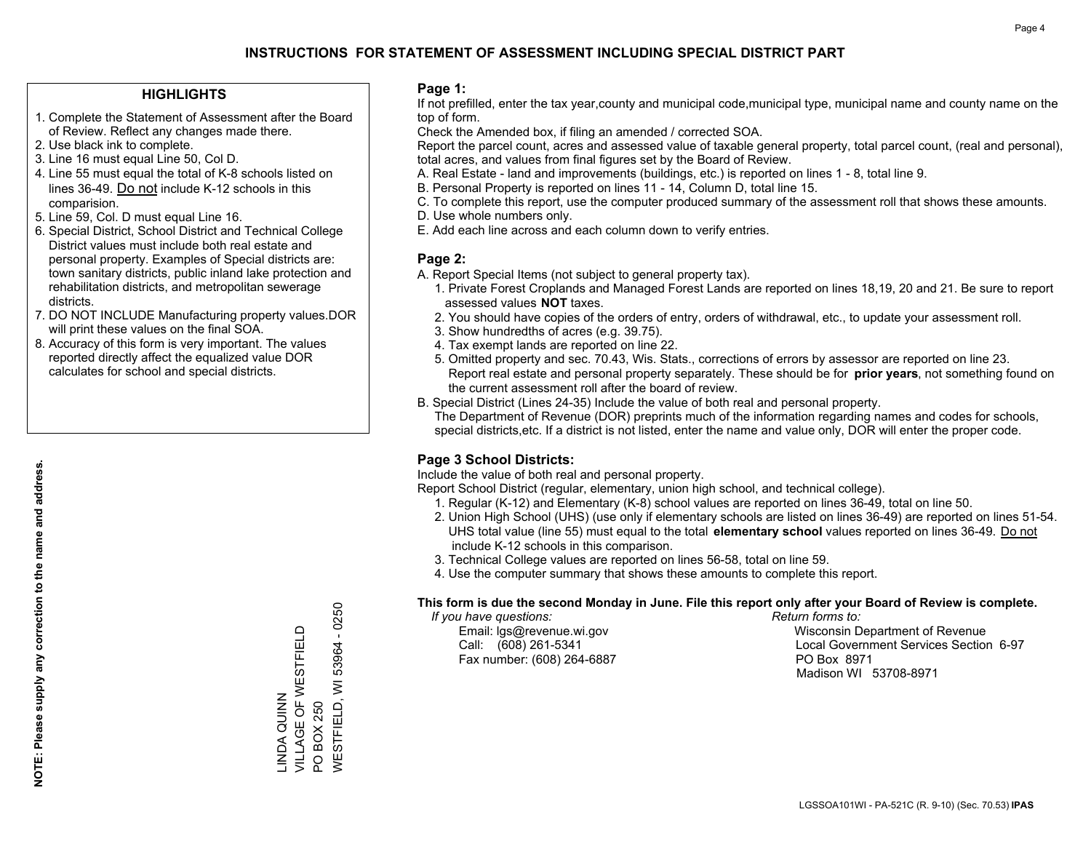#### **HIGHLIGHTS**

- 1. Complete the Statement of Assessment after the Board of Review. Reflect any changes made there.
- 2. Use black ink to complete.
- 3. Line 16 must equal Line 50, Col D.
- 4. Line 55 must equal the total of K-8 schools listed on lines 36-49. Do not include K-12 schools in this comparision.
- 5. Line 59, Col. D must equal Line 16.
- 6. Special District, School District and Technical College District values must include both real estate and personal property. Examples of Special districts are: town sanitary districts, public inland lake protection and rehabilitation districts, and metropolitan sewerage districts.
- 7. DO NOT INCLUDE Manufacturing property values.DOR will print these values on the final SOA.

LINDA QUINN

INDA QUINN

VILLAGE OF WESTFIELD

VILLAGE OF WESTFIELD

PO BOX 250

PO BOX 250

WESTFIELD, WI 53964 - 0250

**WESTFIELD, WI** 

53964

 $-0250$ 

 8. Accuracy of this form is very important. The values reported directly affect the equalized value DOR calculates for school and special districts.

#### **Page 1:**

 If not prefilled, enter the tax year,county and municipal code,municipal type, municipal name and county name on the top of form.

Check the Amended box, if filing an amended / corrected SOA.

 Report the parcel count, acres and assessed value of taxable general property, total parcel count, (real and personal), total acres, and values from final figures set by the Board of Review.

- A. Real Estate land and improvements (buildings, etc.) is reported on lines 1 8, total line 9.
- B. Personal Property is reported on lines 11 14, Column D, total line 15.
- C. To complete this report, use the computer produced summary of the assessment roll that shows these amounts.
- D. Use whole numbers only.
- E. Add each line across and each column down to verify entries.

#### **Page 2:**

- A. Report Special Items (not subject to general property tax).
- 1. Private Forest Croplands and Managed Forest Lands are reported on lines 18,19, 20 and 21. Be sure to report assessed values **NOT** taxes.
- 2. You should have copies of the orders of entry, orders of withdrawal, etc., to update your assessment roll.
	- 3. Show hundredths of acres (e.g. 39.75).
- 4. Tax exempt lands are reported on line 22.
- 5. Omitted property and sec. 70.43, Wis. Stats., corrections of errors by assessor are reported on line 23. Report real estate and personal property separately. These should be for **prior years**, not something found on the current assessment roll after the board of review.
- B. Special District (Lines 24-35) Include the value of both real and personal property.
- The Department of Revenue (DOR) preprints much of the information regarding names and codes for schools, special districts,etc. If a district is not listed, enter the name and value only, DOR will enter the proper code.

### **Page 3 School Districts:**

Include the value of both real and personal property.

Report School District (regular, elementary, union high school, and technical college).

- 1. Regular (K-12) and Elementary (K-8) school values are reported on lines 36-49, total on line 50.
- 2. Union High School (UHS) (use only if elementary schools are listed on lines 36-49) are reported on lines 51-54. UHS total value (line 55) must equal to the total **elementary school** values reported on lines 36-49. Do notinclude K-12 schools in this comparison.
- 3. Technical College values are reported on lines 56-58, total on line 59.
- 4. Use the computer summary that shows these amounts to complete this report.

#### **This form is due the second Monday in June. File this report only after your Board of Review is complete.**

 *If you have questions: Return forms to:*

Fax number: (608) 264-6887 PO Box 8971

 Email: lgs@revenue.wi.gov Wisconsin Department of Revenue Call: (608) 261-5341 Local Government Services Section 6-97Madison WI 53708-8971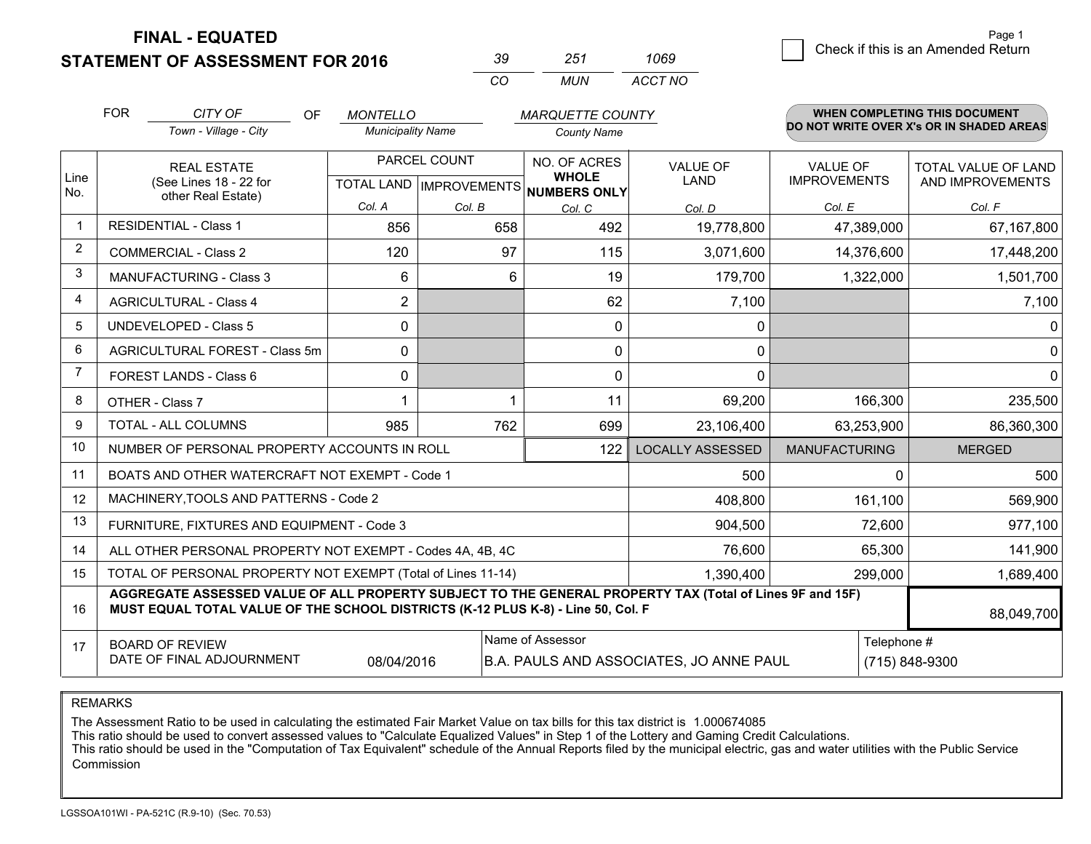**FINAL - EQUATED**

**STATEMENT OF ASSESSMENT FOR 2016** 

| ≺∪       | ンヘク   | 1069    |  |
|----------|-------|---------|--|
| $\cdots$ | MI IN | ACCT NO |  |

|                | <b>FOR</b>                                                                                                                                                                                                 | CITY OF<br><b>OF</b>                           | <b>MONTELLO</b>                                      |        | <b>MARQUETTE COUNTY</b>      |                         |                                        | <b>WHEN COMPLETING THIS DOCUMENT</b>     |
|----------------|------------------------------------------------------------------------------------------------------------------------------------------------------------------------------------------------------------|------------------------------------------------|------------------------------------------------------|--------|------------------------------|-------------------------|----------------------------------------|------------------------------------------|
|                |                                                                                                                                                                                                            | Town - Village - City                          | <b>Municipality Name</b>                             |        | <b>County Name</b>           |                         |                                        | DO NOT WRITE OVER X's OR IN SHADED AREAS |
| Line           | <b>REAL ESTATE</b><br>(See Lines 18 - 22 for                                                                                                                                                               |                                                | PARCEL COUNT<br>TOTAL LAND IMPROVEMENTS NUMBERS ONLY |        | NO. OF ACRES<br><b>WHOLE</b> | <b>VALUE OF</b><br>LAND | <b>VALUE OF</b><br><b>IMPROVEMENTS</b> | TOTAL VALUE OF LAND<br>AND IMPROVEMENTS  |
| No.            |                                                                                                                                                                                                            | other Real Estate)                             | Col. A                                               | Col. B | Col. C                       | Col. D                  | Col. E                                 | Col. F                                   |
| $\mathbf 1$    |                                                                                                                                                                                                            | <b>RESIDENTIAL - Class 1</b>                   | 856                                                  | 658    | 492                          | 19,778,800              | 47,389,000                             | 67,167,800                               |
| 2              |                                                                                                                                                                                                            | <b>COMMERCIAL - Class 2</b>                    | 120                                                  | 97     | 115                          | 3,071,600               | 14,376,600                             | 17,448,200                               |
| 3              |                                                                                                                                                                                                            | <b>MANUFACTURING - Class 3</b>                 | 6                                                    | 6      | 19                           | 179,700                 | 1,322,000                              | 1,501,700                                |
| $\overline{4}$ |                                                                                                                                                                                                            | <b>AGRICULTURAL - Class 4</b>                  | $\overline{2}$                                       |        | 62                           | 7,100                   |                                        | 7,100                                    |
| 5              |                                                                                                                                                                                                            | <b>UNDEVELOPED - Class 5</b>                   | $\mathbf{0}$                                         |        | 0                            | 0                       |                                        | 0                                        |
| 6              |                                                                                                                                                                                                            | AGRICULTURAL FOREST - Class 5m                 | $\Omega$                                             |        | $\mathbf{0}$                 | 0                       |                                        | 0                                        |
| 7              | FOREST LANDS - Class 6                                                                                                                                                                                     |                                                | $\mathbf{0}$                                         |        | $\Omega$                     | $\mathbf{0}$            |                                        | 0                                        |
| 8              | OTHER - Class 7                                                                                                                                                                                            |                                                |                                                      |        | 11                           | 69,200                  | 166,300                                | 235,500                                  |
| 9              | TOTAL - ALL COLUMNS                                                                                                                                                                                        |                                                | 985                                                  | 762    | 699                          | 23,106,400              | 63,253,900                             | 86,360,300                               |
| 10             | NUMBER OF PERSONAL PROPERTY ACCOUNTS IN ROLL<br>122                                                                                                                                                        |                                                |                                                      |        |                              | <b>LOCALLY ASSESSED</b> | <b>MANUFACTURING</b>                   | <b>MERGED</b>                            |
| 11             |                                                                                                                                                                                                            | BOATS AND OTHER WATERCRAFT NOT EXEMPT - Code 1 |                                                      |        | 500                          | $\Omega$                | 500                                    |                                          |
| 12             |                                                                                                                                                                                                            | MACHINERY, TOOLS AND PATTERNS - Code 2         |                                                      |        |                              | 408,800                 | 161,100                                | 569,900                                  |
| 13             |                                                                                                                                                                                                            | FURNITURE, FIXTURES AND EQUIPMENT - Code 3     |                                                      |        |                              | 904,500                 | 72,600                                 | 977,100                                  |
| 14             | 76,600<br>ALL OTHER PERSONAL PROPERTY NOT EXEMPT - Codes 4A, 4B, 4C                                                                                                                                        |                                                |                                                      |        |                              |                         | 65,300                                 | 141,900                                  |
| 15             | TOTAL OF PERSONAL PROPERTY NOT EXEMPT (Total of Lines 11-14)<br>1,390,400                                                                                                                                  |                                                |                                                      |        |                              |                         | 299,000                                | 1,689,400                                |
| 16             | AGGREGATE ASSESSED VALUE OF ALL PROPERTY SUBJECT TO THE GENERAL PROPERTY TAX (Total of Lines 9F and 15F)<br>MUST EQUAL TOTAL VALUE OF THE SCHOOL DISTRICTS (K-12 PLUS K-8) - Line 50, Col. F<br>88,049,700 |                                                |                                                      |        |                              |                         |                                        |                                          |
| 17             | Name of Assessor<br><b>BOARD OF REVIEW</b><br>DATE OF FINAL ADJOURNMENT<br>08/04/2016<br><b>B.A. PAULS AND ASSOCIATES, JO ANNE PAUL</b>                                                                    |                                                |                                                      |        |                              | Telephone #             | (715) 848-9300                         |                                          |

REMARKS

The Assessment Ratio to be used in calculating the estimated Fair Market Value on tax bills for this tax district is 1.000674085

This ratio should be used to convert assessed values to "Calculate Equalized Values" in Step 1 of the Lottery and Gaming Credit Calculations.<br>This ratio should be used in the "Computation of Tax Equivalent" schedule of the Commission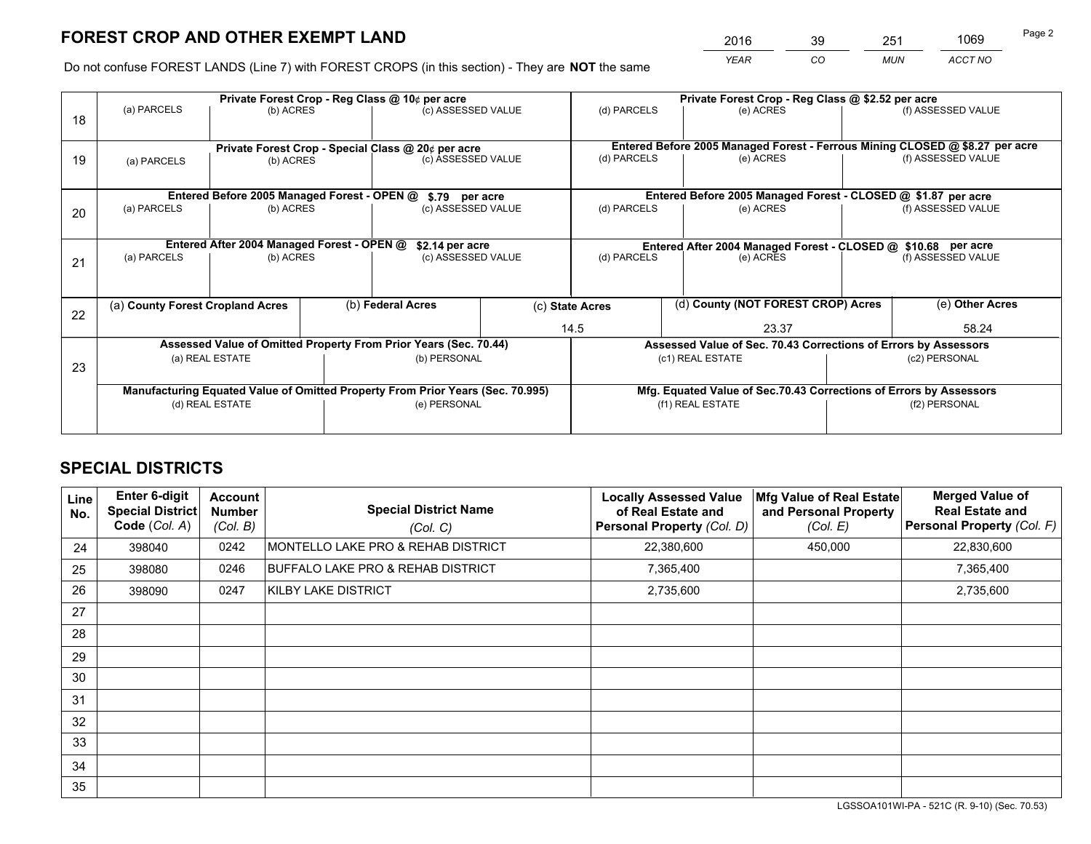# **FOREST CROP AND OTHER EXEMPT LAND**

 *YEAR CO MUN ACCT NO* <sup>2016</sup> <sup>39</sup> <sup>251</sup> <sup>1069</sup>

Do not confuse FOREST LANDS (Line 7) with FOREST CROPS (in this section) - They are **NOT** the same

|    | Private Forest Crop - Reg Class @ 10¢ per acre                                 |                                                                  |  |                                                    |  | Private Forest Crop - Reg Class @ \$2.52 per acre               |                                                                              |                    |                    |  |
|----|--------------------------------------------------------------------------------|------------------------------------------------------------------|--|----------------------------------------------------|--|-----------------------------------------------------------------|------------------------------------------------------------------------------|--------------------|--------------------|--|
| 18 | (a) PARCELS                                                                    | (b) ACRES                                                        |  | (c) ASSESSED VALUE                                 |  | (d) PARCELS                                                     | (e) ACRES                                                                    |                    | (f) ASSESSED VALUE |  |
|    |                                                                                |                                                                  |  | Private Forest Crop - Special Class @ 20¢ per acre |  |                                                                 | Entered Before 2005 Managed Forest - Ferrous Mining CLOSED @ \$8.27 per acre |                    |                    |  |
| 19 | (a) PARCELS<br>(b) ACRES                                                       |                                                                  |  | (c) ASSESSED VALUE                                 |  | (d) PARCELS                                                     | (e) ACRES                                                                    |                    | (f) ASSESSED VALUE |  |
|    |                                                                                | Entered Before 2005 Managed Forest - OPEN @                      |  | \$.79 per acre                                     |  |                                                                 | Entered Before 2005 Managed Forest - CLOSED @ \$1.87 per acre                |                    |                    |  |
| 20 | (a) PARCELS<br>(b) ACRES                                                       |                                                                  |  | (c) ASSESSED VALUE                                 |  | (d) PARCELS<br>(e) ACRES                                        |                                                                              |                    | (f) ASSESSED VALUE |  |
|    |                                                                                | Entered After 2004 Managed Forest - OPEN @                       |  | \$2.14 per acre                                    |  | Entered After 2004 Managed Forest - CLOSED @ \$10.68 per acre   |                                                                              |                    |                    |  |
| 21 | (a) PARCELS<br>(b) ACRES                                                       |                                                                  |  | (c) ASSESSED VALUE                                 |  | (d) PARCELS<br>(e) ACRES                                        |                                                                              | (f) ASSESSED VALUE |                    |  |
|    | (a) County Forest Cropland Acres                                               |                                                                  |  | (b) Federal Acres                                  |  | (d) County (NOT FOREST CROP) Acres<br>(c) State Acres           |                                                                              |                    | (e) Other Acres    |  |
| 22 |                                                                                |                                                                  |  |                                                    |  | 14.5<br>23.37                                                   |                                                                              | 58.24              |                    |  |
|    |                                                                                | Assessed Value of Omitted Property From Prior Years (Sec. 70.44) |  |                                                    |  | Assessed Value of Sec. 70.43 Corrections of Errors by Assessors |                                                                              |                    |                    |  |
| 23 | (a) REAL ESTATE                                                                |                                                                  |  | (b) PERSONAL                                       |  | (c1) REAL ESTATE                                                |                                                                              | (c2) PERSONAL      |                    |  |
|    | Manufacturing Equated Value of Omitted Property From Prior Years (Sec. 70.995) |                                                                  |  |                                                    |  |                                                                 | Mfg. Equated Value of Sec.70.43 Corrections of Errors by Assessors           |                    |                    |  |
|    | (d) REAL ESTATE                                                                |                                                                  |  | (e) PERSONAL                                       |  | (f1) REAL ESTATE                                                |                                                                              |                    | (f2) PERSONAL      |  |
|    |                                                                                |                                                                  |  |                                                    |  |                                                                 |                                                                              |                    |                    |  |

## **SPECIAL DISTRICTS**

| Line<br>No. | <b>Enter 6-digit</b><br><b>Special District</b><br>Code (Col. A) | <b>Account</b><br><b>Number</b><br>(Col. B) | <b>Special District Name</b><br>(Col. C) | <b>Locally Assessed Value</b><br>of Real Estate and<br>Personal Property (Col. D) | Mfg Value of Real Estate<br>and Personal Property<br>(Col. E) | <b>Merged Value of</b><br><b>Real Estate and</b><br>Personal Property (Col. F) |
|-------------|------------------------------------------------------------------|---------------------------------------------|------------------------------------------|-----------------------------------------------------------------------------------|---------------------------------------------------------------|--------------------------------------------------------------------------------|
| 24          | 398040                                                           | 0242                                        | MONTELLO LAKE PRO & REHAB DISTRICT       | 22,380,600                                                                        | 450,000                                                       | 22,830,600                                                                     |
| 25          | 398080                                                           | 0246                                        | BUFFALO LAKE PRO & REHAB DISTRICT        | 7,365,400                                                                         |                                                               | 7,365,400                                                                      |
| 26          | 398090                                                           | 0247                                        | KILBY LAKE DISTRICT                      | 2,735,600                                                                         |                                                               | 2,735,600                                                                      |
| 27          |                                                                  |                                             |                                          |                                                                                   |                                                               |                                                                                |
| 28          |                                                                  |                                             |                                          |                                                                                   |                                                               |                                                                                |
| 29          |                                                                  |                                             |                                          |                                                                                   |                                                               |                                                                                |
| 30          |                                                                  |                                             |                                          |                                                                                   |                                                               |                                                                                |
| 31          |                                                                  |                                             |                                          |                                                                                   |                                                               |                                                                                |
| 32          |                                                                  |                                             |                                          |                                                                                   |                                                               |                                                                                |
| 33          |                                                                  |                                             |                                          |                                                                                   |                                                               |                                                                                |
| 34          |                                                                  |                                             |                                          |                                                                                   |                                                               |                                                                                |
| 35          |                                                                  |                                             |                                          |                                                                                   |                                                               |                                                                                |

LGSSOA101WI-PA - 521C (R. 9-10) (Sec. 70.53)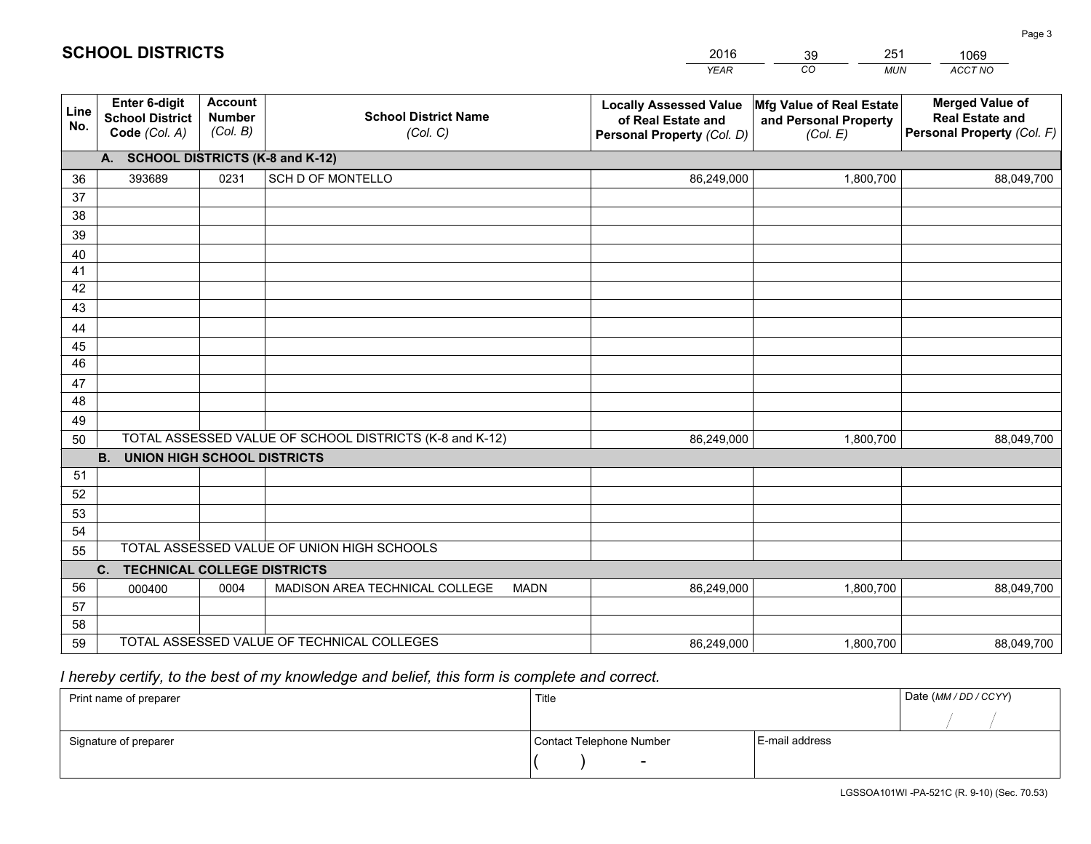|             |                                                                 |                                             |                                                         | <b>YEAR</b>                                                                       | CO<br><b>MUN</b>                                              | ACCT NO                                                                        |  |  |  |  |
|-------------|-----------------------------------------------------------------|---------------------------------------------|---------------------------------------------------------|-----------------------------------------------------------------------------------|---------------------------------------------------------------|--------------------------------------------------------------------------------|--|--|--|--|
| Line<br>No. | <b>Enter 6-digit</b><br><b>School District</b><br>Code (Col. A) | <b>Account</b><br><b>Number</b><br>(Col. B) | <b>School District Name</b><br>(Col. C)                 | <b>Locally Assessed Value</b><br>of Real Estate and<br>Personal Property (Col. D) | Mfg Value of Real Estate<br>and Personal Property<br>(Col. E) | <b>Merged Value of</b><br><b>Real Estate and</b><br>Personal Property (Col. F) |  |  |  |  |
|             | A. SCHOOL DISTRICTS (K-8 and K-12)                              |                                             |                                                         |                                                                                   |                                                               |                                                                                |  |  |  |  |
| 36          | 393689                                                          | 0231                                        | <b>SCH D OF MONTELLO</b>                                | 86,249,000                                                                        | 1,800,700                                                     | 88,049,700                                                                     |  |  |  |  |
| 37          |                                                                 |                                             |                                                         |                                                                                   |                                                               |                                                                                |  |  |  |  |
| 38          |                                                                 |                                             |                                                         |                                                                                   |                                                               |                                                                                |  |  |  |  |
| 39          |                                                                 |                                             |                                                         |                                                                                   |                                                               |                                                                                |  |  |  |  |
| 40          |                                                                 |                                             |                                                         |                                                                                   |                                                               |                                                                                |  |  |  |  |
| 41<br>42    |                                                                 |                                             |                                                         |                                                                                   |                                                               |                                                                                |  |  |  |  |
| 43          |                                                                 |                                             |                                                         |                                                                                   |                                                               |                                                                                |  |  |  |  |
|             |                                                                 |                                             |                                                         |                                                                                   |                                                               |                                                                                |  |  |  |  |
| 44<br>45    |                                                                 |                                             |                                                         |                                                                                   |                                                               |                                                                                |  |  |  |  |
| 46          |                                                                 |                                             |                                                         |                                                                                   |                                                               |                                                                                |  |  |  |  |
| 47          |                                                                 |                                             |                                                         |                                                                                   |                                                               |                                                                                |  |  |  |  |
| 48          |                                                                 |                                             |                                                         |                                                                                   |                                                               |                                                                                |  |  |  |  |
| 49          |                                                                 |                                             |                                                         |                                                                                   |                                                               |                                                                                |  |  |  |  |
| 50          |                                                                 |                                             | TOTAL ASSESSED VALUE OF SCHOOL DISTRICTS (K-8 and K-12) | 86,249,000                                                                        | 1,800,700                                                     | 88,049,700                                                                     |  |  |  |  |
|             | <b>B.</b><br><b>UNION HIGH SCHOOL DISTRICTS</b>                 |                                             |                                                         |                                                                                   |                                                               |                                                                                |  |  |  |  |
| 51          |                                                                 |                                             |                                                         |                                                                                   |                                                               |                                                                                |  |  |  |  |
| 52          |                                                                 |                                             |                                                         |                                                                                   |                                                               |                                                                                |  |  |  |  |
| 53          |                                                                 |                                             |                                                         |                                                                                   |                                                               |                                                                                |  |  |  |  |
| 54          |                                                                 |                                             |                                                         |                                                                                   |                                                               |                                                                                |  |  |  |  |
| 55          |                                                                 |                                             | TOTAL ASSESSED VALUE OF UNION HIGH SCHOOLS              |                                                                                   |                                                               |                                                                                |  |  |  |  |
|             | C.<br><b>TECHNICAL COLLEGE DISTRICTS</b>                        |                                             |                                                         |                                                                                   |                                                               |                                                                                |  |  |  |  |
| 56          | 000400                                                          | 0004                                        | MADISON AREA TECHNICAL COLLEGE<br><b>MADN</b>           | 86,249,000                                                                        | 1,800,700                                                     | 88,049,700                                                                     |  |  |  |  |
| 57<br>58    |                                                                 |                                             |                                                         |                                                                                   |                                                               |                                                                                |  |  |  |  |
| 59          |                                                                 |                                             | TOTAL ASSESSED VALUE OF TECHNICAL COLLEGES              |                                                                                   | 1,800,700                                                     |                                                                                |  |  |  |  |
|             |                                                                 |                                             |                                                         | 86,249,000                                                                        |                                                               | 88,049,700                                                                     |  |  |  |  |

2016

39

251

 *I hereby certify, to the best of my knowledge and belief, this form is complete and correct.*

**SCHOOL DISTRICTS**

| Print name of preparer | Title                    | Date (MM / DD / CCYY) |  |
|------------------------|--------------------------|-----------------------|--|
|                        |                          |                       |  |
| Signature of preparer  | Contact Telephone Number | E-mail address        |  |
|                        | $\sim$                   |                       |  |

1069